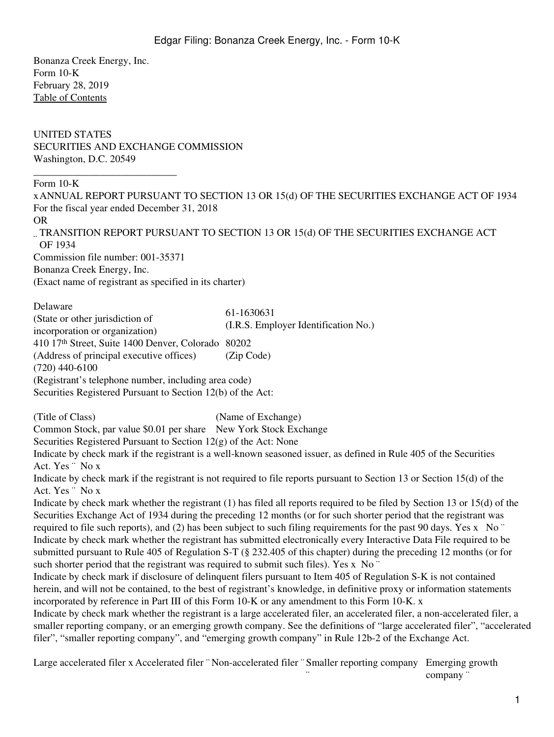Bonanza Creek Energy, Inc. Form 10-K February 28, 2019 [Table of Contents](#page-2-0)

\_\_\_\_\_\_\_\_\_\_\_\_\_\_\_\_\_\_\_\_\_\_\_\_\_\_\_\_

UNITED STATES SECURITIES AND EXCHANGE COMMISSION Washington, D.C. 20549

Form 10-K

xANNUAL REPORT PURSUANT TO SECTION 13 OR 15(d) OF THE SECURITIES EXCHANGE ACT OF 1934 For the fiscal year ended December 31, 2018

OR

.. TRANSITION REPORT PURSUANT TO SECTION 13 OR 15(d) OF THE SECURITIES EXCHANGE ACT<br>OF 1924 OF 1934 Commission file number: 001-35371

Bonanza Creek Energy, Inc.

(Exact name of registrant as specified in its charter)

| Delaware                                                    |                                      |
|-------------------------------------------------------------|--------------------------------------|
| (State or other jurisdiction of                             | 61-1630631                           |
| incorporation or organization)                              | (I.R.S. Employer Identification No.) |
| 410 17th Street, Suite 1400 Denver, Colorado 80202          |                                      |
| (Address of principal executive offices)                    | (Zip Code)                           |
| $(720)$ 440-6100                                            |                                      |
| (Registrant's telephone number, including area code)        |                                      |
| Securities Registered Pursuant to Section 12(b) of the Act: |                                      |
|                                                             |                                      |

(Title of Class) (Name of Exchange)

Common Stock, par value \$0.01 per share New York Stock Exchange

Securities Registered Pursuant to Section 12(g) of the Act: None

Indicate by check mark if the registrant is a well-known seasoned issuer, as defined in Rule 405 of the Securities Act. Yes ¨ No x

Indicate by check mark if the registrant is not required to file reports pursuant to Section 13 or Section 15(d) of the Act. Yes ¨ No x

Indicate by check mark whether the registrant (1) has filed all reports required to be filed by Section 13 or 15(d) of the Securities Exchange Act of 1934 during the preceding 12 months (or for such shorter period that the registrant was required to file such reports), and (2) has been subject to such filing requirements for the past 90 days. Yes x No  $\degree$ Indicate by check mark whether the registrant has submitted electronically every Interactive Data File required to be submitted pursuant to Rule 405 of Regulation S-T (§ 232.405 of this chapter) during the preceding 12 months (or for such shorter period that the registrant was required to submit such files). Yes x No "

Indicate by check mark if disclosure of delinquent filers pursuant to Item 405 of Regulation S-K is not contained herein, and will not be contained, to the best of registrant's knowledge, in definitive proxy or information statements incorporated by reference in Part III of this Form 10-K or any amendment to this Form 10-K. x

Indicate by check mark whether the registrant is a large accelerated filer, an accelerated filer, a non-accelerated filer, a smaller reporting company, or an emerging growth company. See the definitions of "large accelerated filer", "accelerated filer", "smaller reporting company", and "emerging growth company" in Rule 12b-2 of the Exchange Act.

Large accelerated filer x Accelerated filer ¨ Non-accelerated filer ¨ Smaller reporting company Emerging growth ¨ company ¨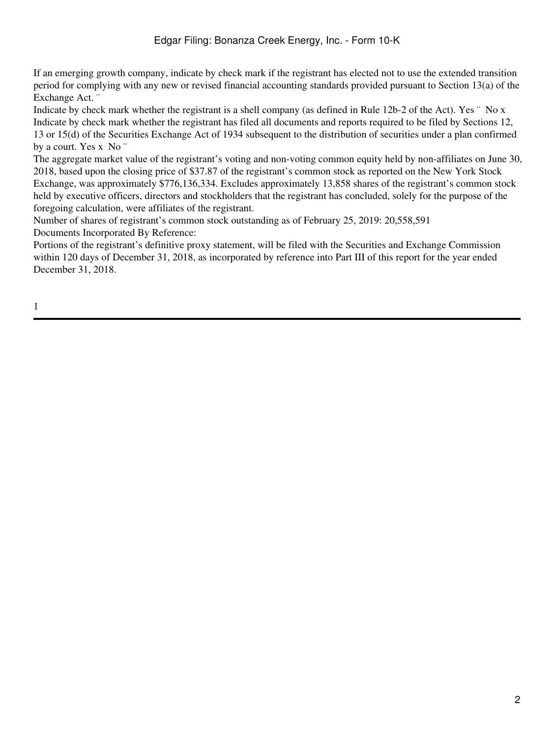If an emerging growth company, indicate by check mark if the registrant has elected not to use the extended transition period for complying with any new or revised financial accounting standards provided pursuant to Section 13(a) of the Exchange Act. ¨

Indicate by check mark whether the registrant is a shell company (as defined in Rule 12b-2 of the Act). Yes "No x Indicate by check mark whether the registrant has filed all documents and reports required to be filed by Sections 12, 13 or 15(d) of the Securities Exchange Act of 1934 subsequent to the distribution of securities under a plan confirmed by a court. Yes x No "

The aggregate market value of the registrant's voting and non-voting common equity held by non-affiliates on June 30, 2018, based upon the closing price of \$37.87 of the registrant's common stock as reported on the New York Stock Exchange, was approximately \$776,136,334. Excludes approximately 13,858 shares of the registrant's common stock held by executive officers, directors and stockholders that the registrant has concluded, solely for the purpose of the foregoing calculation, were affiliates of the registrant.

Number of shares of registrant's common stock outstanding as of February 25, 2019: 20,558,591 Documents Incorporated By Reference:

Portions of the registrant's definitive proxy statement, will be filed with the Securities and Exchange Commission within 120 days of December 31, 2018, as incorporated by reference into Part III of this report for the year ended December 31, 2018.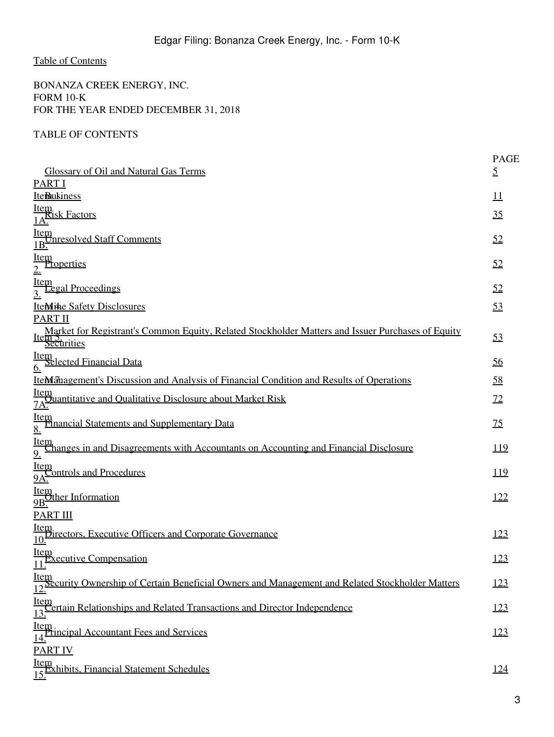<span id="page-2-0"></span>BONANZA CREEK ENERGY, INC. FORM 10-K FOR THE YEAR ENDED DECEMBER 31, 2018

# TABLE OF CONTENTS

| <b>Glossary of Oil and Natural Gas Terms</b>                                                                                    | <b>PAGE</b><br>$\overline{2}$ |
|---------------------------------------------------------------------------------------------------------------------------------|-------------------------------|
| <u>PART I</u>                                                                                                                   |                               |
| <u>IteButiness</u>                                                                                                              | 11                            |
| <u>Item.</u><br>1A.                                                                                                             | <u>35</u>                     |
| <u>Item</u><br><u>1B.</u><br>1B.                                                                                                | 52                            |
| <u>Item</u><br>2. Properties                                                                                                    | 52                            |
| <u>Item</u><br>3. Legal Proceedings                                                                                             | 52                            |
| <b>IteMine Safety Disclosures</b>                                                                                               | 53                            |
| PART II<br>Market for Registrant's Common Equity, Related Stockholder Matters and Issuer Purchases of Equity<br>Item Securities | 53                            |
| <u>Item</u><br>6. Selected Financial Data                                                                                       | <u>56</u>                     |
| IteMangement's Discussion and Analysis of Financial Condition and Results of Operations                                         | 58                            |
| <u>Item</u><br>7A. Quantitative and Qualitative Disclosure about Market Risk<br>7A.                                             | 72                            |
| <u>Item</u><br><u>8. Financial Statements and Supplementary Data</u>                                                            | $\overline{25}$               |
| Item<br><u>9.</u> Changes in and Disagreements with Accountants on Accounting and Financial Disclosure                          | <u>119</u>                    |
| <u>Item</u><br>9A. Controls and Procedures                                                                                      | <u>119</u>                    |
| <u>Item</u><br>9B. Other Information                                                                                            | 122                           |
| <u>PART III</u>                                                                                                                 |                               |
| <u>Item.</u><br>10. Directors, Executive Officers and Corporate Governance                                                      | <u>123</u>                    |
| <u>Item</u><br>11. Executive Compensation                                                                                       | <u>123</u>                    |
| <u>Item</u><br>12. Security Ownership of Certain Beneficial Owners and Management and Related Stockholder Matters               | 123                           |
| Item<br>13. Eertain Relationships and Related Transactions and Director Independence                                            | 123                           |
| <u>Item</u><br>14. Principal Accountant Fees and Services                                                                       | 123                           |
| <u>PART IV</u>                                                                                                                  |                               |
| Item<br>15. Exhibits, Financial Statement Schedules                                                                             | 124                           |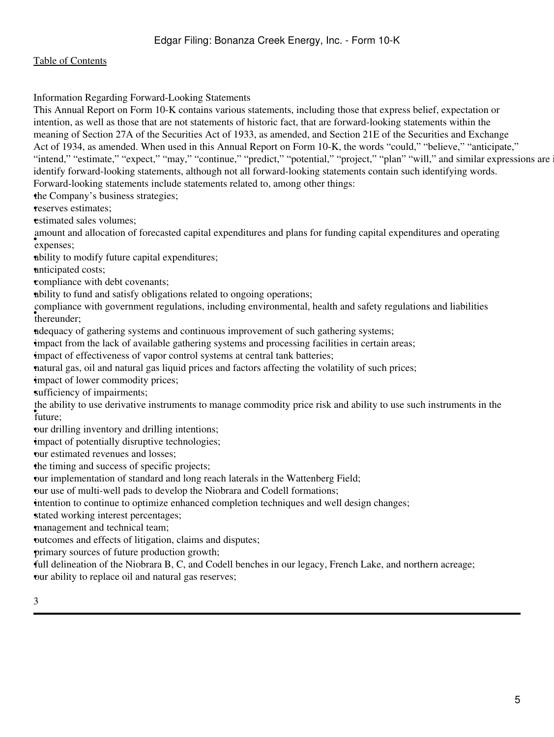Information Regarding Forward-Looking Statements

This Annual Report on Form 10-K contains various statements, including those that express belief, expectation or intention, as well as those that are not statements of historic fact, that are forward-looking statements within the meaning of Section 27A of the Securities Act of 1933, as amended, and Section 21E of the Securities and Exchange Act of 1934, as amended. When used in this Annual Report on Form 10-K, the words "could," "believe," "anticipate," "intend," "estimate," "expect," "may," "continue," "predict," "potential," "project," "plan" "will," and similar expressions are identify forward-looking statements, although not all forward-looking statements contain such identifying words. Forward-looking statements include statements related to, among other things:

the Company's business strategies;

•reserves estimates;

•estimated sales volumes;

• expenses; amount and allocation of forecasted capital expenditures and plans for funding capital expenditures and operating

•ability to modify future capital expenditures;

•anticipated costs;

•compliance with debt covenants;

•ability to fund and satisfy obligations related to ongoing operations;

• thereunder; compliance with government regulations, including environmental, health and safety regulations and liabilities

•adequacy of gathering systems and continuous improvement of such gathering systems;

impact from the lack of available gathering systems and processing facilities in certain areas;

impact of effectiveness of vapor control systems at central tank batteries;

•natural gas, oil and natural gas liquid prices and factors affecting the volatility of such prices;

impact of lower commodity prices;

sufficiency of impairments;

• future; the ability to use derivative instruments to manage commodity price risk and ability to use such instruments in the

•our drilling inventory and drilling intentions;

impact of potentially disruptive technologies;

our estimated revenues and losses;

•the timing and success of specific projects;

•our implementation of standard and long reach laterals in the Wattenberg Field;

•our use of multi-well pads to develop the Niobrara and Codell formations;

•intention to continue to optimize enhanced completion techniques and well design changes;

stated working interest percentages;

•management and technical team;

•outcomes and effects of litigation, claims and disputes;

•primary sources of future production growth;

•full delineation of the Niobrara B, C, and Codell benches in our legacy, French Lake, and northern acreage; •our ability to replace oil and natural gas reserves;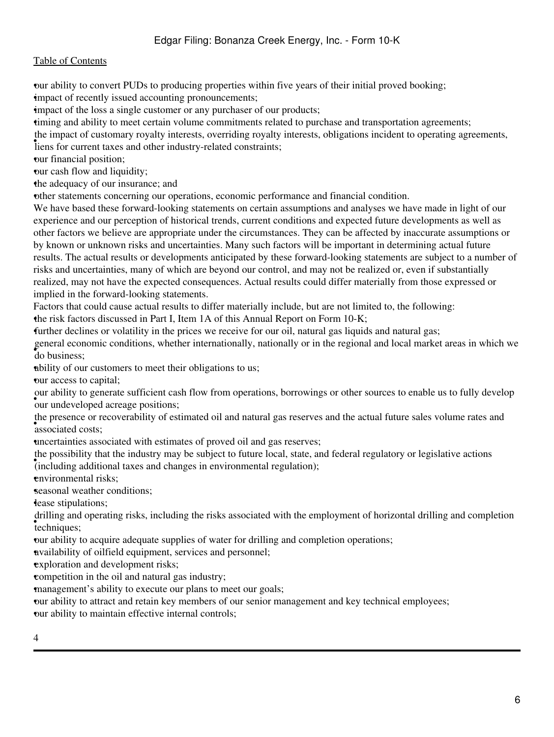•our ability to convert PUDs to producing properties within five years of their initial proved booking;

impact of recently issued accounting pronouncements;

impact of the loss a single customer or any purchaser of our products;

•timing and ability to meet certain volume commitments related to purchase and transportation agreements;

the impact of customary royalty interests, overriding royalty interests, obligations incident to operating agreements,

liens for current taxes and other industry-related constraints;

•our financial position;

•our cash flow and liquidity;

the adequacy of our insurance; and

•other statements concerning our operations, economic performance and financial condition.

We have based these forward-looking statements on certain assumptions and analyses we have made in light of our experience and our perception of historical trends, current conditions and expected future developments as well as other factors we believe are appropriate under the circumstances. They can be affected by inaccurate assumptions or by known or unknown risks and uncertainties. Many such factors will be important in determining actual future results. The actual results or developments anticipated by these forward-looking statements are subject to a number of risks and uncertainties, many of which are beyond our control, and may not be realized or, even if substantially realized, may not have the expected consequences. Actual results could differ materially from those expressed or implied in the forward-looking statements.

Factors that could cause actual results to differ materially include, but are not limited to, the following:

•the risk factors discussed in Part I, Item 1A of this Annual Report on Form 10-K;

•further declines or volatility in the prices we receive for our oil, natural gas liquids and natural gas;

• do business; general economic conditions, whether internationally, nationally or in the regional and local market areas in which we

whility of our customers to meet their obligations to us;

•our access to capital;

• our undeveloped acreage positions; our ability to generate sufficient cash flow from operations, borrowings or other sources to enable us to fully develop

associated costs; the presence or recoverability of estimated oil and natural gas reserves and the actual future sales volume rates and

•uncertainties associated with estimates of proved oil and gas reserves;

Inceptional taxes and changes in environmental regulation); the possibility that the industry may be subject to future local, state, and federal regulatory or legislative actions

•environmental risks;

•seasonal weather conditions;

**dease stipulations;** 

• techniques; drilling and operating risks, including the risks associated with the employment of horizontal drilling and completion

•our ability to acquire adequate supplies of water for drilling and completion operations;

•availability of oilfield equipment, services and personnel;

exploration and development risks;

•competition in the oil and natural gas industry;

•management's ability to execute our plans to meet our goals;

•our ability to attract and retain key members of our senior management and key technical employees;

•our ability to maintain effective internal controls;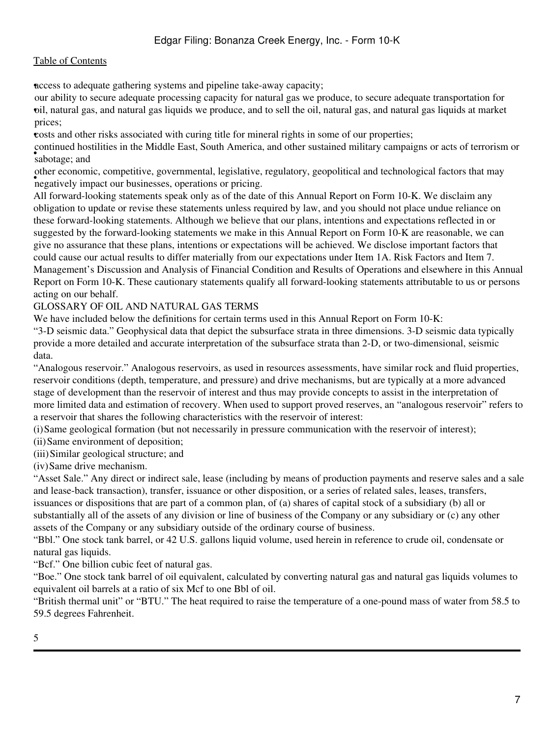•access to adequate gathering systems and pipeline take-away capacity;

• oil, natural gas, and natural gas liquids we produce, and to sell the oil, natural gas, and natural gas liquids at market our ability to secure adequate processing capacity for natural gas we produce, to secure adequate transportation for prices;

•costs and other risks associated with curing title for mineral rights in some of our properties;

• sabotage; and continued hostilities in the Middle East, South America, and other sustained military campaigns or acts of terrorism or

• negatively impact our businesses, operations or pricing. other economic, competitive, governmental, legislative, regulatory, geopolitical and technological factors that may

All forward-looking statements speak only as of the date of this Annual Report on Form 10-K. We disclaim any obligation to update or revise these statements unless required by law, and you should not place undue reliance on these forward-looking statements. Although we believe that our plans, intentions and expectations reflected in or suggested by the forward-looking statements we make in this Annual Report on Form 10-K are reasonable, we can give no assurance that these plans, intentions or expectations will be achieved. We disclose important factors that could cause our actual results to differ materially from our expectations under Item 1A. Risk Factors and Item 7. Management's Discussion and Analysis of Financial Condition and Results of Operations and elsewhere in this Annual Report on Form 10-K. These cautionary statements qualify all forward-looking statements attributable to us or persons acting on our behalf.

### <span id="page-6-0"></span>GLOSSARY OF OIL AND NATURAL GAS TERMS

We have included below the definitions for certain terms used in this Annual Report on Form 10-K:

"3-D seismic data." Geophysical data that depict the subsurface strata in three dimensions. 3-D seismic data typically provide a more detailed and accurate interpretation of the subsurface strata than 2-D, or two-dimensional, seismic data.

"Analogous reservoir." Analogous reservoirs, as used in resources assessments, have similar rock and fluid properties, reservoir conditions (depth, temperature, and pressure) and drive mechanisms, but are typically at a more advanced stage of development than the reservoir of interest and thus may provide concepts to assist in the interpretation of more limited data and estimation of recovery. When used to support proved reserves, an "analogous reservoir" refers to a reservoir that shares the following characteristics with the reservoir of interest:

(i)Same geological formation (but not necessarily in pressure communication with the reservoir of interest);

(ii)Same environment of deposition;

(iii)Similar geological structure; and

(iv)Same drive mechanism.

"Asset Sale." Any direct or indirect sale, lease (including by means of production payments and reserve sales and a sale and lease-back transaction), transfer, issuance or other disposition, or a series of related sales, leases, transfers, issuances or dispositions that are part of a common plan, of (a) shares of capital stock of a subsidiary (b) all or substantially all of the assets of any division or line of business of the Company or any subsidiary or (c) any other assets of the Company or any subsidiary outside of the ordinary course of business.

"Bbl." One stock tank barrel, or 42 U.S. gallons liquid volume, used herein in reference to crude oil, condensate or natural gas liquids.

"Bcf." One billion cubic feet of natural gas.

"Boe." One stock tank barrel of oil equivalent, calculated by converting natural gas and natural gas liquids volumes to equivalent oil barrels at a ratio of six Mcf to one Bbl of oil.

"British thermal unit" or "BTU." The heat required to raise the temperature of a one-pound mass of water from 58.5 to 59.5 degrees Fahrenheit.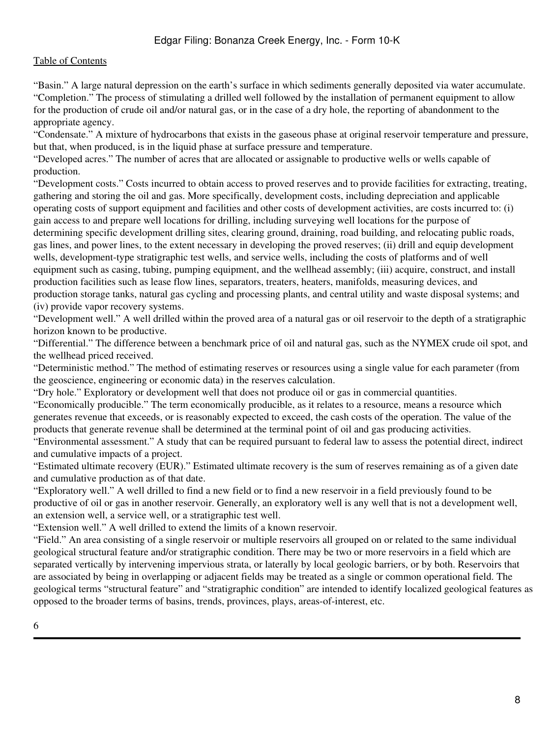#### [Table of Contents](#page-2-0)

"Basin." A large natural depression on the earth's surface in which sediments generally deposited via water accumulate. "Completion." The process of stimulating a drilled well followed by the installation of permanent equipment to allow for the production of crude oil and/or natural gas, or in the case of a dry hole, the reporting of abandonment to the appropriate agency.

"Condensate." A mixture of hydrocarbons that exists in the gaseous phase at original reservoir temperature and pressure, but that, when produced, is in the liquid phase at surface pressure and temperature.

"Developed acres." The number of acres that are allocated or assignable to productive wells or wells capable of production.

"Development costs." Costs incurred to obtain access to proved reserves and to provide facilities for extracting, treating, gathering and storing the oil and gas. More specifically, development costs, including depreciation and applicable operating costs of support equipment and facilities and other costs of development activities, are costs incurred to: (i) gain access to and prepare well locations for drilling, including surveying well locations for the purpose of determining specific development drilling sites, clearing ground, draining, road building, and relocating public roads, gas lines, and power lines, to the extent necessary in developing the proved reserves; (ii) drill and equip development wells, development-type stratigraphic test wells, and service wells, including the costs of platforms and of well equipment such as casing, tubing, pumping equipment, and the wellhead assembly; (iii) acquire, construct, and install production facilities such as lease flow lines, separators, treaters, heaters, manifolds, measuring devices, and production storage tanks, natural gas cycling and processing plants, and central utility and waste disposal systems; and (iv) provide vapor recovery systems.

"Development well." A well drilled within the proved area of a natural gas or oil reservoir to the depth of a stratigraphic horizon known to be productive.

"Differential." The difference between a benchmark price of oil and natural gas, such as the NYMEX crude oil spot, and the wellhead priced received.

"Deterministic method." The method of estimating reserves or resources using a single value for each parameter (from the geoscience, engineering or economic data) in the reserves calculation.

"Dry hole." Exploratory or development well that does not produce oil or gas in commercial quantities.

"Economically producible." The term economically producible, as it relates to a resource, means a resource which generates revenue that exceeds, or is reasonably expected to exceed, the cash costs of the operation. The value of the products that generate revenue shall be determined at the terminal point of oil and gas producing activities.

"Environmental assessment." A study that can be required pursuant to federal law to assess the potential direct, indirect and cumulative impacts of a project.

"Estimated ultimate recovery (EUR)." Estimated ultimate recovery is the sum of reserves remaining as of a given date and cumulative production as of that date.

"Exploratory well." A well drilled to find a new field or to find a new reservoir in a field previously found to be productive of oil or gas in another reservoir. Generally, an exploratory well is any well that is not a development well, an extension well, a service well, or a stratigraphic test well.

"Extension well." A well drilled to extend the limits of a known reservoir.

"Field." An area consisting of a single reservoir or multiple reservoirs all grouped on or related to the same individual geological structural feature and/or stratigraphic condition. There may be two or more reservoirs in a field which are separated vertically by intervening impervious strata, or laterally by local geologic barriers, or by both. Reservoirs that are associated by being in overlapping or adjacent fields may be treated as a single or common operational field. The geological terms "structural feature" and "stratigraphic condition" are intended to identify localized geological features as opposed to the broader terms of basins, trends, provinces, plays, areas-of-interest, etc.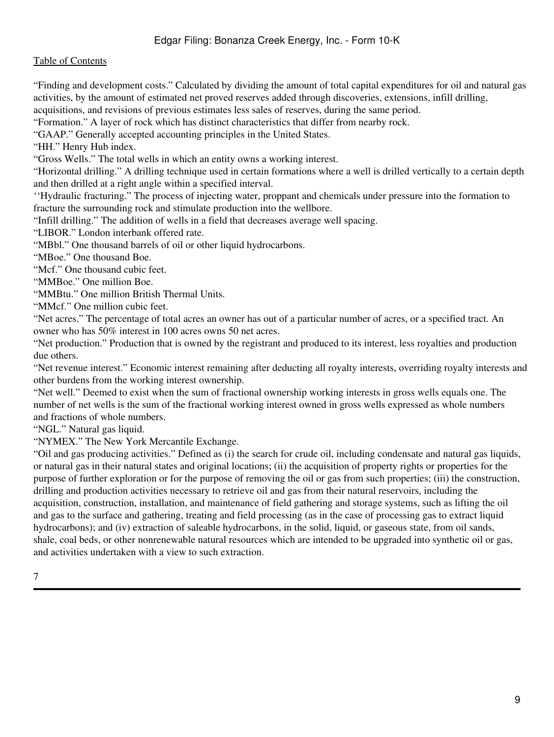#### [Table of Contents](#page-2-0)

"Finding and development costs." Calculated by dividing the amount of total capital expenditures for oil and natural gas activities, by the amount of estimated net proved reserves added through discoveries, extensions, infill drilling,

acquisitions, and revisions of previous estimates less sales of reserves, during the same period.

"Formation." A layer of rock which has distinct characteristics that differ from nearby rock.

"GAAP." Generally accepted accounting principles in the United States.

"HH." Henry Hub index.

"Gross Wells." The total wells in which an entity owns a working interest.

"Horizontal drilling." A drilling technique used in certain formations where a well is drilled vertically to a certain depth and then drilled at a right angle within a specified interval.

''Hydraulic fracturing." The process of injecting water, proppant and chemicals under pressure into the formation to fracture the surrounding rock and stimulate production into the wellbore.

"Infill drilling." The addition of wells in a field that decreases average well spacing.

"LIBOR." London interbank offered rate.

"MBbl." One thousand barrels of oil or other liquid hydrocarbons.

"MBoe." One thousand Boe.

"Mcf." One thousand cubic feet.

"MMBoe." One million Boe.

"MMBtu." One million British Thermal Units.

"MMcf." One million cubic feet.

"Net acres." The percentage of total acres an owner has out of a particular number of acres, or a specified tract. An owner who has 50% interest in 100 acres owns 50 net acres.

"Net production." Production that is owned by the registrant and produced to its interest, less royalties and production due others.

"Net revenue interest." Economic interest remaining after deducting all royalty interests, overriding royalty interests and other burdens from the working interest ownership.

"Net well." Deemed to exist when the sum of fractional ownership working interests in gross wells equals one. The number of net wells is the sum of the fractional working interest owned in gross wells expressed as whole numbers and fractions of whole numbers.

"NGL." Natural gas liquid.

"NYMEX." The New York Mercantile Exchange.

"Oil and gas producing activities." Defined as (i) the search for crude oil, including condensate and natural gas liquids, or natural gas in their natural states and original locations; (ii) the acquisition of property rights or properties for the purpose of further exploration or for the purpose of removing the oil or gas from such properties; (iii) the construction, drilling and production activities necessary to retrieve oil and gas from their natural reservoirs, including the acquisition, construction, installation, and maintenance of field gathering and storage systems, such as lifting the oil and gas to the surface and gathering, treating and field processing (as in the case of processing gas to extract liquid hydrocarbons); and (iv) extraction of saleable hydrocarbons, in the solid, liquid, or gaseous state, from oil sands, shale, coal beds, or other nonrenewable natural resources which are intended to be upgraded into synthetic oil or gas, and activities undertaken with a view to such extraction.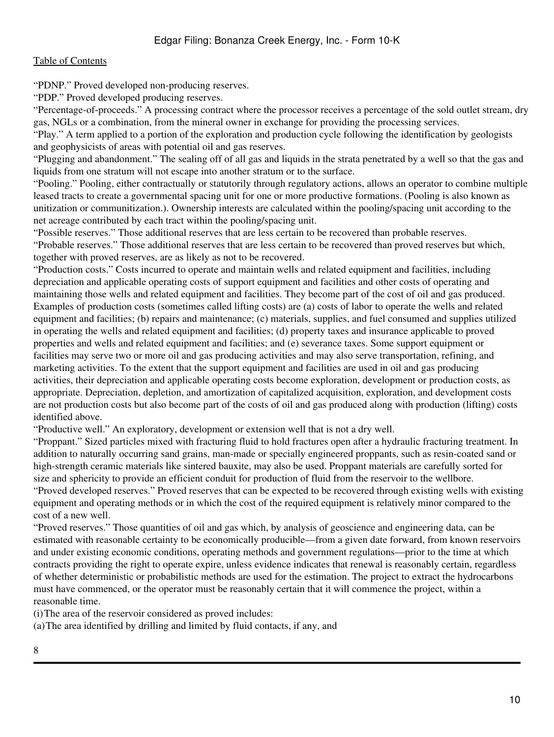"PDNP." Proved developed non-producing reserves.

"PDP." Proved developed producing reserves.

"Percentage-of-proceeds." A processing contract where the processor receives a percentage of the sold outlet stream, dry gas, NGLs or a combination, from the mineral owner in exchange for providing the processing services.

"Play." A term applied to a portion of the exploration and production cycle following the identification by geologists and geophysicists of areas with potential oil and gas reserves.

"Plugging and abandonment." The sealing off of all gas and liquids in the strata penetrated by a well so that the gas and liquids from one stratum will not escape into another stratum or to the surface.

"Pooling." Pooling, either contractually or statutorily through regulatory actions, allows an operator to combine multiple leased tracts to create a governmental spacing unit for one or more productive formations. (Pooling is also known as unitization or communitization.). Ownership interests are calculated within the pooling/spacing unit according to the net acreage contributed by each tract within the pooling/spacing unit.

"Possible reserves." Those additional reserves that are less certain to be recovered than probable reserves. "Probable reserves." Those additional reserves that are less certain to be recovered than proved reserves but which, together with proved reserves, are as likely as not to be recovered.

"Production costs." Costs incurred to operate and maintain wells and related equipment and facilities, including depreciation and applicable operating costs of support equipment and facilities and other costs of operating and maintaining those wells and related equipment and facilities. They become part of the cost of oil and gas produced. Examples of production costs (sometimes called lifting costs) are (a) costs of labor to operate the wells and related equipment and facilities; (b) repairs and maintenance; (c) materials, supplies, and fuel consumed and supplies utilized in operating the wells and related equipment and facilities; (d) property taxes and insurance applicable to proved properties and wells and related equipment and facilities; and (e) severance taxes. Some support equipment or facilities may serve two or more oil and gas producing activities and may also serve transportation, refining, and marketing activities. To the extent that the support equipment and facilities are used in oil and gas producing activities, their depreciation and applicable operating costs become exploration, development or production costs, as appropriate. Depreciation, depletion, and amortization of capitalized acquisition, exploration, and development costs are not production costs but also become part of the costs of oil and gas produced along with production (lifting) costs identified above.

"Productive well." An exploratory, development or extension well that is not a dry well.

"Proppant." Sized particles mixed with fracturing fluid to hold fractures open after a hydraulic fracturing treatment. In addition to naturally occurring sand grains, man-made or specially engineered proppants, such as resin-coated sand or high-strength ceramic materials like sintered bauxite, may also be used. Proppant materials are carefully sorted for size and sphericity to provide an efficient conduit for production of fluid from the reservoir to the wellbore. "Proved developed reserves." Proved reserves that can be expected to be recovered through existing wells with existing equipment and operating methods or in which the cost of the required equipment is relatively minor compared to the cost of a new well.

"Proved reserves." Those quantities of oil and gas which, by analysis of geoscience and engineering data, can be estimated with reasonable certainty to be economically producible—from a given date forward, from known reservoirs and under existing economic conditions, operating methods and government regulations—prior to the time at which contracts providing the right to operate expire, unless evidence indicates that renewal is reasonably certain, regardless of whether deterministic or probabilistic methods are used for the estimation. The project to extract the hydrocarbons must have commenced, or the operator must be reasonably certain that it will commence the project, within a reasonable time.

(i)The area of the reservoir considered as proved includes:

(a)The area identified by drilling and limited by fluid contacts, if any, and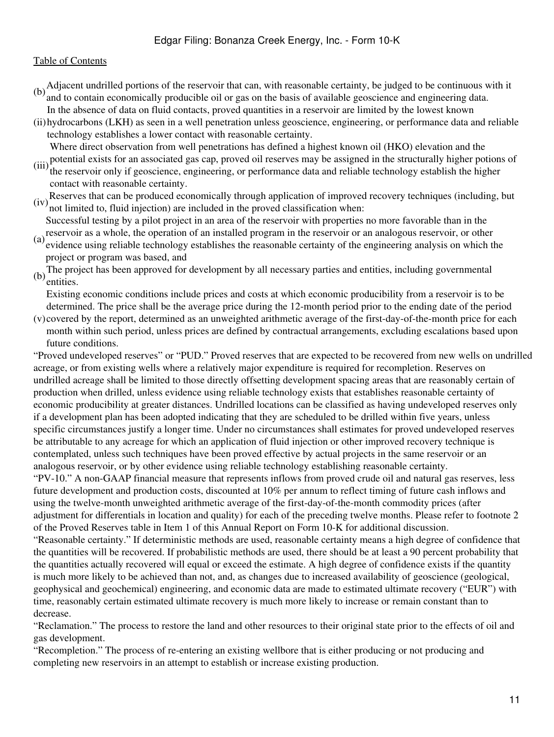(b) Adjacent undrilled portions of the reservoir that can, with reasonable certainty, be judged to be continuous with it and to contain economically producible oil or gas on the basis of available geoscience and engineerin

In the absence of data on fluid contacts, proved quantities in a reservoir are limited by the lowest known

(ii) hydrocarbons (LKH) as seen in a well penetration unless geoscience, engineering, or performance data and reliable technology establishes a lower contact with reasonable certainty.

Where direct observation from well penetrations has defined a highest known oil (HKO) elevation and the

(iii) potential exists for an associated gas cap, proved oil reserves may be assigned in the structurally higher potions of (iii) the receiving only if coordinately contained and reliable to the book of the bigher the reservoir only if geoscience, engineering, or performance data and reliable technology establish the higher contact with reasonable certainty.

(iv)Reserves that can be produced economically through application of improved recovery techniques (including, but not limited to, fluid injection) are included in the proved classification when:

(a) reservoir as a whole, the operation of an installed program in the reservoir or an analogous reservoir, or other Successful testing by a pilot project in an area of the reservoir with properties no more favorable than in the

- evidence using reliable technology establishes the reasonable certainty of the engineering analysis on which the project or program was based, and
- (b)The project has been approved for development by all necessary parties and entities, including governmental entities.

Existing economic conditions include prices and costs at which economic producibility from a reservoir is to be determined. The price shall be the average price during the 12-month period prior to the ending date of the period

(v) covered by the report, determined as an unweighted arithmetic average of the first-day-of-the-month price for each month within such period, unless prices are defined by contractual arrangements, excluding escalations based upon future conditions.

"Proved undeveloped reserves" or "PUD." Proved reserves that are expected to be recovered from new wells on undrilled acreage, or from existing wells where a relatively major expenditure is required for recompletion. Reserves on undrilled acreage shall be limited to those directly offsetting development spacing areas that are reasonably certain of production when drilled, unless evidence using reliable technology exists that establishes reasonable certainty of economic producibility at greater distances. Undrilled locations can be classified as having undeveloped reserves only if a development plan has been adopted indicating that they are scheduled to be drilled within five years, unless specific circumstances justify a longer time. Under no circumstances shall estimates for proved undeveloped reserves be attributable to any acreage for which an application of fluid injection or other improved recovery technique is contemplated, unless such techniques have been proved effective by actual projects in the same reservoir or an analogous reservoir, or by other evidence using reliable technology establishing reasonable certainty. "PV-10." A non-GAAP financial measure that represents inflows from proved crude oil and natural gas reserves, less future development and production costs, discounted at 10% per annum to reflect timing of future cash inflows and using the twelve-month unweighted arithmetic average of the first-day-of-the-month commodity prices (after adjustment for differentials in location and quality) for each of the preceding twelve months. Please refer to footnote 2 of the Proved Reserves table in Item 1 of this Annual Report on Form 10-K for additional discussion.

"Reasonable certainty." If deterministic methods are used, reasonable certainty means a high degree of confidence that the quantities will be recovered. If probabilistic methods are used, there should be at least a 90 percent probability that the quantities actually recovered will equal or exceed the estimate. A high degree of confidence exists if the quantity is much more likely to be achieved than not, and, as changes due to increased availability of geoscience (geological, geophysical and geochemical) engineering, and economic data are made to estimated ultimate recovery ("EUR") with time, reasonably certain estimated ultimate recovery is much more likely to increase or remain constant than to decrease.

"Reclamation." The process to restore the land and other resources to their original state prior to the effects of oil and gas development.

"Recompletion." The process of re-entering an existing wellbore that is either producing or not producing and completing new reservoirs in an attempt to establish or increase existing production.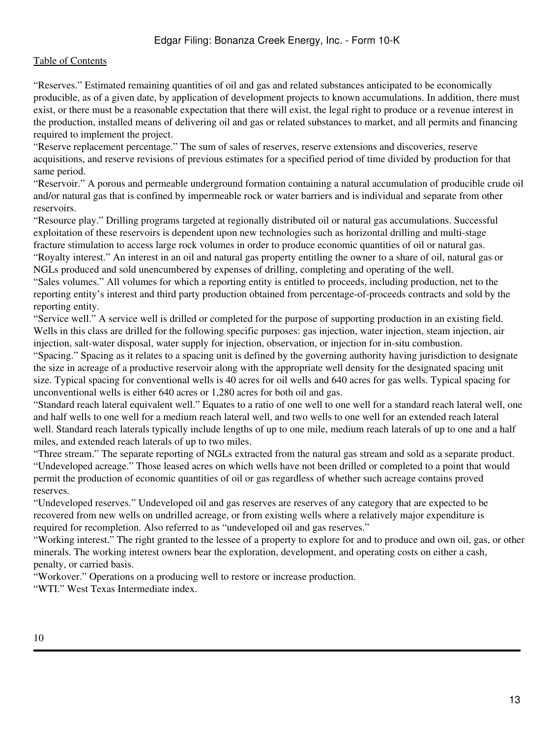#### [Table of Contents](#page-2-0)

"Reserves." Estimated remaining quantities of oil and gas and related substances anticipated to be economically producible, as of a given date, by application of development projects to known accumulations. In addition, there must exist, or there must be a reasonable expectation that there will exist, the legal right to produce or a revenue interest in the production, installed means of delivering oil and gas or related substances to market, and all permits and financing required to implement the project.

"Reserve replacement percentage." The sum of sales of reserves, reserve extensions and discoveries, reserve acquisitions, and reserve revisions of previous estimates for a specified period of time divided by production for that same period.

"Reservoir." A porous and permeable underground formation containing a natural accumulation of producible crude oil and/or natural gas that is confined by impermeable rock or water barriers and is individual and separate from other reservoirs.

"Resource play." Drilling programs targeted at regionally distributed oil or natural gas accumulations. Successful exploitation of these reservoirs is dependent upon new technologies such as horizontal drilling and multi-stage fracture stimulation to access large rock volumes in order to produce economic quantities of oil or natural gas. "Royalty interest." An interest in an oil and natural gas property entitling the owner to a share of oil, natural gas or NGLs produced and sold unencumbered by expenses of drilling, completing and operating of the well.

"Sales volumes." All volumes for which a reporting entity is entitled to proceeds, including production, net to the reporting entity's interest and third party production obtained from percentage-of-proceeds contracts and sold by the reporting entity.

"Service well." A service well is drilled or completed for the purpose of supporting production in an existing field. Wells in this class are drilled for the following specific purposes: gas injection, water injection, steam injection, air injection, salt-water disposal, water supply for injection, observation, or injection for in-situ combustion. "Spacing." Spacing as it relates to a spacing unit is defined by the governing authority having jurisdiction to designate the size in acreage of a productive reservoir along with the appropriate well density for the designated spacing unit size. Typical spacing for conventional wells is 40 acres for oil wells and 640 acres for gas wells. Typical spacing for unconventional wells is either 640 acres or 1,280 acres for both oil and gas.

"Standard reach lateral equivalent well." Equates to a ratio of one well to one well for a standard reach lateral well, one and half wells to one well for a medium reach lateral well, and two wells to one well for an extended reach lateral well. Standard reach laterals typically include lengths of up to one mile, medium reach laterals of up to one and a half miles, and extended reach laterals of up to two miles.

"Three stream." The separate reporting of NGLs extracted from the natural gas stream and sold as a separate product. "Undeveloped acreage." Those leased acres on which wells have not been drilled or completed to a point that would permit the production of economic quantities of oil or gas regardless of whether such acreage contains proved reserves.

"Undeveloped reserves." Undeveloped oil and gas reserves are reserves of any category that are expected to be recovered from new wells on undrilled acreage, or from existing wells where a relatively major expenditure is required for recompletion. Also referred to as "undeveloped oil and gas reserves."

"Working interest." The right granted to the lessee of a property to explore for and to produce and own oil, gas, or other minerals. The working interest owners bear the exploration, development, and operating costs on either a cash, penalty, or carried basis.

"Workover." Operations on a producing well to restore or increase production.

"WTI." West Texas Intermediate index.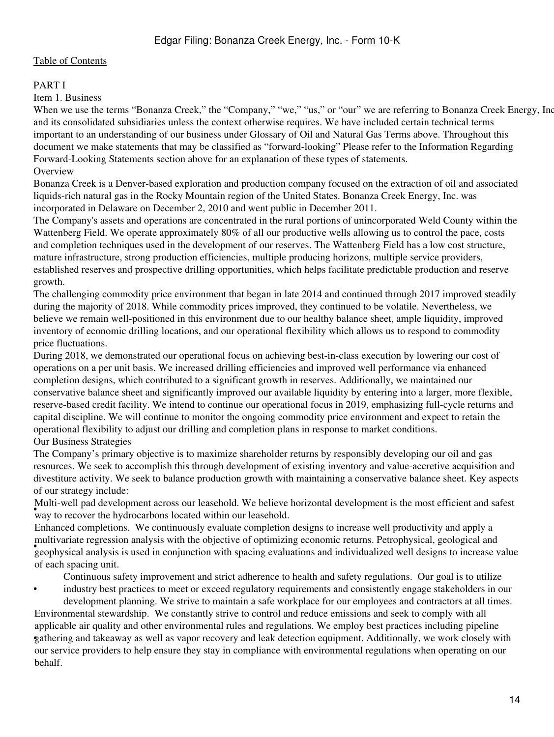#### <span id="page-13-0"></span>PART I

#### <span id="page-13-1"></span>Item 1. Business

When we use the terms "Bonanza Creek," the "Company," "we," "us," or "our" we are referring to Bonanza Creek Energy, Inc. and its consolidated subsidiaries unless the context otherwise requires. We have included certain technical terms important to an understanding of our business under Glossary of Oil and Natural Gas Terms above. Throughout this document we make statements that may be classified as "forward-looking" Please refer to the Information Regarding Forward-Looking Statements section above for an explanation of these types of statements. **Overview** 

Bonanza Creek is a Denver-based exploration and production company focused on the extraction of oil and associated liquids-rich natural gas in the Rocky Mountain region of the United States. Bonanza Creek Energy, Inc. was incorporated in Delaware on December 2, 2010 and went public in December 2011.

The Company's assets and operations are concentrated in the rural portions of unincorporated Weld County within the Wattenberg Field. We operate approximately 80% of all our productive wells allowing us to control the pace, costs and completion techniques used in the development of our reserves. The Wattenberg Field has a low cost structure, mature infrastructure, strong production efficiencies, multiple producing horizons, multiple service providers, established reserves and prospective drilling opportunities, which helps facilitate predictable production and reserve growth.

The challenging commodity price environment that began in late 2014 and continued through 2017 improved steadily during the majority of 2018. While commodity prices improved, they continued to be volatile. Nevertheless, we believe we remain well-positioned in this environment due to our healthy balance sheet, ample liquidity, improved inventory of economic drilling locations, and our operational flexibility which allows us to respond to commodity price fluctuations.

During 2018, we demonstrated our operational focus on achieving best-in-class execution by lowering our cost of operations on a per unit basis. We increased drilling efficiencies and improved well performance via enhanced completion designs, which contributed to a significant growth in reserves. Additionally, we maintained our conservative balance sheet and significantly improved our available liquidity by entering into a larger, more flexible, reserve-based credit facility. We intend to continue our operational focus in 2019, emphasizing full-cycle returns and capital discipline. We will continue to monitor the ongoing commodity price environment and expect to retain the operational flexibility to adjust our drilling and completion plans in response to market conditions. Our Business Strategies

The Company's primary objective is to maximize shareholder returns by responsibly developing our oil and gas resources. We seek to accomplish this through development of existing inventory and value-accretive acquisition and divestiture activity. We seek to balance production growth with maintaining a conservative balance sheet. Key aspects of our strategy include:

way to recover the hydrocarbons located within our leasehold. Multi-well pad development across our leasehold. We believe horizontal development is the most efficient and safest

**FIGURE 1999** FOR THE SUPERFORM CONSIDERED STATES IN A geophysical geological analysis is used in conjunction with spacing evaluations and individualized well designs to increase value Enhanced completions. We continuously evaluate completion designs to increase well productivity and apply a multivariate regression analysis with the objective of optimizing economic returns. Petrophysical, geological and of each spacing unit.

Continuous safety improvement and strict adherence to health and safety regulations. Our goal is to utilize

• industry best practices to meet or exceed regulatory requirements and consistently engage stakeholders in our development planning. We strive to maintain a safe workplace for our employees and contractors at all times.

• gathering and takeaway as well as vapor recovery and leak detection equipment. Additionally, we work closely with Environmental stewardship. We constantly strive to control and reduce emissions and seek to comply with all applicable air quality and other environmental rules and regulations. We employ best practices including pipeline our service providers to help ensure they stay in compliance with environmental regulations when operating on our behalf.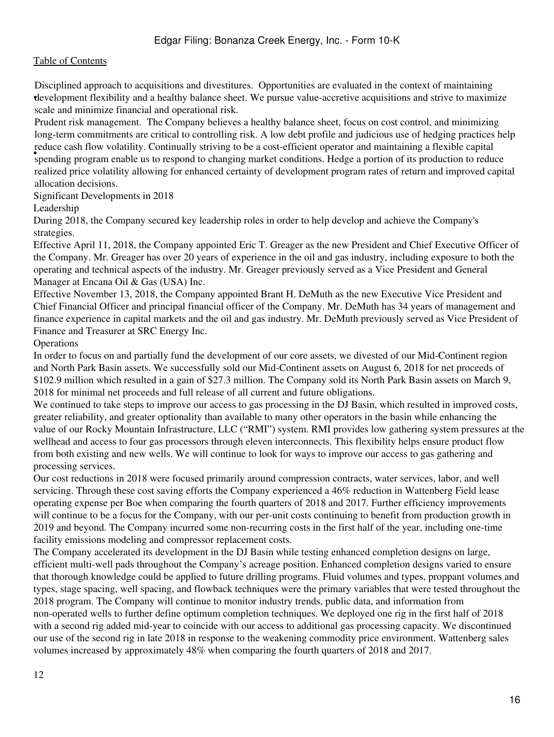• development flexibility and a healthy balance sheet. We pursue value-accretive acquisitions and strive to maximize Disciplined approach to acquisitions and divestitures. Opportunities are evaluated in the context of maintaining scale and minimize financial and operational risk.

spending program enable us to respond to changing market conditions. Hedge a portion of its production to reduce Prudent risk management. The Company believes a healthy balance sheet, focus on cost control, and minimizing long-term commitments are critical to controlling risk. A low debt profile and judicious use of hedging practices help reduce cash flow volatility. Continually striving to be a cost-efficient operator and maintaining a flexible capital realized price volatility allowing for enhanced certainty of development program rates of return and improved capital allocation decisions.

Significant Developments in 2018

Leadership

During 2018, the Company secured key leadership roles in order to help develop and achieve the Company's strategies.

Effective April 11, 2018, the Company appointed Eric T. Greager as the new President and Chief Executive Officer of the Company. Mr. Greager has over 20 years of experience in the oil and gas industry, including exposure to both the operating and technical aspects of the industry. Mr. Greager previously served as a Vice President and General Manager at Encana Oil & Gas (USA) Inc.

Effective November 13, 2018, the Company appointed Brant H. DeMuth as the new Executive Vice President and Chief Financial Officer and principal financial officer of the Company. Mr. DeMuth has 34 years of management and finance experience in capital markets and the oil and gas industry. Mr. DeMuth previously served as Vice President of Finance and Treasurer at SRC Energy Inc.

# **Operations**

In order to focus on and partially fund the development of our core assets, we divested of our Mid-Continent region and North Park Basin assets. We successfully sold our Mid-Continent assets on August 6, 2018 for net proceeds of \$102.9 million which resulted in a gain of \$27.3 million. The Company sold its North Park Basin assets on March 9, 2018 for minimal net proceeds and full release of all current and future obligations.

We continued to take steps to improve our access to gas processing in the DJ Basin, which resulted in improved costs, greater reliability, and greater optionality than available to many other operators in the basin while enhancing the value of our Rocky Mountain Infrastructure, LLC ("RMI") system. RMI provides low gathering system pressures at the wellhead and access to four gas processors through eleven interconnects. This flexibility helps ensure product flow from both existing and new wells. We will continue to look for ways to improve our access to gas gathering and processing services.

Our cost reductions in 2018 were focused primarily around compression contracts, water services, labor, and well servicing. Through these cost saving efforts the Company experienced a 46% reduction in Wattenberg Field lease operating expense per Boe when comparing the fourth quarters of 2018 and 2017. Further efficiency improvements will continue to be a focus for the Company, with our per-unit costs continuing to benefit from production growth in 2019 and beyond. The Company incurred some non-recurring costs in the first half of the year, including one-time facility emissions modeling and compressor replacement costs.

The Company accelerated its development in the DJ Basin while testing enhanced completion designs on large, efficient multi-well pads throughout the Company's acreage position. Enhanced completion designs varied to ensure that thorough knowledge could be applied to future drilling programs. Fluid volumes and types, proppant volumes and types, stage spacing, well spacing, and flowback techniques were the primary variables that were tested throughout the 2018 program. The Company will continue to monitor industry trends, public data, and information from non-operated wells to further define optimum completion techniques. We deployed one rig in the first half of 2018 with a second rig added mid-year to coincide with our access to additional gas processing capacity. We discontinued our use of the second rig in late 2018 in response to the weakening commodity price environment. Wattenberg sales volumes increased by approximately 48% when comparing the fourth quarters of 2018 and 2017.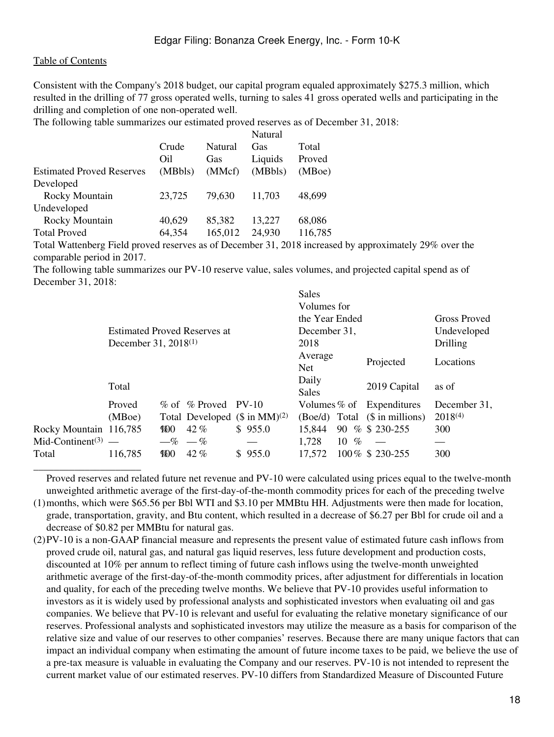Consistent with the Company's 2018 budget, our capital program equaled approximately \$275.3 million, which resulted in the drilling of 77 gross operated wells, turning to sales 41 gross operated wells and participating in the drilling and completion of one non-operated well.

The following table summarizes our estimated proved reserves as of December 31, 2018:

|                                  |         |            | Natural                            |         |    |  |
|----------------------------------|---------|------------|------------------------------------|---------|----|--|
|                                  | Crude   | Natural    | Gas                                | Total   |    |  |
|                                  | Oil     | <b>Gas</b> | Liquids                            | Proved  |    |  |
| <b>Estimated Proved Reserves</b> | (MBbls) | (MMcf)     | (MBbls)                            | (MBoe)  |    |  |
| Developed                        |         |            |                                    |         |    |  |
| Rocky Mountain                   | 23,725  | 79,630     | 11.703                             | 48,699  |    |  |
| Undeveloped                      |         |            |                                    |         |    |  |
| Rocky Mountain                   | 40,629  | 85.382     | 13.227                             | 68,086  |    |  |
| <b>Total Proved</b>              | 64,354  | 165,012    | 24,930                             | 116,785 |    |  |
| <b>TRUE 1 TTT</b>                |         |            | $\sim$ $\sim$ $\sim$ $\sim$ $\sim$ |         | 11 |  |

Total Wattenberg Field proved reserves as of December 31, 2018 increased by approximately 29% over the comparable period in 2017.

The following table summarizes our PV-10 reserve value, sales volumes, and projected capital spend as of December 31, 2018:  $\overline{a}$ 

|                                |         |                                     |                     |                                       | Sales                 |              |                                    |              |  |  |
|--------------------------------|---------|-------------------------------------|---------------------|---------------------------------------|-----------------------|--------------|------------------------------------|--------------|--|--|
|                                |         |                                     |                     |                                       | Volumes for           |              |                                    |              |  |  |
|                                |         |                                     |                     |                                       |                       |              | the Year Ended                     | Gross Proved |  |  |
|                                |         | <b>Estimated Proved Reserves at</b> |                     |                                       |                       | December 31, | Undeveloped                        |              |  |  |
|                                |         | December 31, 2018 <sup>(1)</sup>    |                     |                                       |                       |              | 2018                               |              |  |  |
|                                |         |                                     |                     |                                       | Average<br>Net.       |              | Projected                          | Locations    |  |  |
|                                | Total   |                                     |                     |                                       | Daily<br><b>Sales</b> |              | 2019 Capital                       | as of        |  |  |
|                                | Proved  |                                     | $\%$ of $\%$ Proved | $PV-10$                               |                       |              | Volumes $%$ of Expenditures        | December 31, |  |  |
|                                | (MBoe)  |                                     |                     | Total Developed $(\$$ in MM $)^{(2)}$ |                       |              | $(Boe/d)$ Total $(\$$ in millions) | $2018^{(4)}$ |  |  |
| Rocky Mountain 116,785         |         | <b>VOO</b>                          | $42\%$              | \$955.0                               | 15,844                |              | $90\%$ \$ 230-255                  | 300          |  |  |
| Mid-Continent <sup>(3)</sup> — |         |                                     | $-\% -\%$           |                                       | 1,728                 | $10 \%$      | $\frac{1}{2}$                      |              |  |  |
| Total                          | 116,785 | <b>VOO</b>                          | $42\%$              | \$955.0                               | 17,572                |              | 100\% \$ 230-255                   | 300          |  |  |
|                                |         |                                     |                     |                                       |                       |              |                                    |              |  |  |

Proved reserves and related future net revenue and PV-10 were calculated using prices equal to the twelve-month unweighted arithmetic average of the first-day-of-the-month commodity prices for each of the preceding twelve

(1) months, which were \$65.56 per Bbl WTI and \$3.10 per MMBtu HH. Adjustments were then made for location, grade, transportation, gravity, and Btu content, which resulted in a decrease of \$6.27 per Bbl for crude oil and a decrease of \$0.82 per MMBtu for natural gas.

(2)PV-10 is a non-GAAP financial measure and represents the present value of estimated future cash inflows from proved crude oil, natural gas, and natural gas liquid reserves, less future development and production costs, discounted at 10% per annum to reflect timing of future cash inflows using the twelve-month unweighted arithmetic average of the first-day-of-the-month commodity prices, after adjustment for differentials in location and quality, for each of the preceding twelve months. We believe that PV-10 provides useful information to investors as it is widely used by professional analysts and sophisticated investors when evaluating oil and gas companies. We believe that PV-10 is relevant and useful for evaluating the relative monetary significance of our reserves. Professional analysts and sophisticated investors may utilize the measure as a basis for comparison of the relative size and value of our reserves to other companies' reserves. Because there are many unique factors that can impact an individual company when estimating the amount of future income taxes to be paid, we believe the use of a pre-tax measure is valuable in evaluating the Company and our reserves. PV-10 is not intended to represent the current market value of our estimated reserves. PV-10 differs from Standardized Measure of Discounted Future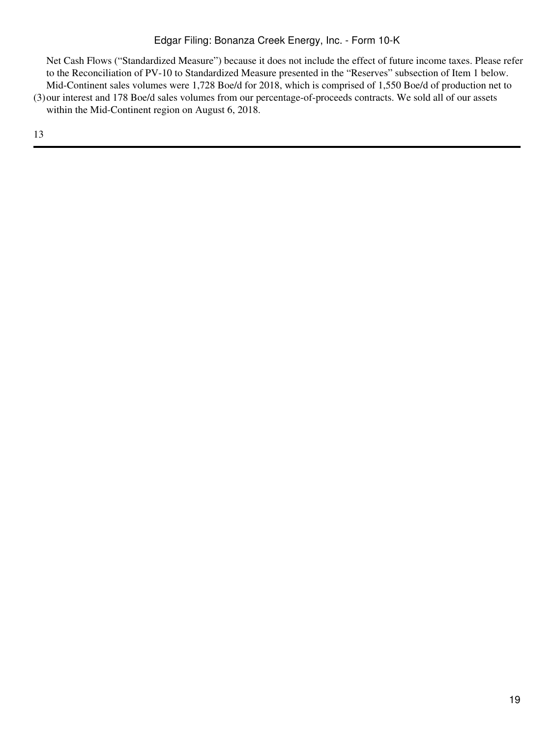Net Cash Flows ("Standardized Measure") because it does not include the effect of future income taxes. Please refer to the Reconciliation of PV-10 to Standardized Measure presented in the "Reserves" subsection of Item 1 below. (3) our interest and 178 Boe/d sales volumes from our percentage-of-proceeds contracts. We sold all of our assets Mid-Continent sales volumes were 1,728 Boe/d for 2018, which is comprised of 1,550 Boe/d of production net to within the Mid-Continent region on August 6, 2018.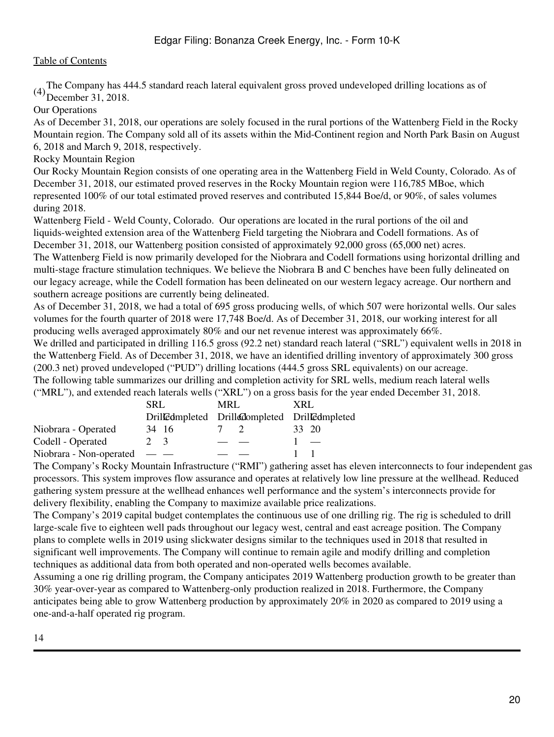(4)The Company has 444.5 standard reach lateral equivalent gross proved undeveloped drilling locations as of December 31, 2018.

Our Operations

As of December 31, 2018, our operations are solely focused in the rural portions of the Wattenberg Field in the Rocky Mountain region. The Company sold all of its assets within the Mid-Continent region and North Park Basin on August 6, 2018 and March 9, 2018, respectively.

Rocky Mountain Region

Our Rocky Mountain Region consists of one operating area in the Wattenberg Field in Weld County, Colorado. As of December 31, 2018, our estimated proved reserves in the Rocky Mountain region were 116,785 MBoe, which represented 100% of our total estimated proved reserves and contributed 15,844 Boe/d, or 90%, of sales volumes during 2018.

Wattenberg Field - Weld County, Colorado. Our operations are located in the rural portions of the oil and liquids-weighted extension area of the Wattenberg Field targeting the Niobrara and Codell formations. As of December 31, 2018, our Wattenberg position consisted of approximately 92,000 gross (65,000 net) acres. The Wattenberg Field is now primarily developed for the Niobrara and Codell formations using horizontal drilling and multi-stage fracture stimulation techniques. We believe the Niobrara B and C benches have been fully delineated on our legacy acreage, while the Codell formation has been delineated on our western legacy acreage. Our northern and southern acreage positions are currently being delineated.

As of December 31, 2018, we had a total of 695 gross producing wells, of which 507 were horizontal wells. Our sales volumes for the fourth quarter of 2018 were 17,748 Boe/d. As of December 31, 2018, our working interest for all producing wells averaged approximately 80% and our net revenue interest was approximately 66%.

We drilled and participated in drilling 116.5 gross (92.2 net) standard reach lateral ("SRL") equivalent wells in 2018 in the Wattenberg Field. As of December 31, 2018, we have an identified drilling inventory of approximately 300 gross (200.3 net) proved undeveloped ("PUD") drilling locations (444.5 gross SRL equivalents) on our acreage. The following table summarizes our drilling and completion activity for SRL wells, medium reach lateral wells ("MRL"), and extended reach laterals wells ("XRL") on a gross basis for the year ended December 31, 2018.

|                               | SRL |       | MRL |                                                   | XRL         |             |  |
|-------------------------------|-----|-------|-----|---------------------------------------------------|-------------|-------------|--|
|                               |     |       |     | Drilledmpleted Drilledompleted Drilledmpleted     |             |             |  |
| Niobrara - Operated           |     | 34 16 |     |                                                   |             | 33 20       |  |
| Codell - Operated             | 2 3 |       |     | <u>________</u>                                   |             | $1 \quad -$ |  |
| Niobrara - Non-operated — $-$ |     |       |     | $\overline{\phantom{a}}$ $\overline{\phantom{a}}$ | $1 \quad 1$ |             |  |

The Company's Rocky Mountain Infrastructure ("RMI") gathering asset has eleven interconnects to four independent gas processors. This system improves flow assurance and operates at relatively low line pressure at the wellhead. Reduced gathering system pressure at the wellhead enhances well performance and the system's interconnects provide for delivery flexibility, enabling the Company to maximize available price realizations.

The Company's 2019 capital budget contemplates the continuous use of one drilling rig. The rig is scheduled to drill large-scale five to eighteen well pads throughout our legacy west, central and east acreage position. The Company plans to complete wells in 2019 using slickwater designs similar to the techniques used in 2018 that resulted in significant well improvements. The Company will continue to remain agile and modify drilling and completion techniques as additional data from both operated and non-operated wells becomes available.

Assuming a one rig drilling program, the Company anticipates 2019 Wattenberg production growth to be greater than 30% year-over-year as compared to Wattenberg-only production realized in 2018. Furthermore, the Company anticipates being able to grow Wattenberg production by approximately 20% in 2020 as compared to 2019 using a one-and-a-half operated rig program.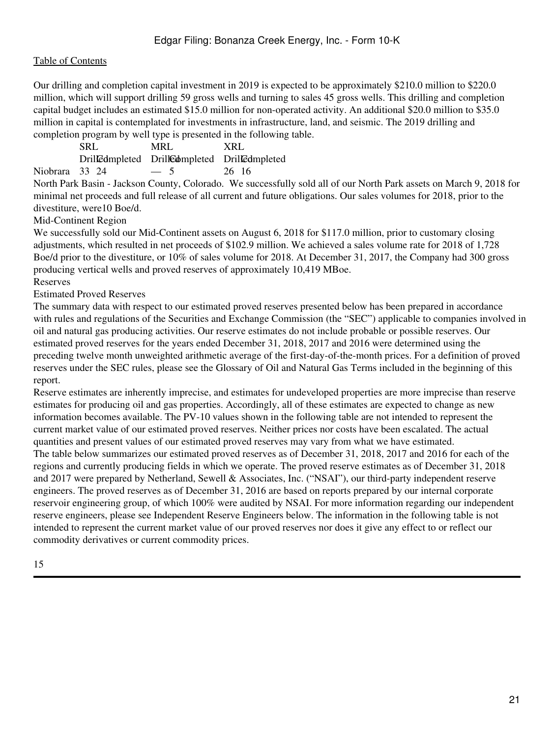Our drilling and completion capital investment in 2019 is expected to be approximately \$210.0 million to \$220.0 million, which will support drilling 59 gross wells and turning to sales 45 gross wells. This drilling and completion capital budget includes an estimated \$15.0 million for non-operated activity. An additional \$20.0 million to \$35.0 million in capital is contemplated for investments in infrastructure, land, and seismic. The 2019 drilling and completion program by well type is presented in the following table.

SRL MRL XRL Drilled mpleted Drilled Drilled Drilled Completed Niobrara 33 24 — 5 26 16

North Park Basin - Jackson County, Colorado. We successfully sold all of our North Park assets on March 9, 2018 for minimal net proceeds and full release of all current and future obligations. Our sales volumes for 2018, prior to the divestiture, were10 Boe/d.

Mid-Continent Region

We successfully sold our Mid-Continent assets on August 6, 2018 for \$117.0 million, prior to customary closing adjustments, which resulted in net proceeds of \$102.9 million. We achieved a sales volume rate for 2018 of 1,728 Boe/d prior to the divestiture, or 10% of sales volume for 2018. At December 31, 2017, the Company had 300 gross producing vertical wells and proved reserves of approximately 10,419 MBoe.

Reserves

Estimated Proved Reserves

The summary data with respect to our estimated proved reserves presented below has been prepared in accordance with rules and regulations of the Securities and Exchange Commission (the "SEC") applicable to companies involved in oil and natural gas producing activities. Our reserve estimates do not include probable or possible reserves. Our estimated proved reserves for the years ended December 31, 2018, 2017 and 2016 were determined using the preceding twelve month unweighted arithmetic average of the first-day-of-the-month prices. For a definition of proved reserves under the SEC rules, please see the Glossary of Oil and Natural Gas Terms included in the beginning of this report.

Reserve estimates are inherently imprecise, and estimates for undeveloped properties are more imprecise than reserve estimates for producing oil and gas properties. Accordingly, all of these estimates are expected to change as new information becomes available. The PV-10 values shown in the following table are not intended to represent the current market value of our estimated proved reserves. Neither prices nor costs have been escalated. The actual quantities and present values of our estimated proved reserves may vary from what we have estimated. The table below summarizes our estimated proved reserves as of December 31, 2018, 2017 and 2016 for each of the regions and currently producing fields in which we operate. The proved reserve estimates as of December 31, 2018 and 2017 were prepared by Netherland, Sewell & Associates, Inc. ("NSAI"), our third-party independent reserve engineers. The proved reserves as of December 31, 2016 are based on reports prepared by our internal corporate reservoir engineering group, of which 100% were audited by NSAI. For more information regarding our independent reserve engineers, please see Independent Reserve Engineers below. The information in the following table is not intended to represent the current market value of our proved reserves nor does it give any effect to or reflect our commodity derivatives or current commodity prices.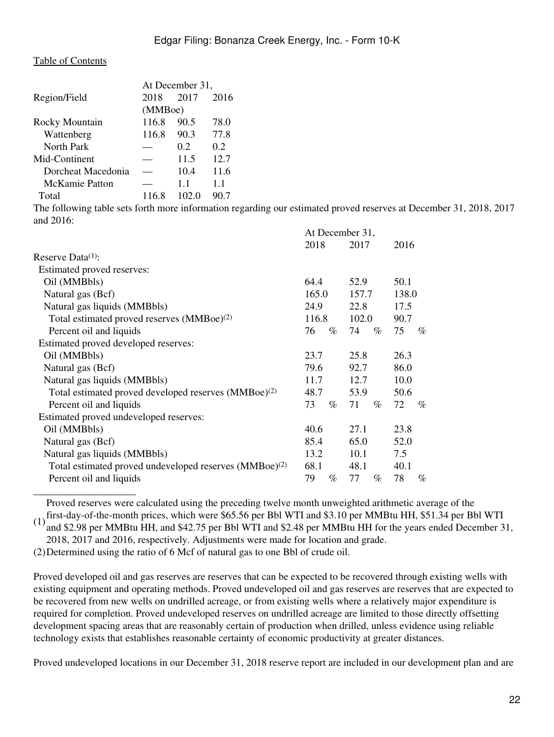\_\_\_\_\_\_\_\_\_\_\_\_\_\_\_\_\_\_\_\_

|                    |         | At December 31, |      |
|--------------------|---------|-----------------|------|
| Region/Field       | 2018    | 2017            | 2016 |
|                    | (MMBoe) |                 |      |
| Rocky Mountain     | 116.8   | 90.5            | 78.0 |
| Wattenberg         | 116.8   | 90.3            | 77.8 |
| North Park         |         | 0.2             | 0.2  |
| Mid-Continent      |         | 11.5            | 12.7 |
| Dorcheat Macedonia |         | 10.4            | 11.6 |
| McKamie Patton     |         | 1.1             | 1.1  |
| Total              | 116.8   | 102 O           | 90.7 |

The following table sets forth more information regarding our estimated proved reserves at December 31, 2018, 2017 and 2016:

|                                                                    | At December 31, |            |            |  |
|--------------------------------------------------------------------|-----------------|------------|------------|--|
|                                                                    | 2018            | 2017       | 2016       |  |
| Reserve Data $(1)$ :                                               |                 |            |            |  |
| Estimated proved reserves:                                         |                 |            |            |  |
| Oil (MMBbls)                                                       | 64.4            | 52.9       | 50.1       |  |
| Natural gas (Bcf)                                                  | 165.0           | 157.7      | 138.0      |  |
| Natural gas liquids (MMBbls)                                       | 24.9            | 22.8       | 17.5       |  |
| Total estimated proved reserves (MMBoe) <sup>(2)</sup>             | 116.8           | 102.0      | 90.7       |  |
| Percent oil and liquids                                            | $\%$<br>76      | 74<br>$\%$ | 75<br>$\%$ |  |
| Estimated proved developed reserves:                               |                 |            |            |  |
| Oil (MMBbls)                                                       | 23.7            | 25.8       | 26.3       |  |
| Natural gas (Bcf)                                                  | 79.6            | 92.7       | 86.0       |  |
| Natural gas liquids (MMBbls)                                       | 11.7            | 12.7       | 10.0       |  |
| Total estimated proved developed reserves (MMBoe) <sup>(2)</sup>   | 48.7            | 53.9       | 50.6       |  |
| Percent oil and liquids                                            | 73<br>$\%$      | 71<br>$\%$ | 72<br>$\%$ |  |
| Estimated proved undeveloped reserves:                             |                 |            |            |  |
| Oil (MMBbls)                                                       | 40.6            | 27.1       | 23.8       |  |
| Natural gas (Bcf)                                                  | 85.4            | 65.0       | 52.0       |  |
| Natural gas liquids (MMBbls)                                       | 13.2            | 10.1       | 7.5        |  |
| Total estimated proved undeveloped reserves (MMBoe) <sup>(2)</sup> | 68.1            | 48.1       | 40.1       |  |
| Percent oil and liquids                                            | 79<br>$\%$      | 77<br>$\%$ | 78<br>$\%$ |  |

 $(1)$  first-day-of-the-month prices, which were \$65.56 per Bbl WTI and \$3.10 per MMBtu HH, \$51.34 per Bbl WTI<br>(1) and \$2.08 per MMBtu HH, and \$42.75 per Bbl WTI and \$2.48 per MMBtu HH, for the years anded Desember 3 Proved reserves were calculated using the preceding twelve month unweighted arithmetic average of the

and \$2.98 per MMBtu HH, and \$42.75 per Bbl WTI and \$2.48 per MMBtu HH for the years ended December 31, 2018, 2017 and 2016, respectively. Adjustments were made for location and grade.

(2)Determined using the ratio of 6 Mcf of natural gas to one Bbl of crude oil.

Proved developed oil and gas reserves are reserves that can be expected to be recovered through existing wells with existing equipment and operating methods. Proved undeveloped oil and gas reserves are reserves that are expected to be recovered from new wells on undrilled acreage, or from existing wells where a relatively major expenditure is required for completion. Proved undeveloped reserves on undrilled acreage are limited to those directly offsetting development spacing areas that are reasonably certain of production when drilled, unless evidence using reliable technology exists that establishes reasonable certainty of economic productivity at greater distances.

Proved undeveloped locations in our December 31, 2018 reserve report are included in our development plan and are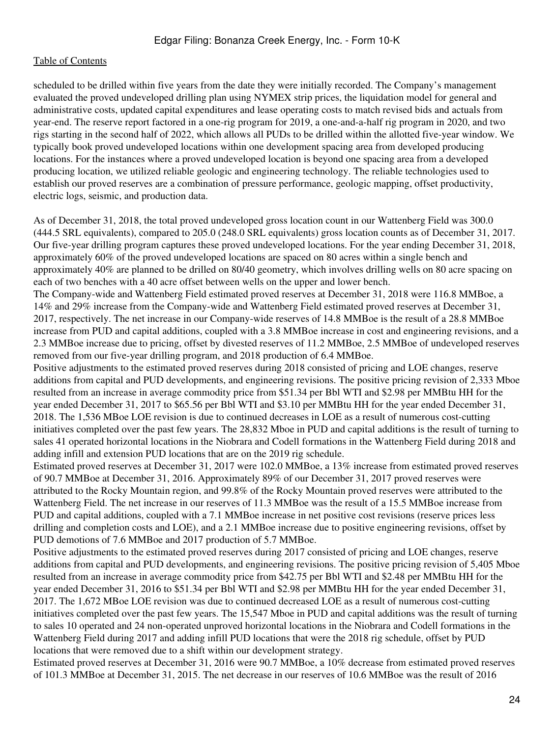scheduled to be drilled within five years from the date they were initially recorded. The Company's management evaluated the proved undeveloped drilling plan using NYMEX strip prices, the liquidation model for general and administrative costs, updated capital expenditures and lease operating costs to match revised bids and actuals from year-end. The reserve report factored in a one-rig program for 2019, a one-and-a-half rig program in 2020, and two rigs starting in the second half of 2022, which allows all PUDs to be drilled within the allotted five-year window. We typically book proved undeveloped locations within one development spacing area from developed producing locations. For the instances where a proved undeveloped location is beyond one spacing area from a developed producing location, we utilized reliable geologic and engineering technology. The reliable technologies used to establish our proved reserves are a combination of pressure performance, geologic mapping, offset productivity, electric logs, seismic, and production data.

As of December 31, 2018, the total proved undeveloped gross location count in our Wattenberg Field was 300.0 (444.5 SRL equivalents), compared to 205.0 (248.0 SRL equivalents) gross location counts as of December 31, 2017. Our five-year drilling program captures these proved undeveloped locations. For the year ending December 31, 2018, approximately 60% of the proved undeveloped locations are spaced on 80 acres within a single bench and approximately 40% are planned to be drilled on 80/40 geometry, which involves drilling wells on 80 acre spacing on each of two benches with a 40 acre offset between wells on the upper and lower bench.

The Company-wide and Wattenberg Field estimated proved reserves at December 31, 2018 were 116.8 MMBoe, a 14% and 29% increase from the Company-wide and Wattenberg Field estimated proved reserves at December 31, 2017, respectively. The net increase in our Company-wide reserves of 14.8 MMBoe is the result of a 28.8 MMBoe increase from PUD and capital additions, coupled with a 3.8 MMBoe increase in cost and engineering revisions, and a 2.3 MMBoe increase due to pricing, offset by divested reserves of 11.2 MMBoe, 2.5 MMBoe of undeveloped reserves removed from our five-year drilling program, and 2018 production of 6.4 MMBoe.

Positive adjustments to the estimated proved reserves during 2018 consisted of pricing and LOE changes, reserve additions from capital and PUD developments, and engineering revisions. The positive pricing revision of 2,333 Mboe resulted from an increase in average commodity price from \$51.34 per Bbl WTI and \$2.98 per MMBtu HH for the year ended December 31, 2017 to \$65.56 per Bbl WTI and \$3.10 per MMBtu HH for the year ended December 31, 2018. The 1,536 MBoe LOE revision is due to continued decreases in LOE as a result of numerous cost-cutting initiatives completed over the past few years. The 28,832 Mboe in PUD and capital additions is the result of turning to sales 41 operated horizontal locations in the Niobrara and Codell formations in the Wattenberg Field during 2018 and adding infill and extension PUD locations that are on the 2019 rig schedule.

Estimated proved reserves at December 31, 2017 were 102.0 MMBoe, a 13% increase from estimated proved reserves of 90.7 MMBoe at December 31, 2016. Approximately 89% of our December 31, 2017 proved reserves were attributed to the Rocky Mountain region, and 99.8% of the Rocky Mountain proved reserves were attributed to the Wattenberg Field. The net increase in our reserves of 11.3 MMBoe was the result of a 15.5 MMBoe increase from PUD and capital additions, coupled with a 7.1 MMBoe increase in net positive cost revisions (reserve prices less drilling and completion costs and LOE), and a 2.1 MMBoe increase due to positive engineering revisions, offset by PUD demotions of 7.6 MMBoe and 2017 production of 5.7 MMBoe.

Positive adjustments to the estimated proved reserves during 2017 consisted of pricing and LOE changes, reserve additions from capital and PUD developments, and engineering revisions. The positive pricing revision of 5,405 Mboe resulted from an increase in average commodity price from \$42.75 per Bbl WTI and \$2.48 per MMBtu HH for the year ended December 31, 2016 to \$51.34 per Bbl WTI and \$2.98 per MMBtu HH for the year ended December 31, 2017. The 1,672 MBoe LOE revision was due to continued decreased LOE as a result of numerous cost-cutting initiatives completed over the past few years. The 15,547 Mboe in PUD and capital additions was the result of turning to sales 10 operated and 24 non-operated unproved horizontal locations in the Niobrara and Codell formations in the Wattenberg Field during 2017 and adding infill PUD locations that were the 2018 rig schedule, offset by PUD locations that were removed due to a shift within our development strategy.

Estimated proved reserves at December 31, 2016 were 90.7 MMBoe, a 10% decrease from estimated proved reserves of 101.3 MMBoe at December 31, 2015. The net decrease in our reserves of 10.6 MMBoe was the result of 2016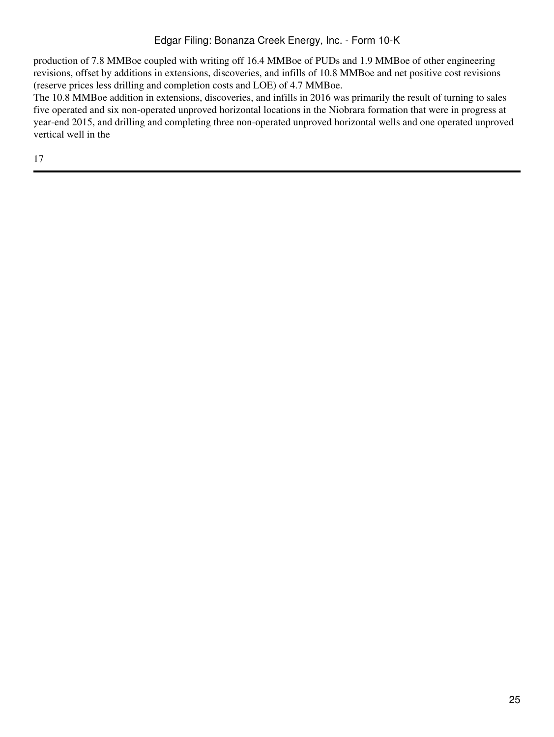production of 7.8 MMBoe coupled with writing off 16.4 MMBoe of PUDs and 1.9 MMBoe of other engineering revisions, offset by additions in extensions, discoveries, and infills of 10.8 MMBoe and net positive cost revisions (reserve prices less drilling and completion costs and LOE) of 4.7 MMBoe.

The 10.8 MMBoe addition in extensions, discoveries, and infills in 2016 was primarily the result of turning to sales five operated and six non-operated unproved horizontal locations in the Niobrara formation that were in progress at year-end 2015, and drilling and completing three non-operated unproved horizontal wells and one operated unproved vertical well in the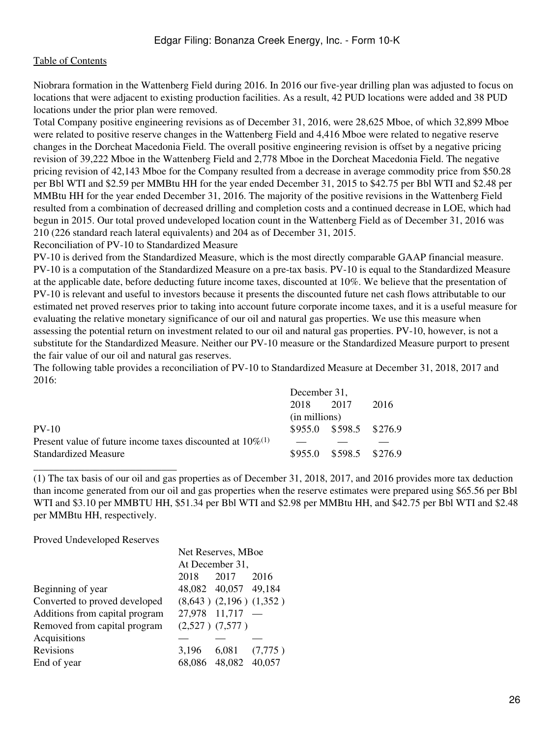Niobrara formation in the Wattenberg Field during 2016. In 2016 our five-year drilling plan was adjusted to focus on locations that were adjacent to existing production facilities. As a result, 42 PUD locations were added and 38 PUD locations under the prior plan were removed.

Total Company positive engineering revisions as of December 31, 2016, were 28,625 Mboe, of which 32,899 Mboe were related to positive reserve changes in the Wattenberg Field and 4,416 Mboe were related to negative reserve changes in the Dorcheat Macedonia Field. The overall positive engineering revision is offset by a negative pricing revision of 39,222 Mboe in the Wattenberg Field and 2,778 Mboe in the Dorcheat Macedonia Field. The negative pricing revision of 42,143 Mboe for the Company resulted from a decrease in average commodity price from \$50.28 per Bbl WTI and \$2.59 per MMBtu HH for the year ended December 31, 2015 to \$42.75 per Bbl WTI and \$2.48 per MMBtu HH for the year ended December 31, 2016. The majority of the positive revisions in the Wattenberg Field resulted from a combination of decreased drilling and completion costs and a continued decrease in LOE, which had begun in 2015. Our total proved undeveloped location count in the Wattenberg Field as of December 31, 2016 was 210 (226 standard reach lateral equivalents) and 204 as of December 31, 2015.

Reconciliation of PV-10 to Standardized Measure

PV-10 is derived from the Standardized Measure, which is the most directly comparable GAAP financial measure. PV-10 is a computation of the Standardized Measure on a pre-tax basis. PV-10 is equal to the Standardized Measure at the applicable date, before deducting future income taxes, discounted at 10%. We believe that the presentation of PV-10 is relevant and useful to investors because it presents the discounted future net cash flows attributable to our estimated net proved reserves prior to taking into account future corporate income taxes, and it is a useful measure for evaluating the relative monetary significance of our oil and natural gas properties. We use this measure when assessing the potential return on investment related to our oil and natural gas properties. PV-10, however, is not a substitute for the Standardized Measure. Neither our PV-10 measure or the Standardized Measure purport to present the fair value of our oil and natural gas reserves.

The following table provides a reconciliation of PV-10 to Standardized Measure at December 31, 2018, 2017 and 2016:

|                                                                 | December 31, |                         |      |  |  |
|-----------------------------------------------------------------|--------------|-------------------------|------|--|--|
|                                                                 | 2018         | 2017                    | 2016 |  |  |
|                                                                 |              | (in millions)           |      |  |  |
| $PV-10$                                                         |              | \$955.0 \$598.5 \$276.9 |      |  |  |
| Present value of future income taxes discounted at $10\%^{(1)}$ |              |                         |      |  |  |
| Standardized Measure                                            |              | \$955.0 \$598.5 \$276.9 |      |  |  |

(1) The tax basis of our oil and gas properties as of December 31, 2018, 2017, and 2016 provides more tax deduction than income generated from our oil and gas properties when the reserve estimates were prepared using \$65.56 per Bbl WTI and \$3.10 per MMBTU HH, \$51.34 per Bbl WTI and \$2.98 per MMBtu HH, and \$42.75 per Bbl WTI and \$2.48 per MMBtu HH, respectively.

Proved Undeveloped Reserves

\_\_\_\_\_\_\_\_\_\_\_\_\_\_\_\_\_\_\_\_\_\_\_\_\_\_\_\_

|                                | Net Reserves, MBoe  |                               |         |  |  |  |
|--------------------------------|---------------------|-------------------------------|---------|--|--|--|
|                                | At December 31,     |                               |         |  |  |  |
|                                | 2018                | 2017                          | 2016    |  |  |  |
| Beginning of year              |                     | 48,082 40,057 49,184          |         |  |  |  |
| Converted to proved developed  |                     | $(8,643)$ $(2,196)$ $(1,352)$ |         |  |  |  |
| Additions from capital program |                     | $27,978$ 11,717 -             |         |  |  |  |
| Removed from capital program   | $(2,527)$ $(7,577)$ |                               |         |  |  |  |
| Acquisitions                   |                     |                               |         |  |  |  |
| Revisions                      | 3.196               | 6,081                         | (7,775) |  |  |  |
| End of year                    | 68.086              | 48,082                        | 40,057  |  |  |  |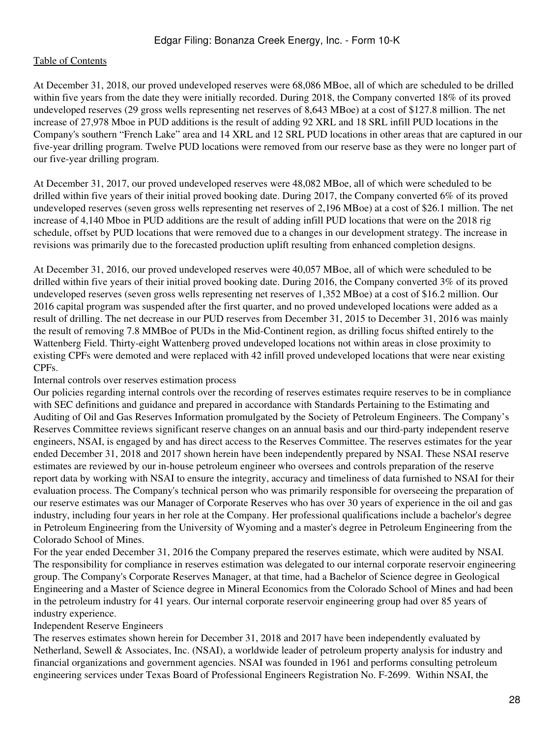At December 31, 2018, our proved undeveloped reserves were 68,086 MBoe, all of which are scheduled to be drilled within five years from the date they were initially recorded. During 2018, the Company converted 18% of its proved undeveloped reserves (29 gross wells representing net reserves of 8,643 MBoe) at a cost of \$127.8 million. The net increase of 27,978 Mboe in PUD additions is the result of adding 92 XRL and 18 SRL infill PUD locations in the Company's southern "French Lake" area and 14 XRL and 12 SRL PUD locations in other areas that are captured in our five-year drilling program. Twelve PUD locations were removed from our reserve base as they were no longer part of our five-year drilling program.

At December 31, 2017, our proved undeveloped reserves were 48,082 MBoe, all of which were scheduled to be drilled within five years of their initial proved booking date. During 2017, the Company converted 6% of its proved undeveloped reserves (seven gross wells representing net reserves of 2,196 MBoe) at a cost of \$26.1 million. The net increase of 4,140 Mboe in PUD additions are the result of adding infill PUD locations that were on the 2018 rig schedule, offset by PUD locations that were removed due to a changes in our development strategy. The increase in revisions was primarily due to the forecasted production uplift resulting from enhanced completion designs.

At December 31, 2016, our proved undeveloped reserves were 40,057 MBoe, all of which were scheduled to be drilled within five years of their initial proved booking date. During 2016, the Company converted 3% of its proved undeveloped reserves (seven gross wells representing net reserves of 1,352 MBoe) at a cost of \$16.2 million. Our 2016 capital program was suspended after the first quarter, and no proved undeveloped locations were added as a result of drilling. The net decrease in our PUD reserves from December 31, 2015 to December 31, 2016 was mainly the result of removing 7.8 MMBoe of PUDs in the Mid-Continent region, as drilling focus shifted entirely to the Wattenberg Field. Thirty-eight Wattenberg proved undeveloped locations not within areas in close proximity to existing CPFs were demoted and were replaced with 42 infill proved undeveloped locations that were near existing CPFs.

### Internal controls over reserves estimation process

Our policies regarding internal controls over the recording of reserves estimates require reserves to be in compliance with SEC definitions and guidance and prepared in accordance with Standards Pertaining to the Estimating and Auditing of Oil and Gas Reserves Information promulgated by the Society of Petroleum Engineers. The Company's Reserves Committee reviews significant reserve changes on an annual basis and our third-party independent reserve engineers, NSAI, is engaged by and has direct access to the Reserves Committee. The reserves estimates for the year ended December 31, 2018 and 2017 shown herein have been independently prepared by NSAI. These NSAI reserve estimates are reviewed by our in-house petroleum engineer who oversees and controls preparation of the reserve report data by working with NSAI to ensure the integrity, accuracy and timeliness of data furnished to NSAI for their evaluation process. The Company's technical person who was primarily responsible for overseeing the preparation of our reserve estimates was our Manager of Corporate Reserves who has over 30 years of experience in the oil and gas industry, including four years in her role at the Company. Her professional qualifications include a bachelor's degree in Petroleum Engineering from the University of Wyoming and a master's degree in Petroleum Engineering from the Colorado School of Mines.

For the year ended December 31, 2016 the Company prepared the reserves estimate, which were audited by NSAI. The responsibility for compliance in reserves estimation was delegated to our internal corporate reservoir engineering group. The Company's Corporate Reserves Manager, at that time, had a Bachelor of Science degree in Geological Engineering and a Master of Science degree in Mineral Economics from the Colorado School of Mines and had been in the petroleum industry for 41 years. Our internal corporate reservoir engineering group had over 85 years of industry experience.

### Independent Reserve Engineers

The reserves estimates shown herein for December 31, 2018 and 2017 have been independently evaluated by Netherland, Sewell & Associates, Inc. (NSAI), a worldwide leader of petroleum property analysis for industry and financial organizations and government agencies. NSAI was founded in 1961 and performs consulting petroleum engineering services under Texas Board of Professional Engineers Registration No. F-2699. Within NSAI, the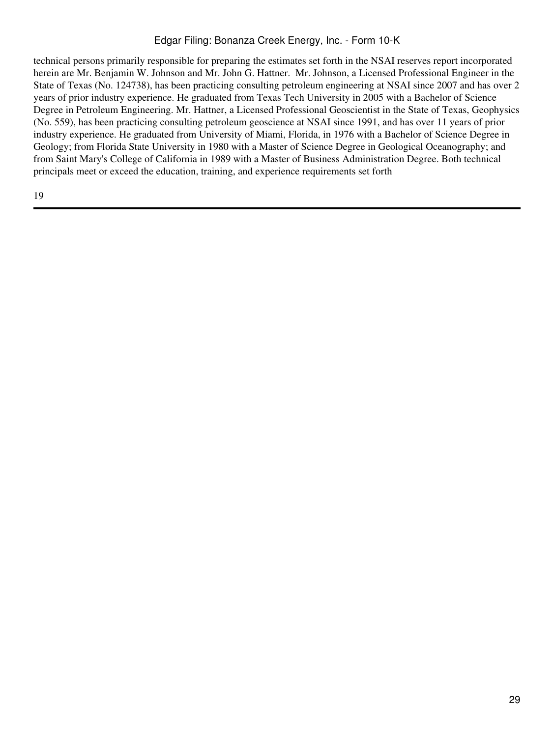technical persons primarily responsible for preparing the estimates set forth in the NSAI reserves report incorporated herein are Mr. Benjamin W. Johnson and Mr. John G. Hattner. Mr. Johnson, a Licensed Professional Engineer in the State of Texas (No. 124738), has been practicing consulting petroleum engineering at NSAI since 2007 and has over 2 years of prior industry experience. He graduated from Texas Tech University in 2005 with a Bachelor of Science Degree in Petroleum Engineering. Mr. Hattner, a Licensed Professional Geoscientist in the State of Texas, Geophysics (No. 559), has been practicing consulting petroleum geoscience at NSAI since 1991, and has over 11 years of prior industry experience. He graduated from University of Miami, Florida, in 1976 with a Bachelor of Science Degree in Geology; from Florida State University in 1980 with a Master of Science Degree in Geological Oceanography; and from Saint Mary's College of California in 1989 with a Master of Business Administration Degree. Both technical principals meet or exceed the education, training, and experience requirements set forth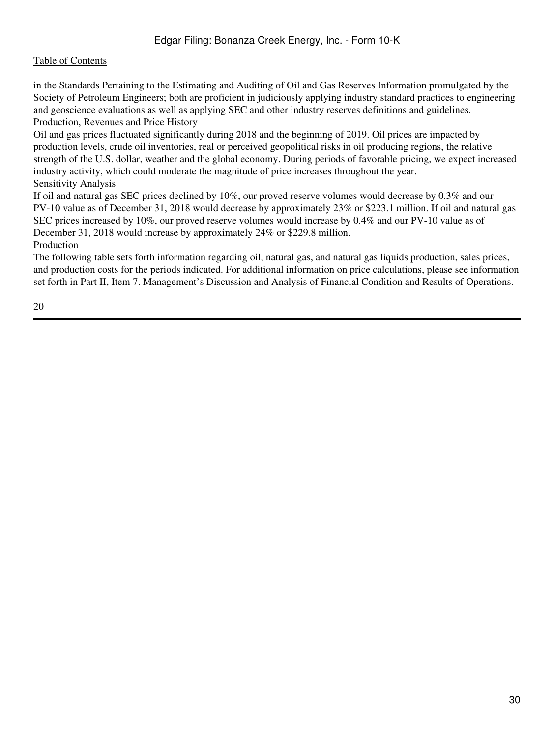in the Standards Pertaining to the Estimating and Auditing of Oil and Gas Reserves Information promulgated by the Society of Petroleum Engineers; both are proficient in judiciously applying industry standard practices to engineering and geoscience evaluations as well as applying SEC and other industry reserves definitions and guidelines. Production, Revenues and Price History

Oil and gas prices fluctuated significantly during 2018 and the beginning of 2019. Oil prices are impacted by production levels, crude oil inventories, real or perceived geopolitical risks in oil producing regions, the relative strength of the U.S. dollar, weather and the global economy. During periods of favorable pricing, we expect increased industry activity, which could moderate the magnitude of price increases throughout the year. Sensitivity Analysis

If oil and natural gas SEC prices declined by 10%, our proved reserve volumes would decrease by 0.3% and our PV-10 value as of December 31, 2018 would decrease by approximately 23% or \$223.1 million. If oil and natural gas SEC prices increased by 10%, our proved reserve volumes would increase by 0.4% and our PV-10 value as of December 31, 2018 would increase by approximately 24% or \$229.8 million.

Production

The following table sets forth information regarding oil, natural gas, and natural gas liquids production, sales prices, and production costs for the periods indicated. For additional information on price calculations, please see information set forth in Part II, Item 7. Management's Discussion and Analysis of Financial Condition and Results of Operations.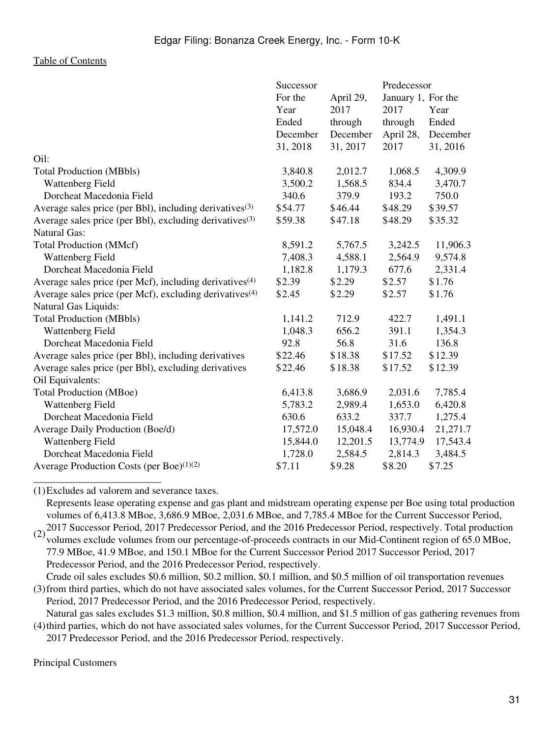|                                                                     | Predecessor<br>Successor |           |                    |          |
|---------------------------------------------------------------------|--------------------------|-----------|--------------------|----------|
|                                                                     | For the                  | April 29, | January 1, For the |          |
|                                                                     | Year                     | 2017      | 2017               | Year     |
|                                                                     | Ended                    | through   | through            | Ended    |
|                                                                     | December                 | December  | April 28,          | December |
|                                                                     | 31, 2018                 | 31, 2017  | 2017               | 31, 2016 |
| Oil:                                                                |                          |           |                    |          |
| <b>Total Production (MBbls)</b>                                     | 3,840.8                  | 2,012.7   | 1,068.5            | 4,309.9  |
| Wattenberg Field                                                    | 3,500.2                  | 1,568.5   | 834.4              | 3,470.7  |
| Dorcheat Macedonia Field                                            | 340.6                    | 379.9     | 193.2              | 750.0    |
| Average sales price (per Bbl), including derivatives <sup>(3)</sup> | \$54.77                  | \$46.44   | \$48.29            | \$39.57  |
| Average sales price (per Bbl), excluding derivatives $(3)$          | \$59.38                  | \$47.18   | \$48.29            | \$35.32  |
| <b>Natural Gas:</b>                                                 |                          |           |                    |          |
| <b>Total Production (MMcf)</b>                                      | 8,591.2                  | 5,767.5   | 3,242.5            | 11,906.3 |
| Wattenberg Field                                                    | 7,408.3                  | 4,588.1   | 2,564.9            | 9,574.8  |
| Dorcheat Macedonia Field                                            | 1,182.8                  | 1,179.3   | 677.6              | 2,331.4  |
| Average sales price (per Mcf), including derivatives <sup>(4)</sup> | \$2.39                   | \$2.29    | \$2.57             | \$1.76   |
| Average sales price (per Mcf), excluding derivatives <sup>(4)</sup> | \$2.45                   | \$2.29    | \$2.57             | \$1.76   |
| Natural Gas Liquids:                                                |                          |           |                    |          |
| <b>Total Production (MBbls)</b>                                     | 1,141.2                  | 712.9     | 422.7              | 1,491.1  |
| Wattenberg Field                                                    | 1,048.3                  | 656.2     | 391.1              | 1,354.3  |
| Dorcheat Macedonia Field                                            | 92.8                     | 56.8      | 31.6               | 136.8    |
| Average sales price (per Bbl), including derivatives                | \$22.46                  | \$18.38   | \$17.52            | \$12.39  |
| Average sales price (per Bbl), excluding derivatives                | \$22.46                  | \$18.38   | \$17.52            | \$12.39  |
| Oil Equivalents:                                                    |                          |           |                    |          |
| <b>Total Production (MBoe)</b>                                      | 6,413.8                  | 3,686.9   | 2,031.6            | 7,785.4  |
| Wattenberg Field                                                    | 5,783.2                  | 2,989.4   | 1,653.0            | 6,420.8  |
| Dorcheat Macedonia Field                                            | 630.6                    | 633.2     | 337.7              | 1,275.4  |
| Average Daily Production (Boe/d)                                    | 17,572.0                 | 15,048.4  | 16,930.4           | 21,271.7 |
| Wattenberg Field                                                    | 15,844.0                 | 12,201.5  | 13,774.9           | 17,543.4 |
| Dorcheat Macedonia Field                                            | 1,728.0                  | 2,584.5   | 2,814.3            | 3,484.5  |
| Average Production Costs (per Boe) $(1)(2)$                         | \$7.11                   | \$9.28    | \$8.20             | \$7.25   |
|                                                                     |                          |           |                    |          |

(1)Excludes ad valorem and severance taxes.

Represents lease operating expense and gas plant and midstream operating expense per Boe using total production volumes of 6,413.8 MBoe, 3,686.9 MBoe, 2,031.6 MBoe, and 7,785.4 MBoe for the Current Successor Period,

(2) 2017 Successor Period, 2017 Predecessor Period, and the 2016 Predecessor Period, respectively. Total production (2) velocities and the 2016 Predecessor Period, respectively. Total production volumes exclude volumes from our percentage-of-proceeds contracts in our Mid-Continent region of 65.0 MBoe, 77.9 MBoe, 41.9 MBoe, and 150.1 MBoe for the Current Successor Period 2017 Successor Period, 2017 Predecessor Period, and the 2016 Predecessor Period, respectively.

(3) from third parties, which do not have associated sales volumes, for the Current Successor Period, 2017 Successor Crude oil sales excludes \$0.6 million, \$0.2 million, \$0.1 million, and \$0.5 million of oil transportation revenues Period, 2017 Predecessor Period, and the 2016 Predecessor Period, respectively.

(4) third parties, which do not have associated sales volumes, for the Current Successor Period, 2017 Successor Period, Natural gas sales excludes \$1.3 million, \$0.8 million, \$0.4 million, and \$1.5 million of gas gathering revenues from 2017 Predecessor Period, and the 2016 Predecessor Period, respectively.

Principal Customers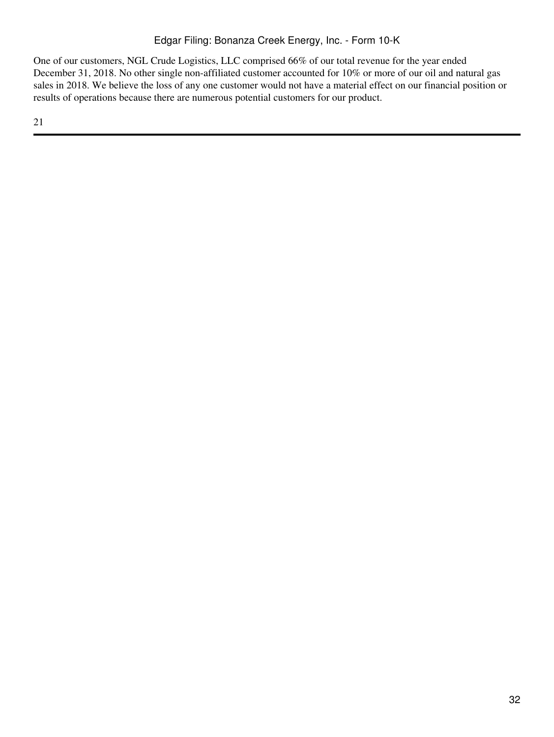One of our customers, NGL Crude Logistics, LLC comprised 66% of our total revenue for the year ended December 31, 2018. No other single non-affiliated customer accounted for 10% or more of our oil and natural gas sales in 2018. We believe the loss of any one customer would not have a material effect on our financial position or results of operations because there are numerous potential customers for our product.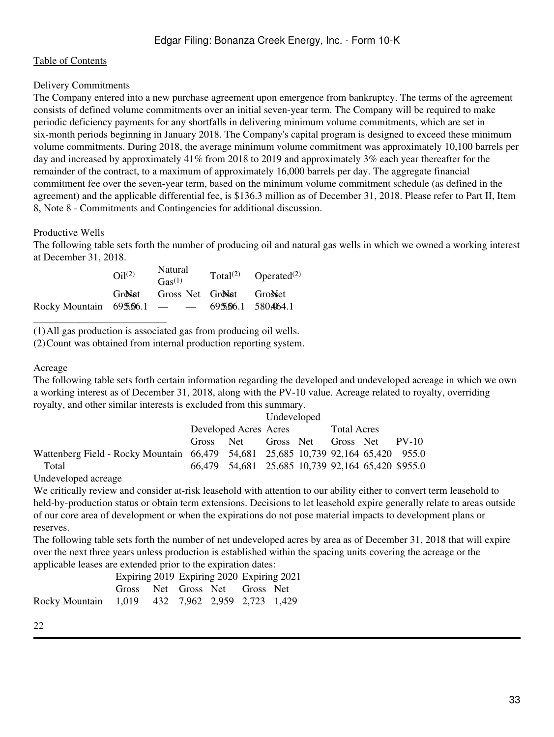# Delivery Commitments

The Company entered into a new purchase agreement upon emergence from bankruptcy. The terms of the agreement consists of defined volume commitments over an initial seven-year term. The Company will be required to make periodic deficiency payments for any shortfalls in delivering minimum volume commitments, which are set in six-month periods beginning in January 2018. The Company's capital program is designed to exceed these minimum volume commitments. During 2018, the average minimum volume commitment was approximately 10,100 barrels per day and increased by approximately 41% from 2018 to 2019 and approximately 3% each year thereafter for the remainder of the contract, to a maximum of approximately 16,000 barrels per day. The aggregate financial commitment fee over the seven-year term, based on the minimum volume commitment schedule (as defined in the agreement) and the applicable differential fee, is \$136.3 million as of December 31, 2018. Please refer to Part II, Item 8, Note 8 - Commitments and Contingencies for additional discussion.

### Productive Wells

The following table sets forth the number of producing oil and natural gas wells in which we owned a working interest at December 31, 2018.

|                              | O <sub>i</sub> 1 <sup>(2)</sup> | Natural<br>Gas <sup>(1)</sup> | Total <sup>(2)</sup> Operated <sup>(2)</sup> |
|------------------------------|---------------------------------|-------------------------------|----------------------------------------------|
|                              |                                 | Grows Gross Net Grows Growset |                                              |
| Rocky Mountain $69556.1$ — — |                                 |                               | 6955.06.1 580.4064.1                         |

\_\_\_\_\_\_\_\_\_\_\_\_\_\_\_\_\_\_\_\_\_\_\_\_\_\_ (1)All gas production is associated gas from producing oil wells.

(2)Count was obtained from internal production reporting system.

#### Acreage

The following table sets forth certain information regarding the developed and undeveloped acreage in which we own a working interest as of December 31, 2018, along with the PV-10 value. Acreage related to royalty, overriding royalty, and other similar interests is excluded from this summary.

|                                                                                   | Undeveloped           |                                                   |                     |  |                    |  |       |
|-----------------------------------------------------------------------------------|-----------------------|---------------------------------------------------|---------------------|--|--------------------|--|-------|
|                                                                                   | Developed Acres Acres |                                                   |                     |  | <b>Total Acres</b> |  |       |
|                                                                                   |                       | Gross Net                                         | Gross Net Gross Net |  |                    |  | PV-10 |
| Wattenberg Field - Rocky Mountain 66,479 54,681 25,685 10,739 92,164 65,420 955.0 |                       |                                                   |                     |  |                    |  |       |
| Total                                                                             |                       | 66,479 54,681 25,685 10,739 92,164 65,420 \$955.0 |                     |  |                    |  |       |

Undeveloped acreage

We critically review and consider at-risk leasehold with attention to our ability either to convert term leasehold to held-by-production status or obtain term extensions. Decisions to let leasehold expire generally relate to areas outside of our core area of development or when the expirations do not pose material impacts to development plans or reserves.

The following table sets forth the number of net undeveloped acres by area as of December 31, 2018 that will expire over the next three years unless production is established within the spacing units covering the acreage or the applicable leases are extended prior to the expiration dates:

|                                                  |                               |  | Expiring 2019 Expiring 2020 Expiring 2021 |  |  |  |
|--------------------------------------------------|-------------------------------|--|-------------------------------------------|--|--|--|
|                                                  | Gross Net Gross Net Gross Net |  |                                           |  |  |  |
| Rocky Mountain 1,019 432 7,962 2,959 2,723 1,429 |                               |  |                                           |  |  |  |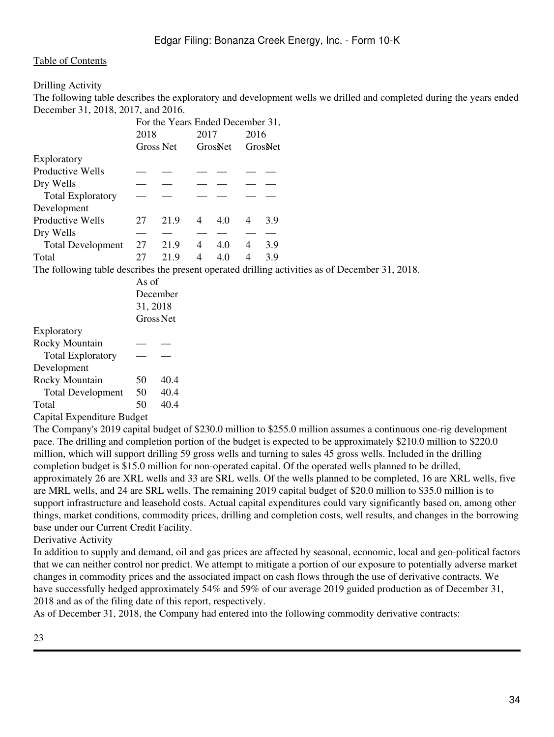#### Drilling Activity

The following table describes the exploratory and development wells we drilled and completed during the years ended December 31, 2018, 2017, and 2016.

|                          | For the Years Ended December 31, |      |   |         |   |         |  |
|--------------------------|----------------------------------|------|---|---------|---|---------|--|
|                          | 2018                             |      |   | 2017    |   | 2016    |  |
|                          | Gross Net                        |      |   | GrosNet |   | GrosNet |  |
| Exploratory              |                                  |      |   |         |   |         |  |
| Productive Wells         |                                  |      |   |         |   |         |  |
| Dry Wells                |                                  |      |   |         |   |         |  |
| <b>Total Exploratory</b> |                                  |      |   |         |   |         |  |
| Development              |                                  |      |   |         |   |         |  |
| Productive Wells         | 27                               | 21.9 | 4 | 4.0     | 4 | 3.9     |  |
| Dry Wells                |                                  |      |   |         |   |         |  |
| <b>Total Development</b> | 27                               | 21.9 | 4 | 4.0     | 4 | 3.9     |  |
| Total                    | 27                               | 21.9 | 4 | 4.0     | 4 | 3.9     |  |

The following table describes the present operated drilling activities as of December 31, 2018.

|                          | As of     |      |  |  |
|--------------------------|-----------|------|--|--|
|                          | December  |      |  |  |
|                          | 31, 2018  |      |  |  |
|                          | Gross Net |      |  |  |
| Exploratory              |           |      |  |  |
| Rocky Mountain           |           |      |  |  |
| <b>Total Exploratory</b> |           |      |  |  |
| Development              |           |      |  |  |
| Rocky Mountain           | 50        | 40.4 |  |  |
| <b>Total Development</b> | 50        | 40.4 |  |  |
| Total                    | 50        | 40.4 |  |  |
|                          |           |      |  |  |

Capital Expenditure Budget

The Company's 2019 capital budget of \$230.0 million to \$255.0 million assumes a continuous one-rig development pace. The drilling and completion portion of the budget is expected to be approximately \$210.0 million to \$220.0 million, which will support drilling 59 gross wells and turning to sales 45 gross wells. Included in the drilling completion budget is \$15.0 million for non-operated capital. Of the operated wells planned to be drilled, approximately 26 are XRL wells and 33 are SRL wells. Of the wells planned to be completed, 16 are XRL wells, five are MRL wells, and 24 are SRL wells. The remaining 2019 capital budget of \$20.0 million to \$35.0 million is to support infrastructure and leasehold costs. Actual capital expenditures could vary significantly based on, among other things, market conditions, commodity prices, drilling and completion costs, well results, and changes in the borrowing base under our Current Credit Facility.

Derivative Activity

In addition to supply and demand, oil and gas prices are affected by seasonal, economic, local and geo-political factors that we can neither control nor predict. We attempt to mitigate a portion of our exposure to potentially adverse market changes in commodity prices and the associated impact on cash flows through the use of derivative contracts. We have successfully hedged approximately 54% and 59% of our average 2019 guided production as of December 31, 2018 and as of the filing date of this report, respectively.

As of December 31, 2018, the Company had entered into the following commodity derivative contracts: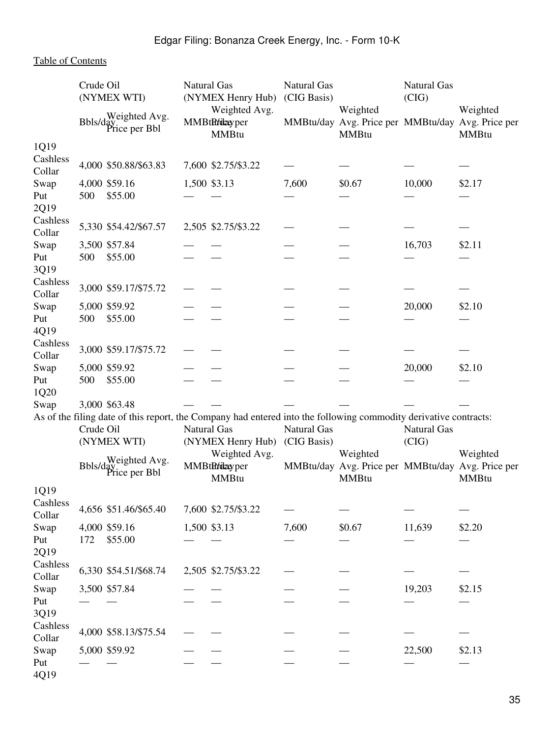|                            | Crude Oil<br>(NYMEX WTI) |                                                                                                                                                  | <b>Natural Gas</b><br>(NYMEX Henry Hub) |                                                      | <b>Natural Gas</b><br>(CIG Basis) |                                                                               | <b>Natural Gas</b><br>(CIG) |                          |
|----------------------------|--------------------------|--------------------------------------------------------------------------------------------------------------------------------------------------|-----------------------------------------|------------------------------------------------------|-----------------------------------|-------------------------------------------------------------------------------|-----------------------------|--------------------------|
|                            |                          | Weighted Avg.<br>Bbls/day<br>Price per Bbl                                                                                                       |                                         | Weighted Avg.<br>MMBtBridzeyper<br><b>MMBtu</b>      |                                   | Weighted<br>MMBtu/day Avg. Price per MMBtu/day Avg. Price per<br><b>MMBtu</b> |                             | Weighted<br><b>MMBtu</b> |
| 1Q19                       |                          |                                                                                                                                                  |                                         |                                                      |                                   |                                                                               |                             |                          |
| Cashless<br>Collar         |                          | 4,000 \$50.88/\$63.83                                                                                                                            |                                         | 7,600 \$2.75/\$3.22                                  |                                   |                                                                               |                             |                          |
| Swap<br>Put<br>2Q19        | 500                      | 4,000 \$59.16<br>\$55.00                                                                                                                         |                                         | 1,500 \$3.13                                         | 7,600                             | \$0.67                                                                        | 10,000                      | \$2.17                   |
| Cashless<br>Collar         |                          | 5,330 \$54.42/\$67.57                                                                                                                            |                                         | 2,505 \$2.75/\$3.22                                  |                                   |                                                                               |                             |                          |
| Swap<br>Put<br>3Q19        | 500                      | 3,500 \$57.84<br>\$55.00                                                                                                                         |                                         |                                                      |                                   |                                                                               | 16,703                      | \$2.11                   |
| Cashless<br>Collar         |                          | 3,000 \$59.17/\$75.72                                                                                                                            |                                         |                                                      |                                   |                                                                               |                             |                          |
| Swap<br>Put<br>4Q19        | 500                      | 5,000 \$59.92<br>\$55.00                                                                                                                         |                                         |                                                      |                                   |                                                                               | 20,000                      | \$2.10                   |
| Cashless<br>Collar         |                          | 3,000 \$59.17/\$75.72                                                                                                                            |                                         |                                                      |                                   |                                                                               |                             |                          |
| Swap<br>Put<br>1Q20        | 500                      | 5,000 \$59.92<br>\$55.00                                                                                                                         |                                         |                                                      |                                   |                                                                               | 20,000                      | \$2.10                   |
| Swap                       | Crude Oil                | 3,000 \$63.48<br>As of the filing date of this report, the Company had entered into the following commodity derivative contracts:<br>(NYMEX WTI) | Natural Gas                             | (NYMEX Henry Hub)                                    | <b>Natural Gas</b><br>(CIG Basis) |                                                                               | <b>Natural Gas</b><br>(CIG) |                          |
|                            |                          | Weighted Avg.<br>Bbls/day. Price per Bbl                                                                                                         |                                         | Weighted Avg.<br><b>MMBtRfdagper</b><br><b>MMBtu</b> |                                   | Weighted<br>MMBtu/day Avg. Price per MMBtu/day Avg. Price per<br><b>MMBtu</b> |                             | Weighted<br><b>MMBtu</b> |
| 1Q19<br>Cashless<br>Collar |                          | 4,656 \$51.46/\$65.40                                                                                                                            |                                         | 7,600 \$2.75/\$3.22                                  |                                   |                                                                               |                             |                          |
| Swap<br>Put<br>2Q19        | 172                      | 4,000 \$59.16<br>\$55.00                                                                                                                         |                                         | 1,500 \$3.13                                         | 7,600                             | \$0.67                                                                        | 11,639                      | \$2.20                   |
| Cashless<br>Collar         |                          | 6,330 \$54.51/\$68.74                                                                                                                            |                                         | 2,505 \$2.75/\$3.22                                  |                                   |                                                                               |                             |                          |
| Swap<br>Put<br>3Q19        |                          | 3,500 \$57.84                                                                                                                                    |                                         |                                                      |                                   |                                                                               | 19,203                      | \$2.15                   |
| Cashless<br>Collar         |                          | 4,000 \$58.13/\$75.54                                                                                                                            |                                         |                                                      |                                   |                                                                               |                             |                          |
| Swap<br>Put<br>4Q19        |                          | 5,000 \$59.92                                                                                                                                    |                                         |                                                      |                                   |                                                                               | 22,500                      | \$2.13                   |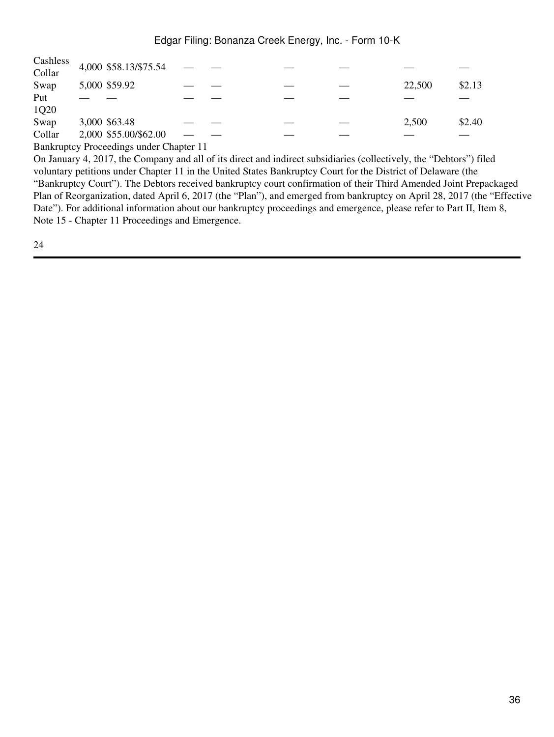| Cashless<br>Collar | 4,000 \$58.13/\$75.54 |  |        |        |
|--------------------|-----------------------|--|--------|--------|
| Swap               | 5,000 \$59.92         |  | 22,500 | \$2.13 |
| Put                |                       |  |        |        |
| 1Q20               |                       |  |        |        |
| Swap               | 3,000 \$63.48         |  | 2,500  | \$2.40 |
| Collar             | 2,000 \$55.00/\$62.00 |  |        |        |
|                    |                       |  |        |        |

Bankruptcy Proceedings under Chapter 11

On January 4, 2017, the Company and all of its direct and indirect subsidiaries (collectively, the "Debtors") filed voluntary petitions under Chapter 11 in the United States Bankruptcy Court for the District of Delaware (the "Bankruptcy Court"). The Debtors received bankruptcy court confirmation of their Third Amended Joint Prepackaged Plan of Reorganization, dated April 6, 2017 (the "Plan"), and emerged from bankruptcy on April 28, 2017 (the "Effective Date"). For additional information about our bankruptcy proceedings and emergence, please refer to Part II, Item 8, Note 15 - Chapter 11 Proceedings and Emergence.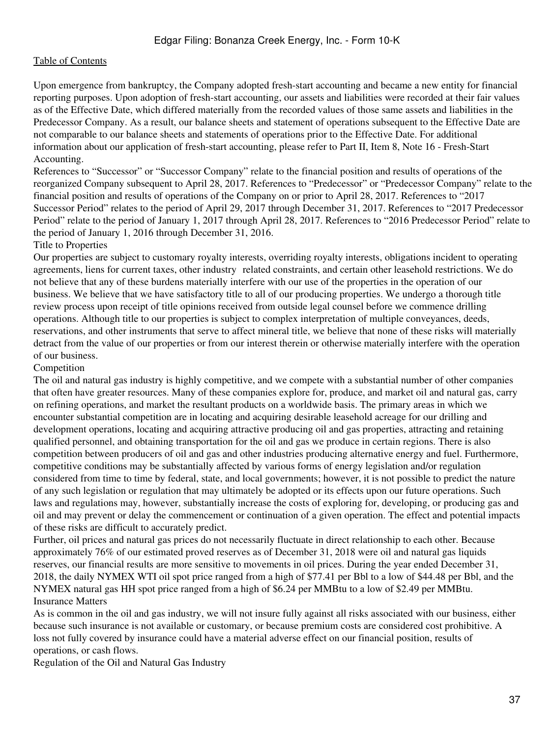Upon emergence from bankruptcy, the Company adopted fresh-start accounting and became a new entity for financial reporting purposes. Upon adoption of fresh-start accounting, our assets and liabilities were recorded at their fair values as of the Effective Date, which differed materially from the recorded values of those same assets and liabilities in the Predecessor Company. As a result, our balance sheets and statement of operations subsequent to the Effective Date are not comparable to our balance sheets and statements of operations prior to the Effective Date. For additional information about our application of fresh-start accounting, please refer to Part II, Item 8, Note 16 - Fresh-Start Accounting.

References to "Successor" or "Successor Company" relate to the financial position and results of operations of the reorganized Company subsequent to April 28, 2017. References to "Predecessor" or "Predecessor Company" relate to the financial position and results of operations of the Company on or prior to April 28, 2017. References to "2017 Successor Period" relates to the period of April 29, 2017 through December 31, 2017. References to "2017 Predecessor Period" relate to the period of January 1, 2017 through April 28, 2017. References to "2016 Predecessor Period" relate to the period of January 1, 2016 through December 31, 2016.

#### Title to Properties

Our properties are subject to customary royalty interests, overriding royalty interests, obligations incident to operating agreements, liens for current taxes, other industry related constraints, and certain other leasehold restrictions. We do not believe that any of these burdens materially interfere with our use of the properties in the operation of our business. We believe that we have satisfactory title to all of our producing properties. We undergo a thorough title review process upon receipt of title opinions received from outside legal counsel before we commence drilling operations. Although title to our properties is subject to complex interpretation of multiple conveyances, deeds, reservations, and other instruments that serve to affect mineral title, we believe that none of these risks will materially detract from the value of our properties or from our interest therein or otherwise materially interfere with the operation of our business.

#### Competition

The oil and natural gas industry is highly competitive, and we compete with a substantial number of other companies that often have greater resources. Many of these companies explore for, produce, and market oil and natural gas, carry on refining operations, and market the resultant products on a worldwide basis. The primary areas in which we encounter substantial competition are in locating and acquiring desirable leasehold acreage for our drilling and development operations, locating and acquiring attractive producing oil and gas properties, attracting and retaining qualified personnel, and obtaining transportation for the oil and gas we produce in certain regions. There is also competition between producers of oil and gas and other industries producing alternative energy and fuel. Furthermore, competitive conditions may be substantially affected by various forms of energy legislation and/or regulation considered from time to time by federal, state, and local governments; however, it is not possible to predict the nature of any such legislation or regulation that may ultimately be adopted or its effects upon our future operations. Such laws and regulations may, however, substantially increase the costs of exploring for, developing, or producing gas and oil and may prevent or delay the commencement or continuation of a given operation. The effect and potential impacts of these risks are difficult to accurately predict.

Further, oil prices and natural gas prices do not necessarily fluctuate in direct relationship to each other. Because approximately 76% of our estimated proved reserves as of December 31, 2018 were oil and natural gas liquids reserves, our financial results are more sensitive to movements in oil prices. During the year ended December 31, 2018, the daily NYMEX WTI oil spot price ranged from a high of \$77.41 per Bbl to a low of \$44.48 per Bbl, and the NYMEX natural gas HH spot price ranged from a high of \$6.24 per MMBtu to a low of \$2.49 per MMBtu. Insurance Matters

As is common in the oil and gas industry, we will not insure fully against all risks associated with our business, either because such insurance is not available or customary, or because premium costs are considered cost prohibitive. A loss not fully covered by insurance could have a material adverse effect on our financial position, results of operations, or cash flows.

Regulation of the Oil and Natural Gas Industry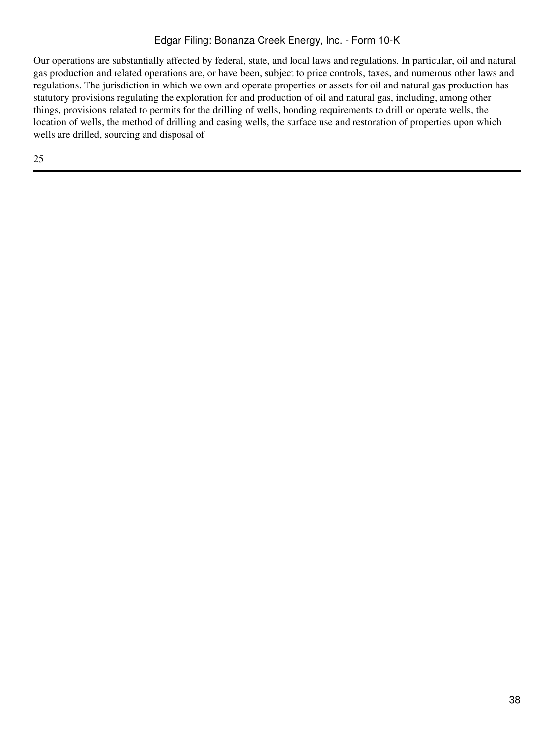Our operations are substantially affected by federal, state, and local laws and regulations. In particular, oil and natural gas production and related operations are, or have been, subject to price controls, taxes, and numerous other laws and regulations. The jurisdiction in which we own and operate properties or assets for oil and natural gas production has statutory provisions regulating the exploration for and production of oil and natural gas, including, among other things, provisions related to permits for the drilling of wells, bonding requirements to drill or operate wells, the location of wells, the method of drilling and casing wells, the surface use and restoration of properties upon which wells are drilled, sourcing and disposal of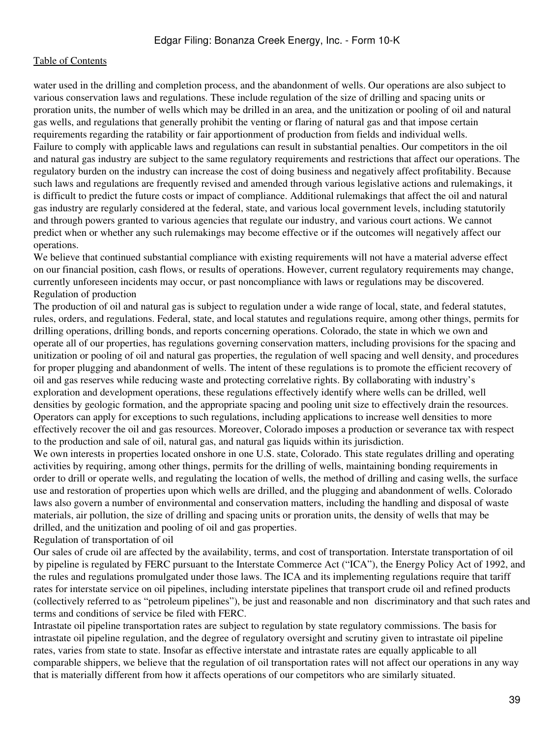water used in the drilling and completion process, and the abandonment of wells. Our operations are also subject to various conservation laws and regulations. These include regulation of the size of drilling and spacing units or proration units, the number of wells which may be drilled in an area, and the unitization or pooling of oil and natural gas wells, and regulations that generally prohibit the venting or flaring of natural gas and that impose certain requirements regarding the ratability or fair apportionment of production from fields and individual wells. Failure to comply with applicable laws and regulations can result in substantial penalties. Our competitors in the oil and natural gas industry are subject to the same regulatory requirements and restrictions that affect our operations. The regulatory burden on the industry can increase the cost of doing business and negatively affect profitability. Because such laws and regulations are frequently revised and amended through various legislative actions and rulemakings, it is difficult to predict the future costs or impact of compliance. Additional rulemakings that affect the oil and natural gas industry are regularly considered at the federal, state, and various local government levels, including statutorily and through powers granted to various agencies that regulate our industry, and various court actions. We cannot predict when or whether any such rulemakings may become effective or if the outcomes will negatively affect our operations.

We believe that continued substantial compliance with existing requirements will not have a material adverse effect on our financial position, cash flows, or results of operations. However, current regulatory requirements may change, currently unforeseen incidents may occur, or past noncompliance with laws or regulations may be discovered. Regulation of production

The production of oil and natural gas is subject to regulation under a wide range of local, state, and federal statutes, rules, orders, and regulations. Federal, state, and local statutes and regulations require, among other things, permits for drilling operations, drilling bonds, and reports concerning operations. Colorado, the state in which we own and operate all of our properties, has regulations governing conservation matters, including provisions for the spacing and unitization or pooling of oil and natural gas properties, the regulation of well spacing and well density, and procedures for proper plugging and abandonment of wells. The intent of these regulations is to promote the efficient recovery of oil and gas reserves while reducing waste and protecting correlative rights. By collaborating with industry's exploration and development operations, these regulations effectively identify where wells can be drilled, well densities by geologic formation, and the appropriate spacing and pooling unit size to effectively drain the resources. Operators can apply for exceptions to such regulations, including applications to increase well densities to more effectively recover the oil and gas resources. Moreover, Colorado imposes a production or severance tax with respect to the production and sale of oil, natural gas, and natural gas liquids within its jurisdiction.

We own interests in properties located onshore in one U.S. state, Colorado. This state regulates drilling and operating activities by requiring, among other things, permits for the drilling of wells, maintaining bonding requirements in order to drill or operate wells, and regulating the location of wells, the method of drilling and casing wells, the surface use and restoration of properties upon which wells are drilled, and the plugging and abandonment of wells. Colorado laws also govern a number of environmental and conservation matters, including the handling and disposal of waste materials, air pollution, the size of drilling and spacing units or proration units, the density of wells that may be drilled, and the unitization and pooling of oil and gas properties.

Regulation of transportation of oil

Our sales of crude oil are affected by the availability, terms, and cost of transportation. Interstate transportation of oil by pipeline is regulated by FERC pursuant to the Interstate Commerce Act ("ICA"), the Energy Policy Act of 1992, and the rules and regulations promulgated under those laws. The ICA and its implementing regulations require that tariff rates for interstate service on oil pipelines, including interstate pipelines that transport crude oil and refined products (collectively referred to as "petroleum pipelines"), be just and reasonable and non‑discriminatory and that such rates and terms and conditions of service be filed with FERC.

Intrastate oil pipeline transportation rates are subject to regulation by state regulatory commissions. The basis for intrastate oil pipeline regulation, and the degree of regulatory oversight and scrutiny given to intrastate oil pipeline rates, varies from state to state. Insofar as effective interstate and intrastate rates are equally applicable to all comparable shippers, we believe that the regulation of oil transportation rates will not affect our operations in any way that is materially different from how it affects operations of our competitors who are similarly situated.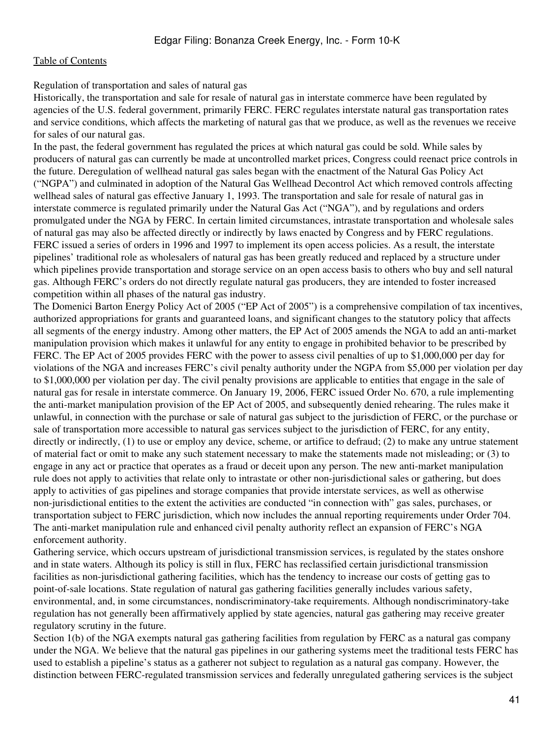Regulation of transportation and sales of natural gas

Historically, the transportation and sale for resale of natural gas in interstate commerce have been regulated by agencies of the U.S. federal government, primarily FERC. FERC regulates interstate natural gas transportation rates and service conditions, which affects the marketing of natural gas that we produce, as well as the revenues we receive for sales of our natural gas.

In the past, the federal government has regulated the prices at which natural gas could be sold. While sales by producers of natural gas can currently be made at uncontrolled market prices, Congress could reenact price controls in the future. Deregulation of wellhead natural gas sales began with the enactment of the Natural Gas Policy Act ("NGPA") and culminated in adoption of the Natural Gas Wellhead Decontrol Act which removed controls affecting wellhead sales of natural gas effective January 1, 1993. The transportation and sale for resale of natural gas in interstate commerce is regulated primarily under the Natural Gas Act ("NGA"), and by regulations and orders promulgated under the NGA by FERC. In certain limited circumstances, intrastate transportation and wholesale sales of natural gas may also be affected directly or indirectly by laws enacted by Congress and by FERC regulations. FERC issued a series of orders in 1996 and 1997 to implement its open access policies. As a result, the interstate pipelines' traditional role as wholesalers of natural gas has been greatly reduced and replaced by a structure under which pipelines provide transportation and storage service on an open access basis to others who buy and sell natural gas. Although FERC's orders do not directly regulate natural gas producers, they are intended to foster increased competition within all phases of the natural gas industry.

The Domenici Barton Energy Policy Act of 2005 ("EP Act of 2005") is a comprehensive compilation of tax incentives, authorized appropriations for grants and guaranteed loans, and significant changes to the statutory policy that affects all segments of the energy industry. Among other matters, the EP Act of 2005 amends the NGA to add an anti-market manipulation provision which makes it unlawful for any entity to engage in prohibited behavior to be prescribed by FERC. The EP Act of 2005 provides FERC with the power to assess civil penalties of up to \$1,000,000 per day for violations of the NGA and increases FERC's civil penalty authority under the NGPA from \$5,000 per violation per day to \$1,000,000 per violation per day. The civil penalty provisions are applicable to entities that engage in the sale of natural gas for resale in interstate commerce. On January 19, 2006, FERC issued Order No. 670, a rule implementing the anti-market manipulation provision of the EP Act of 2005, and subsequently denied rehearing. The rules make it unlawful, in connection with the purchase or sale of natural gas subject to the jurisdiction of FERC, or the purchase or sale of transportation more accessible to natural gas services subject to the jurisdiction of FERC, for any entity, directly or indirectly, (1) to use or employ any device, scheme, or artifice to defraud; (2) to make any untrue statement of material fact or omit to make any such statement necessary to make the statements made not misleading; or (3) to engage in any act or practice that operates as a fraud or deceit upon any person. The new anti-market manipulation rule does not apply to activities that relate only to intrastate or other non-jurisdictional sales or gathering, but does apply to activities of gas pipelines and storage companies that provide interstate services, as well as otherwise non-jurisdictional entities to the extent the activities are conducted "in connection with" gas sales, purchases, or transportation subject to FERC jurisdiction, which now includes the annual reporting requirements under Order 704. The anti-market manipulation rule and enhanced civil penalty authority reflect an expansion of FERC's NGA enforcement authority.

Gathering service, which occurs upstream of jurisdictional transmission services, is regulated by the states onshore and in state waters. Although its policy is still in flux, FERC has reclassified certain jurisdictional transmission facilities as non-jurisdictional gathering facilities, which has the tendency to increase our costs of getting gas to point-of-sale locations. State regulation of natural gas gathering facilities generally includes various safety, environmental, and, in some circumstances, nondiscriminatory-take requirements. Although nondiscriminatory-take regulation has not generally been affirmatively applied by state agencies, natural gas gathering may receive greater regulatory scrutiny in the future.

Section 1(b) of the NGA exempts natural gas gathering facilities from regulation by FERC as a natural gas company under the NGA. We believe that the natural gas pipelines in our gathering systems meet the traditional tests FERC has used to establish a pipeline's status as a gatherer not subject to regulation as a natural gas company. However, the distinction between FERC-regulated transmission services and federally unregulated gathering services is the subject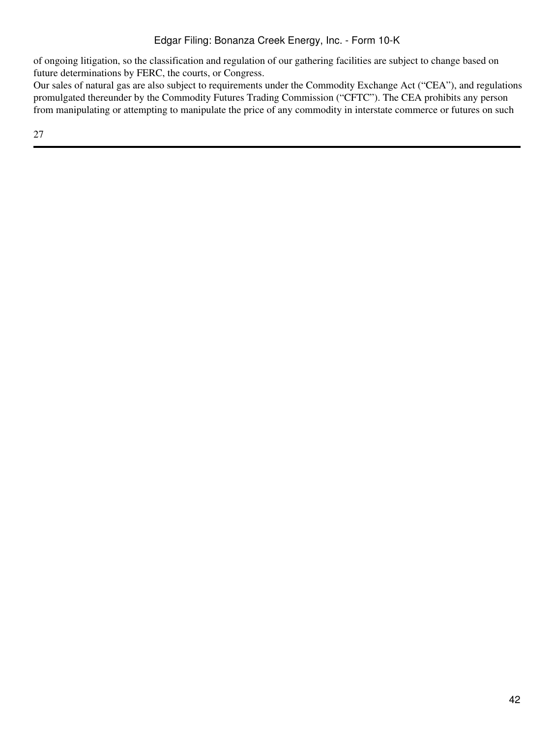of ongoing litigation, so the classification and regulation of our gathering facilities are subject to change based on future determinations by FERC, the courts, or Congress.

Our sales of natural gas are also subject to requirements under the Commodity Exchange Act ("CEA"), and regulations promulgated thereunder by the Commodity Futures Trading Commission ("CFTC"). The CEA prohibits any person from manipulating or attempting to manipulate the price of any commodity in interstate commerce or futures on such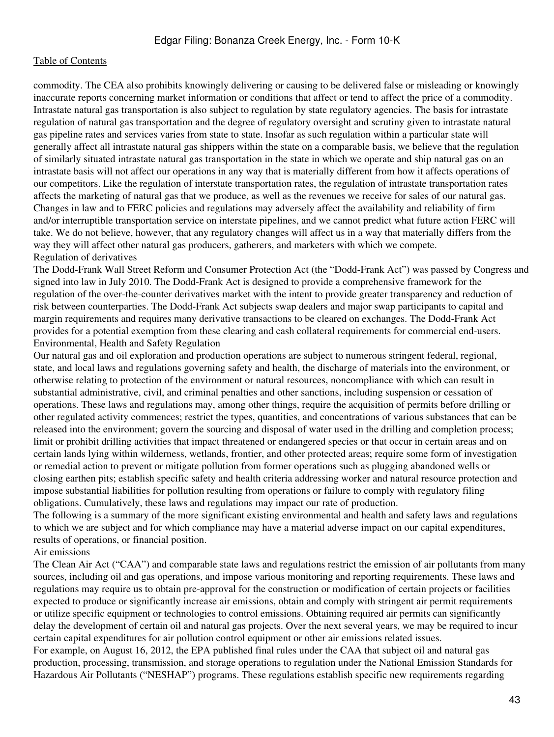commodity. The CEA also prohibits knowingly delivering or causing to be delivered false or misleading or knowingly inaccurate reports concerning market information or conditions that affect or tend to affect the price of a commodity. Intrastate natural gas transportation is also subject to regulation by state regulatory agencies. The basis for intrastate regulation of natural gas transportation and the degree of regulatory oversight and scrutiny given to intrastate natural gas pipeline rates and services varies from state to state. Insofar as such regulation within a particular state will generally affect all intrastate natural gas shippers within the state on a comparable basis, we believe that the regulation of similarly situated intrastate natural gas transportation in the state in which we operate and ship natural gas on an intrastate basis will not affect our operations in any way that is materially different from how it affects operations of our competitors. Like the regulation of interstate transportation rates, the regulation of intrastate transportation rates affects the marketing of natural gas that we produce, as well as the revenues we receive for sales of our natural gas. Changes in law and to FERC policies and regulations may adversely affect the availability and reliability of firm and/or interruptible transportation service on interstate pipelines, and we cannot predict what future action FERC will take. We do not believe, however, that any regulatory changes will affect us in a way that materially differs from the way they will affect other natural gas producers, gatherers, and marketers with which we compete. Regulation of derivatives

The Dodd-Frank Wall Street Reform and Consumer Protection Act (the "Dodd-Frank Act") was passed by Congress and signed into law in July 2010. The Dodd-Frank Act is designed to provide a comprehensive framework for the regulation of the over-the-counter derivatives market with the intent to provide greater transparency and reduction of risk between counterparties. The Dodd-Frank Act subjects swap dealers and major swap participants to capital and margin requirements and requires many derivative transactions to be cleared on exchanges. The Dodd-Frank Act provides for a potential exemption from these clearing and cash collateral requirements for commercial end-users. Environmental, Health and Safety Regulation

Our natural gas and oil exploration and production operations are subject to numerous stringent federal, regional, state, and local laws and regulations governing safety and health, the discharge of materials into the environment, or otherwise relating to protection of the environment or natural resources, noncompliance with which can result in substantial administrative, civil, and criminal penalties and other sanctions, including suspension or cessation of operations. These laws and regulations may, among other things, require the acquisition of permits before drilling or other regulated activity commences; restrict the types, quantities, and concentrations of various substances that can be released into the environment; govern the sourcing and disposal of water used in the drilling and completion process; limit or prohibit drilling activities that impact threatened or endangered species or that occur in certain areas and on certain lands lying within wilderness, wetlands, frontier, and other protected areas; require some form of investigation or remedial action to prevent or mitigate pollution from former operations such as plugging abandoned wells or closing earthen pits; establish specific safety and health criteria addressing worker and natural resource protection and impose substantial liabilities for pollution resulting from operations or failure to comply with regulatory filing obligations. Cumulatively, these laws and regulations may impact our rate of production.

The following is a summary of the more significant existing environmental and health and safety laws and regulations to which we are subject and for which compliance may have a material adverse impact on our capital expenditures, results of operations, or financial position.

## Air emissions

The Clean Air Act ("CAA") and comparable state laws and regulations restrict the emission of air pollutants from many sources, including oil and gas operations, and impose various monitoring and reporting requirements. These laws and regulations may require us to obtain pre-approval for the construction or modification of certain projects or facilities expected to produce or significantly increase air emissions, obtain and comply with stringent air permit requirements or utilize specific equipment or technologies to control emissions. Obtaining required air permits can significantly delay the development of certain oil and natural gas projects. Over the next several years, we may be required to incur certain capital expenditures for air pollution control equipment or other air emissions related issues. For example, on August 16, 2012, the EPA published final rules under the CAA that subject oil and natural gas

production, processing, transmission, and storage operations to regulation under the National Emission Standards for Hazardous Air Pollutants ("NESHAP") programs. These regulations establish specific new requirements regarding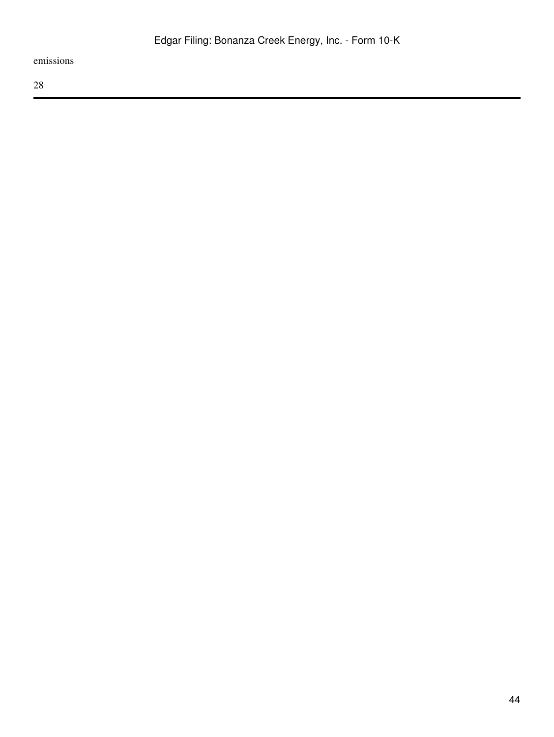emissions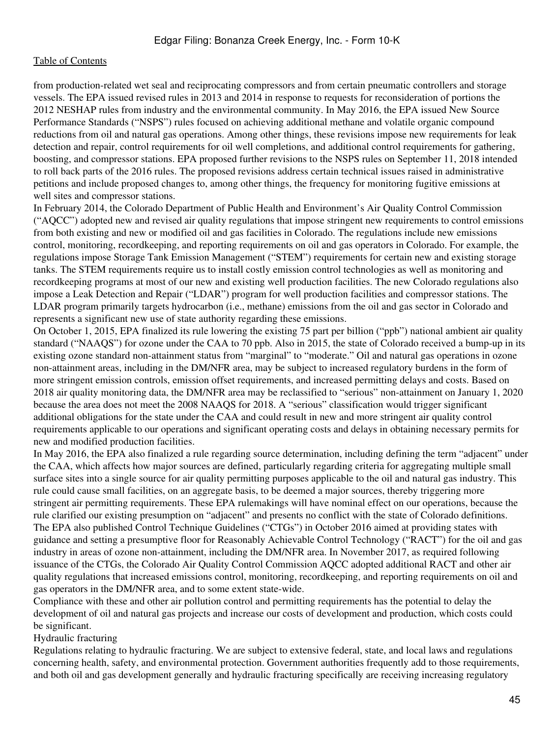from production-related wet seal and reciprocating compressors and from certain pneumatic controllers and storage vessels. The EPA issued revised rules in 2013 and 2014 in response to requests for reconsideration of portions the 2012 NESHAP rules from industry and the environmental community. In May 2016, the EPA issued New Source Performance Standards ("NSPS") rules focused on achieving additional methane and volatile organic compound reductions from oil and natural gas operations. Among other things, these revisions impose new requirements for leak detection and repair, control requirements for oil well completions, and additional control requirements for gathering, boosting, and compressor stations. EPA proposed further revisions to the NSPS rules on September 11, 2018 intended to roll back parts of the 2016 rules. The proposed revisions address certain technical issues raised in administrative petitions and include proposed changes to, among other things, the frequency for monitoring fugitive emissions at well sites and compressor stations.

In February 2014, the Colorado Department of Public Health and Environment's Air Quality Control Commission ("AQCC") adopted new and revised air quality regulations that impose stringent new requirements to control emissions from both existing and new or modified oil and gas facilities in Colorado. The regulations include new emissions control, monitoring, recordkeeping, and reporting requirements on oil and gas operators in Colorado. For example, the regulations impose Storage Tank Emission Management ("STEM") requirements for certain new and existing storage tanks. The STEM requirements require us to install costly emission control technologies as well as monitoring and recordkeeping programs at most of our new and existing well production facilities. The new Colorado regulations also impose a Leak Detection and Repair ("LDAR") program for well production facilities and compressor stations. The LDAR program primarily targets hydrocarbon (i.e., methane) emissions from the oil and gas sector in Colorado and represents a significant new use of state authority regarding these emissions.

On October 1, 2015, EPA finalized its rule lowering the existing 75 part per billion ("ppb") national ambient air quality standard ("NAAQS") for ozone under the CAA to 70 ppb. Also in 2015, the state of Colorado received a bump-up in its existing ozone standard non-attainment status from "marginal" to "moderate." Oil and natural gas operations in ozone non-attainment areas, including in the DM/NFR area, may be subject to increased regulatory burdens in the form of more stringent emission controls, emission offset requirements, and increased permitting delays and costs. Based on 2018 air quality monitoring data, the DM/NFR area may be reclassified to "serious" non-attainment on January 1, 2020 because the area does not meet the 2008 NAAQS for 2018. A "serious" classification would trigger significant additional obligations for the state under the CAA and could result in new and more stringent air quality control requirements applicable to our operations and significant operating costs and delays in obtaining necessary permits for new and modified production facilities.

In May 2016, the EPA also finalized a rule regarding source determination, including defining the term "adjacent" under the CAA, which affects how major sources are defined, particularly regarding criteria for aggregating multiple small surface sites into a single source for air quality permitting purposes applicable to the oil and natural gas industry. This rule could cause small facilities, on an aggregate basis, to be deemed a major sources, thereby triggering more stringent air permitting requirements. These EPA rulemakings will have nominal effect on our operations, because the rule clarified our existing presumption on "adjacent" and presents no conflict with the state of Colorado definitions. The EPA also published Control Technique Guidelines ("CTGs") in October 2016 aimed at providing states with guidance and setting a presumptive floor for Reasonably Achievable Control Technology ("RACT") for the oil and gas industry in areas of ozone non-attainment, including the DM/NFR area. In November 2017, as required following issuance of the CTGs, the Colorado Air Quality Control Commission AQCC adopted additional RACT and other air quality regulations that increased emissions control, monitoring, recordkeeping, and reporting requirements on oil and gas operators in the DM/NFR area, and to some extent state-wide.

Compliance with these and other air pollution control and permitting requirements has the potential to delay the development of oil and natural gas projects and increase our costs of development and production, which costs could be significant.

Hydraulic fracturing

Regulations relating to hydraulic fracturing. We are subject to extensive federal, state, and local laws and regulations concerning health, safety, and environmental protection. Government authorities frequently add to those requirements, and both oil and gas development generally and hydraulic fracturing specifically are receiving increasing regulatory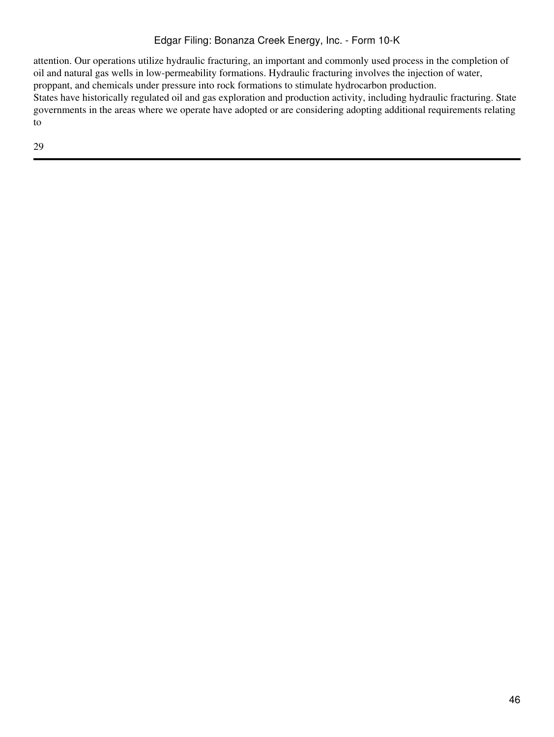attention. Our operations utilize hydraulic fracturing, an important and commonly used process in the completion of oil and natural gas wells in low-permeability formations. Hydraulic fracturing involves the injection of water,

proppant, and chemicals under pressure into rock formations to stimulate hydrocarbon production.

States have historically regulated oil and gas exploration and production activity, including hydraulic fracturing. State governments in the areas where we operate have adopted or are considering adopting additional requirements relating to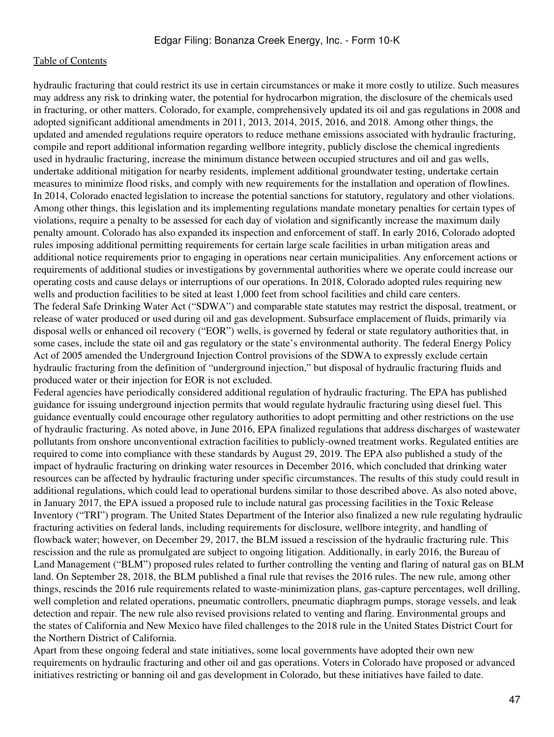hydraulic fracturing that could restrict its use in certain circumstances or make it more costly to utilize. Such measures may address any risk to drinking water, the potential for hydrocarbon migration, the disclosure of the chemicals used in fracturing, or other matters. Colorado, for example, comprehensively updated its oil and gas regulations in 2008 and adopted significant additional amendments in 2011, 2013, 2014, 2015, 2016, and 2018. Among other things, the updated and amended regulations require operators to reduce methane emissions associated with hydraulic fracturing, compile and report additional information regarding wellbore integrity, publicly disclose the chemical ingredients used in hydraulic fracturing, increase the minimum distance between occupied structures and oil and gas wells, undertake additional mitigation for nearby residents, implement additional groundwater testing, undertake certain measures to minimize flood risks, and comply with new requirements for the installation and operation of flowlines. In 2014, Colorado enacted legislation to increase the potential sanctions for statutory, regulatory and other violations. Among other things, this legislation and its implementing regulations mandate monetary penalties for certain types of violations, require a penalty to be assessed for each day of violation and significantly increase the maximum daily penalty amount. Colorado has also expanded its inspection and enforcement of staff. In early 2016, Colorado adopted rules imposing additional permitting requirements for certain large scale facilities in urban mitigation areas and additional notice requirements prior to engaging in operations near certain municipalities. Any enforcement actions or requirements of additional studies or investigations by governmental authorities where we operate could increase our operating costs and cause delays or interruptions of our operations. In 2018, Colorado adopted rules requiring new wells and production facilities to be sited at least 1,000 feet from school facilities and child care centers. The federal Safe Drinking Water Act ("SDWA") and comparable state statutes may restrict the disposal, treatment, or release of water produced or used during oil and gas development. Subsurface emplacement of fluids, primarily via disposal wells or enhanced oil recovery ("EOR") wells, is governed by federal or state regulatory authorities that, in some cases, include the state oil and gas regulatory or the state's environmental authority. The federal Energy Policy Act of 2005 amended the Underground Injection Control provisions of the SDWA to expressly exclude certain hydraulic fracturing from the definition of "underground injection," but disposal of hydraulic fracturing fluids and produced water or their injection for EOR is not excluded.

Federal agencies have periodically considered additional regulation of hydraulic fracturing. The EPA has published guidance for issuing underground injection permits that would regulate hydraulic fracturing using diesel fuel. This guidance eventually could encourage other regulatory authorities to adopt permitting and other restrictions on the use of hydraulic fracturing. As noted above, in June 2016, EPA finalized regulations that address discharges of wastewater pollutants from onshore unconventional extraction facilities to publicly-owned treatment works. Regulated entities are required to come into compliance with these standards by August 29, 2019. The EPA also published a study of the impact of hydraulic fracturing on drinking water resources in December 2016, which concluded that drinking water resources can be affected by hydraulic fracturing under specific circumstances. The results of this study could result in additional regulations, which could lead to operational burdens similar to those described above. As also noted above, in January 2017, the EPA issued a proposed rule to include natural gas processing facilities in the Toxic Release Inventory ("TRI") program. The United States Department of the Interior also finalized a new rule regulating hydraulic fracturing activities on federal lands, including requirements for disclosure, wellbore integrity, and handling of flowback water; however, on December 29, 2017, the BLM issued a rescission of the hydraulic fracturing rule. This rescission and the rule as promulgated are subject to ongoing litigation. Additionally, in early 2016, the Bureau of Land Management ("BLM") proposed rules related to further controlling the venting and flaring of natural gas on BLM land. On September 28, 2018, the BLM published a final rule that revises the 2016 rules. The new rule, among other things, rescinds the 2016 rule requirements related to waste-minimization plans, gas-capture percentages, well drilling, well completion and related operations, pneumatic controllers, pneumatic diaphragm pumps, storage vessels, and leak detection and repair. The new rule also revised provisions related to venting and flaring. Environmental groups and the states of California and New Mexico have filed challenges to the 2018 rule in the United States District Court for the Northern District of California.

Apart from these ongoing federal and state initiatives, some local governments have adopted their own new requirements on hydraulic fracturing and other oil and gas operations. Voters in Colorado have proposed or advanced initiatives restricting or banning oil and gas development in Colorado, but these initiatives have failed to date.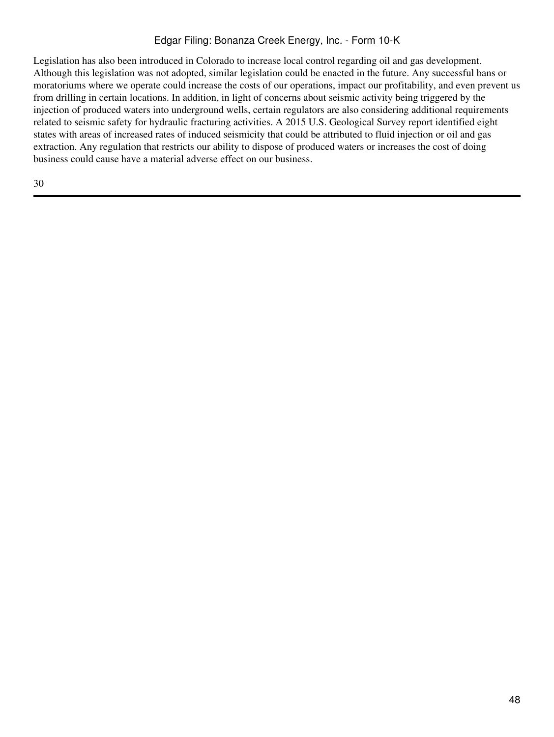Legislation has also been introduced in Colorado to increase local control regarding oil and gas development. Although this legislation was not adopted, similar legislation could be enacted in the future. Any successful bans or moratoriums where we operate could increase the costs of our operations, impact our profitability, and even prevent us from drilling in certain locations. In addition, in light of concerns about seismic activity being triggered by the injection of produced waters into underground wells, certain regulators are also considering additional requirements related to seismic safety for hydraulic fracturing activities. A 2015 U.S. Geological Survey report identified eight states with areas of increased rates of induced seismicity that could be attributed to fluid injection or oil and gas extraction. Any regulation that restricts our ability to dispose of produced waters or increases the cost of doing business could cause have a material adverse effect on our business.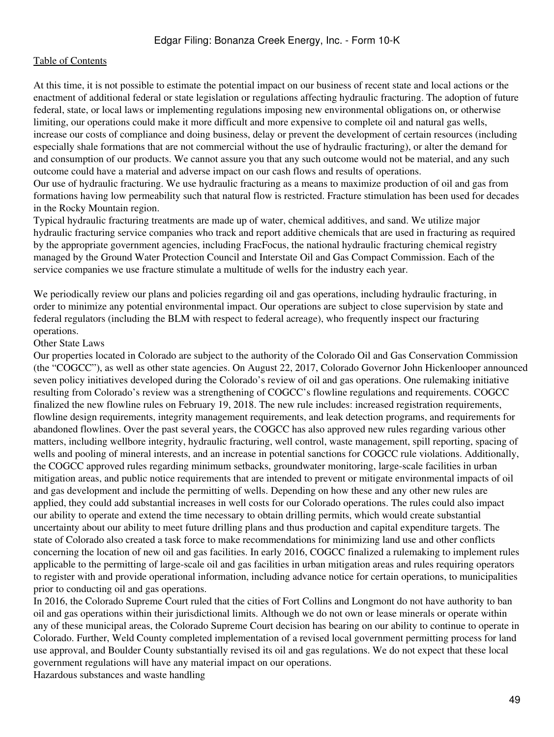At this time, it is not possible to estimate the potential impact on our business of recent state and local actions or the enactment of additional federal or state legislation or regulations affecting hydraulic fracturing. The adoption of future federal, state, or local laws or implementing regulations imposing new environmental obligations on, or otherwise limiting, our operations could make it more difficult and more expensive to complete oil and natural gas wells, increase our costs of compliance and doing business, delay or prevent the development of certain resources (including especially shale formations that are not commercial without the use of hydraulic fracturing), or alter the demand for and consumption of our products. We cannot assure you that any such outcome would not be material, and any such outcome could have a material and adverse impact on our cash flows and results of operations.

Our use of hydraulic fracturing. We use hydraulic fracturing as a means to maximize production of oil and gas from formations having low permeability such that natural flow is restricted. Fracture stimulation has been used for decades in the Rocky Mountain region.

Typical hydraulic fracturing treatments are made up of water, chemical additives, and sand. We utilize major hydraulic fracturing service companies who track and report additive chemicals that are used in fracturing as required by the appropriate government agencies, including FracFocus, the national hydraulic fracturing chemical registry managed by the Ground Water Protection Council and Interstate Oil and Gas Compact Commission. Each of the service companies we use fracture stimulate a multitude of wells for the industry each year.

We periodically review our plans and policies regarding oil and gas operations, including hydraulic fracturing, in order to minimize any potential environmental impact. Our operations are subject to close supervision by state and federal regulators (including the BLM with respect to federal acreage), who frequently inspect our fracturing operations.

#### Other State Laws

Our properties located in Colorado are subject to the authority of the Colorado Oil and Gas Conservation Commission (the "COGCC"), as well as other state agencies. On August 22, 2017, Colorado Governor John Hickenlooper announced seven policy initiatives developed during the Colorado's review of oil and gas operations. One rulemaking initiative resulting from Colorado's review was a strengthening of COGCC's flowline regulations and requirements. COGCC finalized the new flowline rules on February 19, 2018. The new rule includes: increased registration requirements, flowline design requirements, integrity management requirements, and leak detection programs, and requirements for abandoned flowlines. Over the past several years, the COGCC has also approved new rules regarding various other matters, including wellbore integrity, hydraulic fracturing, well control, waste management, spill reporting, spacing of wells and pooling of mineral interests, and an increase in potential sanctions for COGCC rule violations. Additionally, the COGCC approved rules regarding minimum setbacks, groundwater monitoring, large-scale facilities in urban mitigation areas, and public notice requirements that are intended to prevent or mitigate environmental impacts of oil and gas development and include the permitting of wells. Depending on how these and any other new rules are applied, they could add substantial increases in well costs for our Colorado operations. The rules could also impact our ability to operate and extend the time necessary to obtain drilling permits, which would create substantial uncertainty about our ability to meet future drilling plans and thus production and capital expenditure targets. The state of Colorado also created a task force to make recommendations for minimizing land use and other conflicts concerning the location of new oil and gas facilities. In early 2016, COGCC finalized a rulemaking to implement rules applicable to the permitting of large-scale oil and gas facilities in urban mitigation areas and rules requiring operators to register with and provide operational information, including advance notice for certain operations, to municipalities prior to conducting oil and gas operations.

In 2016, the Colorado Supreme Court ruled that the cities of Fort Collins and Longmont do not have authority to ban oil and gas operations within their jurisdictional limits. Although we do not own or lease minerals or operate within any of these municipal areas, the Colorado Supreme Court decision has bearing on our ability to continue to operate in Colorado. Further, Weld County completed implementation of a revised local government permitting process for land use approval, and Boulder County substantially revised its oil and gas regulations. We do not expect that these local government regulations will have any material impact on our operations. Hazardous substances and waste handling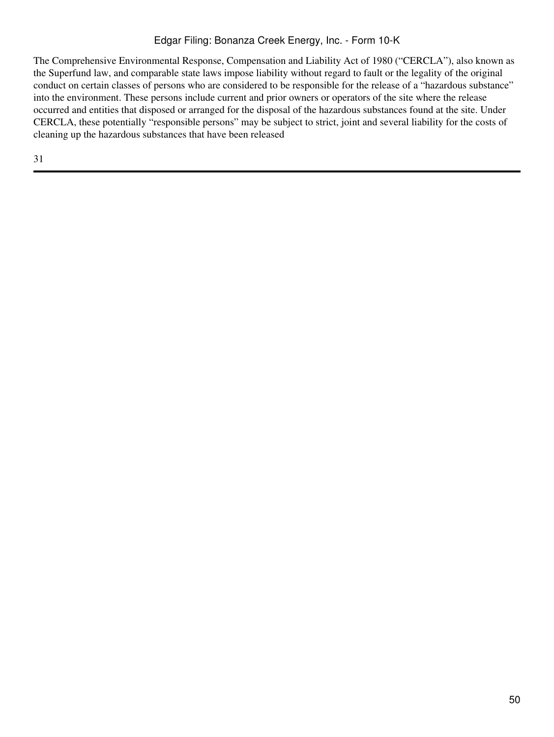The Comprehensive Environmental Response, Compensation and Liability Act of 1980 ("CERCLA"), also known as the Superfund law, and comparable state laws impose liability without regard to fault or the legality of the original conduct on certain classes of persons who are considered to be responsible for the release of a "hazardous substance" into the environment. These persons include current and prior owners or operators of the site where the release occurred and entities that disposed or arranged for the disposal of the hazardous substances found at the site. Under CERCLA, these potentially "responsible persons" may be subject to strict, joint and several liability for the costs of cleaning up the hazardous substances that have been released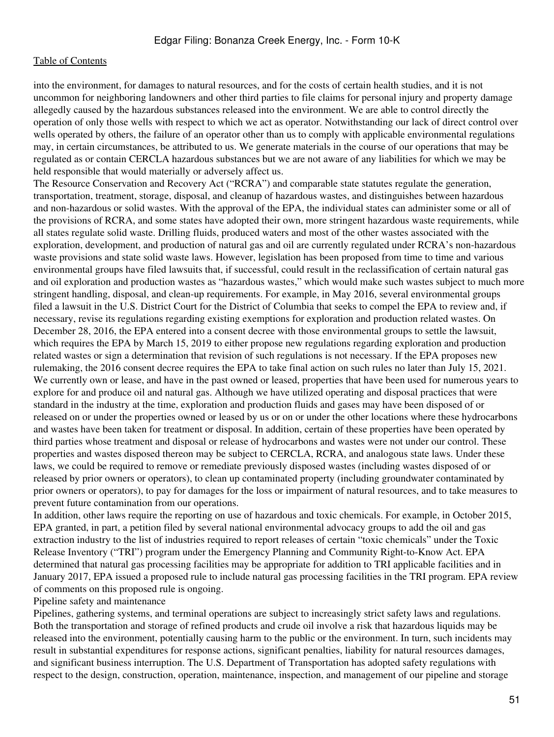into the environment, for damages to natural resources, and for the costs of certain health studies, and it is not uncommon for neighboring landowners and other third parties to file claims for personal injury and property damage allegedly caused by the hazardous substances released into the environment. We are able to control directly the operation of only those wells with respect to which we act as operator. Notwithstanding our lack of direct control over wells operated by others, the failure of an operator other than us to comply with applicable environmental regulations may, in certain circumstances, be attributed to us. We generate materials in the course of our operations that may be regulated as or contain CERCLA hazardous substances but we are not aware of any liabilities for which we may be held responsible that would materially or adversely affect us.

The Resource Conservation and Recovery Act ("RCRA") and comparable state statutes regulate the generation, transportation, treatment, storage, disposal, and cleanup of hazardous wastes, and distinguishes between hazardous and non-hazardous or solid wastes. With the approval of the EPA, the individual states can administer some or all of the provisions of RCRA, and some states have adopted their own, more stringent hazardous waste requirements, while all states regulate solid waste. Drilling fluids, produced waters and most of the other wastes associated with the exploration, development, and production of natural gas and oil are currently regulated under RCRA's non-hazardous waste provisions and state solid waste laws. However, legislation has been proposed from time to time and various environmental groups have filed lawsuits that, if successful, could result in the reclassification of certain natural gas and oil exploration and production wastes as "hazardous wastes," which would make such wastes subject to much more stringent handling, disposal, and clean-up requirements. For example, in May 2016, several environmental groups filed a lawsuit in the U.S. District Court for the District of Columbia that seeks to compel the EPA to review and, if necessary, revise its regulations regarding existing exemptions for exploration and production related wastes. On December 28, 2016, the EPA entered into a consent decree with those environmental groups to settle the lawsuit, which requires the EPA by March 15, 2019 to either propose new regulations regarding exploration and production related wastes or sign a determination that revision of such regulations is not necessary. If the EPA proposes new rulemaking, the 2016 consent decree requires the EPA to take final action on such rules no later than July 15, 2021. We currently own or lease, and have in the past owned or leased, properties that have been used for numerous years to explore for and produce oil and natural gas. Although we have utilized operating and disposal practices that were standard in the industry at the time, exploration and production fluids and gases may have been disposed of or released on or under the properties owned or leased by us or on or under the other locations where these hydrocarbons and wastes have been taken for treatment or disposal. In addition, certain of these properties have been operated by third parties whose treatment and disposal or release of hydrocarbons and wastes were not under our control. These properties and wastes disposed thereon may be subject to CERCLA, RCRA, and analogous state laws. Under these laws, we could be required to remove or remediate previously disposed wastes (including wastes disposed of or released by prior owners or operators), to clean up contaminated property (including groundwater contaminated by prior owners or operators), to pay for damages for the loss or impairment of natural resources, and to take measures to prevent future contamination from our operations.

In addition, other laws require the reporting on use of hazardous and toxic chemicals. For example, in October 2015, EPA granted, in part, a petition filed by several national environmental advocacy groups to add the oil and gas extraction industry to the list of industries required to report releases of certain "toxic chemicals" under the Toxic Release Inventory ("TRI") program under the Emergency Planning and Community Right-to-Know Act. EPA determined that natural gas processing facilities may be appropriate for addition to TRI applicable facilities and in January 2017, EPA issued a proposed rule to include natural gas processing facilities in the TRI program. EPA review of comments on this proposed rule is ongoing.

#### Pipeline safety and maintenance

Pipelines, gathering systems, and terminal operations are subject to increasingly strict safety laws and regulations. Both the transportation and storage of refined products and crude oil involve a risk that hazardous liquids may be released into the environment, potentially causing harm to the public or the environment. In turn, such incidents may result in substantial expenditures for response actions, significant penalties, liability for natural resources damages, and significant business interruption. The U.S. Department of Transportation has adopted safety regulations with respect to the design, construction, operation, maintenance, inspection, and management of our pipeline and storage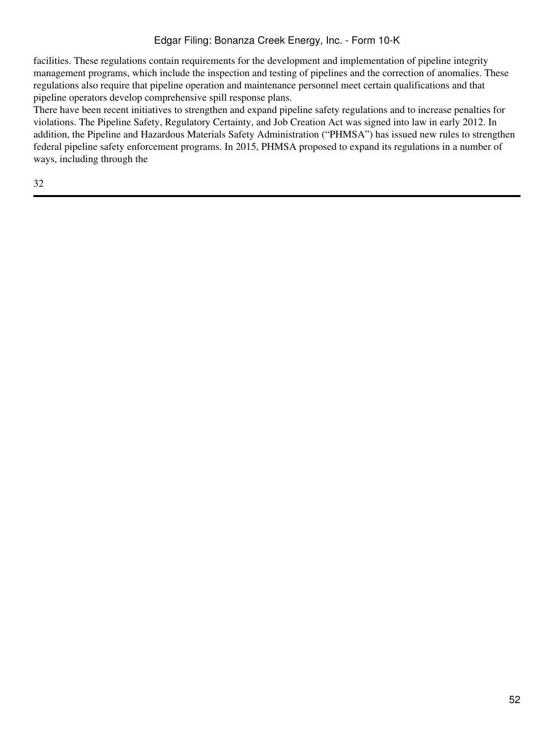facilities. These regulations contain requirements for the development and implementation of pipeline integrity management programs, which include the inspection and testing of pipelines and the correction of anomalies. These regulations also require that pipeline operation and maintenance personnel meet certain qualifications and that pipeline operators develop comprehensive spill response plans.

There have been recent initiatives to strengthen and expand pipeline safety regulations and to increase penalties for violations. The Pipeline Safety, Regulatory Certainty, and Job Creation Act was signed into law in early 2012. In addition, the Pipeline and Hazardous Materials Safety Administration ("PHMSA") has issued new rules to strengthen federal pipeline safety enforcement programs. In 2015, PHMSA proposed to expand its regulations in a number of ways, including through the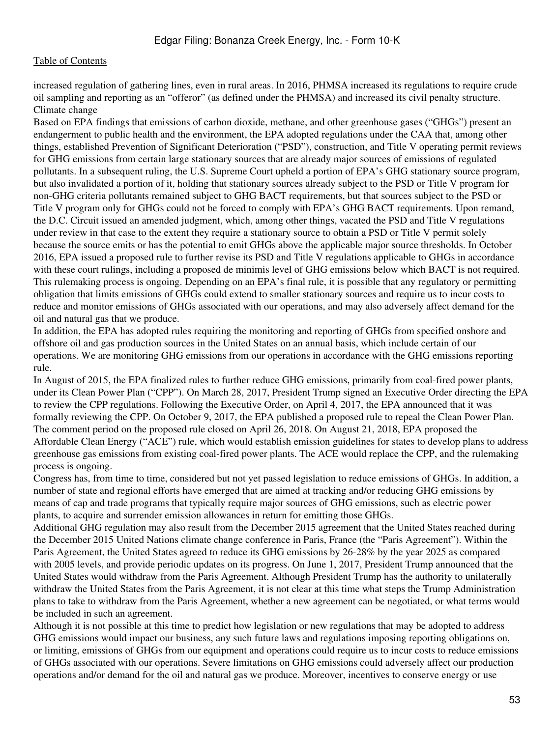increased regulation of gathering lines, even in rural areas. In 2016, PHMSA increased its regulations to require crude oil sampling and reporting as an "offeror" (as defined under the PHMSA) and increased its civil penalty structure. Climate change

Based on EPA findings that emissions of carbon dioxide, methane, and other greenhouse gases ("GHGs") present an endangerment to public health and the environment, the EPA adopted regulations under the CAA that, among other things, established Prevention of Significant Deterioration ("PSD"), construction, and Title V operating permit reviews for GHG emissions from certain large stationary sources that are already major sources of emissions of regulated pollutants. In a subsequent ruling, the U.S. Supreme Court upheld a portion of EPA's GHG stationary source program, but also invalidated a portion of it, holding that stationary sources already subject to the PSD or Title V program for non-GHG criteria pollutants remained subject to GHG BACT requirements, but that sources subject to the PSD or Title V program only for GHGs could not be forced to comply with EPA's GHG BACT requirements. Upon remand, the D.C. Circuit issued an amended judgment, which, among other things, vacated the PSD and Title V regulations under review in that case to the extent they require a stationary source to obtain a PSD or Title V permit solely because the source emits or has the potential to emit GHGs above the applicable major source thresholds. In October 2016, EPA issued a proposed rule to further revise its PSD and Title V regulations applicable to GHGs in accordance with these court rulings, including a proposed de minimis level of GHG emissions below which BACT is not required. This rulemaking process is ongoing. Depending on an EPA's final rule, it is possible that any regulatory or permitting obligation that limits emissions of GHGs could extend to smaller stationary sources and require us to incur costs to reduce and monitor emissions of GHGs associated with our operations, and may also adversely affect demand for the oil and natural gas that we produce.

In addition, the EPA has adopted rules requiring the monitoring and reporting of GHGs from specified onshore and offshore oil and gas production sources in the United States on an annual basis, which include certain of our operations. We are monitoring GHG emissions from our operations in accordance with the GHG emissions reporting rule.

In August of 2015, the EPA finalized rules to further reduce GHG emissions, primarily from coal-fired power plants, under its Clean Power Plan ("CPP"). On March 28, 2017, President Trump signed an Executive Order directing the EPA to review the CPP regulations. Following the Executive Order, on April 4, 2017, the EPA announced that it was formally reviewing the CPP. On October 9, 2017, the EPA published a proposed rule to repeal the Clean Power Plan. The comment period on the proposed rule closed on April 26, 2018. On August 21, 2018, EPA proposed the Affordable Clean Energy ("ACE") rule, which would establish emission guidelines for states to develop plans to address greenhouse gas emissions from existing coal-fired power plants. The ACE would replace the CPP, and the rulemaking process is ongoing.

Congress has, from time to time, considered but not yet passed legislation to reduce emissions of GHGs. In addition, a number of state and regional efforts have emerged that are aimed at tracking and/or reducing GHG emissions by means of cap and trade programs that typically require major sources of GHG emissions, such as electric power plants, to acquire and surrender emission allowances in return for emitting those GHGs.

Additional GHG regulation may also result from the December 2015 agreement that the United States reached during the December 2015 United Nations climate change conference in Paris, France (the "Paris Agreement"). Within the Paris Agreement, the United States agreed to reduce its GHG emissions by 26-28% by the year 2025 as compared with 2005 levels, and provide periodic updates on its progress. On June 1, 2017, President Trump announced that the United States would withdraw from the Paris Agreement. Although President Trump has the authority to unilaterally withdraw the United States from the Paris Agreement, it is not clear at this time what steps the Trump Administration plans to take to withdraw from the Paris Agreement, whether a new agreement can be negotiated, or what terms would be included in such an agreement.

Although it is not possible at this time to predict how legislation or new regulations that may be adopted to address GHG emissions would impact our business, any such future laws and regulations imposing reporting obligations on, or limiting, emissions of GHGs from our equipment and operations could require us to incur costs to reduce emissions of GHGs associated with our operations. Severe limitations on GHG emissions could adversely affect our production operations and/or demand for the oil and natural gas we produce. Moreover, incentives to conserve energy or use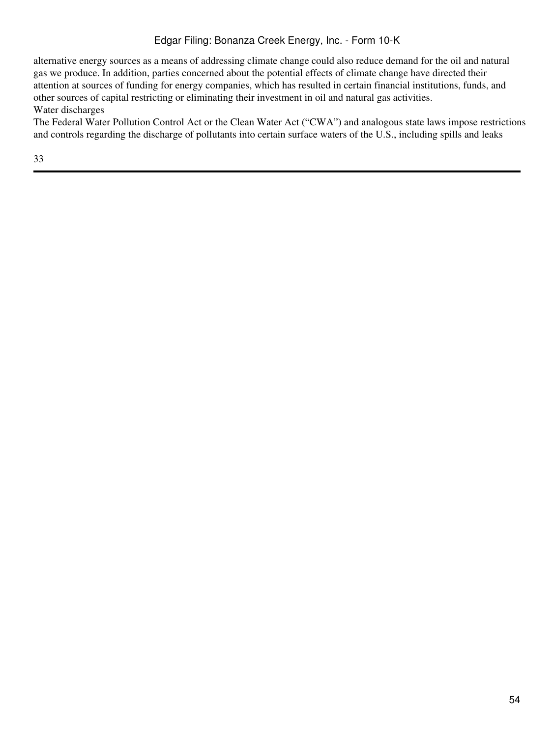alternative energy sources as a means of addressing climate change could also reduce demand for the oil and natural gas we produce. In addition, parties concerned about the potential effects of climate change have directed their attention at sources of funding for energy companies, which has resulted in certain financial institutions, funds, and other sources of capital restricting or eliminating their investment in oil and natural gas activities. Water discharges

The Federal Water Pollution Control Act or the Clean Water Act ("CWA") and analogous state laws impose restrictions and controls regarding the discharge of pollutants into certain surface waters of the U.S., including spills and leaks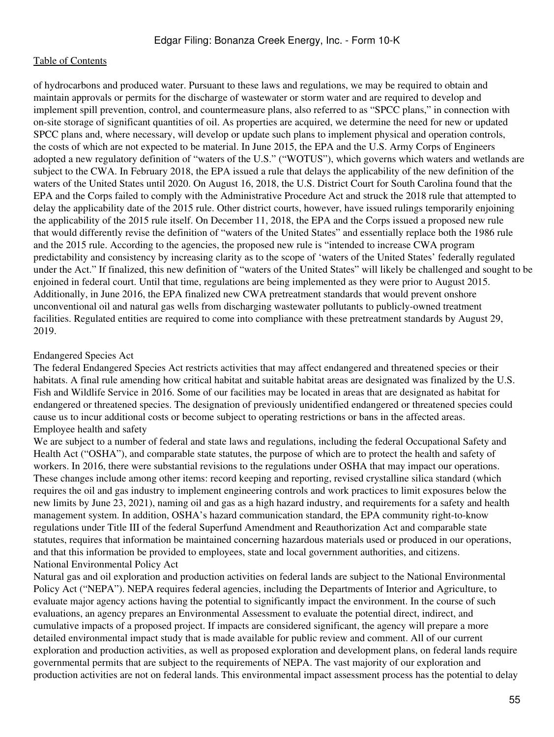of hydrocarbons and produced water. Pursuant to these laws and regulations, we may be required to obtain and maintain approvals or permits for the discharge of wastewater or storm water and are required to develop and implement spill prevention, control, and countermeasure plans, also referred to as "SPCC plans," in connection with on-site storage of significant quantities of oil. As properties are acquired, we determine the need for new or updated SPCC plans and, where necessary, will develop or update such plans to implement physical and operation controls, the costs of which are not expected to be material. In June 2015, the EPA and the U.S. Army Corps of Engineers adopted a new regulatory definition of "waters of the U.S." ("WOTUS"), which governs which waters and wetlands are subject to the CWA. In February 2018, the EPA issued a rule that delays the applicability of the new definition of the waters of the United States until 2020. On August 16, 2018, the U.S. District Court for South Carolina found that the EPA and the Corps failed to comply with the Administrative Procedure Act and struck the 2018 rule that attempted to delay the applicability date of the 2015 rule. Other district courts, however, have issued rulings temporarily enjoining the applicability of the 2015 rule itself. On December 11, 2018, the EPA and the Corps issued a proposed new rule that would differently revise the definition of "waters of the United States" and essentially replace both the 1986 rule and the 2015 rule. According to the agencies, the proposed new rule is "intended to increase CWA program predictability and consistency by increasing clarity as to the scope of 'waters of the United States' federally regulated under the Act." If finalized, this new definition of "waters of the United States" will likely be challenged and sought to be enjoined in federal court. Until that time, regulations are being implemented as they were prior to August 2015. Additionally, in June 2016, the EPA finalized new CWA pretreatment standards that would prevent onshore unconventional oil and natural gas wells from discharging wastewater pollutants to publicly-owned treatment facilities. Regulated entities are required to come into compliance with these pretreatment standards by August 29, 2019.

#### Endangered Species Act

The federal Endangered Species Act restricts activities that may affect endangered and threatened species or their habitats. A final rule amending how critical habitat and suitable habitat areas are designated was finalized by the U.S. Fish and Wildlife Service in 2016. Some of our facilities may be located in areas that are designated as habitat for endangered or threatened species. The designation of previously unidentified endangered or threatened species could cause us to incur additional costs or become subject to operating restrictions or bans in the affected areas. Employee health and safety

We are subject to a number of federal and state laws and regulations, including the federal Occupational Safety and Health Act ("OSHA"), and comparable state statutes, the purpose of which are to protect the health and safety of workers. In 2016, there were substantial revisions to the regulations under OSHA that may impact our operations. These changes include among other items: record keeping and reporting, revised crystalline silica standard (which requires the oil and gas industry to implement engineering controls and work practices to limit exposures below the new limits by June 23, 2021), naming oil and gas as a high hazard industry, and requirements for a safety and health management system. In addition, OSHA's hazard communication standard, the EPA community right-to-know regulations under Title III of the federal Superfund Amendment and Reauthorization Act and comparable state statutes, requires that information be maintained concerning hazardous materials used or produced in our operations, and that this information be provided to employees, state and local government authorities, and citizens. National Environmental Policy Act

Natural gas and oil exploration and production activities on federal lands are subject to the National Environmental Policy Act ("NEPA"). NEPA requires federal agencies, including the Departments of Interior and Agriculture, to evaluate major agency actions having the potential to significantly impact the environment. In the course of such evaluations, an agency prepares an Environmental Assessment to evaluate the potential direct, indirect, and cumulative impacts of a proposed project. If impacts are considered significant, the agency will prepare a more detailed environmental impact study that is made available for public review and comment. All of our current exploration and production activities, as well as proposed exploration and development plans, on federal lands require governmental permits that are subject to the requirements of NEPA. The vast majority of our exploration and production activities are not on federal lands. This environmental impact assessment process has the potential to delay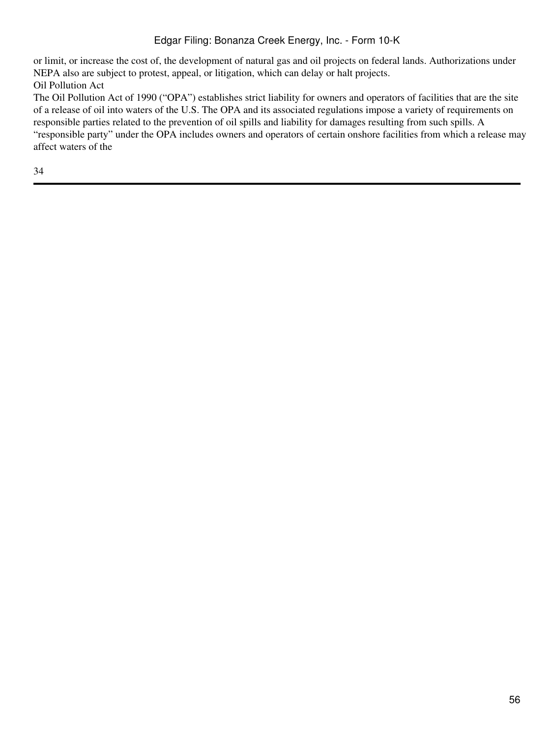or limit, or increase the cost of, the development of natural gas and oil projects on federal lands. Authorizations under NEPA also are subject to protest, appeal, or litigation, which can delay or halt projects. Oil Pollution Act

The Oil Pollution Act of 1990 ("OPA") establishes strict liability for owners and operators of facilities that are the site of a release of oil into waters of the U.S. The OPA and its associated regulations impose a variety of requirements on responsible parties related to the prevention of oil spills and liability for damages resulting from such spills. A "responsible party" under the OPA includes owners and operators of certain onshore facilities from which a release may affect waters of the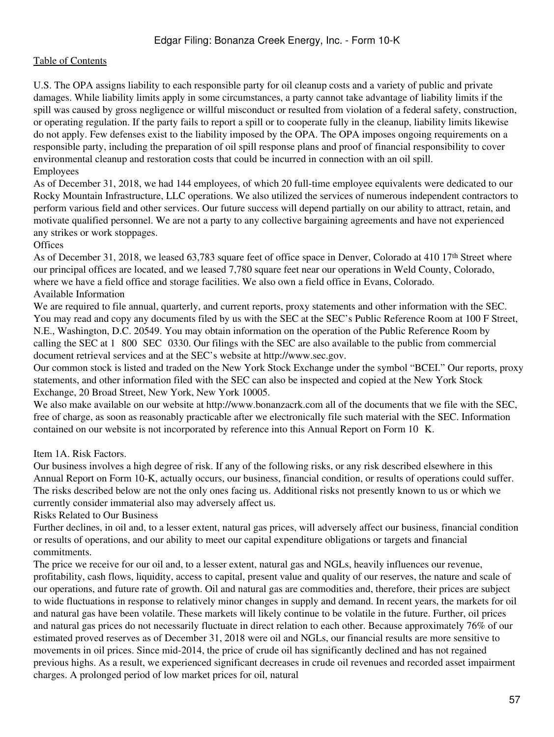U.S. The OPA assigns liability to each responsible party for oil cleanup costs and a variety of public and private damages. While liability limits apply in some circumstances, a party cannot take advantage of liability limits if the spill was caused by gross negligence or willful misconduct or resulted from violation of a federal safety, construction, or operating regulation. If the party fails to report a spill or to cooperate fully in the cleanup, liability limits likewise do not apply. Few defenses exist to the liability imposed by the OPA. The OPA imposes ongoing requirements on a responsible party, including the preparation of oil spill response plans and proof of financial responsibility to cover environmental cleanup and restoration costs that could be incurred in connection with an oil spill. Employees

As of December 31, 2018, we had 144 employees, of which 20 full-time employee equivalents were dedicated to our Rocky Mountain Infrastructure, LLC operations. We also utilized the services of numerous independent contractors to perform various field and other services. Our future success will depend partially on our ability to attract, retain, and motivate qualified personnel. We are not a party to any collective bargaining agreements and have not experienced any strikes or work stoppages.

### **Offices**

As of December 31, 2018, we leased 63,783 square feet of office space in Denver, Colorado at 410 17<sup>th</sup> Street where our principal offices are located, and we leased 7,780 square feet near our operations in Weld County, Colorado, where we have a field office and storage facilities. We also own a field office in Evans, Colorado. Available Information

We are required to file annual, quarterly, and current reports, proxy statements and other information with the SEC. You may read and copy any documents filed by us with the SEC at the SEC's Public Reference Room at 100 F Street, N.E., Washington, D.C. 20549. You may obtain information on the operation of the Public Reference Room by calling the SEC at 1–800–SEC–0330. Our filings with the SEC are also available to the public from commercial document retrieval services and at the SEC's website at http://www.sec.gov.

Our common stock is listed and traded on the New York Stock Exchange under the symbol "BCEI." Our reports, proxy statements, and other information filed with the SEC can also be inspected and copied at the New York Stock Exchange, 20 Broad Street, New York, New York 10005.

We also make available on our website at http://www.bonanzacrk.com all of the documents that we file with the SEC, free of charge, as soon as reasonably practicable after we electronically file such material with the SEC. Information contained on our website is not incorporated by reference into this Annual Report on Form 10 K.

Item 1A. Risk Factors.

Our business involves a high degree of risk. If any of the following risks, or any risk described elsewhere in this Annual Report on Form 10-K, actually occurs, our business, financial condition, or results of operations could suffer. The risks described below are not the only ones facing us. Additional risks not presently known to us or which we currently consider immaterial also may adversely affect us.

Risks Related to Our Business

Further declines, in oil and, to a lesser extent, natural gas prices, will adversely affect our business, financial condition or results of operations, and our ability to meet our capital expenditure obligations or targets and financial commitments.

The price we receive for our oil and, to a lesser extent, natural gas and NGLs, heavily influences our revenue, profitability, cash flows, liquidity, access to capital, present value and quality of our reserves, the nature and scale of our operations, and future rate of growth. Oil and natural gas are commodities and, therefore, their prices are subject to wide fluctuations in response to relatively minor changes in supply and demand. In recent years, the markets for oil and natural gas have been volatile. These markets will likely continue to be volatile in the future. Further, oil prices and natural gas prices do not necessarily fluctuate in direct relation to each other. Because approximately 76% of our estimated proved reserves as of December 31, 2018 were oil and NGLs, our financial results are more sensitive to movements in oil prices. Since mid-2014, the price of crude oil has significantly declined and has not regained previous highs. As a result, we experienced significant decreases in crude oil revenues and recorded asset impairment charges. A prolonged period of low market prices for oil, natural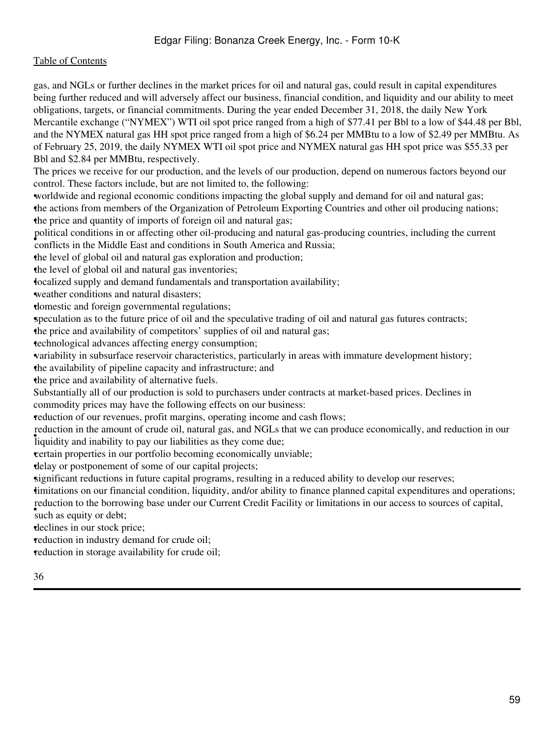### [Table of Contents](#page-2-0)

gas, and NGLs or further declines in the market prices for oil and natural gas, could result in capital expenditures being further reduced and will adversely affect our business, financial condition, and liquidity and our ability to meet obligations, targets, or financial commitments. During the year ended December 31, 2018, the daily New York Mercantile exchange ("NYMEX") WTI oil spot price ranged from a high of \$77.41 per Bbl to a low of \$44.48 per Bbl, and the NYMEX natural gas HH spot price ranged from a high of \$6.24 per MMBtu to a low of \$2.49 per MMBtu. As of February 25, 2019, the daily NYMEX WTI oil spot price and NYMEX natural gas HH spot price was \$55.33 per Bbl and \$2.84 per MMBtu, respectively.

The prices we receive for our production, and the levels of our production, depend on numerous factors beyond our control. These factors include, but are not limited to, the following:

•worldwide and regional economic conditions impacting the global supply and demand for oil and natural gas; •the actions from members of the Organization of Petroleum Exporting Countries and other oil producing nations; •the price and quantity of imports of foreign oil and natural gas;

• conflicts in the Middle East and conditions in South America and Russia; political conditions in or affecting other oil-producing and natural gas-producing countries, including the current

•the level of global oil and natural gas exploration and production;

•the level of global oil and natural gas inventories;

•localized supply and demand fundamentals and transportation availability;

•weather conditions and natural disasters;

•domestic and foreign governmental regulations;

•speculation as to the future price of oil and the speculative trading of oil and natural gas futures contracts;

•the price and availability of competitors' supplies of oil and natural gas;

•technological advances affecting energy consumption;

•variability in subsurface reservoir characteristics, particularly in areas with immature development history;

•the availability of pipeline capacity and infrastructure; and

•the price and availability of alternative fuels.

Substantially all of our production is sold to purchasers under contracts at market-based prices. Declines in commodity prices may have the following effects on our business:

reduction of our revenues, profit margins, operating income and cash flows;

• liquidity and inability to pay our liabilities as they come due; reduction in the amount of crude oil, natural gas, and NGLs that we can produce economically, and reduction in our

**example 1** certain properties in our portfolio becoming economically unviable;

•delay or postponement of some of our capital projects;

•significant reductions in future capital programs, resulting in a reduced ability to develop our reserves;

•limitations on our financial condition, liquidity, and/or ability to finance planned capital expenditures and operations; such as equity or debt; reduction to the borrowing base under our Current Credit Facility or limitations in our access to sources of capital,

•declines in our stock price;

reduction in industry demand for crude oil;

reduction in storage availability for crude oil;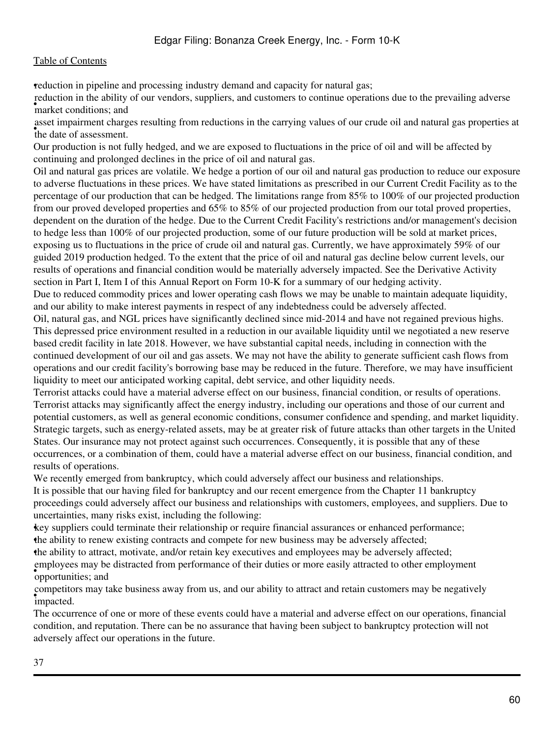•reduction in pipeline and processing industry demand and capacity for natural gas;

• eduction in the ability<br>market conditions; and reduction in the ability of our vendors, suppliers, and customers to continue operations due to the prevailing adverse

the date of assessment. asset impairment charges resulting from reductions in the carrying values of our crude oil and natural gas properties at

Our production is not fully hedged, and we are exposed to fluctuations in the price of oil and will be affected by continuing and prolonged declines in the price of oil and natural gas.

Oil and natural gas prices are volatile. We hedge a portion of our oil and natural gas production to reduce our exposure to adverse fluctuations in these prices. We have stated limitations as prescribed in our Current Credit Facility as to the percentage of our production that can be hedged. The limitations range from 85% to 100% of our projected production from our proved developed properties and 65% to 85% of our projected production from our total proved properties, dependent on the duration of the hedge. Due to the Current Credit Facility's restrictions and/or management's decision to hedge less than 100% of our projected production, some of our future production will be sold at market prices, exposing us to fluctuations in the price of crude oil and natural gas. Currently, we have approximately 59% of our guided 2019 production hedged. To the extent that the price of oil and natural gas decline below current levels, our results of operations and financial condition would be materially adversely impacted. See the Derivative Activity section in Part I, Item I of this Annual Report on Form 10-K for a summary of our hedging activity.

Due to reduced commodity prices and lower operating cash flows we may be unable to maintain adequate liquidity, and our ability to make interest payments in respect of any indebtedness could be adversely affected.

Oil, natural gas, and NGL prices have significantly declined since mid-2014 and have not regained previous highs. This depressed price environment resulted in a reduction in our available liquidity until we negotiated a new reserve based credit facility in late 2018. However, we have substantial capital needs, including in connection with the continued development of our oil and gas assets. We may not have the ability to generate sufficient cash flows from operations and our credit facility's borrowing base may be reduced in the future. Therefore, we may have insufficient liquidity to meet our anticipated working capital, debt service, and other liquidity needs.

Terrorist attacks could have a material adverse effect on our business, financial condition, or results of operations. Terrorist attacks may significantly affect the energy industry, including our operations and those of our current and potential customers, as well as general economic conditions, consumer confidence and spending, and market liquidity. Strategic targets, such as energy-related assets, may be at greater risk of future attacks than other targets in the United States. Our insurance may not protect against such occurrences. Consequently, it is possible that any of these occurrences, or a combination of them, could have a material adverse effect on our business, financial condition, and results of operations.

We recently emerged from bankruptcy, which could adversely affect our business and relationships.

It is possible that our having filed for bankruptcy and our recent emergence from the Chapter 11 bankruptcy proceedings could adversely affect our business and relationships with customers, employees, and suppliers. Due to uncertainties, many risks exist, including the following:

•key suppliers could terminate their relationship or require financial assurances or enhanced performance; •the ability to renew existing contracts and compete for new business may be adversely affected;

•the ability to attract, motivate, and/or retain key executives and employees may be adversely affected;

• opportunities; and employees may be distracted from performance of their duties or more easily attracted to other employment

• impacted. competitors may take business away from us, and our ability to attract and retain customers may be negatively

The occurrence of one or more of these events could have a material and adverse effect on our operations, financial condition, and reputation. There can be no assurance that having been subject to bankruptcy protection will not adversely affect our operations in the future.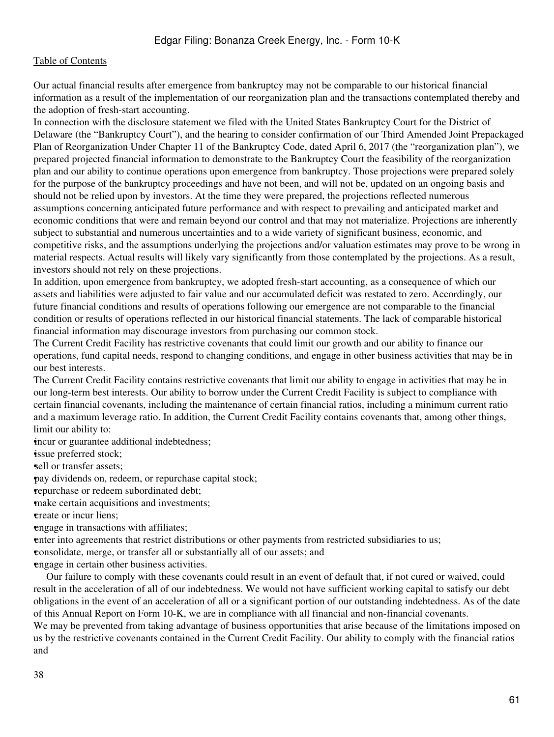Our actual financial results after emergence from bankruptcy may not be comparable to our historical financial information as a result of the implementation of our reorganization plan and the transactions contemplated thereby and the adoption of fresh-start accounting.

In connection with the disclosure statement we filed with the United States Bankruptcy Court for the District of Delaware (the "Bankruptcy Court"), and the hearing to consider confirmation of our Third Amended Joint Prepackaged Plan of Reorganization Under Chapter 11 of the Bankruptcy Code, dated April 6, 2017 (the "reorganization plan"), we prepared projected financial information to demonstrate to the Bankruptcy Court the feasibility of the reorganization plan and our ability to continue operations upon emergence from bankruptcy. Those projections were prepared solely for the purpose of the bankruptcy proceedings and have not been, and will not be, updated on an ongoing basis and should not be relied upon by investors. At the time they were prepared, the projections reflected numerous assumptions concerning anticipated future performance and with respect to prevailing and anticipated market and economic conditions that were and remain beyond our control and that may not materialize. Projections are inherently subject to substantial and numerous uncertainties and to a wide variety of significant business, economic, and competitive risks, and the assumptions underlying the projections and/or valuation estimates may prove to be wrong in material respects. Actual results will likely vary significantly from those contemplated by the projections. As a result, investors should not rely on these projections.

In addition, upon emergence from bankruptcy, we adopted fresh-start accounting, as a consequence of which our assets and liabilities were adjusted to fair value and our accumulated deficit was restated to zero. Accordingly, our future financial conditions and results of operations following our emergence are not comparable to the financial condition or results of operations reflected in our historical financial statements. The lack of comparable historical financial information may discourage investors from purchasing our common stock.

The Current Credit Facility has restrictive covenants that could limit our growth and our ability to finance our operations, fund capital needs, respond to changing conditions, and engage in other business activities that may be in our best interests.

The Current Credit Facility contains restrictive covenants that limit our ability to engage in activities that may be in our long-term best interests. Our ability to borrow under the Current Credit Facility is subject to compliance with certain financial covenants, including the maintenance of certain financial ratios, including a minimum current ratio and a maximum leverage ratio. In addition, the Current Credit Facility contains covenants that, among other things, limit our ability to:

•incur or guarantee additional indebtedness;

•issue preferred stock;

sell or transfer assets;

•pay dividends on, redeem, or repurchase capital stock;

•repurchase or redeem subordinated debt;

•make certain acquisitions and investments;

•create or incur liens;

engage in transactions with affiliates;

•enter into agreements that restrict distributions or other payments from restricted subsidiaries to us; •consolidate, merge, or transfer all or substantially all of our assets; and

•engage in certain other business activities.

 Our failure to comply with these covenants could result in an event of default that, if not cured or waived, could result in the acceleration of all of our indebtedness. We would not have sufficient working capital to satisfy our debt obligations in the event of an acceleration of all or a significant portion of our outstanding indebtedness. As of the date of this Annual Report on Form 10-K, we are in compliance with all financial and non-financial covenants.

We may be prevented from taking advantage of business opportunities that arise because of the limitations imposed on us by the restrictive covenants contained in the Current Credit Facility. Our ability to comply with the financial ratios and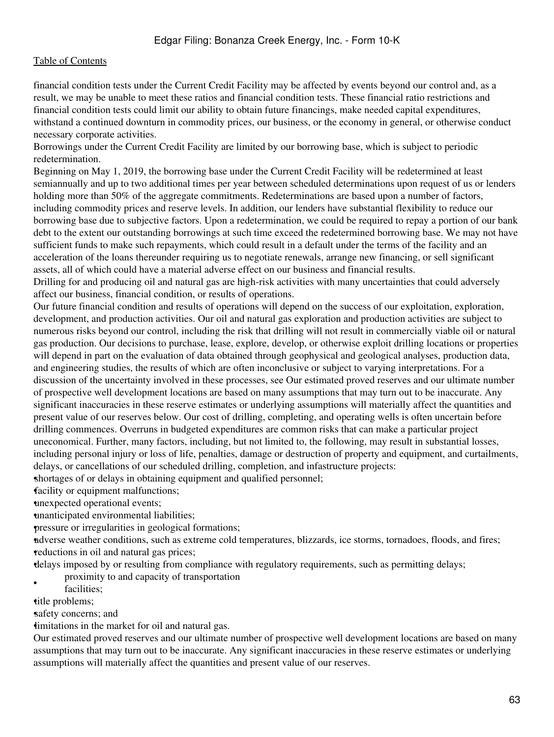financial condition tests under the Current Credit Facility may be affected by events beyond our control and, as a result, we may be unable to meet these ratios and financial condition tests. These financial ratio restrictions and financial condition tests could limit our ability to obtain future financings, make needed capital expenditures, withstand a continued downturn in commodity prices, our business, or the economy in general, or otherwise conduct necessary corporate activities.

Borrowings under the Current Credit Facility are limited by our borrowing base, which is subject to periodic redetermination.

Beginning on May 1, 2019, the borrowing base under the Current Credit Facility will be redetermined at least semiannually and up to two additional times per year between scheduled determinations upon request of us or lenders holding more than 50% of the aggregate commitments. Redeterminations are based upon a number of factors, including commodity prices and reserve levels. In addition, our lenders have substantial flexibility to reduce our borrowing base due to subjective factors. Upon a redetermination, we could be required to repay a portion of our bank debt to the extent our outstanding borrowings at such time exceed the redetermined borrowing base. We may not have sufficient funds to make such repayments, which could result in a default under the terms of the facility and an acceleration of the loans thereunder requiring us to negotiate renewals, arrange new financing, or sell significant assets, all of which could have a material adverse effect on our business and financial results.

Drilling for and producing oil and natural gas are high-risk activities with many uncertainties that could adversely affect our business, financial condition, or results of operations.

Our future financial condition and results of operations will depend on the success of our exploitation, exploration, development, and production activities. Our oil and natural gas exploration and production activities are subject to numerous risks beyond our control, including the risk that drilling will not result in commercially viable oil or natural gas production. Our decisions to purchase, lease, explore, develop, or otherwise exploit drilling locations or properties will depend in part on the evaluation of data obtained through geophysical and geological analyses, production data, and engineering studies, the results of which are often inconclusive or subject to varying interpretations. For a discussion of the uncertainty involved in these processes, see Our estimated proved reserves and our ultimate number of prospective well development locations are based on many assumptions that may turn out to be inaccurate. Any significant inaccuracies in these reserve estimates or underlying assumptions will materially affect the quantities and present value of our reserves below. Our cost of drilling, completing, and operating wells is often uncertain before drilling commences. Overruns in budgeted expenditures are common risks that can make a particular project uneconomical. Further, many factors, including, but not limited to, the following, may result in substantial losses, including personal injury or loss of life, penalties, damage or destruction of property and equipment, and curtailments, delays, or cancellations of our scheduled drilling, completion, and infastructure projects:

•shortages of or delays in obtaining equipment and qualified personnel;

facility or equipment malfunctions;

## •unexpected operational events;

•unanticipated environmental liabilities;

•pressure or irregularities in geological formations;

•adverse weather conditions, such as extreme cold temperatures, blizzards, ice storms, tornadoes, floods, and fires; reductions in oil and natural gas prices;

•delays imposed by or resulting from compliance with regulatory requirements, such as permitting delays;

- proximity to and capacity of transportation
- facilities;

title problems;

safety concerns; and

imitations in the market for oil and natural gas.

Our estimated proved reserves and our ultimate number of prospective well development locations are based on many assumptions that may turn out to be inaccurate. Any significant inaccuracies in these reserve estimates or underlying assumptions will materially affect the quantities and present value of our reserves.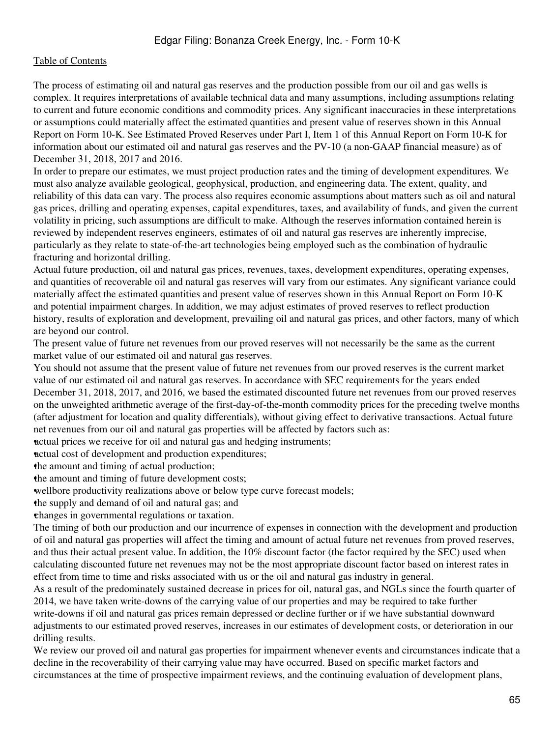The process of estimating oil and natural gas reserves and the production possible from our oil and gas wells is complex. It requires interpretations of available technical data and many assumptions, including assumptions relating to current and future economic conditions and commodity prices. Any significant inaccuracies in these interpretations or assumptions could materially affect the estimated quantities and present value of reserves shown in this Annual Report on Form 10-K. See Estimated Proved Reserves under Part I, Item 1 of this Annual Report on Form 10-K for information about our estimated oil and natural gas reserves and the PV-10 (a non-GAAP financial measure) as of December 31, 2018, 2017 and 2016.

In order to prepare our estimates, we must project production rates and the timing of development expenditures. We must also analyze available geological, geophysical, production, and engineering data. The extent, quality, and reliability of this data can vary. The process also requires economic assumptions about matters such as oil and natural gas prices, drilling and operating expenses, capital expenditures, taxes, and availability of funds, and given the current volatility in pricing, such assumptions are difficult to make. Although the reserves information contained herein is reviewed by independent reserves engineers, estimates of oil and natural gas reserves are inherently imprecise, particularly as they relate to state-of-the-art technologies being employed such as the combination of hydraulic fracturing and horizontal drilling.

Actual future production, oil and natural gas prices, revenues, taxes, development expenditures, operating expenses, and quantities of recoverable oil and natural gas reserves will vary from our estimates. Any significant variance could materially affect the estimated quantities and present value of reserves shown in this Annual Report on Form 10-K and potential impairment charges. In addition, we may adjust estimates of proved reserves to reflect production history, results of exploration and development, prevailing oil and natural gas prices, and other factors, many of which are beyond our control.

The present value of future net revenues from our proved reserves will not necessarily be the same as the current market value of our estimated oil and natural gas reserves.

You should not assume that the present value of future net revenues from our proved reserves is the current market value of our estimated oil and natural gas reserves. In accordance with SEC requirements for the years ended December 31, 2018, 2017, and 2016, we based the estimated discounted future net revenues from our proved reserves on the unweighted arithmetic average of the first-day-of-the-month commodity prices for the preceding twelve months (after adjustment for location and quality differentials), without giving effect to derivative transactions. Actual future net revenues from our oil and natural gas properties will be affected by factors such as:

•actual prices we receive for oil and natural gas and hedging instruments;

•actual cost of development and production expenditures;

•the amount and timing of actual production;

the amount and timing of future development costs;

•wellbore productivity realizations above or below type curve forecast models;

•the supply and demand of oil and natural gas; and

•changes in governmental regulations or taxation.

The timing of both our production and our incurrence of expenses in connection with the development and production of oil and natural gas properties will affect the timing and amount of actual future net revenues from proved reserves, and thus their actual present value. In addition, the 10% discount factor (the factor required by the SEC) used when calculating discounted future net revenues may not be the most appropriate discount factor based on interest rates in effect from time to time and risks associated with us or the oil and natural gas industry in general.

As a result of the predominately sustained decrease in prices for oil, natural gas, and NGLs since the fourth quarter of 2014, we have taken write-downs of the carrying value of our properties and may be required to take further write-downs if oil and natural gas prices remain depressed or decline further or if we have substantial downward adjustments to our estimated proved reserves, increases in our estimates of development costs, or deterioration in our drilling results.

We review our proved oil and natural gas properties for impairment whenever events and circumstances indicate that a decline in the recoverability of their carrying value may have occurred. Based on specific market factors and circumstances at the time of prospective impairment reviews, and the continuing evaluation of development plans,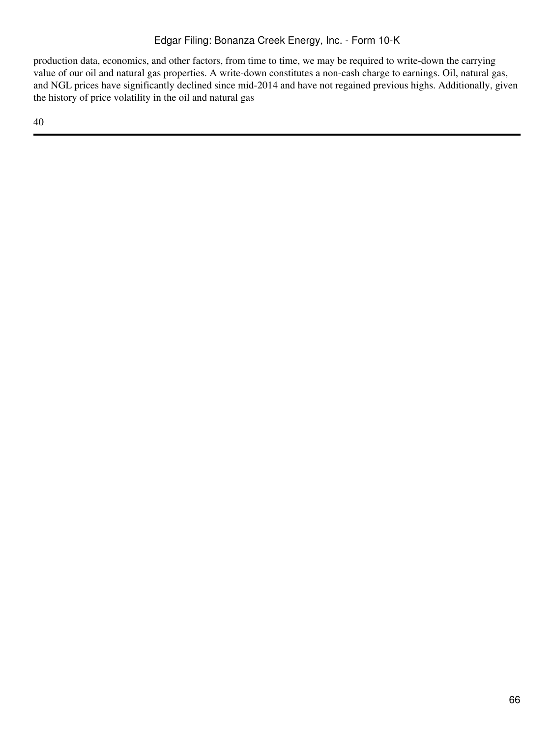production data, economics, and other factors, from time to time, we may be required to write-down the carrying value of our oil and natural gas properties. A write-down constitutes a non-cash charge to earnings. Oil, natural gas, and NGL prices have significantly declined since mid-2014 and have not regained previous highs. Additionally, given the history of price volatility in the oil and natural gas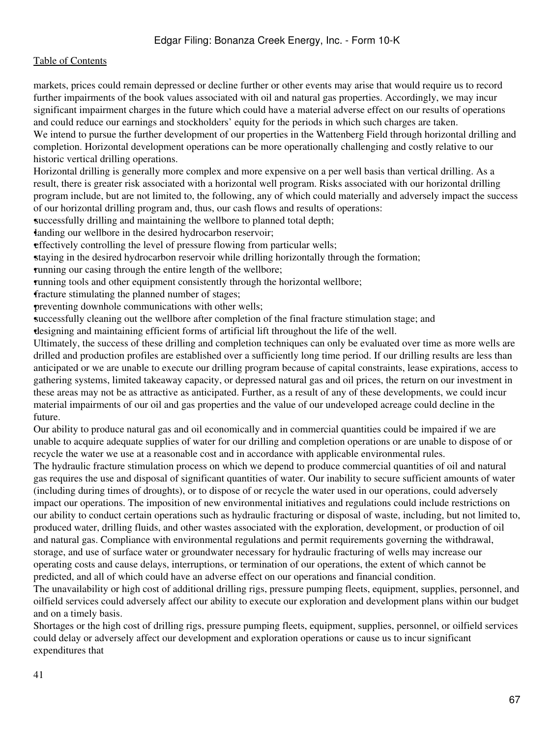### [Table of Contents](#page-2-0)

markets, prices could remain depressed or decline further or other events may arise that would require us to record further impairments of the book values associated with oil and natural gas properties. Accordingly, we may incur significant impairment charges in the future which could have a material adverse effect on our results of operations and could reduce our earnings and stockholders' equity for the periods in which such charges are taken. We intend to pursue the further development of our properties in the Wattenberg Field through horizontal drilling and completion. Horizontal development operations can be more operationally challenging and costly relative to our

historic vertical drilling operations.

Horizontal drilling is generally more complex and more expensive on a per well basis than vertical drilling. As a result, there is greater risk associated with a horizontal well program. Risks associated with our horizontal drilling program include, but are not limited to, the following, any of which could materially and adversely impact the success of our horizontal drilling program and, thus, our cash flows and results of operations:

•successfully drilling and maintaining the wellbore to planned total depth;

•landing our wellbore in the desired hydrocarbon reservoir;

•effectively controlling the level of pressure flowing from particular wells;

•staying in the desired hydrocarbon reservoir while drilling horizontally through the formation;

•running our casing through the entire length of the wellbore;

•running tools and other equipment consistently through the horizontal wellbore;

fracture stimulating the planned number of stages;

•preventing downhole communications with other wells;

•successfully cleaning out the wellbore after completion of the final fracture stimulation stage; and

•designing and maintaining efficient forms of artificial lift throughout the life of the well.

Ultimately, the success of these drilling and completion techniques can only be evaluated over time as more wells are drilled and production profiles are established over a sufficiently long time period. If our drilling results are less than anticipated or we are unable to execute our drilling program because of capital constraints, lease expirations, access to gathering systems, limited takeaway capacity, or depressed natural gas and oil prices, the return on our investment in these areas may not be as attractive as anticipated. Further, as a result of any of these developments, we could incur material impairments of our oil and gas properties and the value of our undeveloped acreage could decline in the future.

Our ability to produce natural gas and oil economically and in commercial quantities could be impaired if we are unable to acquire adequate supplies of water for our drilling and completion operations or are unable to dispose of or recycle the water we use at a reasonable cost and in accordance with applicable environmental rules.

The hydraulic fracture stimulation process on which we depend to produce commercial quantities of oil and natural gas requires the use and disposal of significant quantities of water. Our inability to secure sufficient amounts of water (including during times of droughts), or to dispose of or recycle the water used in our operations, could adversely impact our operations. The imposition of new environmental initiatives and regulations could include restrictions on our ability to conduct certain operations such as hydraulic fracturing or disposal of waste, including, but not limited to, produced water, drilling fluids, and other wastes associated with the exploration, development, or production of oil and natural gas. Compliance with environmental regulations and permit requirements governing the withdrawal, storage, and use of surface water or groundwater necessary for hydraulic fracturing of wells may increase our operating costs and cause delays, interruptions, or termination of our operations, the extent of which cannot be predicted, and all of which could have an adverse effect on our operations and financial condition.

The unavailability or high cost of additional drilling rigs, pressure pumping fleets, equipment, supplies, personnel, and oilfield services could adversely affect our ability to execute our exploration and development plans within our budget and on a timely basis.

Shortages or the high cost of drilling rigs, pressure pumping fleets, equipment, supplies, personnel, or oilfield services could delay or adversely affect our development and exploration operations or cause us to incur significant expenditures that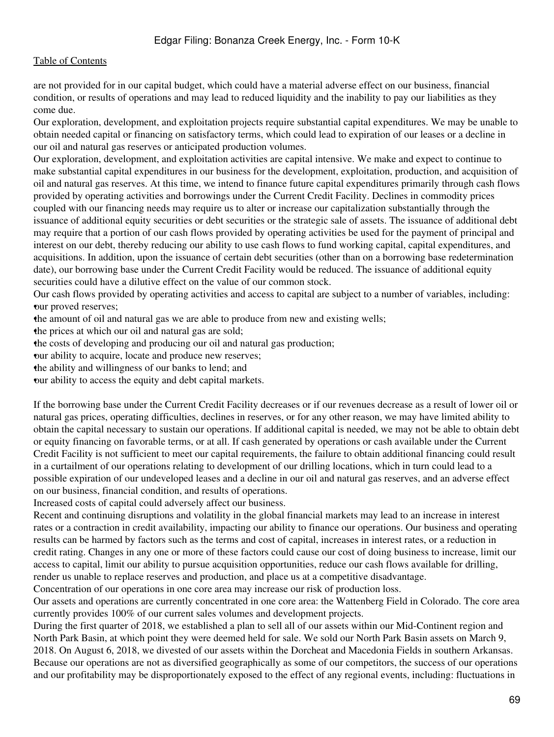are not provided for in our capital budget, which could have a material adverse effect on our business, financial condition, or results of operations and may lead to reduced liquidity and the inability to pay our liabilities as they come due.

Our exploration, development, and exploitation projects require substantial capital expenditures. We may be unable to obtain needed capital or financing on satisfactory terms, which could lead to expiration of our leases or a decline in our oil and natural gas reserves or anticipated production volumes.

Our exploration, development, and exploitation activities are capital intensive. We make and expect to continue to make substantial capital expenditures in our business for the development, exploitation, production, and acquisition of oil and natural gas reserves. At this time, we intend to finance future capital expenditures primarily through cash flows provided by operating activities and borrowings under the Current Credit Facility. Declines in commodity prices coupled with our financing needs may require us to alter or increase our capitalization substantially through the issuance of additional equity securities or debt securities or the strategic sale of assets. The issuance of additional debt may require that a portion of our cash flows provided by operating activities be used for the payment of principal and interest on our debt, thereby reducing our ability to use cash flows to fund working capital, capital expenditures, and acquisitions. In addition, upon the issuance of certain debt securities (other than on a borrowing base redetermination date), our borrowing base under the Current Credit Facility would be reduced. The issuance of additional equity securities could have a dilutive effect on the value of our common stock.

Our cash flows provided by operating activities and access to capital are subject to a number of variables, including: •our proved reserves;

•the amount of oil and natural gas we are able to produce from new and existing wells;

the prices at which our oil and natural gas are sold;

•the costs of developing and producing our oil and natural gas production;

•our ability to acquire, locate and produce new reserves;

•the ability and willingness of our banks to lend; and

•our ability to access the equity and debt capital markets.

If the borrowing base under the Current Credit Facility decreases or if our revenues decrease as a result of lower oil or natural gas prices, operating difficulties, declines in reserves, or for any other reason, we may have limited ability to obtain the capital necessary to sustain our operations. If additional capital is needed, we may not be able to obtain debt or equity financing on favorable terms, or at all. If cash generated by operations or cash available under the Current Credit Facility is not sufficient to meet our capital requirements, the failure to obtain additional financing could result in a curtailment of our operations relating to development of our drilling locations, which in turn could lead to a possible expiration of our undeveloped leases and a decline in our oil and natural gas reserves, and an adverse effect on our business, financial condition, and results of operations.

Increased costs of capital could adversely affect our business.

Recent and continuing disruptions and volatility in the global financial markets may lead to an increase in interest rates or a contraction in credit availability, impacting our ability to finance our operations. Our business and operating results can be harmed by factors such as the terms and cost of capital, increases in interest rates, or a reduction in credit rating. Changes in any one or more of these factors could cause our cost of doing business to increase, limit our access to capital, limit our ability to pursue acquisition opportunities, reduce our cash flows available for drilling, render us unable to replace reserves and production, and place us at a competitive disadvantage.

Concentration of our operations in one core area may increase our risk of production loss.

Our assets and operations are currently concentrated in one core area: the Wattenberg Field in Colorado. The core area currently provides 100% of our current sales volumes and development projects.

During the first quarter of 2018, we established a plan to sell all of our assets within our Mid-Continent region and North Park Basin, at which point they were deemed held for sale. We sold our North Park Basin assets on March 9, 2018. On August 6, 2018, we divested of our assets within the Dorcheat and Macedonia Fields in southern Arkansas. Because our operations are not as diversified geographically as some of our competitors, the success of our operations and our profitability may be disproportionately exposed to the effect of any regional events, including: fluctuations in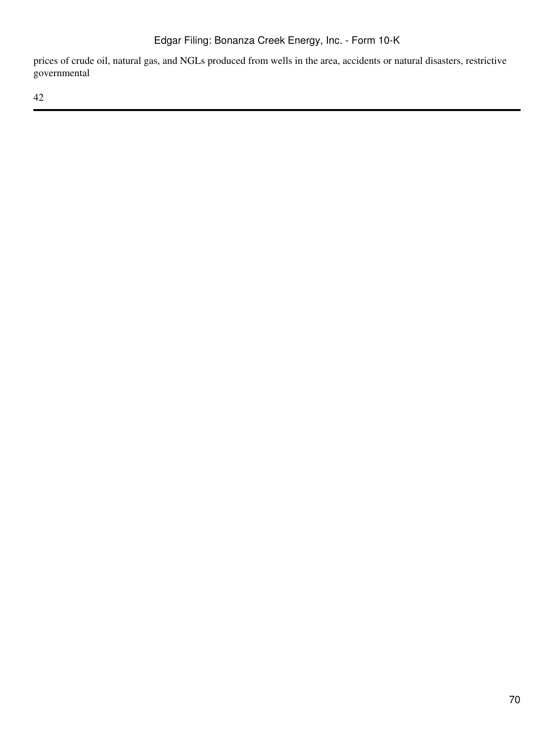prices of crude oil, natural gas, and NGLs produced from wells in the area, accidents or natural disasters, restrictive governmental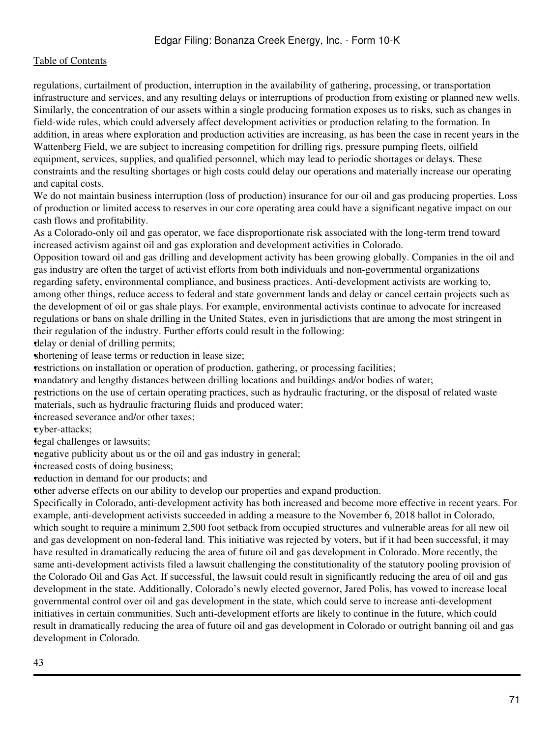regulations, curtailment of production, interruption in the availability of gathering, processing, or transportation infrastructure and services, and any resulting delays or interruptions of production from existing or planned new wells. Similarly, the concentration of our assets within a single producing formation exposes us to risks, such as changes in field-wide rules, which could adversely affect development activities or production relating to the formation. In addition, in areas where exploration and production activities are increasing, as has been the case in recent years in the Wattenberg Field, we are subject to increasing competition for drilling rigs, pressure pumping fleets, oilfield equipment, services, supplies, and qualified personnel, which may lead to periodic shortages or delays. These constraints and the resulting shortages or high costs could delay our operations and materially increase our operating and capital costs.

We do not maintain business interruption (loss of production) insurance for our oil and gas producing properties. Loss of production or limited access to reserves in our core operating area could have a significant negative impact on our cash flows and profitability.

As a Colorado-only oil and gas operator, we face disproportionate risk associated with the long-term trend toward increased activism against oil and gas exploration and development activities in Colorado.

Opposition toward oil and gas drilling and development activity has been growing globally. Companies in the oil and gas industry are often the target of activist efforts from both individuals and non-governmental organizations regarding safety, environmental compliance, and business practices. Anti-development activists are working to, among other things, reduce access to federal and state government lands and delay or cancel certain projects such as the development of oil or gas shale plays. For example, environmental activists continue to advocate for increased regulations or bans on shale drilling in the United States, even in jurisdictions that are among the most stringent in their regulation of the industry. Further efforts could result in the following:

•delay or denial of drilling permits;

shortening of lease terms or reduction in lease size;

•restrictions on installation or operation of production, gathering, or processing facilities;

•mandatory and lengthy distances between drilling locations and buildings and/or bodies of water;

restrictions on the use of certain operating practices, such as hydraulic fracturing, or the disposal of related waste

**Exercises** of the use of certain operating practices, such as hydraulic fracturing fluids and produced water;

•increased severance and/or other taxes;

•cyber-attacks;

•legal challenges or lawsuits;

•negative publicity about us or the oil and gas industry in general;

•increased costs of doing business;

•reduction in demand for our products; and

•other adverse effects on our ability to develop our properties and expand production.

Specifically in Colorado, anti-development activity has both increased and become more effective in recent years. For example, anti-development activists succeeded in adding a measure to the November 6, 2018 ballot in Colorado, which sought to require a minimum 2,500 foot setback from occupied structures and vulnerable areas for all new oil and gas development on non-federal land. This initiative was rejected by voters, but if it had been successful, it may have resulted in dramatically reducing the area of future oil and gas development in Colorado. More recently, the same anti-development activists filed a lawsuit challenging the constitutionality of the statutory pooling provision of the Colorado Oil and Gas Act. If successful, the lawsuit could result in significantly reducing the area of oil and gas development in the state. Additionally, Colorado's newly elected governor, Jared Polis, has vowed to increase local governmental control over oil and gas development in the state, which could serve to increase anti-development initiatives in certain communities. Such anti-development efforts are likely to continue in the future, which could result in dramatically reducing the area of future oil and gas development in Colorado or outright banning oil and gas development in Colorado.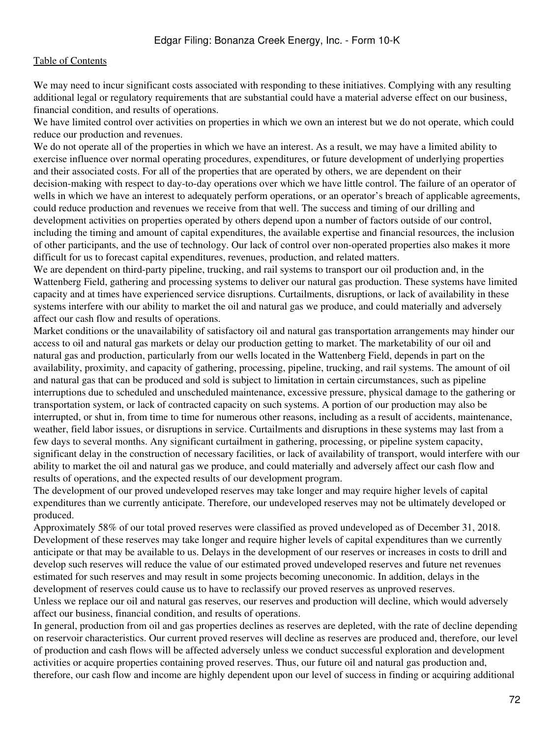We may need to incur significant costs associated with responding to these initiatives. Complying with any resulting additional legal or regulatory requirements that are substantial could have a material adverse effect on our business, financial condition, and results of operations.

We have limited control over activities on properties in which we own an interest but we do not operate, which could reduce our production and revenues.

We do not operate all of the properties in which we have an interest. As a result, we may have a limited ability to exercise influence over normal operating procedures, expenditures, or future development of underlying properties and their associated costs. For all of the properties that are operated by others, we are dependent on their decision-making with respect to day-to-day operations over which we have little control. The failure of an operator of wells in which we have an interest to adequately perform operations, or an operator's breach of applicable agreements, could reduce production and revenues we receive from that well. The success and timing of our drilling and development activities on properties operated by others depend upon a number of factors outside of our control, including the timing and amount of capital expenditures, the available expertise and financial resources, the inclusion of other participants, and the use of technology. Our lack of control over non-operated properties also makes it more difficult for us to forecast capital expenditures, revenues, production, and related matters.

We are dependent on third-party pipeline, trucking, and rail systems to transport our oil production and, in the Wattenberg Field, gathering and processing systems to deliver our natural gas production. These systems have limited capacity and at times have experienced service disruptions. Curtailments, disruptions, or lack of availability in these systems interfere with our ability to market the oil and natural gas we produce, and could materially and adversely affect our cash flow and results of operations.

Market conditions or the unavailability of satisfactory oil and natural gas transportation arrangements may hinder our access to oil and natural gas markets or delay our production getting to market. The marketability of our oil and natural gas and production, particularly from our wells located in the Wattenberg Field, depends in part on the availability, proximity, and capacity of gathering, processing, pipeline, trucking, and rail systems. The amount of oil and natural gas that can be produced and sold is subject to limitation in certain circumstances, such as pipeline interruptions due to scheduled and unscheduled maintenance, excessive pressure, physical damage to the gathering or transportation system, or lack of contracted capacity on such systems. A portion of our production may also be interrupted, or shut in, from time to time for numerous other reasons, including as a result of accidents, maintenance, weather, field labor issues, or disruptions in service. Curtailments and disruptions in these systems may last from a few days to several months. Any significant curtailment in gathering, processing, or pipeline system capacity, significant delay in the construction of necessary facilities, or lack of availability of transport, would interfere with our ability to market the oil and natural gas we produce, and could materially and adversely affect our cash flow and results of operations, and the expected results of our development program.

The development of our proved undeveloped reserves may take longer and may require higher levels of capital expenditures than we currently anticipate. Therefore, our undeveloped reserves may not be ultimately developed or produced.

Approximately 58% of our total proved reserves were classified as proved undeveloped as of December 31, 2018. Development of these reserves may take longer and require higher levels of capital expenditures than we currently anticipate or that may be available to us. Delays in the development of our reserves or increases in costs to drill and develop such reserves will reduce the value of our estimated proved undeveloped reserves and future net revenues estimated for such reserves and may result in some projects becoming uneconomic. In addition, delays in the development of reserves could cause us to have to reclassify our proved reserves as unproved reserves. Unless we replace our oil and natural gas reserves, our reserves and production will decline, which would adversely

affect our business, financial condition, and results of operations.

In general, production from oil and gas properties declines as reserves are depleted, with the rate of decline depending on reservoir characteristics. Our current proved reserves will decline as reserves are produced and, therefore, our level of production and cash flows will be affected adversely unless we conduct successful exploration and development activities or acquire properties containing proved reserves. Thus, our future oil and natural gas production and, therefore, our cash flow and income are highly dependent upon our level of success in finding or acquiring additional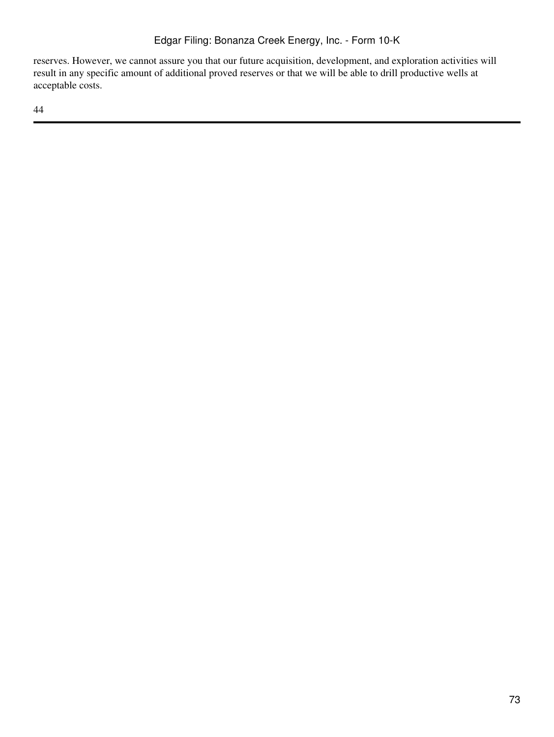reserves. However, we cannot assure you that our future acquisition, development, and exploration activities will result in any specific amount of additional proved reserves or that we will be able to drill productive wells at acceptable costs.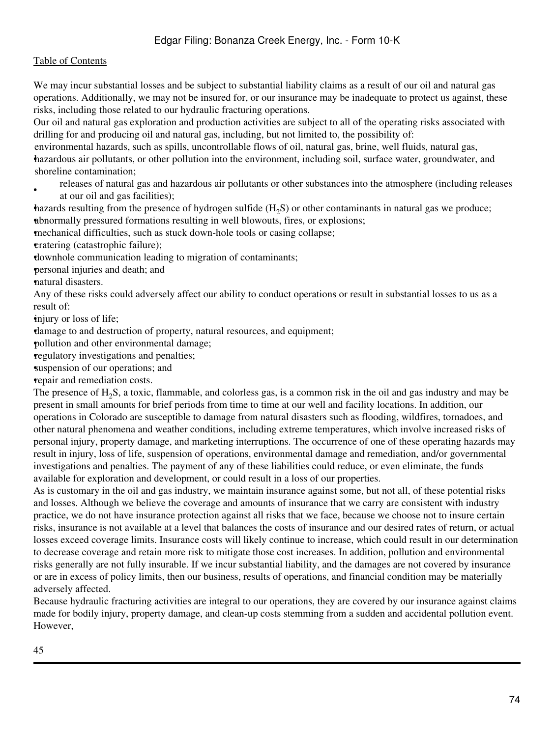We may incur substantial losses and be subject to substantial liability claims as a result of our oil and natural gas operations. Additionally, we may not be insured for, or our insurance may be inadequate to protect us against, these risks, including those related to our hydraulic fracturing operations.

Our oil and natural gas exploration and production activities are subject to all of the operating risks associated with drilling for and producing oil and natural gas, including, but not limited to, the possibility of:

• hazardous air pollutants, or other pollution into the environment, including soil, surface water, groundwater, and environmental hazards, such as spills, uncontrollable flows of oil, natural gas, brine, well fluids, natural gas, shoreline contamination;

• releases of natural gas and hazardous air pollutants or other substances into the atmosphere (including releases at our oil and gas facilities);

hazards resulting from the presence of hydrogen sulfide  $(H<sub>2</sub>S)$  or other contaminants in natural gas we produce; •abnormally pressured formations resulting in well blowouts, fires, or explosions;

•mechanical difficulties, such as stuck down-hole tools or casing collapse;

•cratering (catastrophic failure);

•downhole communication leading to migration of contaminants;

•personal injuries and death; and

•natural disasters.

Any of these risks could adversely affect our ability to conduct operations or result in substantial losses to us as a result of:

•injury or loss of life;

•damage to and destruction of property, natural resources, and equipment;

•pollution and other environmental damage;

•regulatory investigations and penalties;

suspension of our operations; and

•repair and remediation costs.

The presence of H<sub>2</sub>S, a toxic, flammable, and colorless gas, is a common risk in the oil and gas industry and may be present in small amounts for brief periods from time to time at our well and facility locations. In addition, our operations in Colorado are susceptible to damage from natural disasters such as flooding, wildfires, tornadoes, and other natural phenomena and weather conditions, including extreme temperatures, which involve increased risks of personal injury, property damage, and marketing interruptions. The occurrence of one of these operating hazards may result in injury, loss of life, suspension of operations, environmental damage and remediation, and/or governmental investigations and penalties. The payment of any of these liabilities could reduce, or even eliminate, the funds available for exploration and development, or could result in a loss of our properties.

As is customary in the oil and gas industry, we maintain insurance against some, but not all, of these potential risks and losses. Although we believe the coverage and amounts of insurance that we carry are consistent with industry practice, we do not have insurance protection against all risks that we face, because we choose not to insure certain risks, insurance is not available at a level that balances the costs of insurance and our desired rates of return, or actual losses exceed coverage limits. Insurance costs will likely continue to increase, which could result in our determination to decrease coverage and retain more risk to mitigate those cost increases. In addition, pollution and environmental risks generally are not fully insurable. If we incur substantial liability, and the damages are not covered by insurance or are in excess of policy limits, then our business, results of operations, and financial condition may be materially adversely affected.

Because hydraulic fracturing activities are integral to our operations, they are covered by our insurance against claims made for bodily injury, property damage, and clean-up costs stemming from a sudden and accidental pollution event. However,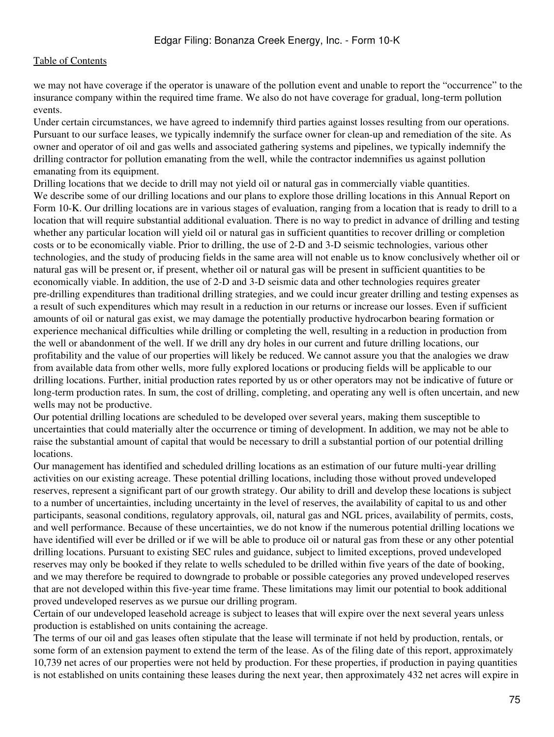we may not have coverage if the operator is unaware of the pollution event and unable to report the "occurrence" to the insurance company within the required time frame. We also do not have coverage for gradual, long-term pollution events.

Under certain circumstances, we have agreed to indemnify third parties against losses resulting from our operations. Pursuant to our surface leases, we typically indemnify the surface owner for clean-up and remediation of the site. As owner and operator of oil and gas wells and associated gathering systems and pipelines, we typically indemnify the drilling contractor for pollution emanating from the well, while the contractor indemnifies us against pollution emanating from its equipment.

Drilling locations that we decide to drill may not yield oil or natural gas in commercially viable quantities. We describe some of our drilling locations and our plans to explore those drilling locations in this Annual Report on Form 10-K. Our drilling locations are in various stages of evaluation, ranging from a location that is ready to drill to a location that will require substantial additional evaluation. There is no way to predict in advance of drilling and testing whether any particular location will yield oil or natural gas in sufficient quantities to recover drilling or completion costs or to be economically viable. Prior to drilling, the use of 2-D and 3-D seismic technologies, various other technologies, and the study of producing fields in the same area will not enable us to know conclusively whether oil or natural gas will be present or, if present, whether oil or natural gas will be present in sufficient quantities to be economically viable. In addition, the use of 2-D and 3-D seismic data and other technologies requires greater pre-drilling expenditures than traditional drilling strategies, and we could incur greater drilling and testing expenses as a result of such expenditures which may result in a reduction in our returns or increase our losses. Even if sufficient amounts of oil or natural gas exist, we may damage the potentially productive hydrocarbon bearing formation or experience mechanical difficulties while drilling or completing the well, resulting in a reduction in production from the well or abandonment of the well. If we drill any dry holes in our current and future drilling locations, our profitability and the value of our properties will likely be reduced. We cannot assure you that the analogies we draw from available data from other wells, more fully explored locations or producing fields will be applicable to our drilling locations. Further, initial production rates reported by us or other operators may not be indicative of future or long-term production rates. In sum, the cost of drilling, completing, and operating any well is often uncertain, and new wells may not be productive.

Our potential drilling locations are scheduled to be developed over several years, making them susceptible to uncertainties that could materially alter the occurrence or timing of development. In addition, we may not be able to raise the substantial amount of capital that would be necessary to drill a substantial portion of our potential drilling locations.

Our management has identified and scheduled drilling locations as an estimation of our future multi-year drilling activities on our existing acreage. These potential drilling locations, including those without proved undeveloped reserves, represent a significant part of our growth strategy. Our ability to drill and develop these locations is subject to a number of uncertainties, including uncertainty in the level of reserves, the availability of capital to us and other participants, seasonal conditions, regulatory approvals, oil, natural gas and NGL prices, availability of permits, costs, and well performance. Because of these uncertainties, we do not know if the numerous potential drilling locations we have identified will ever be drilled or if we will be able to produce oil or natural gas from these or any other potential drilling locations. Pursuant to existing SEC rules and guidance, subject to limited exceptions, proved undeveloped reserves may only be booked if they relate to wells scheduled to be drilled within five years of the date of booking, and we may therefore be required to downgrade to probable or possible categories any proved undeveloped reserves that are not developed within this five-year time frame. These limitations may limit our potential to book additional proved undeveloped reserves as we pursue our drilling program.

Certain of our undeveloped leasehold acreage is subject to leases that will expire over the next several years unless production is established on units containing the acreage.

The terms of our oil and gas leases often stipulate that the lease will terminate if not held by production, rentals, or some form of an extension payment to extend the term of the lease. As of the filing date of this report, approximately 10,739 net acres of our properties were not held by production. For these properties, if production in paying quantities is not established on units containing these leases during the next year, then approximately 432 net acres will expire in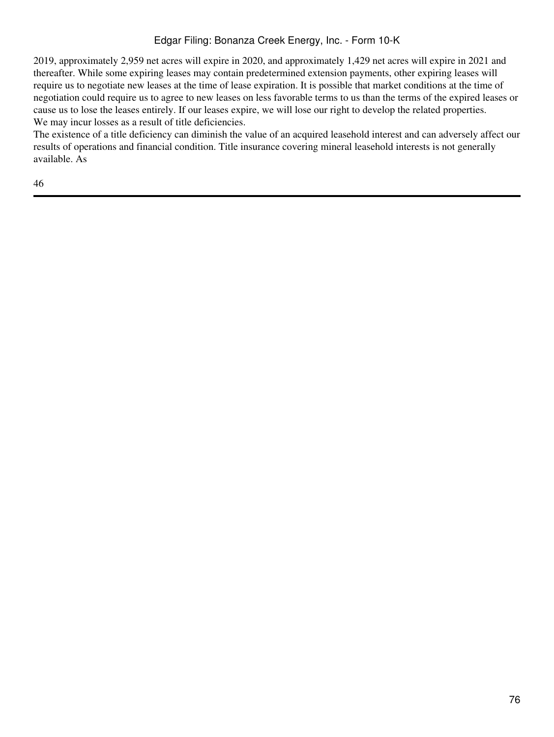2019, approximately 2,959 net acres will expire in 2020, and approximately 1,429 net acres will expire in 2021 and thereafter. While some expiring leases may contain predetermined extension payments, other expiring leases will require us to negotiate new leases at the time of lease expiration. It is possible that market conditions at the time of negotiation could require us to agree to new leases on less favorable terms to us than the terms of the expired leases or cause us to lose the leases entirely. If our leases expire, we will lose our right to develop the related properties. We may incur losses as a result of title deficiencies.

The existence of a title deficiency can diminish the value of an acquired leasehold interest and can adversely affect our results of operations and financial condition. Title insurance covering mineral leasehold interests is not generally available. As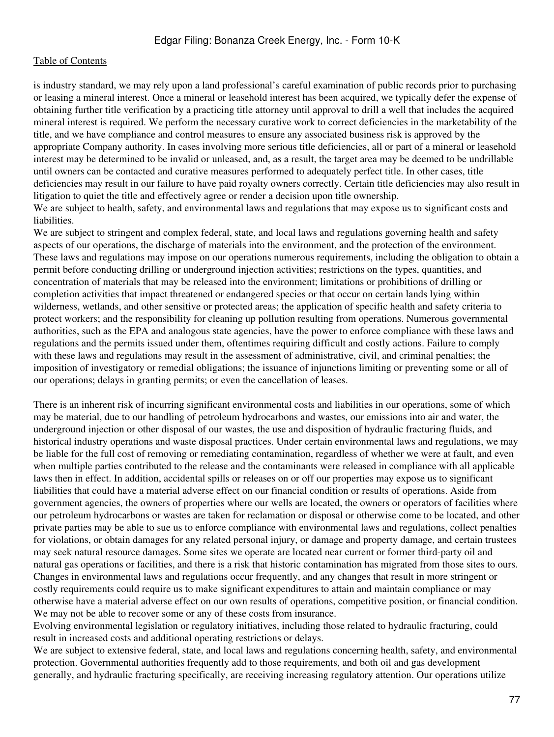is industry standard, we may rely upon a land professional's careful examination of public records prior to purchasing or leasing a mineral interest. Once a mineral or leasehold interest has been acquired, we typically defer the expense of obtaining further title verification by a practicing title attorney until approval to drill a well that includes the acquired mineral interest is required. We perform the necessary curative work to correct deficiencies in the marketability of the title, and we have compliance and control measures to ensure any associated business risk is approved by the appropriate Company authority. In cases involving more serious title deficiencies, all or part of a mineral or leasehold interest may be determined to be invalid or unleased, and, as a result, the target area may be deemed to be undrillable until owners can be contacted and curative measures performed to adequately perfect title. In other cases, title deficiencies may result in our failure to have paid royalty owners correctly. Certain title deficiencies may also result in litigation to quiet the title and effectively agree or render a decision upon title ownership. We are subject to health, safety, and environmental laws and regulations that may expose us to significant costs and liabilities.

We are subject to stringent and complex federal, state, and local laws and regulations governing health and safety aspects of our operations, the discharge of materials into the environment, and the protection of the environment. These laws and regulations may impose on our operations numerous requirements, including the obligation to obtain a permit before conducting drilling or underground injection activities; restrictions on the types, quantities, and concentration of materials that may be released into the environment; limitations or prohibitions of drilling or completion activities that impact threatened or endangered species or that occur on certain lands lying within wilderness, wetlands, and other sensitive or protected areas; the application of specific health and safety criteria to protect workers; and the responsibility for cleaning up pollution resulting from operations. Numerous governmental authorities, such as the EPA and analogous state agencies, have the power to enforce compliance with these laws and regulations and the permits issued under them, oftentimes requiring difficult and costly actions. Failure to comply with these laws and regulations may result in the assessment of administrative, civil, and criminal penalties; the imposition of investigatory or remedial obligations; the issuance of injunctions limiting or preventing some or all of our operations; delays in granting permits; or even the cancellation of leases.

There is an inherent risk of incurring significant environmental costs and liabilities in our operations, some of which may be material, due to our handling of petroleum hydrocarbons and wastes, our emissions into air and water, the underground injection or other disposal of our wastes, the use and disposition of hydraulic fracturing fluids, and historical industry operations and waste disposal practices. Under certain environmental laws and regulations, we may be liable for the full cost of removing or remediating contamination, regardless of whether we were at fault, and even when multiple parties contributed to the release and the contaminants were released in compliance with all applicable laws then in effect. In addition, accidental spills or releases on or off our properties may expose us to significant liabilities that could have a material adverse effect on our financial condition or results of operations. Aside from government agencies, the owners of properties where our wells are located, the owners or operators of facilities where our petroleum hydrocarbons or wastes are taken for reclamation or disposal or otherwise come to be located, and other private parties may be able to sue us to enforce compliance with environmental laws and regulations, collect penalties for violations, or obtain damages for any related personal injury, or damage and property damage, and certain trustees may seek natural resource damages. Some sites we operate are located near current or former third-party oil and natural gas operations or facilities, and there is a risk that historic contamination has migrated from those sites to ours. Changes in environmental laws and regulations occur frequently, and any changes that result in more stringent or costly requirements could require us to make significant expenditures to attain and maintain compliance or may otherwise have a material adverse effect on our own results of operations, competitive position, or financial condition. We may not be able to recover some or any of these costs from insurance.

Evolving environmental legislation or regulatory initiatives, including those related to hydraulic fracturing, could result in increased costs and additional operating restrictions or delays.

We are subject to extensive federal, state, and local laws and regulations concerning health, safety, and environmental protection. Governmental authorities frequently add to those requirements, and both oil and gas development generally, and hydraulic fracturing specifically, are receiving increasing regulatory attention. Our operations utilize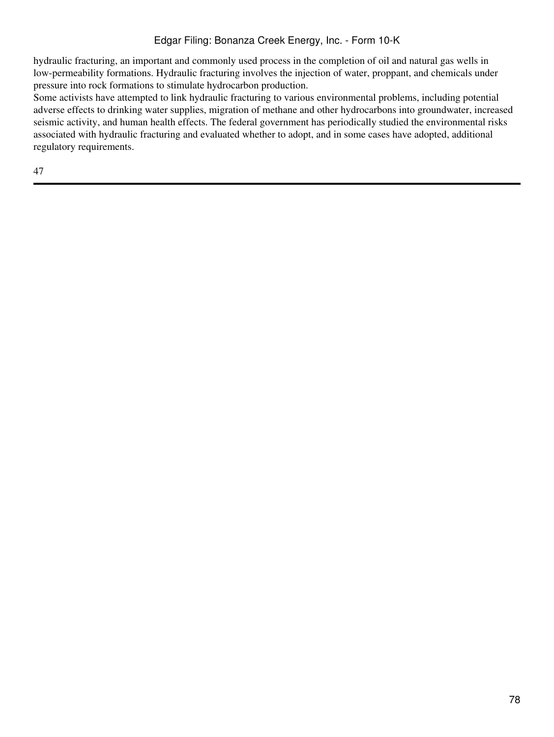hydraulic fracturing, an important and commonly used process in the completion of oil and natural gas wells in low-permeability formations. Hydraulic fracturing involves the injection of water, proppant, and chemicals under pressure into rock formations to stimulate hydrocarbon production.

Some activists have attempted to link hydraulic fracturing to various environmental problems, including potential adverse effects to drinking water supplies, migration of methane and other hydrocarbons into groundwater, increased seismic activity, and human health effects. The federal government has periodically studied the environmental risks associated with hydraulic fracturing and evaluated whether to adopt, and in some cases have adopted, additional regulatory requirements.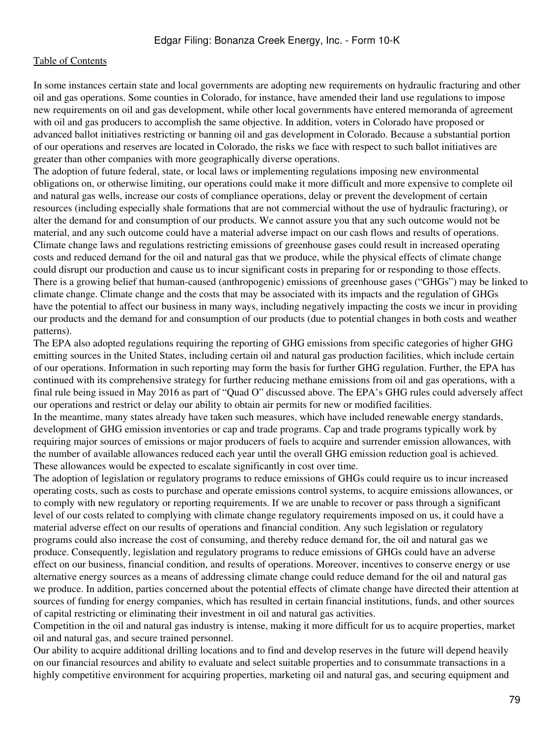In some instances certain state and local governments are adopting new requirements on hydraulic fracturing and other oil and gas operations. Some counties in Colorado, for instance, have amended their land use regulations to impose new requirements on oil and gas development, while other local governments have entered memoranda of agreement with oil and gas producers to accomplish the same objective. In addition, voters in Colorado have proposed or advanced ballot initiatives restricting or banning oil and gas development in Colorado. Because a substantial portion of our operations and reserves are located in Colorado, the risks we face with respect to such ballot initiatives are greater than other companies with more geographically diverse operations.

The adoption of future federal, state, or local laws or implementing regulations imposing new environmental obligations on, or otherwise limiting, our operations could make it more difficult and more expensive to complete oil and natural gas wells, increase our costs of compliance operations, delay or prevent the development of certain resources (including especially shale formations that are not commercial without the use of hydraulic fracturing), or alter the demand for and consumption of our products. We cannot assure you that any such outcome would not be material, and any such outcome could have a material adverse impact on our cash flows and results of operations. Climate change laws and regulations restricting emissions of greenhouse gases could result in increased operating costs and reduced demand for the oil and natural gas that we produce, while the physical effects of climate change could disrupt our production and cause us to incur significant costs in preparing for or responding to those effects. There is a growing belief that human-caused (anthropogenic) emissions of greenhouse gases ("GHGs") may be linked to climate change. Climate change and the costs that may be associated with its impacts and the regulation of GHGs have the potential to affect our business in many ways, including negatively impacting the costs we incur in providing our products and the demand for and consumption of our products (due to potential changes in both costs and weather patterns).

The EPA also adopted regulations requiring the reporting of GHG emissions from specific categories of higher GHG emitting sources in the United States, including certain oil and natural gas production facilities, which include certain of our operations. Information in such reporting may form the basis for further GHG regulation. Further, the EPA has continued with its comprehensive strategy for further reducing methane emissions from oil and gas operations, with a final rule being issued in May 2016 as part of "Quad O" discussed above. The EPA's GHG rules could adversely affect our operations and restrict or delay our ability to obtain air permits for new or modified facilities.

In the meantime, many states already have taken such measures, which have included renewable energy standards, development of GHG emission inventories or cap and trade programs. Cap and trade programs typically work by requiring major sources of emissions or major producers of fuels to acquire and surrender emission allowances, with the number of available allowances reduced each year until the overall GHG emission reduction goal is achieved. These allowances would be expected to escalate significantly in cost over time.

The adoption of legislation or regulatory programs to reduce emissions of GHGs could require us to incur increased operating costs, such as costs to purchase and operate emissions control systems, to acquire emissions allowances, or to comply with new regulatory or reporting requirements. If we are unable to recover or pass through a significant level of our costs related to complying with climate change regulatory requirements imposed on us, it could have a material adverse effect on our results of operations and financial condition. Any such legislation or regulatory programs could also increase the cost of consuming, and thereby reduce demand for, the oil and natural gas we produce. Consequently, legislation and regulatory programs to reduce emissions of GHGs could have an adverse effect on our business, financial condition, and results of operations. Moreover, incentives to conserve energy or use alternative energy sources as a means of addressing climate change could reduce demand for the oil and natural gas we produce. In addition, parties concerned about the potential effects of climate change have directed their attention at sources of funding for energy companies, which has resulted in certain financial institutions, funds, and other sources of capital restricting or eliminating their investment in oil and natural gas activities.

Competition in the oil and natural gas industry is intense, making it more difficult for us to acquire properties, market oil and natural gas, and secure trained personnel.

Our ability to acquire additional drilling locations and to find and develop reserves in the future will depend heavily on our financial resources and ability to evaluate and select suitable properties and to consummate transactions in a highly competitive environment for acquiring properties, marketing oil and natural gas, and securing equipment and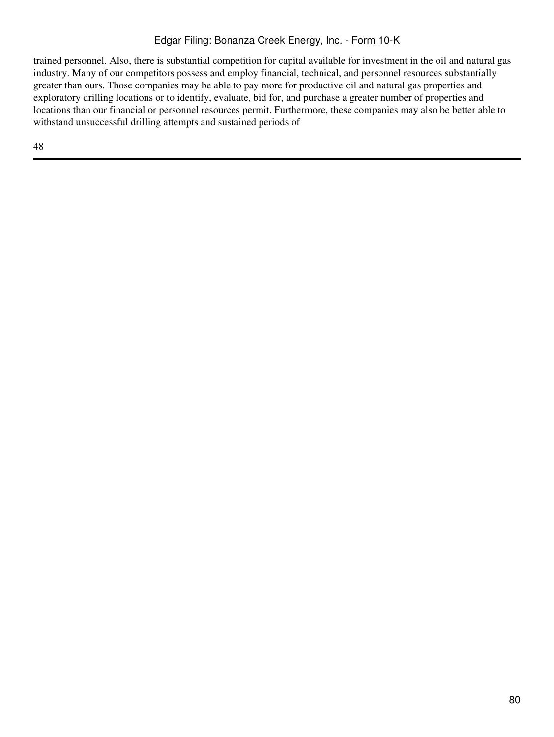trained personnel. Also, there is substantial competition for capital available for investment in the oil and natural gas industry. Many of our competitors possess and employ financial, technical, and personnel resources substantially greater than ours. Those companies may be able to pay more for productive oil and natural gas properties and exploratory drilling locations or to identify, evaluate, bid for, and purchase a greater number of properties and locations than our financial or personnel resources permit. Furthermore, these companies may also be better able to withstand unsuccessful drilling attempts and sustained periods of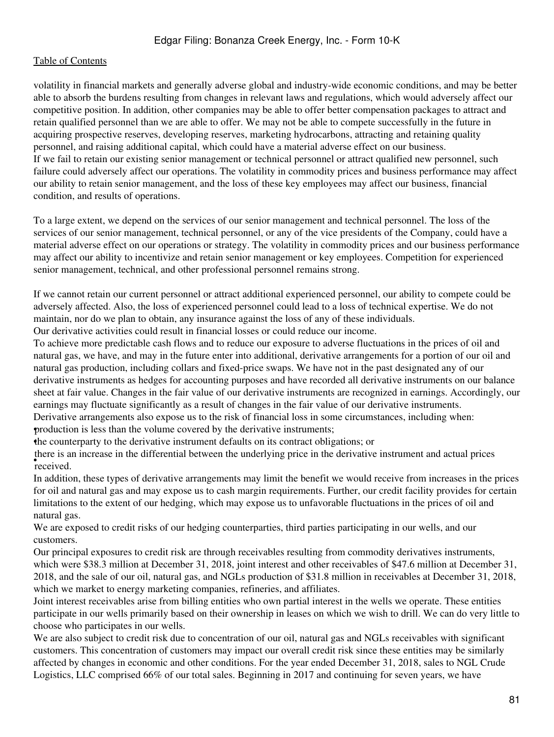volatility in financial markets and generally adverse global and industry-wide economic conditions, and may be better able to absorb the burdens resulting from changes in relevant laws and regulations, which would adversely affect our competitive position. In addition, other companies may be able to offer better compensation packages to attract and retain qualified personnel than we are able to offer. We may not be able to compete successfully in the future in acquiring prospective reserves, developing reserves, marketing hydrocarbons, attracting and retaining quality personnel, and raising additional capital, which could have a material adverse effect on our business. If we fail to retain our existing senior management or technical personnel or attract qualified new personnel, such failure could adversely affect our operations. The volatility in commodity prices and business performance may affect our ability to retain senior management, and the loss of these key employees may affect our business, financial condition, and results of operations.

To a large extent, we depend on the services of our senior management and technical personnel. The loss of the services of our senior management, technical personnel, or any of the vice presidents of the Company, could have a material adverse effect on our operations or strategy. The volatility in commodity prices and our business performance may affect our ability to incentivize and retain senior management or key employees. Competition for experienced senior management, technical, and other professional personnel remains strong.

If we cannot retain our current personnel or attract additional experienced personnel, our ability to compete could be adversely affected. Also, the loss of experienced personnel could lead to a loss of technical expertise. We do not maintain, nor do we plan to obtain, any insurance against the loss of any of these individuals. Our derivative activities could result in financial losses or could reduce our income.

To achieve more predictable cash flows and to reduce our exposure to adverse fluctuations in the prices of oil and natural gas, we have, and may in the future enter into additional, derivative arrangements for a portion of our oil and natural gas production, including collars and fixed-price swaps. We have not in the past designated any of our derivative instruments as hedges for accounting purposes and have recorded all derivative instruments on our balance sheet at fair value. Changes in the fair value of our derivative instruments are recognized in earnings. Accordingly, our earnings may fluctuate significantly as a result of changes in the fair value of our derivative instruments.

Derivative arrangements also expose us to the risk of financial loss in some circumstances, including when: •production is less than the volume covered by the derivative instruments;

•the counterparty to the derivative instrument defaults on its contract obligations; or

• received. there is an increase in the differential between the underlying price in the derivative instrument and actual prices

In addition, these types of derivative arrangements may limit the benefit we would receive from increases in the prices for oil and natural gas and may expose us to cash margin requirements. Further, our credit facility provides for certain limitations to the extent of our hedging, which may expose us to unfavorable fluctuations in the prices of oil and natural gas.

We are exposed to credit risks of our hedging counterparties, third parties participating in our wells, and our customers.

Our principal exposures to credit risk are through receivables resulting from commodity derivatives instruments, which were \$38.3 million at December 31, 2018, joint interest and other receivables of \$47.6 million at December 31, 2018, and the sale of our oil, natural gas, and NGLs production of \$31.8 million in receivables at December 31, 2018, which we market to energy marketing companies, refineries, and affiliates.

Joint interest receivables arise from billing entities who own partial interest in the wells we operate. These entities participate in our wells primarily based on their ownership in leases on which we wish to drill. We can do very little to choose who participates in our wells.

We are also subject to credit risk due to concentration of our oil, natural gas and NGLs receivables with significant customers. This concentration of customers may impact our overall credit risk since these entities may be similarly affected by changes in economic and other conditions. For the year ended December 31, 2018, sales to NGL Crude Logistics, LLC comprised 66% of our total sales. Beginning in 2017 and continuing for seven years, we have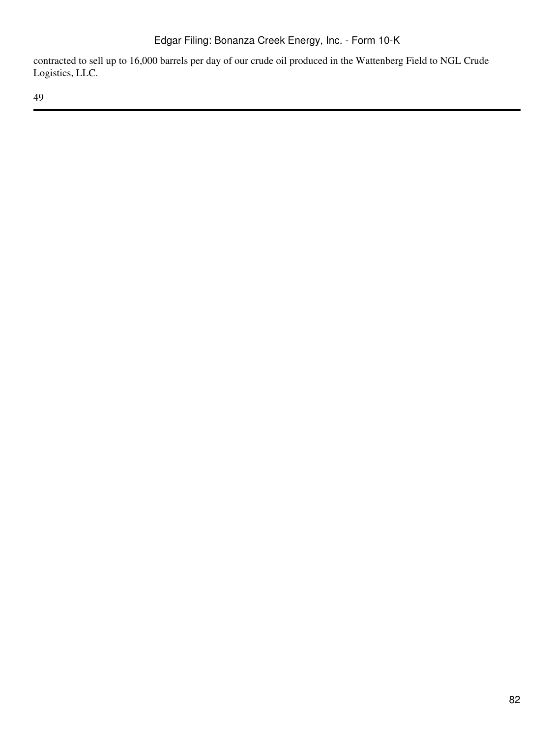contracted to sell up to 16,000 barrels per day of our crude oil produced in the Wattenberg Field to NGL Crude Logistics, LLC.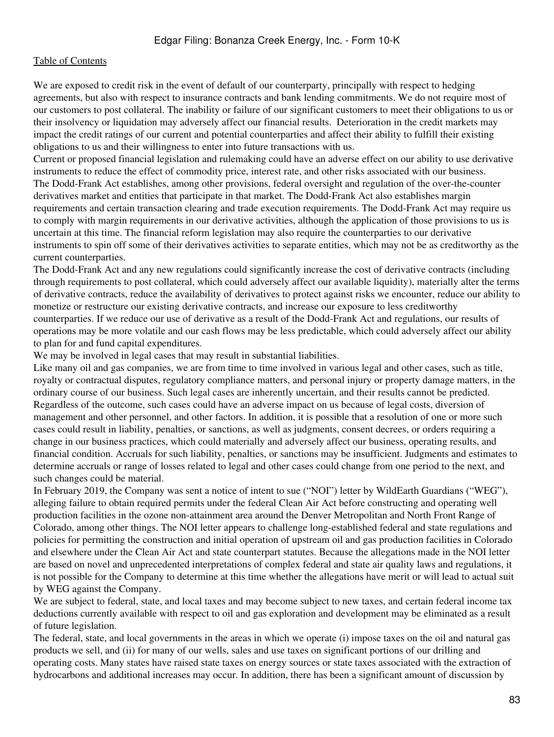We are exposed to credit risk in the event of default of our counterparty, principally with respect to hedging agreements, but also with respect to insurance contracts and bank lending commitments. We do not require most of our customers to post collateral. The inability or failure of our significant customers to meet their obligations to us or their insolvency or liquidation may adversely affect our financial results. Deterioration in the credit markets may impact the credit ratings of our current and potential counterparties and affect their ability to fulfill their existing obligations to us and their willingness to enter into future transactions with us.

Current or proposed financial legislation and rulemaking could have an adverse effect on our ability to use derivative instruments to reduce the effect of commodity price, interest rate, and other risks associated with our business. The Dodd-Frank Act establishes, among other provisions, federal oversight and regulation of the over-the-counter derivatives market and entities that participate in that market. The Dodd-Frank Act also establishes margin requirements and certain transaction clearing and trade execution requirements. The Dodd-Frank Act may require us to comply with margin requirements in our derivative activities, although the application of those provisions to us is uncertain at this time. The financial reform legislation may also require the counterparties to our derivative instruments to spin off some of their derivatives activities to separate entities, which may not be as creditworthy as the current counterparties.

The Dodd-Frank Act and any new regulations could significantly increase the cost of derivative contracts (including through requirements to post collateral, which could adversely affect our available liquidity), materially alter the terms of derivative contracts, reduce the availability of derivatives to protect against risks we encounter, reduce our ability to monetize or restructure our existing derivative contracts, and increase our exposure to less creditworthy counterparties. If we reduce our use of derivative as a result of the Dodd-Frank Act and regulations, our results of operations may be more volatile and our cash flows may be less predictable, which could adversely affect our ability to plan for and fund capital expenditures.

We may be involved in legal cases that may result in substantial liabilities.

Like many oil and gas companies, we are from time to time involved in various legal and other cases, such as title, royalty or contractual disputes, regulatory compliance matters, and personal injury or property damage matters, in the ordinary course of our business. Such legal cases are inherently uncertain, and their results cannot be predicted. Regardless of the outcome, such cases could have an adverse impact on us because of legal costs, diversion of management and other personnel, and other factors. In addition, it is possible that a resolution of one or more such cases could result in liability, penalties, or sanctions, as well as judgments, consent decrees, or orders requiring a change in our business practices, which could materially and adversely affect our business, operating results, and financial condition. Accruals for such liability, penalties, or sanctions may be insufficient. Judgments and estimates to determine accruals or range of losses related to legal and other cases could change from one period to the next, and such changes could be material.

In February 2019, the Company was sent a notice of intent to sue ("NOI") letter by WildEarth Guardians ("WEG"), alleging failure to obtain required permits under the federal Clean Air Act before constructing and operating well production facilities in the ozone non-attainment area around the Denver Metropolitan and North Front Range of Colorado, among other things. The NOI letter appears to challenge long-established federal and state regulations and policies for permitting the construction and initial operation of upstream oil and gas production facilities in Colorado and elsewhere under the Clean Air Act and state counterpart statutes. Because the allegations made in the NOI letter are based on novel and unprecedented interpretations of complex federal and state air quality laws and regulations, it is not possible for the Company to determine at this time whether the allegations have merit or will lead to actual suit by WEG against the Company.

We are subject to federal, state, and local taxes and may become subject to new taxes, and certain federal income tax deductions currently available with respect to oil and gas exploration and development may be eliminated as a result of future legislation.

The federal, state, and local governments in the areas in which we operate (i) impose taxes on the oil and natural gas products we sell, and (ii) for many of our wells, sales and use taxes on significant portions of our drilling and operating costs. Many states have raised state taxes on energy sources or state taxes associated with the extraction of hydrocarbons and additional increases may occur. In addition, there has been a significant amount of discussion by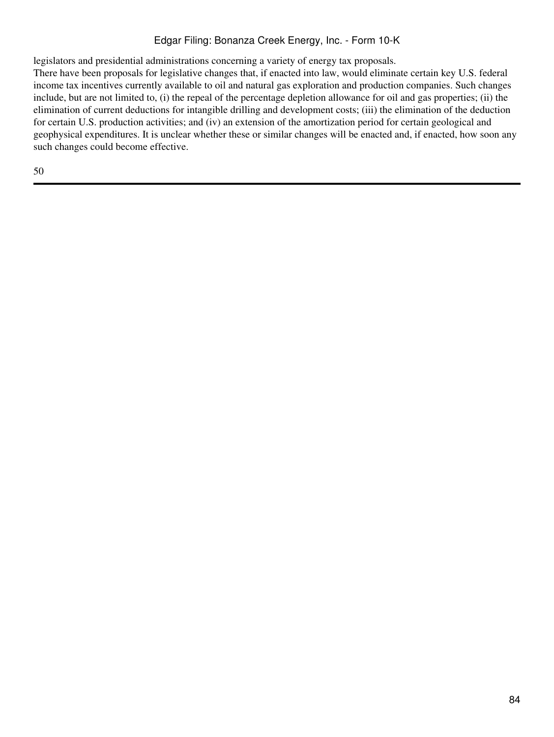legislators and presidential administrations concerning a variety of energy tax proposals.

There have been proposals for legislative changes that, if enacted into law, would eliminate certain key U.S. federal income tax incentives currently available to oil and natural gas exploration and production companies. Such changes include, but are not limited to, (i) the repeal of the percentage depletion allowance for oil and gas properties; (ii) the elimination of current deductions for intangible drilling and development costs; (iii) the elimination of the deduction for certain U.S. production activities; and (iv) an extension of the amortization period for certain geological and geophysical expenditures. It is unclear whether these or similar changes will be enacted and, if enacted, how soon any such changes could become effective.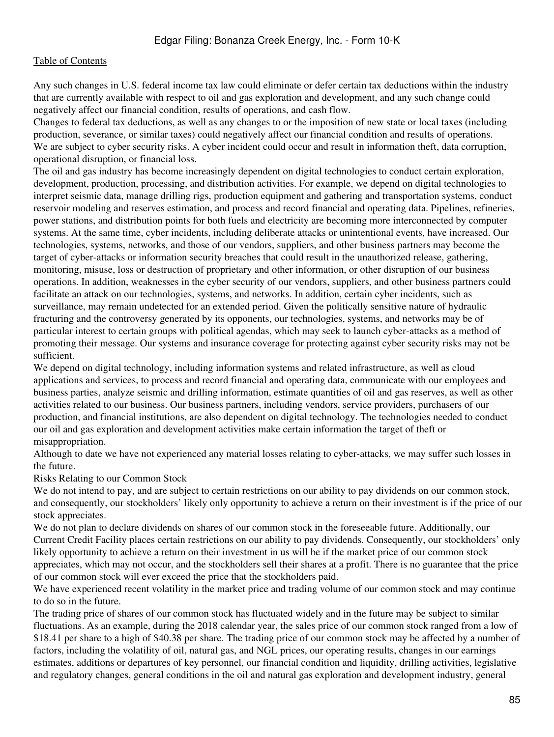Any such changes in U.S. federal income tax law could eliminate or defer certain tax deductions within the industry that are currently available with respect to oil and gas exploration and development, and any such change could negatively affect our financial condition, results of operations, and cash flow.

Changes to federal tax deductions, as well as any changes to or the imposition of new state or local taxes (including production, severance, or similar taxes) could negatively affect our financial condition and results of operations. We are subject to cyber security risks. A cyber incident could occur and result in information theft, data corruption, operational disruption, or financial loss.

The oil and gas industry has become increasingly dependent on digital technologies to conduct certain exploration, development, production, processing, and distribution activities. For example, we depend on digital technologies to interpret seismic data, manage drilling rigs, production equipment and gathering and transportation systems, conduct reservoir modeling and reserves estimation, and process and record financial and operating data. Pipelines, refineries, power stations, and distribution points for both fuels and electricity are becoming more interconnected by computer systems. At the same time, cyber incidents, including deliberate attacks or unintentional events, have increased. Our technologies, systems, networks, and those of our vendors, suppliers, and other business partners may become the target of cyber-attacks or information security breaches that could result in the unauthorized release, gathering, monitoring, misuse, loss or destruction of proprietary and other information, or other disruption of our business operations. In addition, weaknesses in the cyber security of our vendors, suppliers, and other business partners could facilitate an attack on our technologies, systems, and networks. In addition, certain cyber incidents, such as surveillance, may remain undetected for an extended period. Given the politically sensitive nature of hydraulic fracturing and the controversy generated by its opponents, our technologies, systems, and networks may be of particular interest to certain groups with political agendas, which may seek to launch cyber-attacks as a method of promoting their message. Our systems and insurance coverage for protecting against cyber security risks may not be sufficient.

We depend on digital technology, including information systems and related infrastructure, as well as cloud applications and services, to process and record financial and operating data, communicate with our employees and business parties, analyze seismic and drilling information, estimate quantities of oil and gas reserves, as well as other activities related to our business. Our business partners, including vendors, service providers, purchasers of our production, and financial institutions, are also dependent on digital technology. The technologies needed to conduct our oil and gas exploration and development activities make certain information the target of theft or misappropriation.

Although to date we have not experienced any material losses relating to cyber-attacks, we may suffer such losses in the future.

Risks Relating to our Common Stock

We do not intend to pay, and are subject to certain restrictions on our ability to pay dividends on our common stock, and consequently, our stockholders' likely only opportunity to achieve a return on their investment is if the price of our stock appreciates.

We do not plan to declare dividends on shares of our common stock in the foreseeable future. Additionally, our Current Credit Facility places certain restrictions on our ability to pay dividends. Consequently, our stockholders' only likely opportunity to achieve a return on their investment in us will be if the market price of our common stock appreciates, which may not occur, and the stockholders sell their shares at a profit. There is no guarantee that the price of our common stock will ever exceed the price that the stockholders paid.

We have experienced recent volatility in the market price and trading volume of our common stock and may continue to do so in the future.

The trading price of shares of our common stock has fluctuated widely and in the future may be subject to similar fluctuations. As an example, during the 2018 calendar year, the sales price of our common stock ranged from a low of \$18.41 per share to a high of \$40.38 per share. The trading price of our common stock may be affected by a number of factors, including the volatility of oil, natural gas, and NGL prices, our operating results, changes in our earnings estimates, additions or departures of key personnel, our financial condition and liquidity, drilling activities, legislative and regulatory changes, general conditions in the oil and natural gas exploration and development industry, general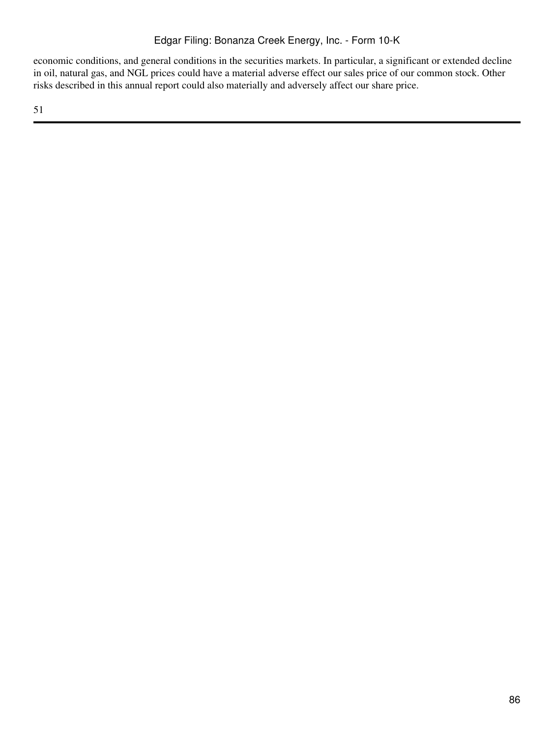economic conditions, and general conditions in the securities markets. In particular, a significant or extended decline in oil, natural gas, and NGL prices could have a material adverse effect our sales price of our common stock. Other risks described in this annual report could also materially and adversely affect our share price.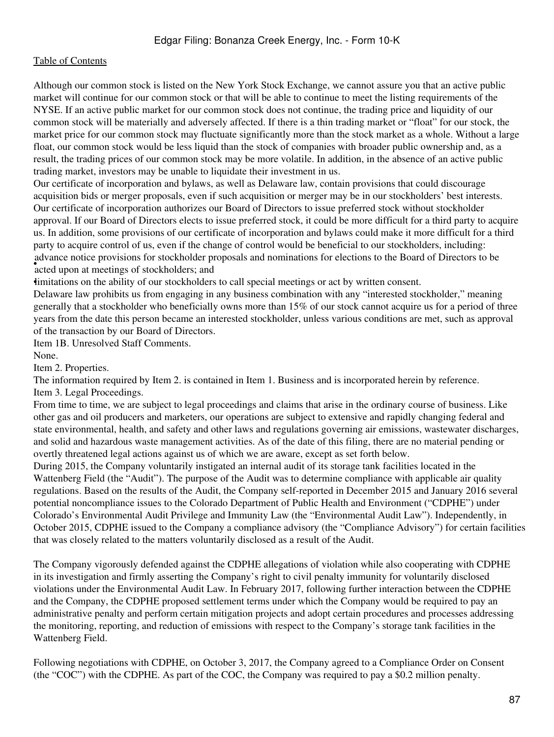Although our common stock is listed on the New York Stock Exchange, we cannot assure you that an active public market will continue for our common stock or that will be able to continue to meet the listing requirements of the NYSE. If an active public market for our common stock does not continue, the trading price and liquidity of our common stock will be materially and adversely affected. If there is a thin trading market or "float" for our stock, the market price for our common stock may fluctuate significantly more than the stock market as a whole. Without a large float, our common stock would be less liquid than the stock of companies with broader public ownership and, as a result, the trading prices of our common stock may be more volatile. In addition, in the absence of an active public trading market, investors may be unable to liquidate their investment in us.

Our certificate of incorporation and bylaws, as well as Delaware law, contain provisions that could discourage acquisition bids or merger proposals, even if such acquisition or merger may be in our stockholders' best interests. Our certificate of incorporation authorizes our Board of Directors to issue preferred stock without stockholder approval. If our Board of Directors elects to issue preferred stock, it could be more difficult for a third party to acquire us. In addition, some provisions of our certificate of incorporation and bylaws could make it more difficult for a third party to acquire control of us, even if the change of control would be beneficial to our stockholders, including: acted upon at meetings of stockholders; and advance notice provisions for stockholder proposals and nominations for elections to the Board of Directors to be

•limitations on the ability of our stockholders to call special meetings or act by written consent.

Delaware law prohibits us from engaging in any business combination with any "interested stockholder," meaning generally that a stockholder who beneficially owns more than 15% of our stock cannot acquire us for a period of three years from the date this person became an interested stockholder, unless various conditions are met, such as approval of the transaction by our Board of Directors.

Item 1B. Unresolved Staff Comments.

None.

Item 2. Properties.

The information required by Item 2. is contained in Item 1. Business and is incorporated herein by reference. Item 3. Legal Proceedings.

From time to time, we are subject to legal proceedings and claims that arise in the ordinary course of business. Like other gas and oil producers and marketers, our operations are subject to extensive and rapidly changing federal and state environmental, health, and safety and other laws and regulations governing air emissions, wastewater discharges, and solid and hazardous waste management activities. As of the date of this filing, there are no material pending or overtly threatened legal actions against us of which we are aware, except as set forth below.

During 2015, the Company voluntarily instigated an internal audit of its storage tank facilities located in the Wattenberg Field (the "Audit"). The purpose of the Audit was to determine compliance with applicable air quality regulations. Based on the results of the Audit, the Company self-reported in December 2015 and January 2016 several potential noncompliance issues to the Colorado Department of Public Health and Environment ("CDPHE") under Colorado's Environmental Audit Privilege and Immunity Law (the "Environmental Audit Law"). Independently, in October 2015, CDPHE issued to the Company a compliance advisory (the "Compliance Advisory") for certain facilities that was closely related to the matters voluntarily disclosed as a result of the Audit.

The Company vigorously defended against the CDPHE allegations of violation while also cooperating with CDPHE in its investigation and firmly asserting the Company's right to civil penalty immunity for voluntarily disclosed violations under the Environmental Audit Law. In February 2017, following further interaction between the CDPHE and the Company, the CDPHE proposed settlement terms under which the Company would be required to pay an administrative penalty and perform certain mitigation projects and adopt certain procedures and processes addressing the monitoring, reporting, and reduction of emissions with respect to the Company's storage tank facilities in the Wattenberg Field.

Following negotiations with CDPHE, on October 3, 2017, the Company agreed to a Compliance Order on Consent (the "COC") with the CDPHE. As part of the COC, the Company was required to pay a \$0.2 million penalty.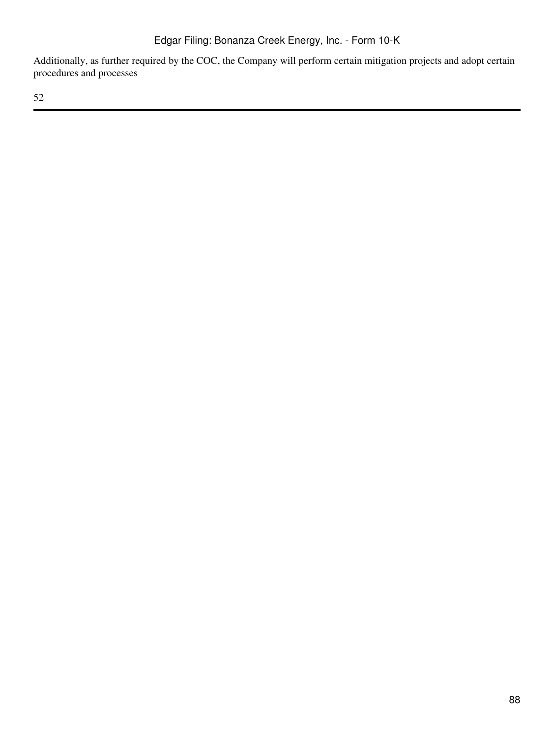Additionally, as further required by the COC, the Company will perform certain mitigation projects and adopt certain procedures and processes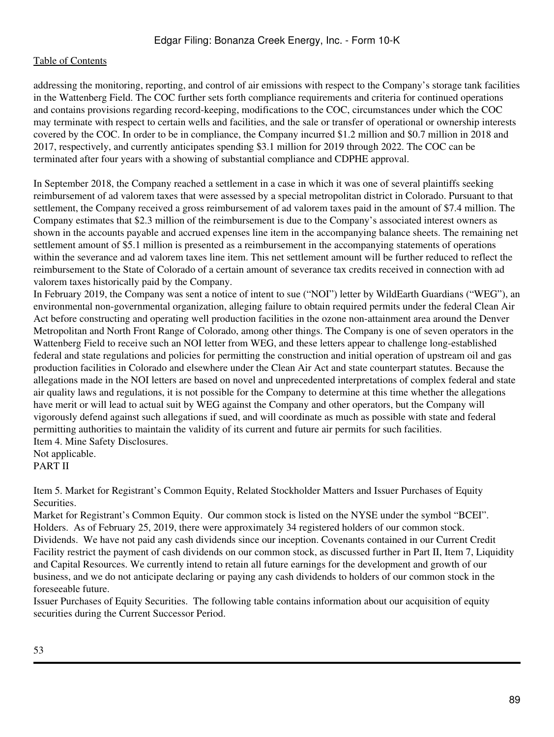addressing the monitoring, reporting, and control of air emissions with respect to the Company's storage tank facilities in the Wattenberg Field. The COC further sets forth compliance requirements and criteria for continued operations and contains provisions regarding record-keeping, modifications to the COC, circumstances under which the COC may terminate with respect to certain wells and facilities, and the sale or transfer of operational or ownership interests covered by the COC. In order to be in compliance, the Company incurred \$1.2 million and \$0.7 million in 2018 and 2017, respectively, and currently anticipates spending \$3.1 million for 2019 through 2022. The COC can be terminated after four years with a showing of substantial compliance and CDPHE approval.

In September 2018, the Company reached a settlement in a case in which it was one of several plaintiffs seeking reimbursement of ad valorem taxes that were assessed by a special metropolitan district in Colorado. Pursuant to that settlement, the Company received a gross reimbursement of ad valorem taxes paid in the amount of \$7.4 million. The Company estimates that \$2.3 million of the reimbursement is due to the Company's associated interest owners as shown in the accounts payable and accrued expenses line item in the accompanying balance sheets. The remaining net settlement amount of \$5.1 million is presented as a reimbursement in the accompanying statements of operations within the severance and ad valorem taxes line item. This net settlement amount will be further reduced to reflect the reimbursement to the State of Colorado of a certain amount of severance tax credits received in connection with ad valorem taxes historically paid by the Company.

In February 2019, the Company was sent a notice of intent to sue ("NOI") letter by WildEarth Guardians ("WEG"), an environmental non-governmental organization, alleging failure to obtain required permits under the federal Clean Air Act before constructing and operating well production facilities in the ozone non-attainment area around the Denver Metropolitan and North Front Range of Colorado, among other things. The Company is one of seven operators in the Wattenberg Field to receive such an NOI letter from WEG, and these letters appear to challenge long-established federal and state regulations and policies for permitting the construction and initial operation of upstream oil and gas production facilities in Colorado and elsewhere under the Clean Air Act and state counterpart statutes. Because the allegations made in the NOI letters are based on novel and unprecedented interpretations of complex federal and state air quality laws and regulations, it is not possible for the Company to determine at this time whether the allegations have merit or will lead to actual suit by WEG against the Company and other operators, but the Company will vigorously defend against such allegations if sued, and will coordinate as much as possible with state and federal permitting authorities to maintain the validity of its current and future air permits for such facilities. Item 4. Mine Safety Disclosures.

Not applicable.

PART II

Item 5. Market for Registrant's Common Equity, Related Stockholder Matters and Issuer Purchases of Equity Securities.

Market for Registrant's Common Equity. Our common stock is listed on the NYSE under the symbol "BCEI". Holders. As of February 25, 2019, there were approximately 34 registered holders of our common stock. Dividends. We have not paid any cash dividends since our inception. Covenants contained in our Current Credit Facility restrict the payment of cash dividends on our common stock, as discussed further in Part II, Item 7, Liquidity and Capital Resources. We currently intend to retain all future earnings for the development and growth of our business, and we do not anticipate declaring or paying any cash dividends to holders of our common stock in the foreseeable future.

Issuer Purchases of Equity Securities. The following table contains information about our acquisition of equity securities during the Current Successor Period.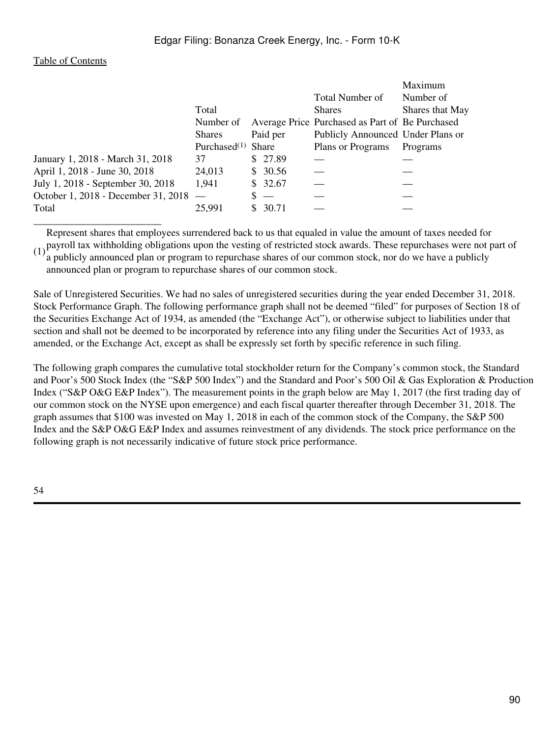|                                     |                       |          |                                                 | Maximum         |
|-------------------------------------|-----------------------|----------|-------------------------------------------------|-----------------|
|                                     |                       |          | <b>Total Number of</b>                          | Number of       |
|                                     | Total                 |          | <b>Shares</b>                                   | Shares that May |
|                                     | Number of             |          | Average Price Purchased as Part of Be Purchased |                 |
|                                     | <b>Shares</b>         | Paid per | Publicly Announced Under Plans or               |                 |
|                                     | Purchased $(1)$ Share |          | Plans or Programs                               | Programs        |
| January 1, 2018 - March 31, 2018    | 37                    | \$27.89  |                                                 |                 |
| April 1, 2018 - June 30, 2018       | 24,013                | \$30.56  |                                                 |                 |
| July 1, 2018 - September 30, 2018   | 1,941                 | \$32.67  |                                                 |                 |
| October 1, 2018 - December 31, 2018 |                       | $s =$    |                                                 |                 |
| Total                               | 25,991                | \$30.71  |                                                 |                 |

\_\_\_\_\_\_\_\_\_\_\_\_\_\_\_\_\_\_\_\_\_\_\_\_\_ (1) payroll tax withholding obligations upon the vesting of restricted stock awards. These repurchases were not part of  $(1)$  a multiply appearance along a program to repurchase above a four common steak, nor do we have a Represent shares that employees surrendered back to us that equaled in value the amount of taxes needed for

a publicly announced plan or program to repurchase shares of our common stock, nor do we have a publicly announced plan or program to repurchase shares of our common stock.

Sale of Unregistered Securities. We had no sales of unregistered securities during the year ended December 31, 2018. Stock Performance Graph. The following performance graph shall not be deemed "filed" for purposes of Section 18 of the Securities Exchange Act of 1934, as amended (the "Exchange Act"), or otherwise subject to liabilities under that section and shall not be deemed to be incorporated by reference into any filing under the Securities Act of 1933, as amended, or the Exchange Act, except as shall be expressly set forth by specific reference in such filing.

The following graph compares the cumulative total stockholder return for the Company's common stock, the Standard and Poor's 500 Stock Index (the "S&P 500 Index") and the Standard and Poor's 500 Oil & Gas Exploration & Production Index ("S&P O&G E&P Index"). The measurement points in the graph below are May 1, 2017 (the first trading day of our common stock on the NYSE upon emergence) and each fiscal quarter thereafter through December 31, 2018. The graph assumes that \$100 was invested on May 1, 2018 in each of the common stock of the Company, the S&P 500 Index and the S&P O&G E&P Index and assumes reinvestment of any dividends. The stock price performance on the following graph is not necessarily indicative of future stock price performance.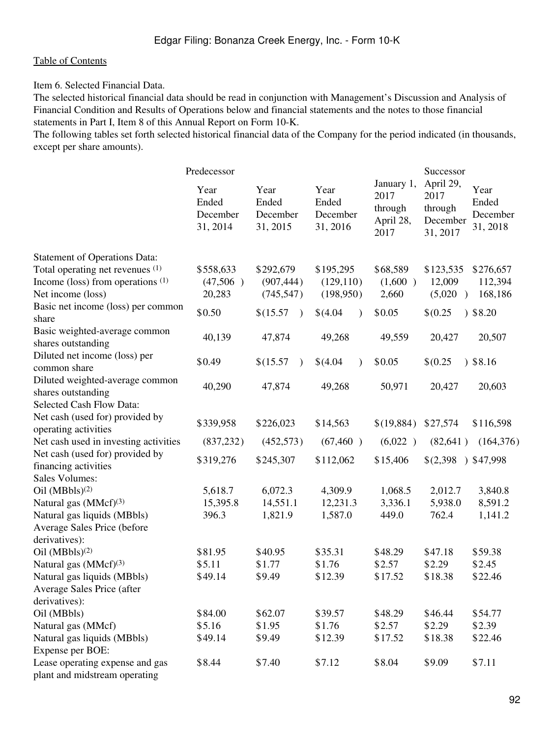Item 6. Selected Financial Data.

The selected historical financial data should be read in conjunction with Management's Discussion and Analysis of Financial Condition and Results of Operations below and financial statements and the notes to those financial statements in Part I, Item 8 of this Annual Report on Form 10-K.

The following tables set forth selected historical financial data of the Company for the period indicated (in thousands, except per share amounts).

|                                                                                              | Predecessor                           |                                       |                                       |                                                    | Successor                                            |                                       |
|----------------------------------------------------------------------------------------------|---------------------------------------|---------------------------------------|---------------------------------------|----------------------------------------------------|------------------------------------------------------|---------------------------------------|
|                                                                                              | Year<br>Ended<br>December<br>31, 2014 | Year<br>Ended<br>December<br>31, 2015 | Year<br>Ended<br>December<br>31, 2016 | January 1,<br>2017<br>through<br>April 28,<br>2017 | April 29,<br>2017<br>through<br>December<br>31, 2017 | Year<br>Ended<br>December<br>31, 2018 |
| <b>Statement of Operations Data:</b>                                                         |                                       |                                       |                                       |                                                    |                                                      |                                       |
| Total operating net revenues (1)<br>Income (loss) from operations $(1)$<br>Net income (loss) | \$558,633<br>(47,506)<br>20,283       | \$292,679<br>(907, 444)<br>(745, 547) | \$195,295<br>(129, 110)<br>(198,950)  | \$68,589<br>(1,600)<br>2,660                       | \$123,535<br>12,009<br>(5,020)<br>$\rightarrow$      | \$276,657<br>112,394<br>168,186       |
| Basic net income (loss) per common<br>share                                                  | \$0.50                                | \$(15.57<br>$\lambda$                 | \$(4.04)<br>$\lambda$                 | \$0.05                                             | \$(0.25)                                             | $)$ \$8.20                            |
| Basic weighted-average common<br>shares outstanding                                          | 40,139                                | 47,874                                | 49,268                                | 49,559                                             | 20,427                                               | 20,507                                |
| Diluted net income (loss) per<br>common share                                                | \$0.49                                | \$(15.57<br>$\lambda$                 | \$(4.04)<br>$\lambda$                 | \$0.05                                             | \$(0.25)                                             | $)$ \$8.16                            |
| Diluted weighted-average common<br>shares outstanding<br><b>Selected Cash Flow Data:</b>     | 40,290                                | 47,874                                | 49,268                                | 50,971                                             | 20,427                                               | 20,603                                |
| Net cash (used for) provided by<br>operating activities                                      | \$339,958                             | \$226,023                             | \$14,563                              | \$(19,884)                                         | \$27,574                                             | \$116,598                             |
| Net cash used in investing activities                                                        | (837, 232)                            | (452, 573)                            | (67, 460)                             | (6,022)                                            | (82, 641)                                            | (164, 376)                            |
| Net cash (used for) provided by<br>financing activities<br><b>Sales Volumes:</b>             | \$319,276                             | \$245,307                             | \$112,062                             | \$15,406                                           | \$(2,398)                                            | 347,998                               |
| Oil $(MBbls)^{(2)}$                                                                          | 5,618.7                               | 6,072.3                               | 4,309.9                               | 1,068.5                                            | 2,012.7                                              | 3,840.8                               |
| Natural gas $(MMcf)^{(3)}$                                                                   | 15,395.8                              | 14,551.1                              | 12,231.3                              | 3,336.1                                            | 5,938.0                                              | 8,591.2                               |
| Natural gas liquids (MBbls)<br>Average Sales Price (before                                   | 396.3                                 | 1,821.9                               | 1,587.0                               | 449.0                                              | 762.4                                                | 1,141.2                               |
| derivatives):                                                                                |                                       |                                       |                                       |                                                    |                                                      |                                       |
| Oil $(MBbls)^{(2)}$                                                                          | \$81.95                               | \$40.95                               | \$35.31                               | \$48.29                                            | \$47.18                                              | \$59.38                               |
| Natural gas $(MMcf)^{(3)}$                                                                   | \$5.11                                | \$1.77                                | \$1.76                                | \$2.57                                             | \$2.29                                               | \$2.45                                |
| Natural gas liquids (MBbls)<br>Average Sales Price (after<br>derivatives):                   | \$49.14                               | \$9.49                                | \$12.39                               | \$17.52                                            | \$18.38                                              | \$22.46                               |
| Oil (MBbls)                                                                                  | \$84.00                               | \$62.07                               | \$39.57                               | \$48.29                                            | \$46.44                                              | \$54.77                               |
| Natural gas (MMcf)                                                                           | \$5.16                                | \$1.95                                | \$1.76                                | \$2.57                                             | \$2.29                                               | \$2.39                                |
| Natural gas liquids (MBbls)<br>Expense per BOE:                                              | \$49.14                               | \$9.49                                | \$12.39                               | \$17.52                                            | \$18.38                                              | \$22.46                               |
| Lease operating expense and gas<br>plant and midstream operating                             | \$8.44                                | \$7.40                                | \$7.12                                | \$8.04                                             | \$9.09                                               | \$7.11                                |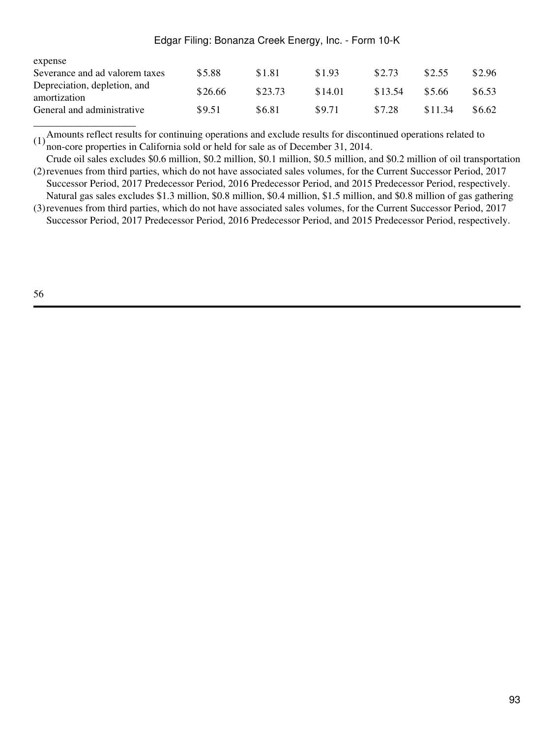| expense                                      |         |         |         |         |         |        |
|----------------------------------------------|---------|---------|---------|---------|---------|--------|
| Severance and ad valorem taxes               | \$5.88  | \$1.81  | \$1.93  | \$2.73  | \$2.55  | \$2.96 |
| Depreciation, depletion, and<br>amortization | \$26.66 | \$23.73 | \$14.01 | \$13.54 | \$5.66  | \$6.53 |
| General and administrative                   | \$9.51  | \$6.81  | \$9.71  | \$7.28  | \$11.34 | \$6.62 |

(1) Amounts reflect results for continuing operations and exclude results for discontinued operations related to  $(1)$  non-operations in Colifornia sold or hald for sola se of December 21, 2014. non-core properties in California sold or held for sale as of December 31, 2014.

(2) revenues from third parties, which do not have associated sales volumes, for the Current Successor Period, 2017 Crude oil sales excludes \$0.6 million, \$0.2 million, \$0.1 million, \$0.5 million, and \$0.2 million of oil transportation Successor Period, 2017 Predecessor Period, 2016 Predecessor Period, and 2015 Predecessor Period, respectively. Natural gas sales excludes \$1.3 million, \$0.8 million, \$0.4 million, \$1.5 million, and \$0.8 million of gas gathering

(3) revenues from third parties, which do not have associated sales volumes, for the Current Successor Period, 2017 Successor Period, 2017 Predecessor Period, 2016 Predecessor Period, and 2015 Predecessor Period, respectively.

\_\_\_\_\_\_\_\_\_\_\_\_\_\_\_\_\_\_\_\_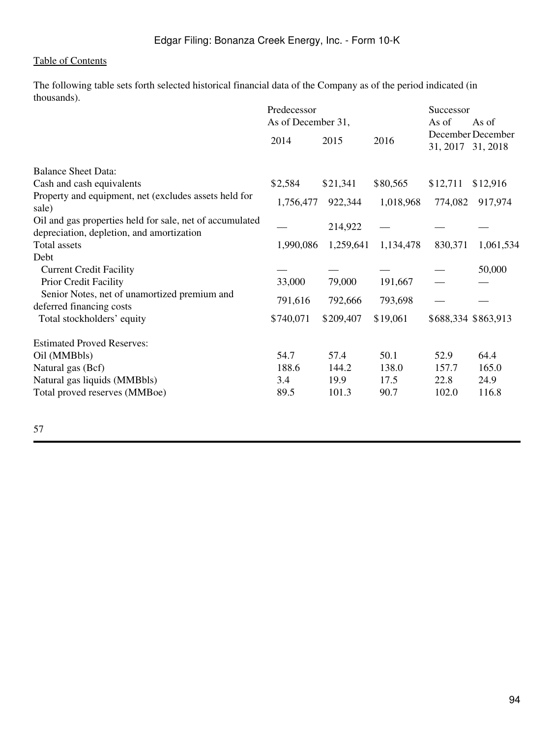The following table sets forth selected historical financial data of the Company as of the period indicated (in thousands).

|                                                                                                       | Predecessor<br>As of December 31, |           |           | Successor<br>As of | As of               |
|-------------------------------------------------------------------------------------------------------|-----------------------------------|-----------|-----------|--------------------|---------------------|
|                                                                                                       | 2014                              | 2015      | 2016      | 31, 2017 31, 2018  | December December   |
| <b>Balance Sheet Data:</b>                                                                            |                                   |           |           |                    |                     |
| Cash and cash equivalents                                                                             | \$2,584                           | \$21,341  | \$80,565  | \$12,711           | \$12,916            |
| Property and equipment, net (excludes assets held for<br>sale)                                        | 1,756,477                         | 922,344   | 1,018,968 | 774,082            | 917,974             |
| Oil and gas properties held for sale, net of accumulated<br>depreciation, depletion, and amortization |                                   | 214,922   |           |                    |                     |
| Total assets                                                                                          | 1,990,086                         | 1,259,641 | 1,134,478 | 830,371            | 1,061,534           |
| Debt                                                                                                  |                                   |           |           |                    |                     |
| <b>Current Credit Facility</b>                                                                        |                                   |           |           |                    | 50,000              |
| Prior Credit Facility                                                                                 | 33,000                            | 79,000    | 191,667   |                    |                     |
| Senior Notes, net of unamortized premium and                                                          | 791,616                           | 792,666   | 793,698   |                    |                     |
| deferred financing costs                                                                              |                                   |           |           |                    |                     |
| Total stockholders' equity                                                                            | \$740,071                         | \$209,407 | \$19,061  |                    | \$688,334 \$863,913 |
| <b>Estimated Proved Reserves:</b>                                                                     |                                   |           |           |                    |                     |
| Oil (MMBbls)                                                                                          | 54.7                              | 57.4      | 50.1      | 52.9               | 64.4                |
| Natural gas (Bcf)                                                                                     | 188.6                             | 144.2     | 138.0     | 157.7              | 165.0               |
| Natural gas liquids (MMBbls)                                                                          | 3.4                               | 19.9      | 17.5      | 22.8               | 24.9                |
| Total proved reserves (MMBoe)                                                                         | 89.5                              | 101.3     | 90.7      | 102.0              | 116.8               |
|                                                                                                       |                                   |           |           |                    |                     |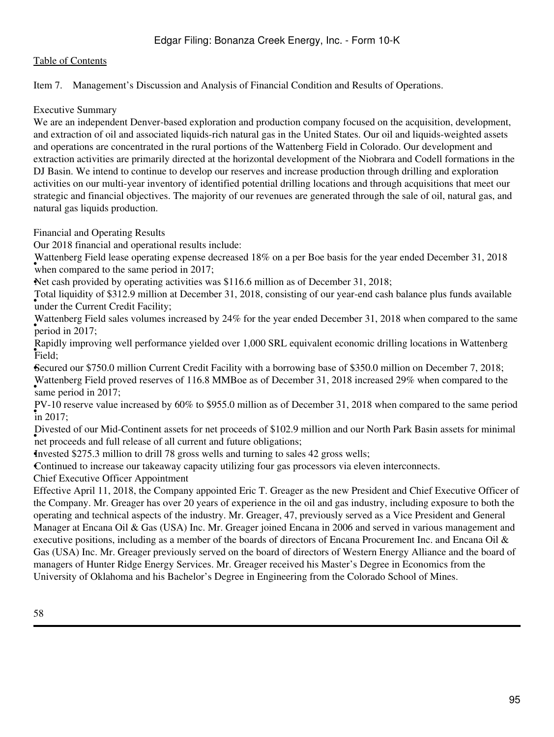Item 7. Management's Discussion and Analysis of Financial Condition and Results of Operations.

Executive Summary

We are an independent Denver-based exploration and production company focused on the acquisition, development, and extraction of oil and associated liquids-rich natural gas in the United States. Our oil and liquids-weighted assets and operations are concentrated in the rural portions of the Wattenberg Field in Colorado. Our development and extraction activities are primarily directed at the horizontal development of the Niobrara and Codell formations in the DJ Basin. We intend to continue to develop our reserves and increase production through drilling and exploration activities on our multi-year inventory of identified potential drilling locations and through acquisitions that meet our strategic and financial objectives. The majority of our revenues are generated through the sale of oil, natural gas, and natural gas liquids production.

Financial and Operating Results

Our 2018 financial and operational results include:

when compared to the same period in 2017; Wattenberg Field lease operating expense decreased 18% on a per Boe basis for the year ended December 31, 2018

•Net cash provided by operating activities was \$116.6 million as of December 31, 2018;

where the Current Credit Facility; Total liquidity of \$312.9 million at December 31, 2018, consisting of our year-end cash balance plus funds available

period in 2017; Wattenberg Field sales volumes increased by 24% for the year ended December 31, 2018 when compared to the same

• Field; Rapidly improving well performance yielded over 1,000 SRL equivalent economic drilling locations in Wattenberg

•Secured our \$750.0 million Current Credit Facility with a borrowing base of \$350.0 million on December 7, 2018; same period in 2017; Wattenberg Field proved reserves of 116.8 MMBoe as of December 31, 2018 increased 29% when compared to the

 $\frac{1}{2}$  in 2017; PV-10 reserve value increased by 60% to \$955.0 million as of December 31, 2018 when compared to the same period

proceeds of our time comment assess for the proceeds of  $\psi$ 102.9 Divested of our Mid-Continent assets for net proceeds of \$102.9 million and our North Park Basin assets for minimal

•Invested \$275.3 million to drill 78 gross wells and turning to sales 42 gross wells;

•Continued to increase our takeaway capacity utilizing four gas processors via eleven interconnects.

Chief Executive Officer Appointment

Effective April 11, 2018, the Company appointed Eric T. Greager as the new President and Chief Executive Officer of the Company. Mr. Greager has over 20 years of experience in the oil and gas industry, including exposure to both the operating and technical aspects of the industry. Mr. Greager, 47, previously served as a Vice President and General Manager at Encana Oil & Gas (USA) Inc. Mr. Greager joined Encana in 2006 and served in various management and executive positions, including as a member of the boards of directors of Encana Procurement Inc. and Encana Oil & Gas (USA) Inc. Mr. Greager previously served on the board of directors of Western Energy Alliance and the board of managers of Hunter Ridge Energy Services. Mr. Greager received his Master's Degree in Economics from the University of Oklahoma and his Bachelor's Degree in Engineering from the Colorado School of Mines.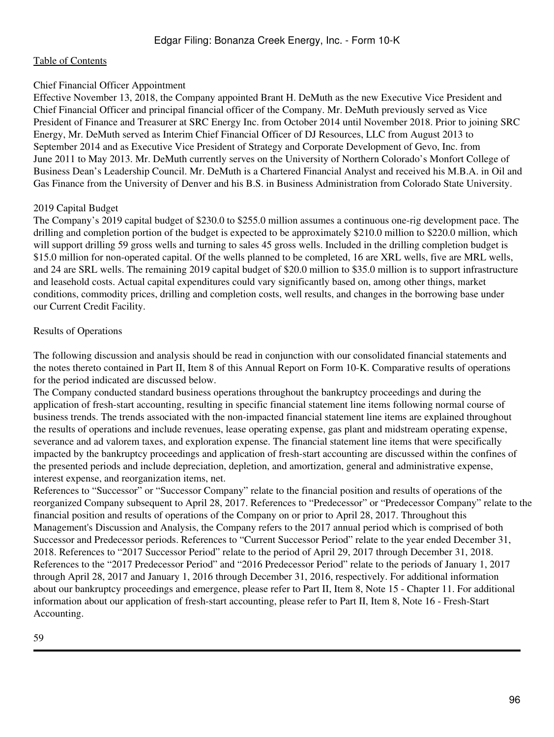# Chief Financial Officer Appointment

Effective November 13, 2018, the Company appointed Brant H. DeMuth as the new Executive Vice President and Chief Financial Officer and principal financial officer of the Company. Mr. DeMuth previously served as Vice President of Finance and Treasurer at SRC Energy Inc. from October 2014 until November 2018. Prior to joining SRC Energy, Mr. DeMuth served as Interim Chief Financial Officer of DJ Resources, LLC from August 2013 to September 2014 and as Executive Vice President of Strategy and Corporate Development of Gevo, Inc. from June 2011 to May 2013. Mr. DeMuth currently serves on the University of Northern Colorado's Monfort College of Business Dean's Leadership Council. Mr. DeMuth is a Chartered Financial Analyst and received his M.B.A. in Oil and Gas Finance from the University of Denver and his B.S. in Business Administration from Colorado State University.

# 2019 Capital Budget

The Company's 2019 capital budget of \$230.0 to \$255.0 million assumes a continuous one-rig development pace. The drilling and completion portion of the budget is expected to be approximately \$210.0 million to \$220.0 million, which will support drilling 59 gross wells and turning to sales 45 gross wells. Included in the drilling completion budget is \$15.0 million for non-operated capital. Of the wells planned to be completed, 16 are XRL wells, five are MRL wells, and 24 are SRL wells. The remaining 2019 capital budget of \$20.0 million to \$35.0 million is to support infrastructure and leasehold costs. Actual capital expenditures could vary significantly based on, among other things, market conditions, commodity prices, drilling and completion costs, well results, and changes in the borrowing base under our Current Credit Facility.

# Results of Operations

The following discussion and analysis should be read in conjunction with our consolidated financial statements and the notes thereto contained in Part II, Item 8 of this Annual Report on Form 10-K. Comparative results of operations for the period indicated are discussed below.

The Company conducted standard business operations throughout the bankruptcy proceedings and during the application of fresh-start accounting, resulting in specific financial statement line items following normal course of business trends. The trends associated with the non-impacted financial statement line items are explained throughout the results of operations and include revenues, lease operating expense, gas plant and midstream operating expense, severance and ad valorem taxes, and exploration expense. The financial statement line items that were specifically impacted by the bankruptcy proceedings and application of fresh-start accounting are discussed within the confines of the presented periods and include depreciation, depletion, and amortization, general and administrative expense, interest expense, and reorganization items, net.

References to "Successor" or "Successor Company" relate to the financial position and results of operations of the reorganized Company subsequent to April 28, 2017. References to "Predecessor" or "Predecessor Company" relate to the financial position and results of operations of the Company on or prior to April 28, 2017. Throughout this Management's Discussion and Analysis, the Company refers to the 2017 annual period which is comprised of both Successor and Predecessor periods. References to "Current Successor Period" relate to the year ended December 31, 2018. References to "2017 Successor Period" relate to the period of April 29, 2017 through December 31, 2018. References to the "2017 Predecessor Period" and "2016 Predecessor Period" relate to the periods of January 1, 2017 through April 28, 2017 and January 1, 2016 through December 31, 2016, respectively. For additional information about our bankruptcy proceedings and emergence, please refer to Part II, Item 8, Note 15 - Chapter 11. For additional information about our application of fresh-start accounting, please refer to Part II, Item 8, Note 16 - Fresh-Start Accounting.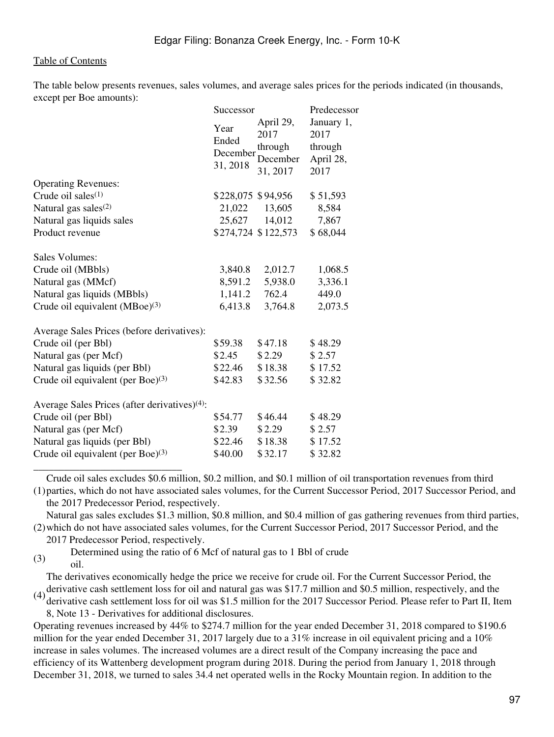The table below presents revenues, sales volumes, and average sales prices for the periods indicated (in thousands, except per Boe amounts):

|                                                           | Successor                             |                                                      | Predecessor                                        |
|-----------------------------------------------------------|---------------------------------------|------------------------------------------------------|----------------------------------------------------|
|                                                           | Year<br>Ended<br>December<br>31, 2018 | April 29,<br>2017<br>through<br>December<br>31, 2017 | January 1,<br>2017<br>through<br>April 28,<br>2017 |
| <b>Operating Revenues:</b>                                |                                       |                                                      |                                                    |
| Crude oil sales $(1)$                                     | \$228,075 \$94,956                    |                                                      | \$51,593                                           |
| Natural gas sales <sup>(2)</sup>                          |                                       | 21,022 13,605                                        | 8,584                                              |
| Natural gas liquids sales                                 | 25,627                                | 14,012                                               | 7,867                                              |
| Product revenue                                           |                                       | \$274,724 \$122,573                                  | \$68,044                                           |
| Sales Volumes:                                            |                                       |                                                      |                                                    |
| Crude oil (MBbls)                                         | 3,840.8                               | 2,012.7                                              | 1,068.5                                            |
| Natural gas (MMcf)                                        | 8,591.2                               | 5,938.0                                              | 3,336.1                                            |
| Natural gas liquids (MBbls)                               | 1,141.2                               | 762.4                                                | 449.0                                              |
| Crude oil equivalent (MBoe) <sup>(3)</sup>                | 6,413.8                               | 3,764.8                                              | 2,073.5                                            |
| Average Sales Prices (before derivatives):                |                                       |                                                      |                                                    |
| Crude oil (per Bbl)                                       | \$59.38                               | \$47.18                                              | \$48.29                                            |
| Natural gas (per Mcf)                                     | \$2.45                                | \$2.29                                               | \$2.57                                             |
| Natural gas liquids (per Bbl)                             | \$22.46                               | \$18.38                                              | \$17.52                                            |
| Crude oil equivalent (per Boe) $(3)$                      | \$42.83                               | \$32.56                                              | \$32.82                                            |
| Average Sales Prices (after derivatives) <sup>(4)</sup> : |                                       |                                                      |                                                    |
| Crude oil (per Bbl)                                       | \$54.77                               | \$46.44                                              | \$48.29                                            |
| Natural gas (per Mcf)                                     | \$2.39                                | \$2.29                                               | \$2.57                                             |
| Natural gas liquids (per Bbl)                             | \$22.46                               | \$18.38                                              | \$17.52                                            |
| Crude oil equivalent (per Boe) $(3)$                      | \$40.00                               | \$32.17                                              | \$32.82                                            |

(1) parties, which do not have associated sales volumes, for the Current Successor Period, 2017 Successor Period, and Crude oil sales excludes \$0.6 million, \$0.2 million, and \$0.1 million of oil transportation revenues from third

the 2017 Predecessor Period, respectively.

(2) which do not have associated sales volumes, for the Current Successor Period, 2017 Successor Period, and the Natural gas sales excludes \$1.3 million, \$0.8 million, and \$0.4 million of gas gathering revenues from third parties,

2017 Predecessor Period, respectively.

\_\_\_\_\_\_\_\_\_\_\_\_\_\_\_\_\_\_\_\_\_\_\_\_\_\_\_\_\_

(3) Determined using the ratio of 6 Mcf of natural gas to 1 Bbl of crude oil.

(4) derivative cash settlement loss for oil and natural gas was \$17.7 million and \$0.5 million, respectively, and the  $\frac{4}{3}$  derivative seek esttlement loss for oil was \$1.5 million for the 2017 Systems Derival Places The derivatives economically hedge the price we receive for crude oil. For the Current Successor Period, the

derivative cash settlement loss for oil was \$1.5 million for the 2017 Successor Period. Please refer to Part II, Item 8, Note 13 - Derivatives for additional disclosures.

Operating revenues increased by 44% to \$274.7 million for the year ended December 31, 2018 compared to \$190.6 million for the year ended December 31, 2017 largely due to a 31% increase in oil equivalent pricing and a 10% increase in sales volumes. The increased volumes are a direct result of the Company increasing the pace and efficiency of its Wattenberg development program during 2018. During the period from January 1, 2018 through December 31, 2018, we turned to sales 34.4 net operated wells in the Rocky Mountain region. In addition to the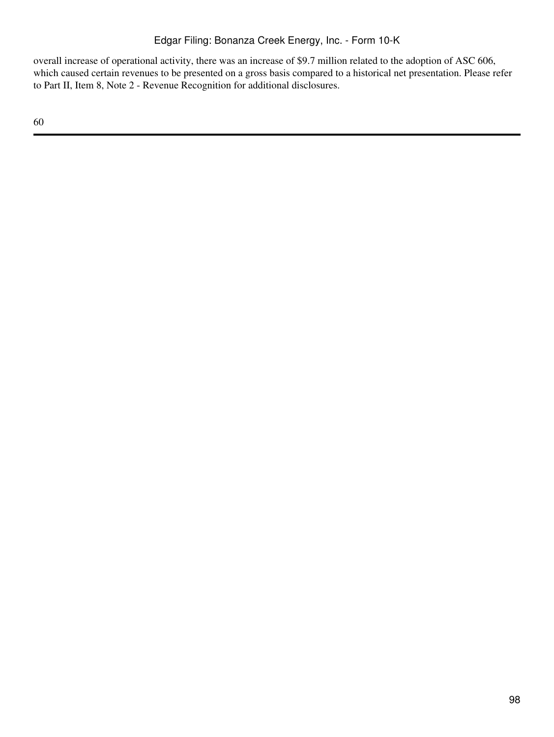overall increase of operational activity, there was an increase of \$9.7 million related to the adoption of ASC 606, which caused certain revenues to be presented on a gross basis compared to a historical net presentation. Please refer to Part II, Item 8, Note 2 - Revenue Recognition for additional disclosures.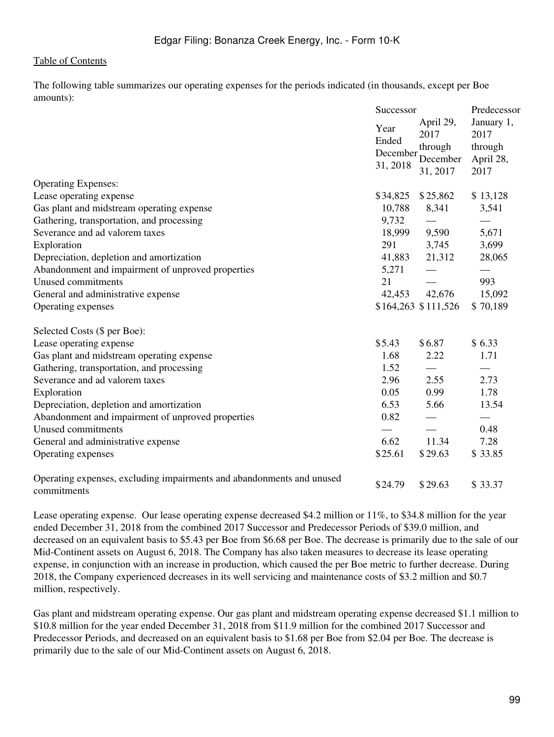The following table summarizes our operating expenses for the periods indicated (in thousands, except per Boe amounts):

|                                                                                      | Successor                             |                                                      | Predecessor                                        |
|--------------------------------------------------------------------------------------|---------------------------------------|------------------------------------------------------|----------------------------------------------------|
|                                                                                      | Year<br>Ended<br>December<br>31, 2018 | April 29,<br>2017<br>through<br>December<br>31, 2017 | January 1,<br>2017<br>through<br>April 28,<br>2017 |
| <b>Operating Expenses:</b>                                                           |                                       |                                                      |                                                    |
| Lease operating expense                                                              | \$34,825                              | \$25,862                                             | \$13,128                                           |
| Gas plant and midstream operating expense                                            | 10,788                                | 8,341                                                | 3,541                                              |
| Gathering, transportation, and processing                                            | 9,732                                 | $\qquad \qquad$                                      | $\qquad \qquad$                                    |
| Severance and ad valorem taxes                                                       | 18,999                                | 9,590                                                | 5,671                                              |
| Exploration                                                                          | 291                                   | 3,745                                                | 3,699                                              |
| Depreciation, depletion and amortization                                             | 41,883                                | 21,312                                               | 28,065                                             |
| Abandonment and impairment of unproved properties                                    | 5,271                                 |                                                      |                                                    |
| Unused commitments                                                                   | 21                                    |                                                      | 993                                                |
| General and administrative expense                                                   | 42,453                                | 42,676                                               | 15,092                                             |
| Operating expenses                                                                   |                                       | \$164,263 \$111,526                                  | \$70,189                                           |
| Selected Costs (\$ per Boe):                                                         |                                       |                                                      |                                                    |
| Lease operating expense                                                              | \$5.43                                | \$6.87                                               | \$6.33                                             |
| Gas plant and midstream operating expense                                            | 1.68                                  | 2.22                                                 | 1.71                                               |
| Gathering, transportation, and processing                                            | 1.52                                  | $\qquad \qquad \overbrace{\qquad \qquad }^{}$        |                                                    |
| Severance and ad valorem taxes                                                       | 2.96                                  | 2.55                                                 | 2.73                                               |
| Exploration                                                                          | 0.05                                  | 0.99                                                 | 1.78                                               |
| Depreciation, depletion and amortization                                             | 6.53                                  | 5.66                                                 | 13.54                                              |
| Abandonment and impairment of unproved properties                                    | 0.82                                  |                                                      | $\overline{\phantom{0}}$                           |
| Unused commitments                                                                   |                                       | $\overbrace{\phantom{aaaaa}}$                        | 0.48                                               |
| General and administrative expense                                                   | 6.62                                  | 11.34                                                | 7.28                                               |
| Operating expenses                                                                   | \$25.61                               | \$29.63                                              | \$33.85                                            |
| Operating expenses, excluding impairments and abandonments and unused<br>commitments | \$24.79                               | \$29.63                                              | \$33.37                                            |

Lease operating expense. Our lease operating expense decreased \$4.2 million or 11%, to \$34.8 million for the year ended December 31, 2018 from the combined 2017 Successor and Predecessor Periods of \$39.0 million, and decreased on an equivalent basis to \$5.43 per Boe from \$6.68 per Boe. The decrease is primarily due to the sale of our Mid-Continent assets on August 6, 2018. The Company has also taken measures to decrease its lease operating expense, in conjunction with an increase in production, which caused the per Boe metric to further decrease. During 2018, the Company experienced decreases in its well servicing and maintenance costs of \$3.2 million and \$0.7 million, respectively.

Gas plant and midstream operating expense. Our gas plant and midstream operating expense decreased \$1.1 million to \$10.8 million for the year ended December 31, 2018 from \$11.9 million for the combined 2017 Successor and Predecessor Periods, and decreased on an equivalent basis to \$1.68 per Boe from \$2.04 per Boe. The decrease is primarily due to the sale of our Mid-Continent assets on August 6, 2018.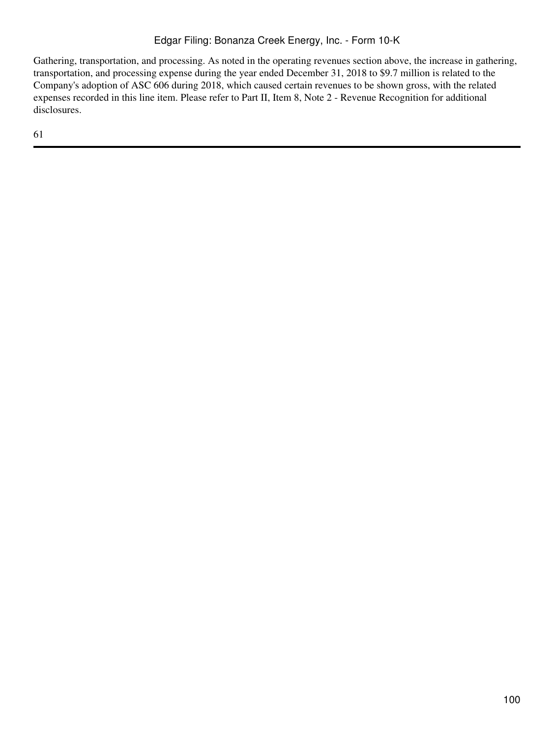Gathering, transportation, and processing. As noted in the operating revenues section above, the increase in gathering, transportation, and processing expense during the year ended December 31, 2018 to \$9.7 million is related to the Company's adoption of ASC 606 during 2018, which caused certain revenues to be shown gross, with the related expenses recorded in this line item. Please refer to Part II, Item 8, Note 2 - Revenue Recognition for additional disclosures.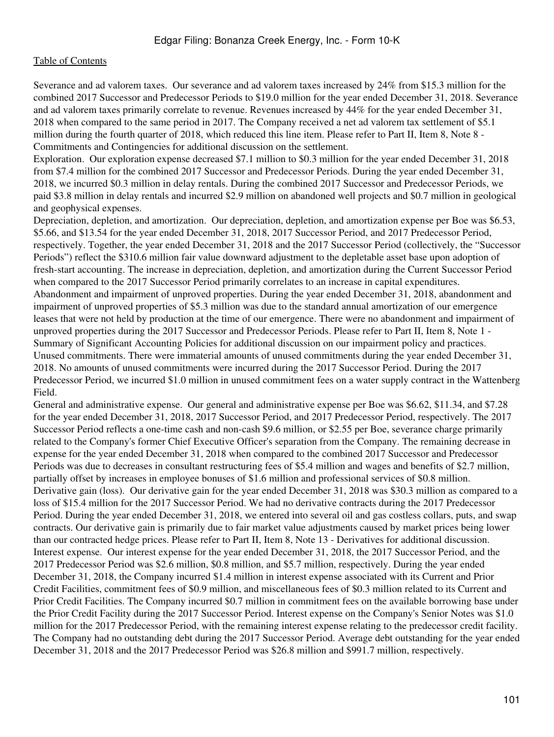Severance and ad valorem taxes. Our severance and ad valorem taxes increased by 24% from \$15.3 million for the combined 2017 Successor and Predecessor Periods to \$19.0 million for the year ended December 31, 2018. Severance and ad valorem taxes primarily correlate to revenue. Revenues increased by 44% for the year ended December 31, 2018 when compared to the same period in 2017. The Company received a net ad valorem tax settlement of \$5.1 million during the fourth quarter of 2018, which reduced this line item. Please refer to Part II, Item 8, Note 8 - Commitments and Contingencies for additional discussion on the settlement.

Exploration. Our exploration expense decreased \$7.1 million to \$0.3 million for the year ended December 31, 2018 from \$7.4 million for the combined 2017 Successor and Predecessor Periods. During the year ended December 31, 2018, we incurred \$0.3 million in delay rentals. During the combined 2017 Successor and Predecessor Periods, we paid \$3.8 million in delay rentals and incurred \$2.9 million on abandoned well projects and \$0.7 million in geological and geophysical expenses.

Depreciation, depletion, and amortization. Our depreciation, depletion, and amortization expense per Boe was \$6.53, \$5.66, and \$13.54 for the year ended December 31, 2018, 2017 Successor Period, and 2017 Predecessor Period, respectively. Together, the year ended December 31, 2018 and the 2017 Successor Period (collectively, the "Successor Periods") reflect the \$310.6 million fair value downward adjustment to the depletable asset base upon adoption of fresh-start accounting. The increase in depreciation, depletion, and amortization during the Current Successor Period when compared to the 2017 Successor Period primarily correlates to an increase in capital expenditures. Abandonment and impairment of unproved properties. During the year ended December 31, 2018, abandonment and impairment of unproved properties of \$5.3 million was due to the standard annual amortization of our emergence leases that were not held by production at the time of our emergence. There were no abandonment and impairment of unproved properties during the 2017 Successor and Predecessor Periods. Please refer to Part II, Item 8, Note 1 - Summary of Significant Accounting Policies for additional discussion on our impairment policy and practices. Unused commitments. There were immaterial amounts of unused commitments during the year ended December 31, 2018. No amounts of unused commitments were incurred during the 2017 Successor Period. During the 2017 Predecessor Period, we incurred \$1.0 million in unused commitment fees on a water supply contract in the Wattenberg Field.

General and administrative expense. Our general and administrative expense per Boe was \$6.62, \$11.34, and \$7.28 for the year ended December 31, 2018, 2017 Successor Period, and 2017 Predecessor Period, respectively. The 2017 Successor Period reflects a one-time cash and non-cash \$9.6 million, or \$2.55 per Boe, severance charge primarily related to the Company's former Chief Executive Officer's separation from the Company. The remaining decrease in expense for the year ended December 31, 2018 when compared to the combined 2017 Successor and Predecessor Periods was due to decreases in consultant restructuring fees of \$5.4 million and wages and benefits of \$2.7 million, partially offset by increases in employee bonuses of \$1.6 million and professional services of \$0.8 million. Derivative gain (loss). Our derivative gain for the year ended December 31, 2018 was \$30.3 million as compared to a loss of \$15.4 million for the 2017 Successor Period. We had no derivative contracts during the 2017 Predecessor Period. During the year ended December 31, 2018, we entered into several oil and gas costless collars, puts, and swap contracts. Our derivative gain is primarily due to fair market value adjustments caused by market prices being lower than our contracted hedge prices. Please refer to Part II, Item 8, Note 13 - Derivatives for additional discussion. Interest expense. Our interest expense for the year ended December 31, 2018, the 2017 Successor Period, and the 2017 Predecessor Period was \$2.6 million, \$0.8 million, and \$5.7 million, respectively. During the year ended December 31, 2018, the Company incurred \$1.4 million in interest expense associated with its Current and Prior Credit Facilities, commitment fees of \$0.9 million, and miscellaneous fees of \$0.3 million related to its Current and Prior Credit Facilities. The Company incurred \$0.7 million in commitment fees on the available borrowing base under the Prior Credit Facility during the 2017 Successor Period. Interest expense on the Company's Senior Notes was \$1.0 million for the 2017 Predecessor Period, with the remaining interest expense relating to the predecessor credit facility. The Company had no outstanding debt during the 2017 Successor Period. Average debt outstanding for the year ended December 31, 2018 and the 2017 Predecessor Period was \$26.8 million and \$991.7 million, respectively.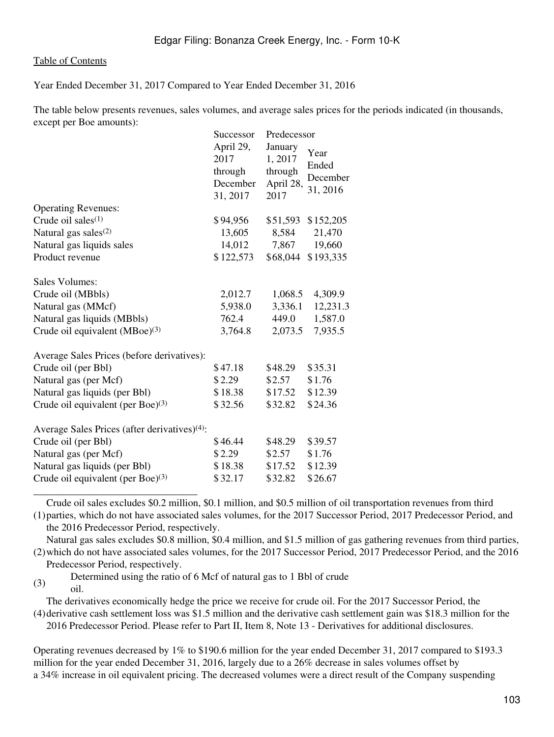Year Ended December 31, 2017 Compared to Year Ended December 31, 2016

The table below presents revenues, sales volumes, and average sales prices for the periods indicated (in thousands, except per Boe amounts):

|                                                           | Predecessor<br>Successor               |           |           |  |
|-----------------------------------------------------------|----------------------------------------|-----------|-----------|--|
|                                                           | April 29,<br>January<br>1,2017<br>2017 |           | Year      |  |
|                                                           | through                                | through   | Ended     |  |
|                                                           | December                               | April 28, | December  |  |
|                                                           | 31, 2017                               | 2017      | 31, 2016  |  |
| <b>Operating Revenues:</b>                                |                                        |           |           |  |
| Crude oil sales $(1)$                                     | \$94,956                               | \$51,593  | \$152,205 |  |
| Natural gas sales $(2)$                                   | 13,605                                 | 8,584     | 21,470    |  |
| Natural gas liquids sales                                 | 14,012                                 | 7,867     | 19,660    |  |
| Product revenue                                           | \$122,573                              | \$68,044  | \$193,335 |  |
| Sales Volumes:                                            |                                        |           |           |  |
| Crude oil (MBbls)                                         | 2,012.7                                | 1,068.5   | 4,309.9   |  |
| Natural gas (MMcf)                                        | 5,938.0                                | 3,336.1   | 12,231.3  |  |
| Natural gas liquids (MBbls)                               | 762.4                                  | 449.0     | 1,587.0   |  |
| Crude oil equivalent $(MBoe)^{(3)}$                       | 3,764.8                                | 2,073.5   | 7,935.5   |  |
| Average Sales Prices (before derivatives):                |                                        |           |           |  |
| Crude oil (per Bbl)                                       | \$47.18                                | \$48.29   | \$35.31   |  |
| Natural gas (per Mcf)                                     | \$2.29                                 | \$2.57    | \$1.76    |  |
| Natural gas liquids (per Bbl)                             | \$18.38                                | \$17.52   | \$12.39   |  |
| Crude oil equivalent (per Boe) $(3)$                      | \$32.56                                | \$32.82   | \$24.36   |  |
| Average Sales Prices (after derivatives) <sup>(4)</sup> : |                                        |           |           |  |
| Crude oil (per Bbl)                                       | \$46.44                                | \$48.29   | \$39.57   |  |
| Natural gas (per Mcf)                                     | \$2.29                                 | \$2.57    | \$1.76    |  |
| Natural gas liquids (per Bbl)                             | \$18.38                                | \$17.52   | \$12.39   |  |
| Crude oil equivalent (per Boe) $(3)$                      | \$32.17                                | \$32.82   | \$26.67   |  |

(1) parties, which do not have associated sales volumes, for the 2017 Successor Period, 2017 Predecessor Period, and Crude oil sales excludes \$0.2 million, \$0.1 million, and \$0.5 million of oil transportation revenues from third

the 2016 Predecessor Period, respectively.

(2) which do not have associated sales volumes, for the 2017 Successor Period, 2017 Predecessor Period, and the 2016 Natural gas sales excludes \$0.8 million, \$0.4 million, and \$1.5 million of gas gathering revenues from third parties,

Predecessor Period, respectively.

\_\_\_\_\_\_\_\_\_\_\_\_\_\_\_\_\_\_\_\_\_\_\_\_\_\_\_\_\_\_\_\_

(3) Determined using the ratio of 6 Mcf of natural gas to 1 Bbl of crude

oil.

(4) derivative cash settlement loss was \$1.5 million and the derivative cash settlement gain was \$18.3 million for the The derivatives economically hedge the price we receive for crude oil. For the 2017 Successor Period, the 2016 Predecessor Period. Please refer to Part II, Item 8, Note 13 - Derivatives for additional disclosures.

Operating revenues decreased by 1% to \$190.6 million for the year ended December 31, 2017 compared to \$193.3 million for the year ended December 31, 2016, largely due to a 26% decrease in sales volumes offset by a 34% increase in oil equivalent pricing. The decreased volumes were a direct result of the Company suspending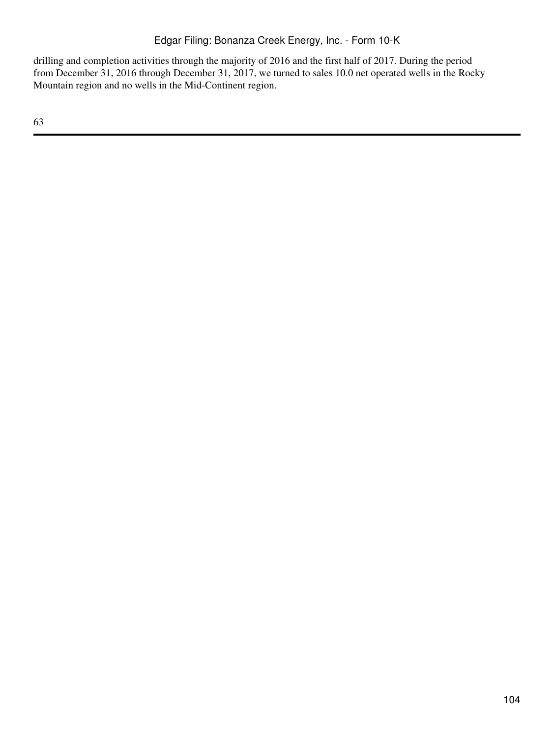drilling and completion activities through the majority of 2016 and the first half of 2017. During the period from December 31, 2016 through December 31, 2017, we turned to sales 10.0 net operated wells in the Rocky Mountain region and no wells in the Mid-Continent region.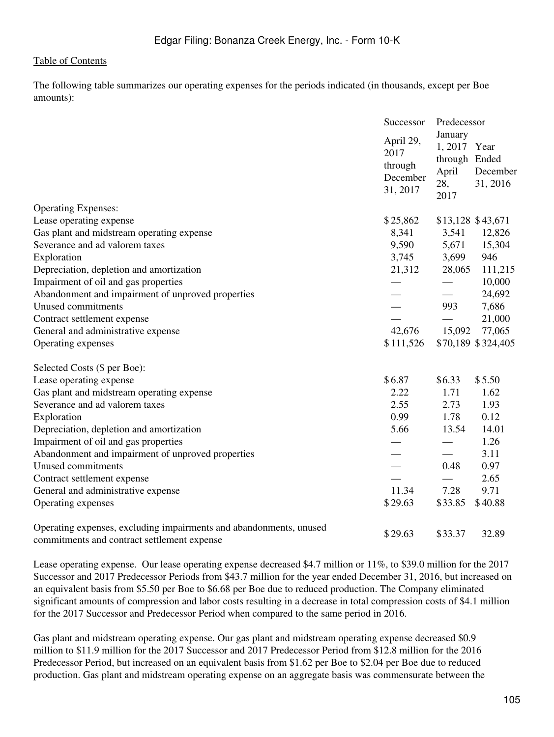The following table summarizes our operating expenses for the periods indicated (in thousands, except per Boe amounts):

|                                                                                           | Successor                                            | Predecessor                                                      |                      |
|-------------------------------------------------------------------------------------------|------------------------------------------------------|------------------------------------------------------------------|----------------------|
|                                                                                           | April 29,<br>2017<br>through<br>December<br>31, 2017 | January<br>1, 2017 Year<br>through Ended<br>April<br>28,<br>2017 | December<br>31, 2016 |
| <b>Operating Expenses:</b>                                                                |                                                      |                                                                  |                      |
| Lease operating expense                                                                   | \$25,862                                             |                                                                  | \$13,128 \$43,671    |
| Gas plant and midstream operating expense                                                 | 8,341                                                | 3,541                                                            | 12,826               |
| Severance and ad valorem taxes                                                            | 9,590                                                | 5,671                                                            | 15,304               |
| Exploration                                                                               | 3,745<br>21,312                                      | 3,699                                                            | 946                  |
| Depreciation, depletion and amortization                                                  |                                                      | 28,065                                                           | 111,215              |
| Impairment of oil and gas properties<br>Abandonment and impairment of unproved properties |                                                      | $\overline{\phantom{0}}$                                         | 10,000<br>24,692     |
| Unused commitments                                                                        |                                                      | 993                                                              | 7,686                |
| Contract settlement expense                                                               |                                                      |                                                                  | 21,000               |
| General and administrative expense                                                        | 42,676                                               | 15,092                                                           | 77,065               |
| Operating expenses                                                                        | \$111,526                                            |                                                                  | \$70,189 \$324,405   |
| Selected Costs (\$ per Boe):                                                              |                                                      |                                                                  |                      |
| Lease operating expense                                                                   | \$6.87                                               | \$6.33                                                           | \$5.50               |
| Gas plant and midstream operating expense                                                 | 2.22                                                 | 1.71                                                             | 1.62                 |
| Severance and ad valorem taxes                                                            | 2.55                                                 | 2.73                                                             | 1.93                 |
| Exploration                                                                               | 0.99                                                 | 1.78                                                             | 0.12                 |
| Depreciation, depletion and amortization                                                  | 5.66                                                 | 13.54                                                            | 14.01                |
| Impairment of oil and gas properties                                                      |                                                      | $\hspace{0.05cm}$                                                | 1.26                 |
| Abandonment and impairment of unproved properties                                         | $\overbrace{\phantom{13333}}$                        | $\overbrace{\phantom{aaaaa}}^{x}$                                | 3.11                 |
| Unused commitments                                                                        | $\qquad \qquad$                                      | 0.48                                                             | 0.97                 |
| Contract settlement expense                                                               |                                                      |                                                                  | 2.65                 |
| General and administrative expense                                                        | 11.34                                                | 7.28                                                             | 9.71                 |
| Operating expenses                                                                        | \$29.63                                              | \$33.85                                                          | \$40.88              |
| Operating expenses, excluding impairments and abandonments, unused                        |                                                      |                                                                  |                      |
|                                                                                           | \$29.63                                              | \$33.37                                                          | 32.89                |

commitments and contract settlement expense

Lease operating expense. Our lease operating expense decreased \$4.7 million or 11%, to \$39.0 million for the 2017 Successor and 2017 Predecessor Periods from \$43.7 million for the year ended December 31, 2016, but increased on an equivalent basis from \$5.50 per Boe to \$6.68 per Boe due to reduced production. The Company eliminated significant amounts of compression and labor costs resulting in a decrease in total compression costs of \$4.1 million for the 2017 Successor and Predecessor Period when compared to the same period in 2016.

Gas plant and midstream operating expense. Our gas plant and midstream operating expense decreased \$0.9 million to \$11.9 million for the 2017 Successor and 2017 Predecessor Period from \$12.8 million for the 2016 Predecessor Period, but increased on an equivalent basis from \$1.62 per Boe to \$2.04 per Boe due to reduced production. Gas plant and midstream operating expense on an aggregate basis was commensurate between the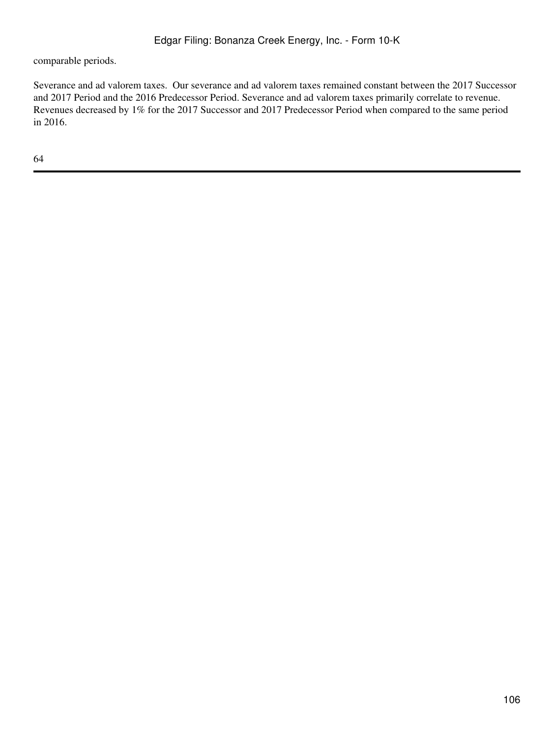comparable periods.

Severance and ad valorem taxes. Our severance and ad valorem taxes remained constant between the 2017 Successor and 2017 Period and the 2016 Predecessor Period. Severance and ad valorem taxes primarily correlate to revenue. Revenues decreased by 1% for the 2017 Successor and 2017 Predecessor Period when compared to the same period in 2016.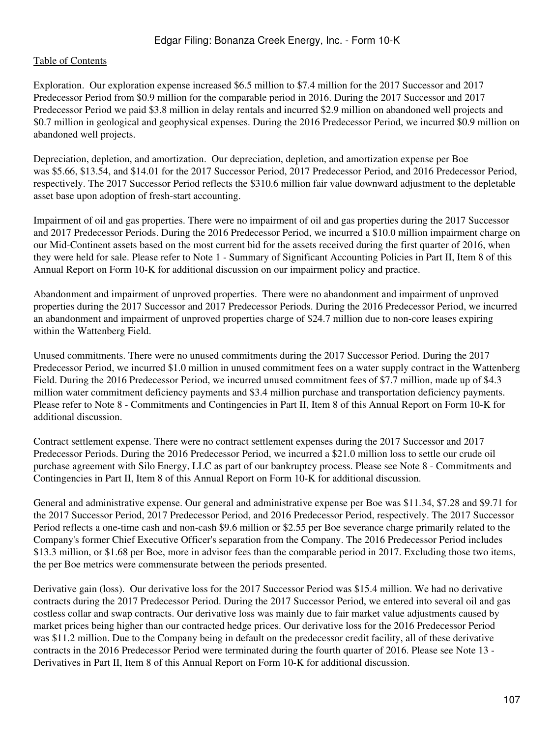### [Table of Contents](#page-2-0)

Exploration. Our exploration expense increased \$6.5 million to \$7.4 million for the 2017 Successor and 2017 Predecessor Period from \$0.9 million for the comparable period in 2016. During the 2017 Successor and 2017 Predecessor Period we paid \$3.8 million in delay rentals and incurred \$2.9 million on abandoned well projects and \$0.7 million in geological and geophysical expenses. During the 2016 Predecessor Period, we incurred \$0.9 million on abandoned well projects.

Depreciation, depletion, and amortization. Our depreciation, depletion, and amortization expense per Boe was \$5.66, \$13.54, and \$14.01 for the 2017 Successor Period, 2017 Predecessor Period, and 2016 Predecessor Period, respectively. The 2017 Successor Period reflects the \$310.6 million fair value downward adjustment to the depletable asset base upon adoption of fresh-start accounting.

Impairment of oil and gas properties. There were no impairment of oil and gas properties during the 2017 Successor and 2017 Predecessor Periods. During the 2016 Predecessor Period, we incurred a \$10.0 million impairment charge on our Mid-Continent assets based on the most current bid for the assets received during the first quarter of 2016, when they were held for sale. Please refer to Note 1 - Summary of Significant Accounting Policies in Part II, Item 8 of this Annual Report on Form 10-K for additional discussion on our impairment policy and practice.

Abandonment and impairment of unproved properties. There were no abandonment and impairment of unproved properties during the 2017 Successor and 2017 Predecessor Periods. During the 2016 Predecessor Period, we incurred an abandonment and impairment of unproved properties charge of \$24.7 million due to non-core leases expiring within the Wattenberg Field.

Unused commitments. There were no unused commitments during the 2017 Successor Period. During the 2017 Predecessor Period, we incurred \$1.0 million in unused commitment fees on a water supply contract in the Wattenberg Field. During the 2016 Predecessor Period, we incurred unused commitment fees of \$7.7 million, made up of \$4.3 million water commitment deficiency payments and \$3.4 million purchase and transportation deficiency payments. Please refer to Note 8 - Commitments and Contingencies in Part II, Item 8 of this Annual Report on Form 10-K for additional discussion.

Contract settlement expense. There were no contract settlement expenses during the 2017 Successor and 2017 Predecessor Periods. During the 2016 Predecessor Period, we incurred a \$21.0 million loss to settle our crude oil purchase agreement with Silo Energy, LLC as part of our bankruptcy process. Please see Note 8 - Commitments and Contingencies in Part II, Item 8 of this Annual Report on Form 10-K for additional discussion.

General and administrative expense. Our general and administrative expense per Boe was \$11.34, \$7.28 and \$9.71 for the 2017 Successor Period, 2017 Predecessor Period, and 2016 Predecessor Period, respectively. The 2017 Successor Period reflects a one-time cash and non-cash \$9.6 million or \$2.55 per Boe severance charge primarily related to the Company's former Chief Executive Officer's separation from the Company. The 2016 Predecessor Period includes \$13.3 million, or \$1.68 per Boe, more in advisor fees than the comparable period in 2017. Excluding those two items, the per Boe metrics were commensurate between the periods presented.

Derivative gain (loss). Our derivative loss for the 2017 Successor Period was \$15.4 million. We had no derivative contracts during the 2017 Predecessor Period. During the 2017 Successor Period, we entered into several oil and gas costless collar and swap contracts. Our derivative loss was mainly due to fair market value adjustments caused by market prices being higher than our contracted hedge prices. Our derivative loss for the 2016 Predecessor Period was \$11.2 million. Due to the Company being in default on the predecessor credit facility, all of these derivative contracts in the 2016 Predecessor Period were terminated during the fourth quarter of 2016. Please see Note 13 - Derivatives in Part II, Item 8 of this Annual Report on Form 10-K for additional discussion.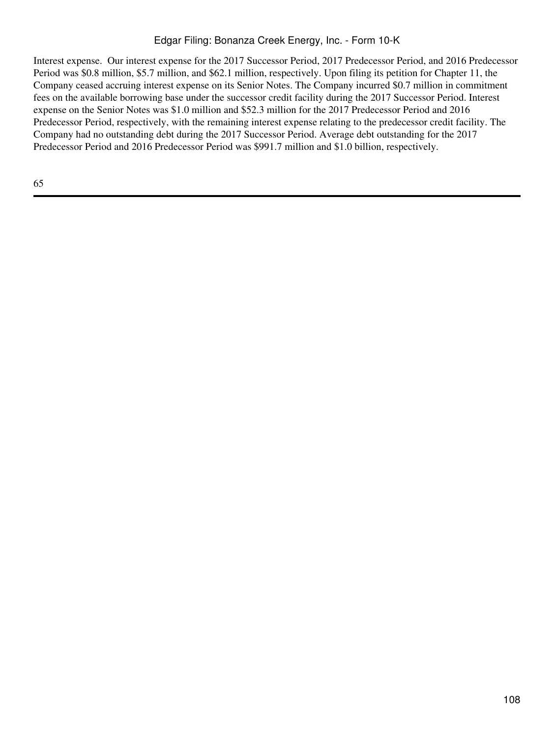Interest expense. Our interest expense for the 2017 Successor Period, 2017 Predecessor Period, and 2016 Predecessor Period was \$0.8 million, \$5.7 million, and \$62.1 million, respectively. Upon filing its petition for Chapter 11, the Company ceased accruing interest expense on its Senior Notes. The Company incurred \$0.7 million in commitment fees on the available borrowing base under the successor credit facility during the 2017 Successor Period. Interest expense on the Senior Notes was \$1.0 million and \$52.3 million for the 2017 Predecessor Period and 2016 Predecessor Period, respectively, with the remaining interest expense relating to the predecessor credit facility. The Company had no outstanding debt during the 2017 Successor Period. Average debt outstanding for the 2017 Predecessor Period and 2016 Predecessor Period was \$991.7 million and \$1.0 billion, respectively.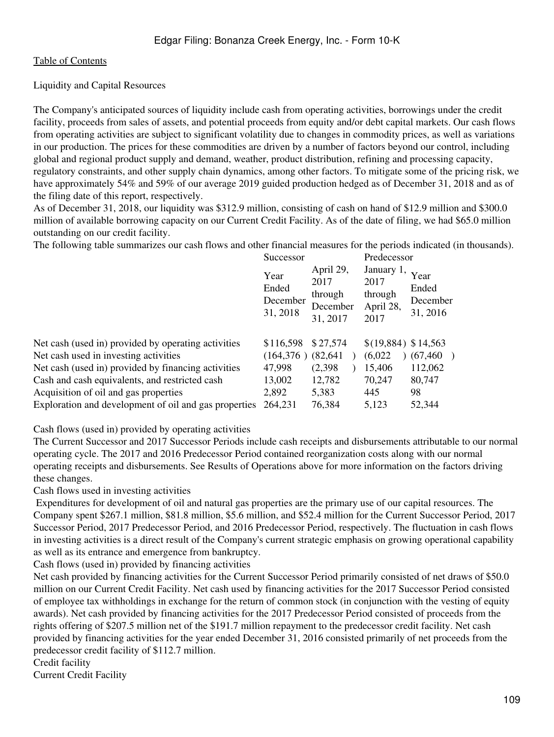## Liquidity and Capital Resources

The Company's anticipated sources of liquidity include cash from operating activities, borrowings under the credit facility, proceeds from sales of assets, and potential proceeds from equity and/or debt capital markets. Our cash flows from operating activities are subject to significant volatility due to changes in commodity prices, as well as variations in our production. The prices for these commodities are driven by a number of factors beyond our control, including global and regional product supply and demand, weather, product distribution, refining and processing capacity, regulatory constraints, and other supply chain dynamics, among other factors. To mitigate some of the pricing risk, we have approximately 54% and 59% of our average 2019 guided production hedged as of December 31, 2018 and as of the filing date of this report, respectively.

As of December 31, 2018, our liquidity was \$312.9 million, consisting of cash on hand of \$12.9 million and \$300.0 million of available borrowing capacity on our Current Credit Facility. As of the date of filing, we had \$65.0 million outstanding on our credit facility.

The following table summarizes our cash flows and other financial measures for the periods indicated (in thousands).

|                                                       | Successor                             |                                                      |                                                    | Predecessor                           |  |  |  |
|-------------------------------------------------------|---------------------------------------|------------------------------------------------------|----------------------------------------------------|---------------------------------------|--|--|--|
|                                                       | Year<br>Ended<br>December<br>31, 2018 | April 29,<br>2017<br>through<br>December<br>31, 2017 | January 1,<br>2017<br>through<br>April 28,<br>2017 | Year<br>Ended<br>December<br>31, 2016 |  |  |  |
| Net cash (used in) provided by operating activities   | \$116,598                             | \$27,574                                             | \$(19,884) \$14,563                                |                                       |  |  |  |
| Net cash used in investing activities                 | (164, 376)                            | (82, 641)                                            | (6,022)                                            | (67, 460)                             |  |  |  |
| Net cash (used in) provided by financing activities   | 47,998                                | (2,398)                                              | 15,406                                             | 112,062                               |  |  |  |
| Cash and cash equivalents, and restricted cash        | 13,002                                | 12,782                                               | 70,247                                             | 80,747                                |  |  |  |
| Acquisition of oil and gas properties                 | 2,892                                 | 5,383                                                | 445                                                | 98                                    |  |  |  |
| Exploration and development of oil and gas properties | 264,231                               | 76,384                                               | 5,123                                              | 52,344                                |  |  |  |
|                                                       |                                       |                                                      |                                                    |                                       |  |  |  |

Cash flows (used in) provided by operating activities

The Current Successor and 2017 Successor Periods include cash receipts and disbursements attributable to our normal operating cycle. The 2017 and 2016 Predecessor Period contained reorganization costs along with our normal operating receipts and disbursements. See Results of Operations above for more information on the factors driving these changes.

Cash flows used in investing activities

 Expenditures for development of oil and natural gas properties are the primary use of our capital resources. The Company spent \$267.1 million, \$81.8 million, \$5.6 million, and \$52.4 million for the Current Successor Period, 2017 Successor Period, 2017 Predecessor Period, and 2016 Predecessor Period, respectively. The fluctuation in cash flows in investing activities is a direct result of the Company's current strategic emphasis on growing operational capability as well as its entrance and emergence from bankruptcy.

Cash flows (used in) provided by financing activities

Net cash provided by financing activities for the Current Successor Period primarily consisted of net draws of \$50.0 million on our Current Credit Facility. Net cash used by financing activities for the 2017 Successor Period consisted of employee tax withholdings in exchange for the return of common stock (in conjunction with the vesting of equity awards). Net cash provided by financing activities for the 2017 Predecessor Period consisted of proceeds from the rights offering of \$207.5 million net of the \$191.7 million repayment to the predecessor credit facility. Net cash provided by financing activities for the year ended December 31, 2016 consisted primarily of net proceeds from the predecessor credit facility of \$112.7 million.

Credit facility

Current Credit Facility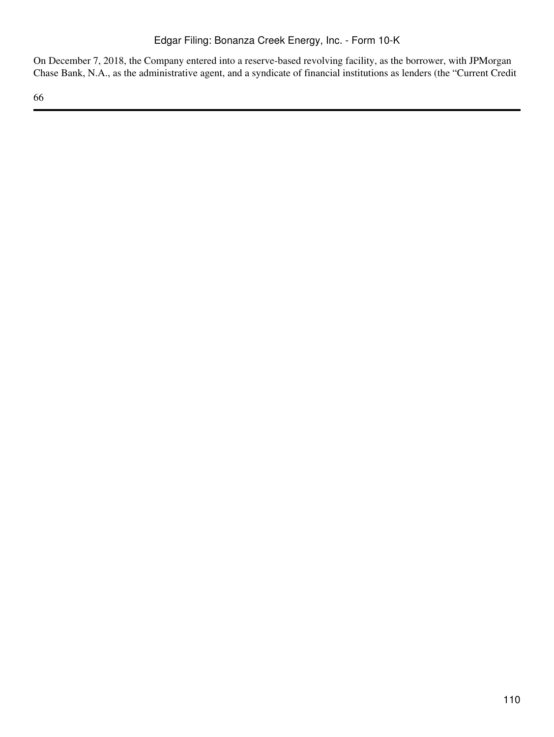On December 7, 2018, the Company entered into a reserve-based revolving facility, as the borrower, with JPMorgan Chase Bank, N.A., as the administrative agent, and a syndicate of financial institutions as lenders (the "Current Credit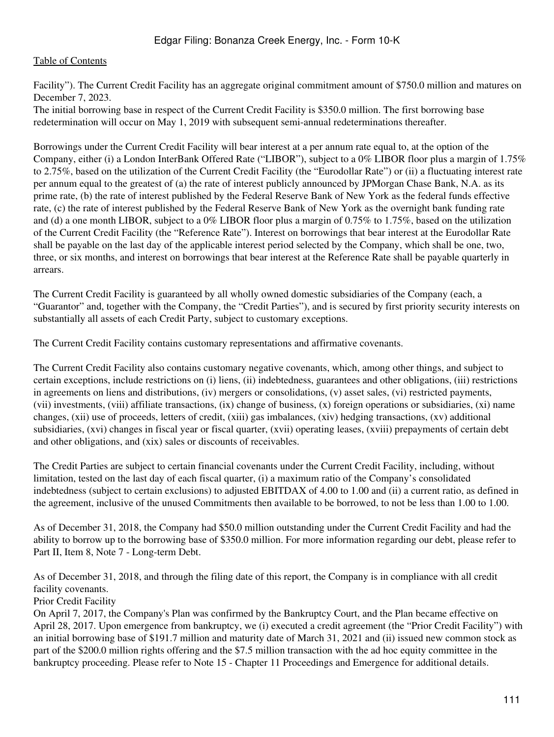## [Table of Contents](#page-2-0)

Facility"). The Current Credit Facility has an aggregate original commitment amount of \$750.0 million and matures on December 7, 2023.

The initial borrowing base in respect of the Current Credit Facility is \$350.0 million. The first borrowing base redetermination will occur on May 1, 2019 with subsequent semi-annual redeterminations thereafter.

Borrowings under the Current Credit Facility will bear interest at a per annum rate equal to, at the option of the Company, either (i) a London InterBank Offered Rate ("LIBOR"), subject to a 0% LIBOR floor plus a margin of 1.75% to 2.75%, based on the utilization of the Current Credit Facility (the "Eurodollar Rate") or (ii) a fluctuating interest rate per annum equal to the greatest of (a) the rate of interest publicly announced by JPMorgan Chase Bank, N.A. as its prime rate, (b) the rate of interest published by the Federal Reserve Bank of New York as the federal funds effective rate, (c) the rate of interest published by the Federal Reserve Bank of New York as the overnight bank funding rate and (d) a one month LIBOR, subject to a 0% LIBOR floor plus a margin of 0.75% to 1.75%, based on the utilization of the Current Credit Facility (the "Reference Rate"). Interest on borrowings that bear interest at the Eurodollar Rate shall be payable on the last day of the applicable interest period selected by the Company, which shall be one, two, three, or six months, and interest on borrowings that bear interest at the Reference Rate shall be payable quarterly in arrears.

The Current Credit Facility is guaranteed by all wholly owned domestic subsidiaries of the Company (each, a "Guarantor" and, together with the Company, the "Credit Parties"), and is secured by first priority security interests on substantially all assets of each Credit Party, subject to customary exceptions.

The Current Credit Facility contains customary representations and affirmative covenants.

The Current Credit Facility also contains customary negative covenants, which, among other things, and subject to certain exceptions, include restrictions on (i) liens, (ii) indebtedness, guarantees and other obligations, (iii) restrictions in agreements on liens and distributions, (iv) mergers or consolidations, (v) asset sales, (vi) restricted payments,  $(vii)$  investments,  $(viii)$  affiliate transactions,  $(ix)$  change of business,  $(x)$  foreign operations or subsidiaries,  $(xi)$  name changes, (xii) use of proceeds, letters of credit, (xiii) gas imbalances, (xiv) hedging transactions, (xv) additional subsidiaries, (xvi) changes in fiscal year or fiscal quarter, (xvii) operating leases, (xviii) prepayments of certain debt and other obligations, and (xix) sales or discounts of receivables.

The Credit Parties are subject to certain financial covenants under the Current Credit Facility, including, without limitation, tested on the last day of each fiscal quarter, (i) a maximum ratio of the Company's consolidated indebtedness (subject to certain exclusions) to adjusted EBITDAX of 4.00 to 1.00 and (ii) a current ratio, as defined in the agreement, inclusive of the unused Commitments then available to be borrowed, to not be less than 1.00 to 1.00.

As of December 31, 2018, the Company had \$50.0 million outstanding under the Current Credit Facility and had the ability to borrow up to the borrowing base of \$350.0 million. For more information regarding our debt, please refer to Part II, Item 8, Note 7 - Long-term Debt.

As of December 31, 2018, and through the filing date of this report, the Company is in compliance with all credit facility covenants.

#### Prior Credit Facility

On April 7, 2017, the Company's Plan was confirmed by the Bankruptcy Court, and the Plan became effective on April 28, 2017. Upon emergence from bankruptcy, we (i) executed a credit agreement (the "Prior Credit Facility") with an initial borrowing base of \$191.7 million and maturity date of March 31, 2021 and (ii) issued new common stock as part of the \$200.0 million rights offering and the \$7.5 million transaction with the ad hoc equity committee in the bankruptcy proceeding. Please refer to Note 15 - Chapter 11 Proceedings and Emergence for additional details.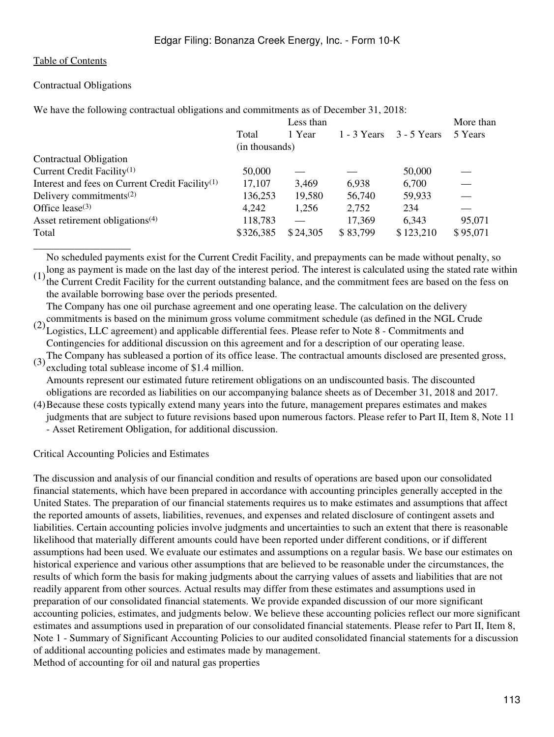## Contractual Obligations

Less than More than Total 1 Year 1 - 3 Years 3 - 5 Years 5 Years (in thousands) Contractual Obligation Current Credit Facility<sup>(1)</sup>  $50,000$  —  $-$  50,000 Interest and fees on Current Credit Facility<sup>(1)</sup>  $17,107$   $3,469$   $6,938$   $6,700$ Delivery commitments<sup>(2)</sup> 136,253 19,580 56,740 59,933 Office lease<sup>(3)</sup> 4,242 1,256 2,752 234 Asset retirement obligations<sup>(4)</sup> 118,783 — 17,369 6,343 95,071 Total \$326,385 \$24,305 \$83,799 \$123,210 \$95,071 \_\_\_\_\_\_\_\_\_\_\_\_\_\_\_\_\_\_\_

We have the following contractual obligations and commitments as of December 31, 2018:

(1) long as payment is made on the last day of the interest period. The interest is calculated using the stated rate within  $(1)$  the Current Credit Facility for the current outstanding belonge, and the commitment face ar No scheduled payments exist for the Current Credit Facility, and prepayments can be made without penalty, so

the Current Credit Facility for the current outstanding balance, and the commitment fees are based on the fess on the available borrowing base over the periods presented.

(2) commitments is based on the minimum gross volume commitment schedule (as defined in the NGL Crude  $(2)$ ) cointinents and  $(3)$  Commitments and The Company has one oil purchase agreement and one operating lease. The calculation on the delivery

Logistics, LLC agreement) and applicable differential fees. Please refer to Note 8 - Commitments and Contingencies for additional discussion on this agreement and for a description of our operating lease.

(3)The Company has subleased a portion of its office lease. The contractual amounts disclosed are presented gross, excluding total sublease income of \$1.4 million. Amounts represent our estimated future retirement obligations on an undiscounted basis. The discounted

obligations are recorded as liabilities on our accompanying balance sheets as of December 31, 2018 and 2017.

(4) Because these costs typically extend many years into the future, management prepares estimates and makes judgments that are subject to future revisions based upon numerous factors. Please refer to Part II, Item 8, Note 11 - Asset Retirement Obligation, for additional discussion.

Critical Accounting Policies and Estimates

The discussion and analysis of our financial condition and results of operations are based upon our consolidated financial statements, which have been prepared in accordance with accounting principles generally accepted in the United States. The preparation of our financial statements requires us to make estimates and assumptions that affect the reported amounts of assets, liabilities, revenues, and expenses and related disclosure of contingent assets and liabilities. Certain accounting policies involve judgments and uncertainties to such an extent that there is reasonable likelihood that materially different amounts could have been reported under different conditions, or if different assumptions had been used. We evaluate our estimates and assumptions on a regular basis. We base our estimates on historical experience and various other assumptions that are believed to be reasonable under the circumstances, the results of which form the basis for making judgments about the carrying values of assets and liabilities that are not readily apparent from other sources. Actual results may differ from these estimates and assumptions used in preparation of our consolidated financial statements. We provide expanded discussion of our more significant accounting policies, estimates, and judgments below. We believe these accounting policies reflect our more significant estimates and assumptions used in preparation of our consolidated financial statements. Please refer to Part II, Item 8, Note 1 - Summary of Significant Accounting Policies to our audited consolidated financial statements for a discussion of additional accounting policies and estimates made by management. Method of accounting for oil and natural gas properties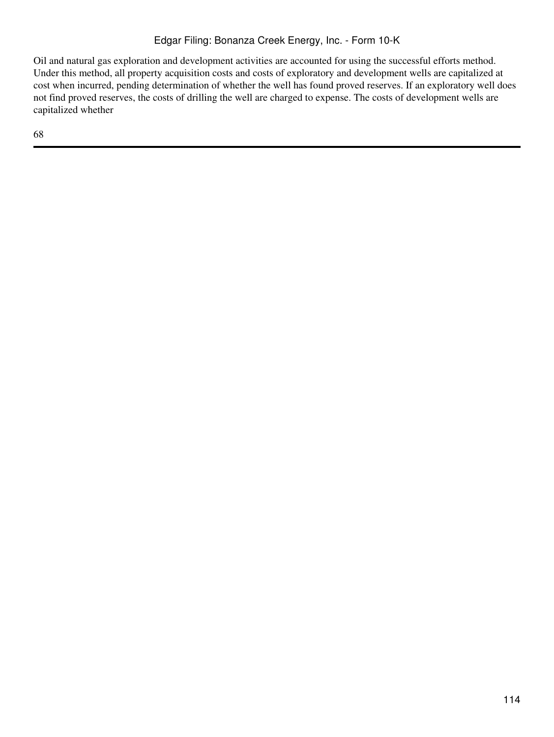Oil and natural gas exploration and development activities are accounted for using the successful efforts method. Under this method, all property acquisition costs and costs of exploratory and development wells are capitalized at cost when incurred, pending determination of whether the well has found proved reserves. If an exploratory well does not find proved reserves, the costs of drilling the well are charged to expense. The costs of development wells are capitalized whether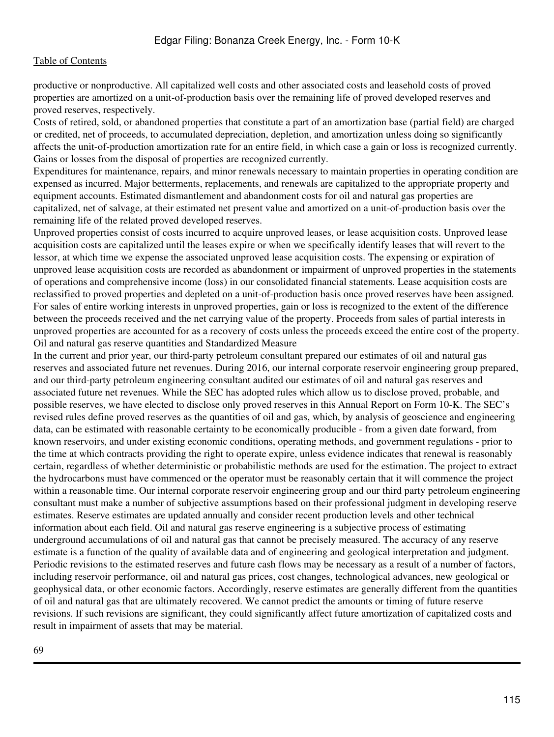productive or nonproductive. All capitalized well costs and other associated costs and leasehold costs of proved properties are amortized on a unit-of-production basis over the remaining life of proved developed reserves and proved reserves, respectively.

Costs of retired, sold, or abandoned properties that constitute a part of an amortization base (partial field) are charged or credited, net of proceeds, to accumulated depreciation, depletion, and amortization unless doing so significantly affects the unit-of-production amortization rate for an entire field, in which case a gain or loss is recognized currently. Gains or losses from the disposal of properties are recognized currently.

Expenditures for maintenance, repairs, and minor renewals necessary to maintain properties in operating condition are expensed as incurred. Major betterments, replacements, and renewals are capitalized to the appropriate property and equipment accounts. Estimated dismantlement and abandonment costs for oil and natural gas properties are capitalized, net of salvage, at their estimated net present value and amortized on a unit-of-production basis over the remaining life of the related proved developed reserves.

Unproved properties consist of costs incurred to acquire unproved leases, or lease acquisition costs. Unproved lease acquisition costs are capitalized until the leases expire or when we specifically identify leases that will revert to the lessor, at which time we expense the associated unproved lease acquisition costs. The expensing or expiration of unproved lease acquisition costs are recorded as abandonment or impairment of unproved properties in the statements of operations and comprehensive income (loss) in our consolidated financial statements. Lease acquisition costs are reclassified to proved properties and depleted on a unit-of-production basis once proved reserves have been assigned. For sales of entire working interests in unproved properties, gain or loss is recognized to the extent of the difference between the proceeds received and the net carrying value of the property. Proceeds from sales of partial interests in unproved properties are accounted for as a recovery of costs unless the proceeds exceed the entire cost of the property. Oil and natural gas reserve quantities and Standardized Measure

In the current and prior year, our third-party petroleum consultant prepared our estimates of oil and natural gas reserves and associated future net revenues. During 2016, our internal corporate reservoir engineering group prepared, and our third-party petroleum engineering consultant audited our estimates of oil and natural gas reserves and associated future net revenues. While the SEC has adopted rules which allow us to disclose proved, probable, and possible reserves, we have elected to disclose only proved reserves in this Annual Report on Form 10-K. The SEC's revised rules define proved reserves as the quantities of oil and gas, which, by analysis of geoscience and engineering data, can be estimated with reasonable certainty to be economically producible - from a given date forward, from known reservoirs, and under existing economic conditions, operating methods, and government regulations - prior to the time at which contracts providing the right to operate expire, unless evidence indicates that renewal is reasonably certain, regardless of whether deterministic or probabilistic methods are used for the estimation. The project to extract the hydrocarbons must have commenced or the operator must be reasonably certain that it will commence the project within a reasonable time. Our internal corporate reservoir engineering group and our third party petroleum engineering consultant must make a number of subjective assumptions based on their professional judgment in developing reserve estimates. Reserve estimates are updated annually and consider recent production levels and other technical information about each field. Oil and natural gas reserve engineering is a subjective process of estimating underground accumulations of oil and natural gas that cannot be precisely measured. The accuracy of any reserve estimate is a function of the quality of available data and of engineering and geological interpretation and judgment. Periodic revisions to the estimated reserves and future cash flows may be necessary as a result of a number of factors, including reservoir performance, oil and natural gas prices, cost changes, technological advances, new geological or geophysical data, or other economic factors. Accordingly, reserve estimates are generally different from the quantities of oil and natural gas that are ultimately recovered. We cannot predict the amounts or timing of future reserve revisions. If such revisions are significant, they could significantly affect future amortization of capitalized costs and result in impairment of assets that may be material.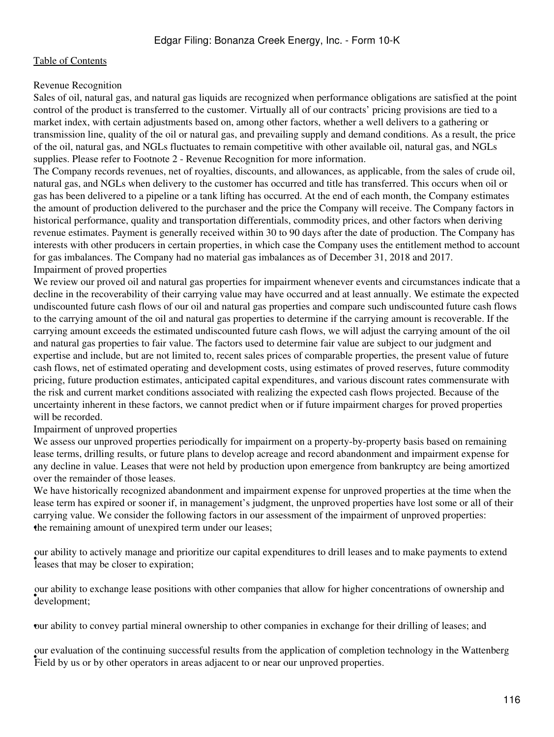## Revenue Recognition

Sales of oil, natural gas, and natural gas liquids are recognized when performance obligations are satisfied at the point control of the product is transferred to the customer. Virtually all of our contracts' pricing provisions are tied to a market index, with certain adjustments based on, among other factors, whether a well delivers to a gathering or transmission line, quality of the oil or natural gas, and prevailing supply and demand conditions. As a result, the price of the oil, natural gas, and NGLs fluctuates to remain competitive with other available oil, natural gas, and NGLs supplies. Please refer to Footnote 2 - Revenue Recognition for more information.

The Company records revenues, net of royalties, discounts, and allowances, as applicable, from the sales of crude oil, natural gas, and NGLs when delivery to the customer has occurred and title has transferred. This occurs when oil or gas has been delivered to a pipeline or a tank lifting has occurred. At the end of each month, the Company estimates the amount of production delivered to the purchaser and the price the Company will receive. The Company factors in historical performance, quality and transportation differentials, commodity prices, and other factors when deriving revenue estimates. Payment is generally received within 30 to 90 days after the date of production. The Company has interests with other producers in certain properties, in which case the Company uses the entitlement method to account for gas imbalances. The Company had no material gas imbalances as of December 31, 2018 and 2017. Impairment of proved properties

We review our proved oil and natural gas properties for impairment whenever events and circumstances indicate that a decline in the recoverability of their carrying value may have occurred and at least annually. We estimate the expected undiscounted future cash flows of our oil and natural gas properties and compare such undiscounted future cash flows to the carrying amount of the oil and natural gas properties to determine if the carrying amount is recoverable. If the carrying amount exceeds the estimated undiscounted future cash flows, we will adjust the carrying amount of the oil and natural gas properties to fair value. The factors used to determine fair value are subject to our judgment and expertise and include, but are not limited to, recent sales prices of comparable properties, the present value of future cash flows, net of estimated operating and development costs, using estimates of proved reserves, future commodity pricing, future production estimates, anticipated capital expenditures, and various discount rates commensurate with the risk and current market conditions associated with realizing the expected cash flows projected. Because of the uncertainty inherent in these factors, we cannot predict when or if future impairment charges for proved properties will be recorded.

## Impairment of unproved properties

We assess our unproved properties periodically for impairment on a property-by-property basis based on remaining lease terms, drilling results, or future plans to develop acreage and record abandonment and impairment expense for any decline in value. Leases that were not held by production upon emergence from bankruptcy are being amortized over the remainder of those leases.

We have historically recognized abandonment and impairment expense for unproved properties at the time when the lease term has expired or sooner if, in management's judgment, the unproved properties have lost some or all of their carrying value. We consider the following factors in our assessment of the impairment of unproved properties: the remaining amount of unexpired term under our leases;

but domly to derivery manage and prior our ability to actively manage and prioritize our capital expenditures to drill leases and to make payments to extend

• development; our ability to exchange lease positions with other companies that allow for higher concentrations of ownership and

•our ability to convey partial mineral ownership to other companies in exchange for their drilling of leases; and

Field by us or by other operators in areas adjacent to or near our unproved properties. our evaluation of the continuing successful results from the application of completion technology in the Wattenberg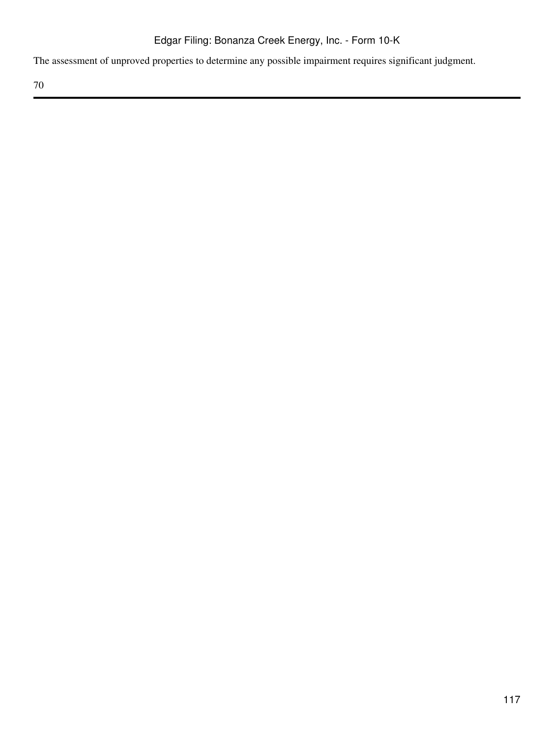The assessment of unproved properties to determine any possible impairment requires significant judgment.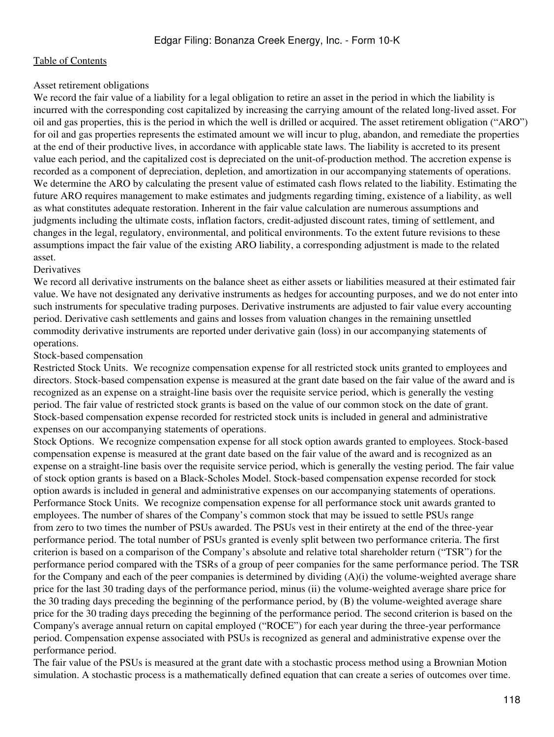## Asset retirement obligations

We record the fair value of a liability for a legal obligation to retire an asset in the period in which the liability is incurred with the corresponding cost capitalized by increasing the carrying amount of the related long-lived asset. For oil and gas properties, this is the period in which the well is drilled or acquired. The asset retirement obligation ("ARO") for oil and gas properties represents the estimated amount we will incur to plug, abandon, and remediate the properties at the end of their productive lives, in accordance with applicable state laws. The liability is accreted to its present value each period, and the capitalized cost is depreciated on the unit-of-production method. The accretion expense is recorded as a component of depreciation, depletion, and amortization in our accompanying statements of operations. We determine the ARO by calculating the present value of estimated cash flows related to the liability. Estimating the future ARO requires management to make estimates and judgments regarding timing, existence of a liability, as well as what constitutes adequate restoration. Inherent in the fair value calculation are numerous assumptions and judgments including the ultimate costs, inflation factors, credit-adjusted discount rates, timing of settlement, and changes in the legal, regulatory, environmental, and political environments. To the extent future revisions to these assumptions impact the fair value of the existing ARO liability, a corresponding adjustment is made to the related asset.

#### Derivatives

We record all derivative instruments on the balance sheet as either assets or liabilities measured at their estimated fair value. We have not designated any derivative instruments as hedges for accounting purposes, and we do not enter into such instruments for speculative trading purposes. Derivative instruments are adjusted to fair value every accounting period. Derivative cash settlements and gains and losses from valuation changes in the remaining unsettled commodity derivative instruments are reported under derivative gain (loss) in our accompanying statements of operations.

#### Stock-based compensation

Restricted Stock Units. We recognize compensation expense for all restricted stock units granted to employees and directors. Stock-based compensation expense is measured at the grant date based on the fair value of the award and is recognized as an expense on a straight-line basis over the requisite service period, which is generally the vesting period. The fair value of restricted stock grants is based on the value of our common stock on the date of grant. Stock-based compensation expense recorded for restricted stock units is included in general and administrative expenses on our accompanying statements of operations.

Stock Options. We recognize compensation expense for all stock option awards granted to employees. Stock-based compensation expense is measured at the grant date based on the fair value of the award and is recognized as an expense on a straight-line basis over the requisite service period, which is generally the vesting period. The fair value of stock option grants is based on a Black-Scholes Model. Stock-based compensation expense recorded for stock option awards is included in general and administrative expenses on our accompanying statements of operations. Performance Stock Units. We recognize compensation expense for all performance stock unit awards granted to employees. The number of shares of the Company's common stock that may be issued to settle PSUs range from zero to two times the number of PSUs awarded. The PSUs vest in their entirety at the end of the three-year performance period. The total number of PSUs granted is evenly split between two performance criteria. The first criterion is based on a comparison of the Company's absolute and relative total shareholder return ("TSR") for the performance period compared with the TSRs of a group of peer companies for the same performance period. The TSR for the Company and each of the peer companies is determined by dividing (A)(i) the volume-weighted average share price for the last 30 trading days of the performance period, minus (ii) the volume-weighted average share price for the 30 trading days preceding the beginning of the performance period, by (B) the volume-weighted average share price for the 30 trading days preceding the beginning of the performance period. The second criterion is based on the Company's average annual return on capital employed ("ROCE") for each year during the three-year performance period. Compensation expense associated with PSUs is recognized as general and administrative expense over the performance period.

The fair value of the PSUs is measured at the grant date with a stochastic process method using a Brownian Motion simulation. A stochastic process is a mathematically defined equation that can create a series of outcomes over time.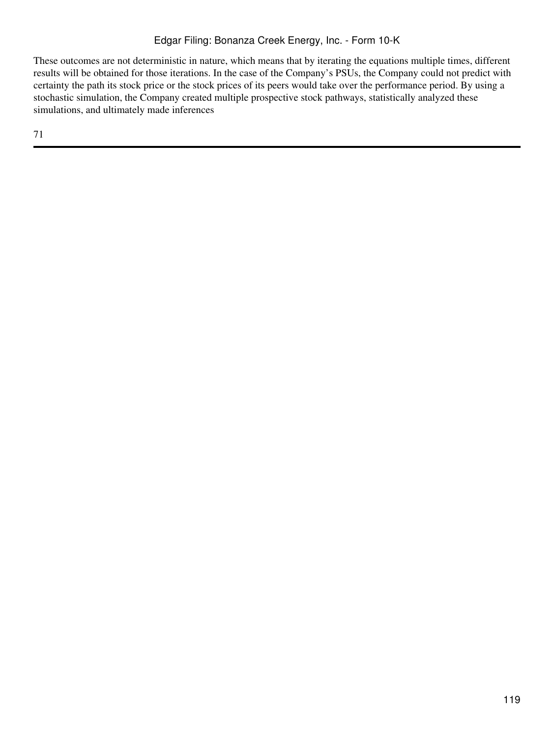These outcomes are not deterministic in nature, which means that by iterating the equations multiple times, different results will be obtained for those iterations. In the case of the Company's PSUs, the Company could not predict with certainty the path its stock price or the stock prices of its peers would take over the performance period. By using a stochastic simulation, the Company created multiple prospective stock pathways, statistically analyzed these simulations, and ultimately made inferences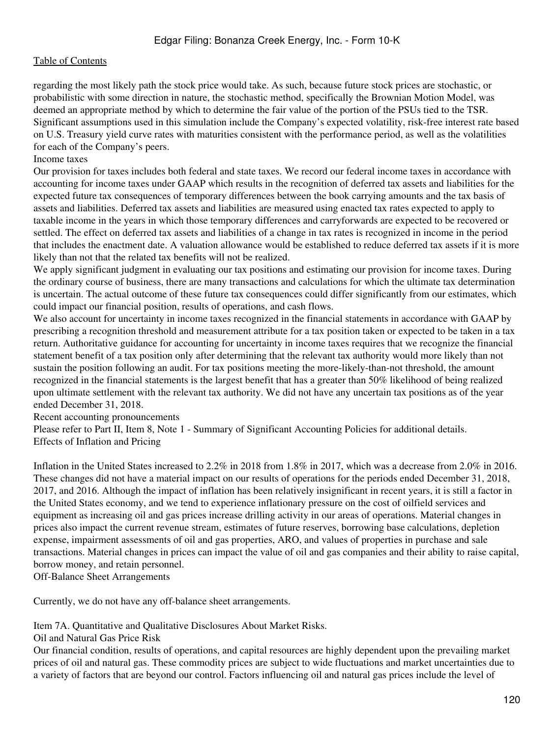regarding the most likely path the stock price would take. As such, because future stock prices are stochastic, or probabilistic with some direction in nature, the stochastic method, specifically the Brownian Motion Model, was deemed an appropriate method by which to determine the fair value of the portion of the PSUs tied to the TSR. Significant assumptions used in this simulation include the Company's expected volatility, risk-free interest rate based on U.S. Treasury yield curve rates with maturities consistent with the performance period, as well as the volatilities for each of the Company's peers.

## Income taxes

Our provision for taxes includes both federal and state taxes. We record our federal income taxes in accordance with accounting for income taxes under GAAP which results in the recognition of deferred tax assets and liabilities for the expected future tax consequences of temporary differences between the book carrying amounts and the tax basis of assets and liabilities. Deferred tax assets and liabilities are measured using enacted tax rates expected to apply to taxable income in the years in which those temporary differences and carryforwards are expected to be recovered or settled. The effect on deferred tax assets and liabilities of a change in tax rates is recognized in income in the period that includes the enactment date. A valuation allowance would be established to reduce deferred tax assets if it is more likely than not that the related tax benefits will not be realized.

We apply significant judgment in evaluating our tax positions and estimating our provision for income taxes. During the ordinary course of business, there are many transactions and calculations for which the ultimate tax determination is uncertain. The actual outcome of these future tax consequences could differ significantly from our estimates, which could impact our financial position, results of operations, and cash flows.

We also account for uncertainty in income taxes recognized in the financial statements in accordance with GAAP by prescribing a recognition threshold and measurement attribute for a tax position taken or expected to be taken in a tax return. Authoritative guidance for accounting for uncertainty in income taxes requires that we recognize the financial statement benefit of a tax position only after determining that the relevant tax authority would more likely than not sustain the position following an audit. For tax positions meeting the more-likely-than-not threshold, the amount recognized in the financial statements is the largest benefit that has a greater than 50% likelihood of being realized upon ultimate settlement with the relevant tax authority. We did not have any uncertain tax positions as of the year ended December 31, 2018.

Recent accounting pronouncements

Please refer to Part II, Item 8, Note 1 - Summary of Significant Accounting Policies for additional details. Effects of Inflation and Pricing

Inflation in the United States increased to 2.2% in 2018 from 1.8% in 2017, which was a decrease from 2.0% in 2016. These changes did not have a material impact on our results of operations for the periods ended December 31, 2018, 2017, and 2016. Although the impact of inflation has been relatively insignificant in recent years, it is still a factor in the United States economy, and we tend to experience inflationary pressure on the cost of oilfield services and equipment as increasing oil and gas prices increase drilling activity in our areas of operations. Material changes in prices also impact the current revenue stream, estimates of future reserves, borrowing base calculations, depletion expense, impairment assessments of oil and gas properties, ARO, and values of properties in purchase and sale transactions. Material changes in prices can impact the value of oil and gas companies and their ability to raise capital, borrow money, and retain personnel.

Off-Balance Sheet Arrangements

Currently, we do not have any off-balance sheet arrangements.

Item 7A. Quantitative and Qualitative Disclosures About Market Risks.

Oil and Natural Gas Price Risk

Our financial condition, results of operations, and capital resources are highly dependent upon the prevailing market prices of oil and natural gas. These commodity prices are subject to wide fluctuations and market uncertainties due to a variety of factors that are beyond our control. Factors influencing oil and natural gas prices include the level of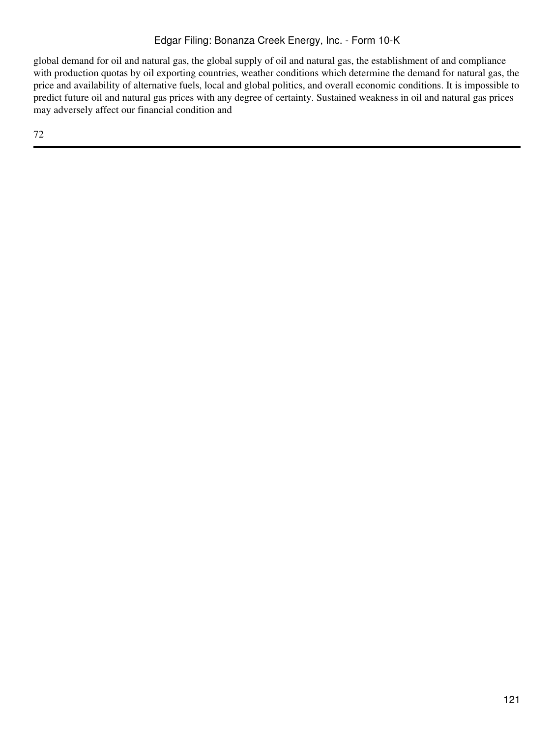global demand for oil and natural gas, the global supply of oil and natural gas, the establishment of and compliance with production quotas by oil exporting countries, weather conditions which determine the demand for natural gas, the price and availability of alternative fuels, local and global politics, and overall economic conditions. It is impossible to predict future oil and natural gas prices with any degree of certainty. Sustained weakness in oil and natural gas prices may adversely affect our financial condition and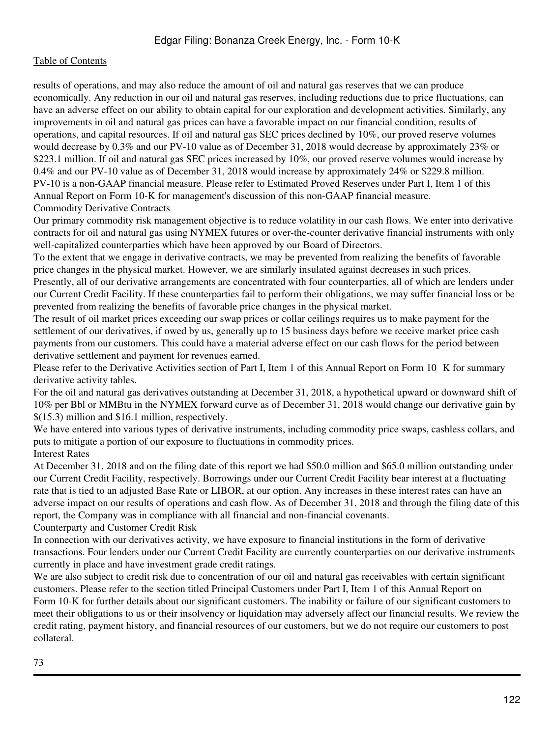results of operations, and may also reduce the amount of oil and natural gas reserves that we can produce economically. Any reduction in our oil and natural gas reserves, including reductions due to price fluctuations, can have an adverse effect on our ability to obtain capital for our exploration and development activities. Similarly, any improvements in oil and natural gas prices can have a favorable impact on our financial condition, results of operations, and capital resources. If oil and natural gas SEC prices declined by 10%, our proved reserve volumes would decrease by 0.3% and our PV-10 value as of December 31, 2018 would decrease by approximately 23% or \$223.1 million. If oil and natural gas SEC prices increased by 10%, our proved reserve volumes would increase by 0.4% and our PV-10 value as of December 31, 2018 would increase by approximately 24% or \$229.8 million. PV-10 is a non-GAAP financial measure. Please refer to Estimated Proved Reserves under Part I, Item 1 of this Annual Report on Form 10-K for management's discussion of this non-GAAP financial measure. Commodity Derivative Contracts

Our primary commodity risk management objective is to reduce volatility in our cash flows. We enter into derivative contracts for oil and natural gas using NYMEX futures or over-the-counter derivative financial instruments with only well-capitalized counterparties which have been approved by our Board of Directors.

To the extent that we engage in derivative contracts, we may be prevented from realizing the benefits of favorable price changes in the physical market. However, we are similarly insulated against decreases in such prices.

Presently, all of our derivative arrangements are concentrated with four counterparties, all of which are lenders under our Current Credit Facility. If these counterparties fail to perform their obligations, we may suffer financial loss or be prevented from realizing the benefits of favorable price changes in the physical market.

The result of oil market prices exceeding our swap prices or collar ceilings requires us to make payment for the settlement of our derivatives, if owed by us, generally up to 15 business days before we receive market price cash payments from our customers. This could have a material adverse effect on our cash flows for the period between derivative settlement and payment for revenues earned.

Please refer to the Derivative Activities section of Part I, Item 1 of this Annual Report on Form 10 K for summary derivative activity tables.

For the oil and natural gas derivatives outstanding at December 31, 2018, a hypothetical upward or downward shift of 10% per Bbl or MMBtu in the NYMEX forward curve as of December 31, 2018 would change our derivative gain by \$(15.3) million and \$16.1 million, respectively.

We have entered into various types of derivative instruments, including commodity price swaps, cashless collars, and puts to mitigate a portion of our exposure to fluctuations in commodity prices. Interest Rates

At December 31, 2018 and on the filing date of this report we had \$50.0 million and \$65.0 million outstanding under our Current Credit Facility, respectively. Borrowings under our Current Credit Facility bear interest at a fluctuating rate that is tied to an adjusted Base Rate or LIBOR, at our option. Any increases in these interest rates can have an adverse impact on our results of operations and cash flow. As of December 31, 2018 and through the filing date of this report, the Company was in compliance with all financial and non-financial covenants.

Counterparty and Customer Credit Risk

In connection with our derivatives activity, we have exposure to financial institutions in the form of derivative transactions. Four lenders under our Current Credit Facility are currently counterparties on our derivative instruments currently in place and have investment grade credit ratings.

We are also subject to credit risk due to concentration of our oil and natural gas receivables with certain significant customers. Please refer to the section titled Principal Customers under Part I, Item 1 of this Annual Report on Form 10-K for further details about our significant customers. The inability or failure of our significant customers to meet their obligations to us or their insolvency or liquidation may adversely affect our financial results. We review the credit rating, payment history, and financial resources of our customers, but we do not require our customers to post collateral.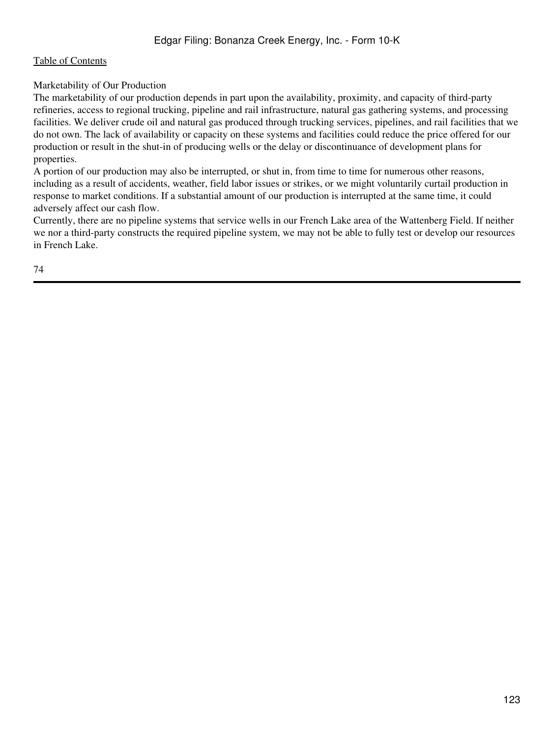# Marketability of Our Production

The marketability of our production depends in part upon the availability, proximity, and capacity of third-party refineries, access to regional trucking, pipeline and rail infrastructure, natural gas gathering systems, and processing facilities. We deliver crude oil and natural gas produced through trucking services, pipelines, and rail facilities that we do not own. The lack of availability or capacity on these systems and facilities could reduce the price offered for our production or result in the shut-in of producing wells or the delay or discontinuance of development plans for properties.

A portion of our production may also be interrupted, or shut in, from time to time for numerous other reasons, including as a result of accidents, weather, field labor issues or strikes, or we might voluntarily curtail production in response to market conditions. If a substantial amount of our production is interrupted at the same time, it could adversely affect our cash flow.

Currently, there are no pipeline systems that service wells in our French Lake area of the Wattenberg Field. If neither we nor a third-party constructs the required pipeline system, we may not be able to fully test or develop our resources in French Lake.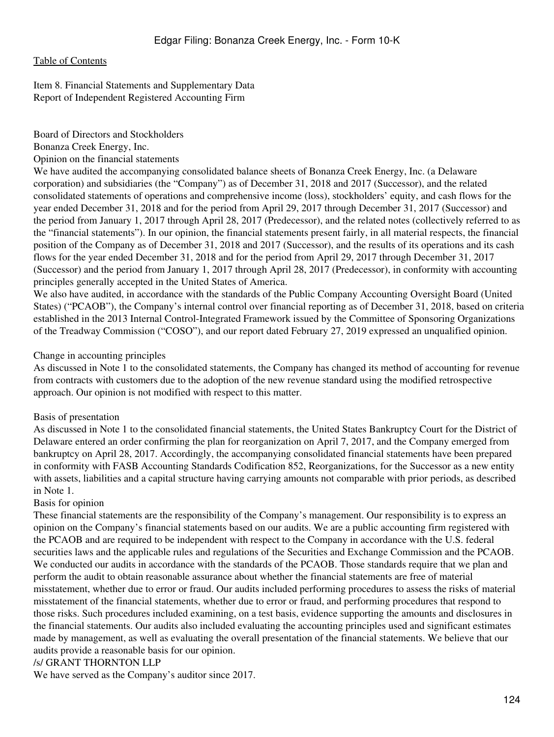Item 8. Financial Statements and Supplementary Data Report of Independent Registered Accounting Firm

Board of Directors and Stockholders

## Bonanza Creek Energy, Inc.

Opinion on the financial statements

We have audited the accompanying consolidated balance sheets of Bonanza Creek Energy, Inc. (a Delaware corporation) and subsidiaries (the "Company") as of December 31, 2018 and 2017 (Successor), and the related consolidated statements of operations and comprehensive income (loss), stockholders' equity, and cash flows for the year ended December 31, 2018 and for the period from April 29, 2017 through December 31, 2017 (Successor) and the period from January 1, 2017 through April 28, 2017 (Predecessor), and the related notes (collectively referred to as the "financial statements"). In our opinion, the financial statements present fairly, in all material respects, the financial position of the Company as of December 31, 2018 and 2017 (Successor), and the results of its operations and its cash flows for the year ended December 31, 2018 and for the period from April 29, 2017 through December 31, 2017 (Successor) and the period from January 1, 2017 through April 28, 2017 (Predecessor), in conformity with accounting principles generally accepted in the United States of America.

We also have audited, in accordance with the standards of the Public Company Accounting Oversight Board (United States) ("PCAOB"), the Company's internal control over financial reporting as of December 31, 2018, based on criteria established in the 2013 Internal Control-Integrated Framework issued by the Committee of Sponsoring Organizations of the Treadway Commission ("COSO"), and our report dated February 27, 2019 expressed an unqualified opinion.

Change in accounting principles

As discussed in Note 1 to the consolidated statements, the Company has changed its method of accounting for revenue from contracts with customers due to the adoption of the new revenue standard using the modified retrospective approach. Our opinion is not modified with respect to this matter.

# Basis of presentation

As discussed in Note 1 to the consolidated financial statements, the United States Bankruptcy Court for the District of Delaware entered an order confirming the plan for reorganization on April 7, 2017, and the Company emerged from bankruptcy on April 28, 2017. Accordingly, the accompanying consolidated financial statements have been prepared in conformity with FASB Accounting Standards Codification 852, Reorganizations, for the Successor as a new entity with assets, liabilities and a capital structure having carrying amounts not comparable with prior periods, as described in Note 1.

#### Basis for opinion

These financial statements are the responsibility of the Company's management. Our responsibility is to express an opinion on the Company's financial statements based on our audits. We are a public accounting firm registered with the PCAOB and are required to be independent with respect to the Company in accordance with the U.S. federal securities laws and the applicable rules and regulations of the Securities and Exchange Commission and the PCAOB. We conducted our audits in accordance with the standards of the PCAOB. Those standards require that we plan and perform the audit to obtain reasonable assurance about whether the financial statements are free of material misstatement, whether due to error or fraud. Our audits included performing procedures to assess the risks of material misstatement of the financial statements, whether due to error or fraud, and performing procedures that respond to those risks. Such procedures included examining, on a test basis, evidence supporting the amounts and disclosures in the financial statements. Our audits also included evaluating the accounting principles used and significant estimates made by management, as well as evaluating the overall presentation of the financial statements. We believe that our audits provide a reasonable basis for our opinion.

# /s/ GRANT THORNTON LLP

We have served as the Company's auditor since 2017.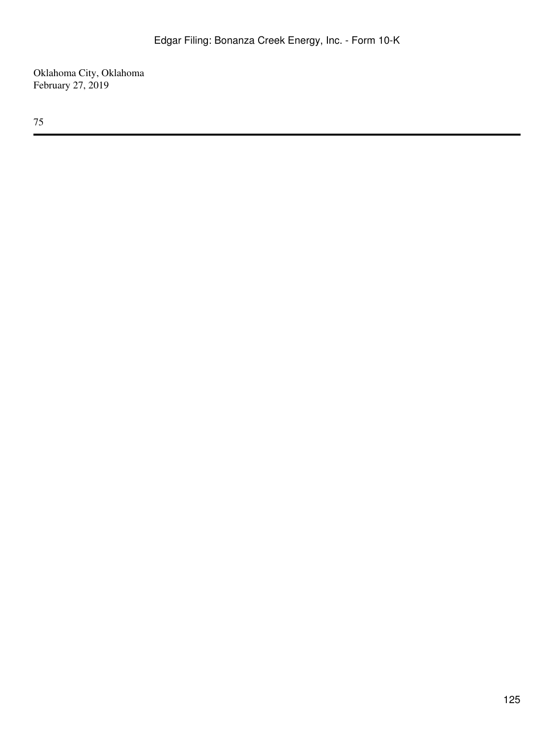Oklahoma City, Oklahoma February 27, 2019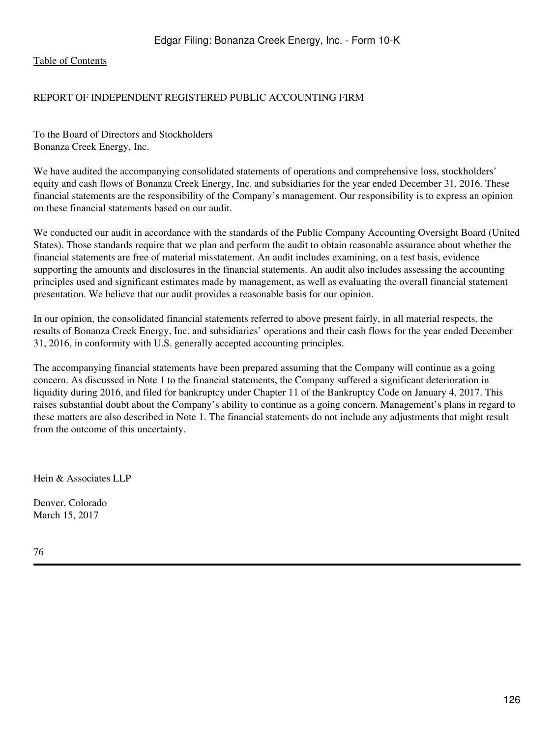## REPORT OF INDEPENDENT REGISTERED PUBLIC ACCOUNTING FIRM

To the Board of Directors and Stockholders Bonanza Creek Energy, Inc.

We have audited the accompanying consolidated statements of operations and comprehensive loss, stockholders' equity and cash flows of Bonanza Creek Energy, Inc. and subsidiaries for the year ended December 31, 2016. These financial statements are the responsibility of the Company's management. Our responsibility is to express an opinion on these financial statements based on our audit.

We conducted our audit in accordance with the standards of the Public Company Accounting Oversight Board (United States). Those standards require that we plan and perform the audit to obtain reasonable assurance about whether the financial statements are free of material misstatement. An audit includes examining, on a test basis, evidence supporting the amounts and disclosures in the financial statements. An audit also includes assessing the accounting principles used and significant estimates made by management, as well as evaluating the overall financial statement presentation. We believe that our audit provides a reasonable basis for our opinion.

In our opinion, the consolidated financial statements referred to above present fairly, in all material respects, the results of Bonanza Creek Energy, Inc. and subsidiaries' operations and their cash flows for the year ended December 31, 2016, in conformity with U.S. generally accepted accounting principles.

The accompanying financial statements have been prepared assuming that the Company will continue as a going concern. As discussed in Note 1 to the financial statements, the Company suffered a significant deterioration in liquidity during 2016, and filed for bankruptcy under Chapter 11 of the Bankruptcy Code on January 4, 2017. This raises substantial doubt about the Company's ability to continue as a going concern. Management's plans in regard to these matters are also described in Note 1. The financial statements do not include any adjustments that might result from the outcome of this uncertainty.

Hein & Associates LLP

Denver, Colorado March 15, 2017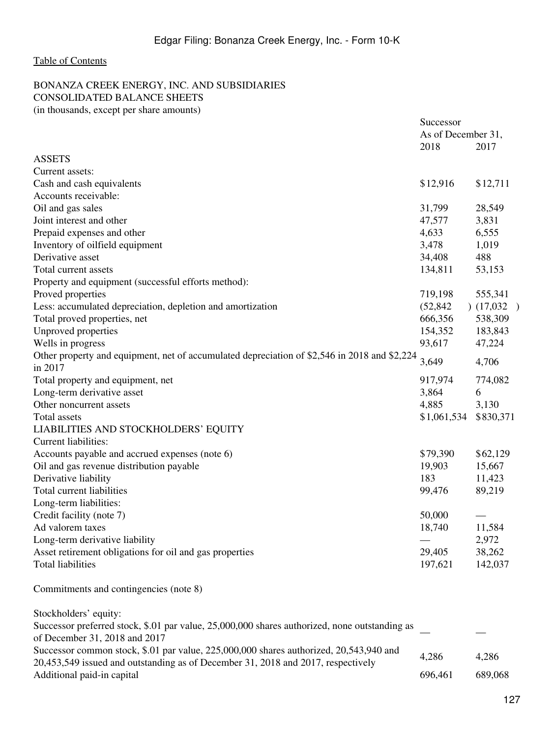# BONANZA CREEK ENERGY, INC. AND SUBSIDIARIES CONSOLIDATED BALANCE SHEETS (in thousands, except per share amounts)

|                                                                                               | Successor          |           |  |
|-----------------------------------------------------------------------------------------------|--------------------|-----------|--|
|                                                                                               | As of December 31, |           |  |
|                                                                                               | 2018               | 2017      |  |
| <b>ASSETS</b>                                                                                 |                    |           |  |
| Current assets:                                                                               |                    |           |  |
| Cash and cash equivalents                                                                     | \$12,916           | \$12,711  |  |
| Accounts receivable:                                                                          |                    |           |  |
| Oil and gas sales                                                                             | 31,799             | 28,549    |  |
| Joint interest and other                                                                      | 47,577             | 3,831     |  |
| Prepaid expenses and other                                                                    | 4,633              | 6,555     |  |
| Inventory of oilfield equipment                                                               | 3,478              | 1,019     |  |
| Derivative asset                                                                              | 34,408             | 488       |  |
| Total current assets                                                                          | 134,811            | 53,153    |  |
| Property and equipment (successful efforts method):                                           |                    |           |  |
| Proved properties                                                                             | 719,198            | 555,341   |  |
| Less: accumulated depreciation, depletion and amortization                                    | (52, 842)          | (17,032)  |  |
| Total proved properties, net                                                                  | 666,356            | 538,309   |  |
| Unproved properties                                                                           | 154,352            | 183,843   |  |
| Wells in progress                                                                             | 93,617             | 47,224    |  |
| Other property and equipment, net of accumulated depreciation of \$2,546 in 2018 and \$2,224  |                    |           |  |
| in 2017                                                                                       | 3,649              | 4,706     |  |
| Total property and equipment, net                                                             | 917,974            | 774,082   |  |
| Long-term derivative asset                                                                    | 3,864              | 6         |  |
| Other noncurrent assets                                                                       | 4,885              | 3,130     |  |
| Total assets                                                                                  | \$1,061,534        | \$830,371 |  |
| LIABILITIES AND STOCKHOLDERS' EQUITY                                                          |                    |           |  |
| <b>Current liabilities:</b>                                                                   |                    |           |  |
| Accounts payable and accrued expenses (note 6)                                                | \$79,390           | \$62,129  |  |
| Oil and gas revenue distribution payable                                                      | 19,903             | 15,667    |  |
| Derivative liability                                                                          | 183                | 11,423    |  |
| Total current liabilities                                                                     | 99,476             | 89,219    |  |
| Long-term liabilities:                                                                        |                    |           |  |
| Credit facility (note 7)                                                                      | 50,000             |           |  |
| Ad valorem taxes                                                                              | 18,740             | 11,584    |  |
| Long-term derivative liability                                                                |                    | 2,972     |  |
| Asset retirement obligations for oil and gas properties                                       | 29,405             | 38,262    |  |
| Total liabilities                                                                             | 197,621            | 142,037   |  |
| Commitments and contingencies (note 8)                                                        |                    |           |  |
| Stockholders' equity:                                                                         |                    |           |  |
| Successor preferred stock, \$.01 par value, 25,000,000 shares authorized, none outstanding as |                    |           |  |
| of December 31, 2018 and 2017                                                                 |                    |           |  |
| Successor common stock, \$.01 par value, 225,000,000 shares authorized, 20,543,940 and        |                    |           |  |
| 20,453,549 issued and outstanding as of December 31, 2018 and 2017, respectively              | 4,286              | 4,286     |  |

Additional paid-in capital 689,068 696,461 689,068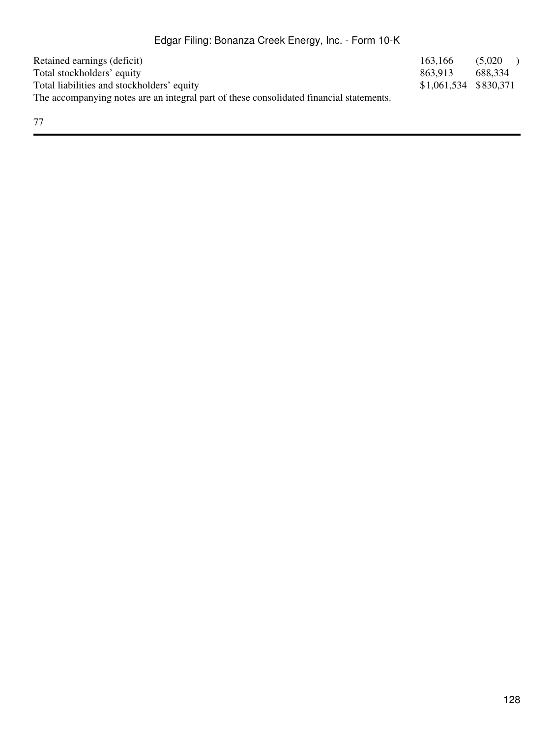| Retained earnings (deficit)                                                             | 163.166               | (5.020) |  |
|-----------------------------------------------------------------------------------------|-----------------------|---------|--|
| Total stockholders' equity                                                              | 863.913               | 688.334 |  |
| Total liabilities and stockholders' equity                                              | \$1,061,534 \$830,371 |         |  |
| The accompanying notes are an integral part of these consolidated financial statements. |                       |         |  |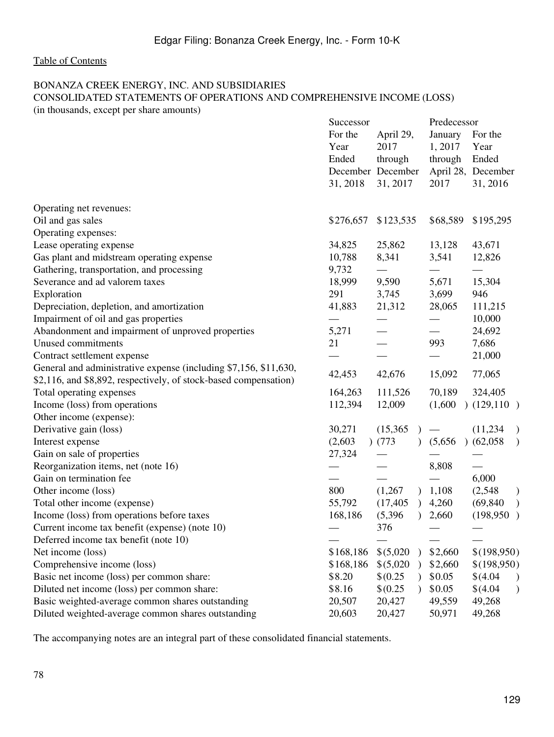# BONANZA CREEK ENERGY, INC. AND SUBSIDIARIES

# CONSOLIDATED STATEMENTS OF OPERATIONS AND COMPREHENSIVE INCOME (LOSS) (in thousands, except per share amounts)

|                                                                  | Successor |                          | Predecessor |                            |  |  |
|------------------------------------------------------------------|-----------|--------------------------|-------------|----------------------------|--|--|
|                                                                  | For the   | April 29,                | January     | For the                    |  |  |
|                                                                  | Year      | 2017                     | 1, 2017     | Year                       |  |  |
|                                                                  | Ended     | through                  | through     | Ended                      |  |  |
|                                                                  |           | December December        |             | April 28, December         |  |  |
|                                                                  | 31, 2018  | 31, 2017                 | 2017        | 31, 2016                   |  |  |
| Operating net revenues:                                          |           |                          |             |                            |  |  |
| Oil and gas sales                                                | \$276,657 | \$123,535                | \$68,589    | \$195,295                  |  |  |
| Operating expenses:                                              |           |                          |             |                            |  |  |
| Lease operating expense                                          | 34,825    | 25,862                   | 13,128      | 43,671                     |  |  |
| Gas plant and midstream operating expense                        | 10,788    | 8,341                    | 3,541       | 12,826                     |  |  |
| Gathering, transportation, and processing                        | 9,732     |                          |             |                            |  |  |
| Severance and ad valorem taxes                                   | 18,999    | 9,590                    | 5,671       | 15,304                     |  |  |
| Exploration                                                      | 291       | 3,745                    | 3,699       | 946                        |  |  |
| Depreciation, depletion, and amortization                        | 41,883    | 21,312                   | 28,065      | 111,215                    |  |  |
| Impairment of oil and gas properties                             |           |                          |             | 10,000                     |  |  |
| Abandonment and impairment of unproved properties                | 5,271     |                          |             | 24,692                     |  |  |
| Unused commitments                                               | 21        |                          | 993         | 7,686                      |  |  |
| Contract settlement expense                                      |           |                          |             | 21,000                     |  |  |
| General and administrative expense (including \$7,156, \$11,630, | 42,453    | 42,676                   | 15,092      | 77,065                     |  |  |
| \$2,116, and \$8,892, respectively, of stock-based compensation) |           |                          |             |                            |  |  |
| Total operating expenses                                         | 164,263   | 111,526                  | 70,189      | 324,405                    |  |  |
| Income (loss) from operations                                    | 112,394   | 12,009                   | (1,600)     | (129, 110)                 |  |  |
| Other income (expense):                                          |           |                          |             |                            |  |  |
| Derivative gain (loss)                                           | 30,271    | (15,365)                 |             | (11,234)<br>$\big)$        |  |  |
| Interest expense                                                 | (2,603)   | (773)                    | (5,656)     | (62,058)<br>$\mathcal{E}$  |  |  |
| Gain on sale of properties                                       | 27,324    |                          |             |                            |  |  |
| Reorganization items, net (note 16)                              |           |                          | 8,808       |                            |  |  |
| Gain on termination fee                                          |           |                          |             | 6,000                      |  |  |
| Other income (loss)                                              | 800       | (1,267)<br>$\mathcal{L}$ | 1,108       | (2,548)<br>$\mathcal{E}$   |  |  |
| Total other income (expense)                                     | 55,792    | (17, 405)<br>$\lambda$   | 4,260       | $\mathcal{E}$<br>(69, 840) |  |  |
| Income (loss) from operations before taxes                       | 168,186   | (5, 396)                 | 2,660       | (198,950)                  |  |  |
| Current income tax benefit (expense) (note 10)                   |           | 376                      |             |                            |  |  |
| Deferred income tax benefit (note 10)                            |           |                          |             |                            |  |  |
| Net income (loss)                                                | \$168,186 | \$ (5,020)               | \$2,660     | \$(198,950)                |  |  |
| Comprehensive income (loss)                                      | \$168,186 | \$ (5,020)               | \$2,660     | \$(198,950)                |  |  |
| Basic net income (loss) per common share:                        | \$8.20    | \$0.25                   | \$0.05      | \$(4.04)                   |  |  |
| Diluted net income (loss) per common share:                      | \$8.16    | \$0.25                   | \$0.05      | \$(4.04)<br>$\lambda$      |  |  |
| Basic weighted-average common shares outstanding                 | 20,507    | 20,427                   | 49,559      | 49,268                     |  |  |
| Diluted weighted-average common shares outstanding               | 20,603    | 20,427                   | 50,971      | 49,268                     |  |  |

The accompanying notes are an integral part of these consolidated financial statements.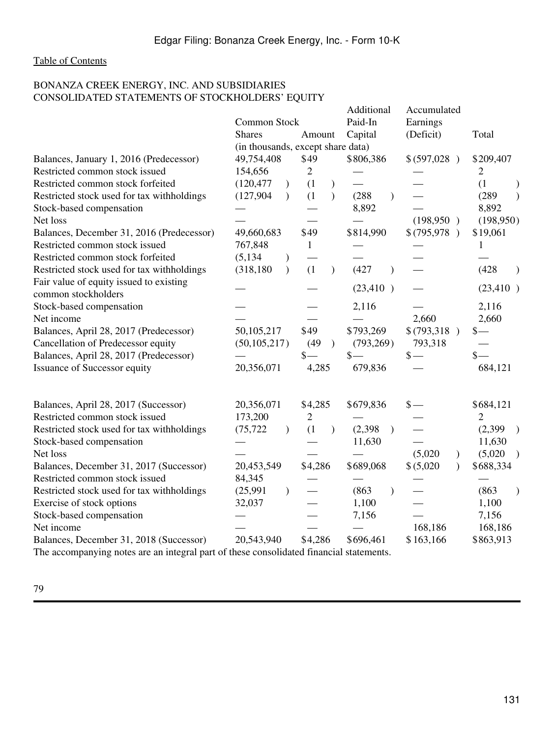# BONANZA CREEK ENERGY, INC. AND SUBSIDIARIES CONSOLIDATED STATEMENTS OF STOCKHOLDERS' EQUITY

|                                                                                        |                                   |                       | Additional                | Accumulated                   |                            |
|----------------------------------------------------------------------------------------|-----------------------------------|-----------------------|---------------------------|-------------------------------|----------------------------|
|                                                                                        | Common Stock                      |                       | Paid-In                   | Earnings                      |                            |
|                                                                                        | <b>Shares</b>                     | Amount                | Capital                   | (Deficit)                     | Total                      |
|                                                                                        | (in thousands, except share data) |                       |                           |                               |                            |
| Balances, January 1, 2016 (Predecessor)                                                | 49,754,408                        | \$49                  | \$806,386                 | \$ (597,028 )                 | \$209,407                  |
| Restricted common stock issued                                                         | 154,656                           | $\overline{2}$        |                           |                               | $\overline{2}$             |
| Restricted common stock forfeited                                                      | (120, 477)<br>$\lambda$           | (1)<br>$\mathcal{E}$  |                           |                               | (1)                        |
| Restricted stock used for tax withholdings                                             | (127, 904)<br>$\lambda$           | $\mathcal{L}$<br>(1)  | (288)<br>$\lambda$        |                               | (289)<br>$\mathcal{E}$     |
| Stock-based compensation                                                               |                                   |                       | 8,892                     |                               | 8,892                      |
| Net loss                                                                               |                                   |                       |                           | (198,950)                     | (198,950)                  |
| Balances, December 31, 2016 (Predecessor)                                              | 49,660,683                        | \$49                  | \$814,990                 | \$(795, 978)<br>$\rightarrow$ | \$19,061                   |
| Restricted common stock issued                                                         | 767,848                           | $\mathbf{1}$          |                           |                               | 1                          |
| Restricted common stock forfeited                                                      | (5, 134)                          |                       |                           |                               |                            |
| Restricted stock used for tax withholdings                                             | (318, 180)<br>$\lambda$           | (1)<br>$\lambda$      | (427)<br>$\lambda$        |                               | (428)                      |
| Fair value of equity issued to existing                                                |                                   |                       |                           |                               |                            |
| common stockholders                                                                    |                                   |                       | (23, 410)                 |                               | (23, 410)                  |
| Stock-based compensation                                                               |                                   |                       | 2,116                     |                               | 2,116                      |
| Net income                                                                             |                                   |                       |                           | 2,660                         | 2,660                      |
| Balances, April 28, 2017 (Predecessor)                                                 | 50,105,217                        | \$49                  | \$793,269                 | \$(793,318)<br>$\lambda$      | $\frac{\ }{s-}$            |
| Cancellation of Predecessor equity                                                     | (50, 105, 217)                    | (49)<br>$\rightarrow$ | (793,269)                 | 793,318                       |                            |
| Balances, April 28, 2017 (Predecessor)                                                 |                                   | $\frac{\ }{s-}$       | $\frac{\ }{s-}$           | $\frac{\S}{\S}$               | $\frac{\text{S}}{\text{}}$ |
| Issuance of Successor equity                                                           | 20,356,071                        | 4,285                 | 679,836                   |                               | 684,121                    |
|                                                                                        |                                   |                       |                           |                               |                            |
| Balances, April 28, 2017 (Successor)                                                   | 20,356,071                        | \$4,285               | \$679,836                 | $\mathbb{S}-$                 | \$684,121                  |
| Restricted common stock issued                                                         | 173,200                           | $\overline{c}$        |                           |                               | $\overline{2}$             |
| Restricted stock used for tax withholdings                                             | (75, 722)<br>$\mathcal{L}$        | (1)<br>$\mathcal{L}$  | (2, 398)<br>$\rightarrow$ |                               | (2, 399)<br>$\mathcal{E}$  |
| Stock-based compensation                                                               |                                   |                       | 11,630                    |                               | 11,630                     |
| Net loss                                                                               |                                   |                       |                           | (5,020)<br>$\lambda$          | (5,020)<br>$\lambda$       |
| Balances, December 31, 2017 (Successor)                                                | 20,453,549                        | \$4,286               | \$689,068                 | \$ (5,020)<br>$\lambda$       | \$688,334                  |
| Restricted common stock issued                                                         | 84,345                            |                       |                           |                               |                            |
| Restricted stock used for tax withholdings                                             | (25,991)<br>$\lambda$             |                       | (863)<br>$\lambda$        |                               | (863)<br>$\mathcal{E}$     |
| Exercise of stock options                                                              | 32,037                            |                       | 1,100                     |                               | 1,100                      |
| Stock-based compensation                                                               |                                   |                       | 7,156                     |                               | 7,156                      |
| Net income                                                                             |                                   |                       |                           | 168,186                       | 168,186                    |
| Balances, December 31, 2018 (Successor)                                                | 20,543,940                        | \$4,286               | \$696,461                 | \$163,166                     | \$863,913                  |
| The accompanying notes are an integral part of these consolidated financial statements |                                   |                       |                           |                               |                            |

The accompanying notes are an integral part of these consolidated financial statements.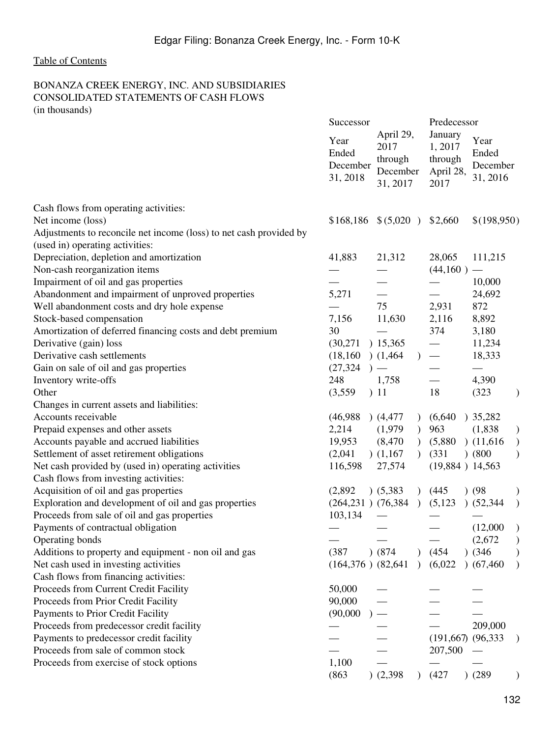## BONANZA CREEK ENERGY, INC. AND SUBSIDIARIES CONSOLIDATED STATEMENTS OF CASH FLOWS (in thousands)

|                                                                    | Successor                             |                                                      |               | Predecessor                                        |                                       |               |
|--------------------------------------------------------------------|---------------------------------------|------------------------------------------------------|---------------|----------------------------------------------------|---------------------------------------|---------------|
|                                                                    | Year<br>Ended<br>December<br>31, 2018 | April 29,<br>2017<br>through<br>December<br>31, 2017 |               | January<br>1, 2017<br>through<br>April 28,<br>2017 | Year<br>Ended<br>December<br>31, 2016 |               |
| Cash flows from operating activities:                              |                                       |                                                      |               |                                                    |                                       |               |
| Net income (loss)                                                  | \$168,186                             | \$ (5,020)                                           |               | \$2,660                                            | \$(198,950)                           |               |
| Adjustments to reconcile net income (loss) to net cash provided by |                                       |                                                      |               |                                                    |                                       |               |
| (used in) operating activities:                                    |                                       |                                                      |               |                                                    |                                       |               |
| Depreciation, depletion and amortization                           | 41,883                                | 21,312                                               |               | 28,065                                             | 111,215                               |               |
| Non-cash reorganization items                                      |                                       |                                                      |               | (44,160)                                           | $\overline{\phantom{m}}$              |               |
| Impairment of oil and gas properties                               |                                       |                                                      |               |                                                    | 10,000                                |               |
| Abandonment and impairment of unproved properties                  | 5,271                                 |                                                      |               |                                                    | 24,692                                |               |
| Well abandonment costs and dry hole expense                        |                                       | 75                                                   |               | 2,931                                              | 872                                   |               |
| Stock-based compensation                                           | 7,156                                 | 11,630                                               |               | 2,116                                              | 8,892                                 |               |
| Amortization of deferred financing costs and debt premium          | 30                                    |                                                      |               | 374                                                | 3,180                                 |               |
| Derivative (gain) loss                                             | (30,271)                              | 15,365                                               |               |                                                    | 11,234                                |               |
| Derivative cash settlements                                        | (18, 160)                             | (1,464)                                              |               | $\overline{\phantom{m}}$                           | 18,333                                |               |
| Gain on sale of oil and gas properties                             | (27, 324)                             | $)$ —                                                |               |                                                    |                                       |               |
| Inventory write-offs                                               | 248                                   | 1,758                                                |               |                                                    | 4,390                                 |               |
| Other                                                              | (3,559)                               | $)$ 11                                               |               | 18                                                 | (323)                                 | $\mathcal{E}$ |
| Changes in current assets and liabilities:                         |                                       |                                                      |               |                                                    |                                       |               |
| Accounts receivable                                                | (46,988)                              | (4, 477)                                             | $\lambda$     | (6,640)                                            | )35,282                               |               |
| Prepaid expenses and other assets                                  | 2,214                                 | (1,979)                                              | $\lambda$     | 963                                                | (1,838)                               | $\big)$       |
| Accounts payable and accrued liabilities                           | 19,953                                | (8, 470)                                             | $\lambda$     | (5,880)                                            | (11,616)                              | $\big)$       |
| Settlement of asset retirement obligations                         | (2,041)                               | (1,167)                                              | $\mathcal{L}$ | (331)                                              | (800)                                 |               |
| Net cash provided by (used in) operating activities                | 116,598                               | 27,574                                               |               | $(19,884)$ 14,563                                  |                                       |               |
| Cash flows from investing activities:                              |                                       |                                                      |               |                                                    |                                       |               |
| Acquisition of oil and gas properties                              | (2,892)                               | (5,383)                                              | $\lambda$     | (445)                                              | (98)                                  | )             |
| Exploration and development of oil and gas properties              | $(264, 231)$ $(76, 384)$              |                                                      | $\lambda$     | (5, 123)                                           | (52, 344)                             |               |
| Proceeds from sale of oil and gas properties                       | 103,134                               |                                                      |               |                                                    |                                       |               |
| Payments of contractual obligation                                 |                                       |                                                      |               |                                                    | (12,000)                              | $\mathcal{E}$ |
| Operating bonds                                                    |                                       |                                                      |               |                                                    | (2,672)                               |               |
| Additions to property and equipment - non oil and gas              | (387)                                 | )(874)                                               | $\lambda$     | (454)                                              | $)$ (346)                             |               |
| Net cash used in investing activities                              | $(164,376)$ $(82,641)$                |                                                      | $\lambda$     | (6,022)                                            | (67, 460)                             |               |
| Cash flows from financing activities:                              |                                       |                                                      |               |                                                    |                                       |               |
| Proceeds from Current Credit Facility                              | 50,000                                |                                                      |               |                                                    |                                       |               |
| Proceeds from Prior Credit Facility                                | 90,000                                |                                                      |               |                                                    |                                       |               |
| Payments to Prior Credit Facility                                  | (90,000)                              |                                                      |               |                                                    |                                       |               |
| Proceeds from predecessor credit facility                          |                                       |                                                      |               |                                                    | 209,000                               |               |
| Payments to predecessor credit facility                            |                                       |                                                      |               | $(191,667)$ $(96,333)$                             |                                       |               |
| Proceeds from sale of common stock                                 |                                       |                                                      |               | 207,500                                            |                                       |               |
| Proceeds from exercise of stock options                            | 1,100                                 |                                                      |               |                                                    |                                       |               |
|                                                                    | (863)                                 | )(2,398)                                             | $\lambda$     | (427)                                              | $)$ (289)                             |               |
|                                                                    |                                       |                                                      |               |                                                    |                                       |               |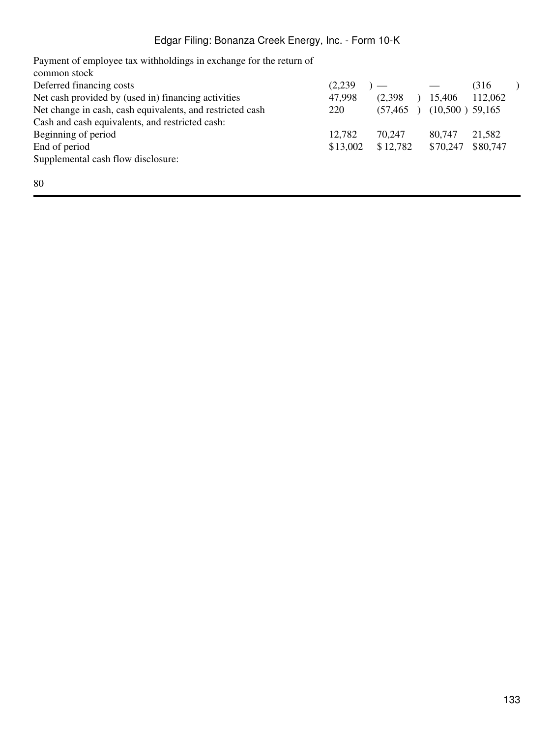| Payment of employee tax withholdings in exchange for the return of |          |           |                   |          |  |
|--------------------------------------------------------------------|----------|-----------|-------------------|----------|--|
| common stock                                                       |          |           |                   |          |  |
| Deferred financing costs                                           | (2,239)  |           |                   | (316)    |  |
| Net cash provided by (used in) financing activities                | 47,998   | (2,398)   | 15,406            | 112,062  |  |
| Net change in cash, cash equivalents, and restricted cash          | 220      | (57, 465) | $(10,500)$ 59,165 |          |  |
| Cash and cash equivalents, and restricted cash:                    |          |           |                   |          |  |
| Beginning of period                                                | 12,782   | 70,247    | 80.747            | 21,582   |  |
| End of period                                                      | \$13,002 | \$12,782  | \$70,247          | \$80,747 |  |
| Supplemental cash flow disclosure:                                 |          |           |                   |          |  |
|                                                                    |          |           |                   |          |  |
| 80                                                                 |          |           |                   |          |  |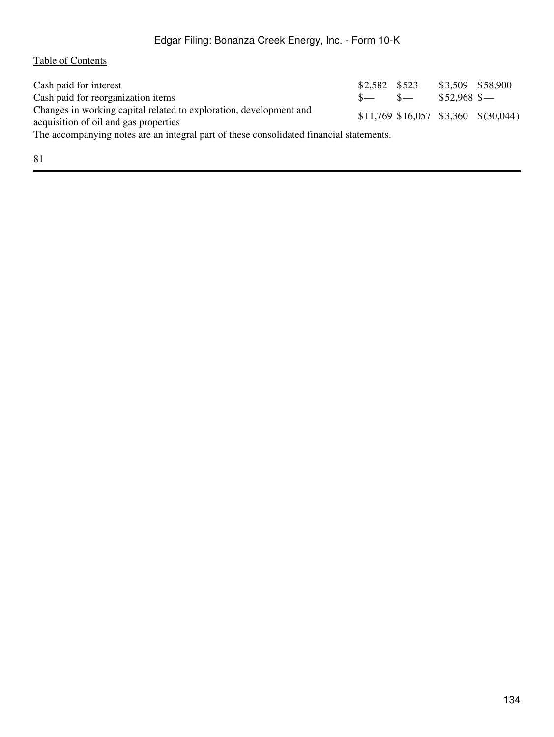# [Table of Contents](#page-2-0)

| Cash paid for interest                                                                                      | \$2,582 \$523 |  |              | \$3,509 \$58,900                      |  |
|-------------------------------------------------------------------------------------------------------------|---------------|--|--------------|---------------------------------------|--|
| Cash paid for reorganization items                                                                          | $s - s - s$   |  | $$52,968$ \$ |                                       |  |
| Changes in working capital related to exploration, development and<br>acquisition of oil and gas properties |               |  |              | $$11,769$ \$16,057 \$3,360 \$(30,044) |  |
| The accompanying notes are an integral part of these consolidated financial statements.                     |               |  |              |                                       |  |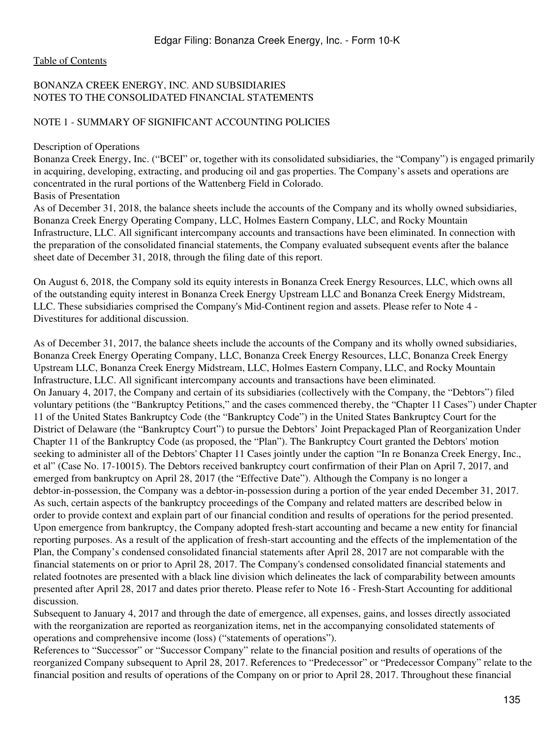## BONANZA CREEK ENERGY, INC. AND SUBSIDIARIES NOTES TO THE CONSOLIDATED FINANCIAL STATEMENTS

# NOTE 1 - SUMMARY OF SIGNIFICANT ACCOUNTING POLICIES

#### Description of Operations

Bonanza Creek Energy, Inc. ("BCEI" or, together with its consolidated subsidiaries, the "Company") is engaged primarily in acquiring, developing, extracting, and producing oil and gas properties. The Company's assets and operations are concentrated in the rural portions of the Wattenberg Field in Colorado.

## Basis of Presentation

As of December 31, 2018, the balance sheets include the accounts of the Company and its wholly owned subsidiaries, Bonanza Creek Energy Operating Company, LLC, Holmes Eastern Company, LLC, and Rocky Mountain Infrastructure, LLC. All significant intercompany accounts and transactions have been eliminated. In connection with the preparation of the consolidated financial statements, the Company evaluated subsequent events after the balance sheet date of December 31, 2018, through the filing date of this report.

On August 6, 2018, the Company sold its equity interests in Bonanza Creek Energy Resources, LLC, which owns all of the outstanding equity interest in Bonanza Creek Energy Upstream LLC and Bonanza Creek Energy Midstream, LLC. These subsidiaries comprised the Company's Mid-Continent region and assets. Please refer to Note 4 - Divestitures for additional discussion.

As of December 31, 2017, the balance sheets include the accounts of the Company and its wholly owned subsidiaries, Bonanza Creek Energy Operating Company, LLC, Bonanza Creek Energy Resources, LLC, Bonanza Creek Energy Upstream LLC, Bonanza Creek Energy Midstream, LLC, Holmes Eastern Company, LLC, and Rocky Mountain Infrastructure, LLC. All significant intercompany accounts and transactions have been eliminated. On January 4, 2017, the Company and certain of its subsidiaries (collectively with the Company, the "Debtors") filed voluntary petitions (the "Bankruptcy Petitions," and the cases commenced thereby, the "Chapter 11 Cases") under Chapter 11 of the United States Bankruptcy Code (the "Bankruptcy Code") in the United States Bankruptcy Court for the District of Delaware (the "Bankruptcy Court") to pursue the Debtors' Joint Prepackaged Plan of Reorganization Under Chapter 11 of the Bankruptcy Code (as proposed, the "Plan"). The Bankruptcy Court granted the Debtors' motion seeking to administer all of the Debtors' Chapter 11 Cases jointly under the caption "In re Bonanza Creek Energy, Inc., et al" (Case No. 17-10015). The Debtors received bankruptcy court confirmation of their Plan on April 7, 2017, and emerged from bankruptcy on April 28, 2017 (the "Effective Date"). Although the Company is no longer a debtor-in-possession, the Company was a debtor-in-possession during a portion of the year ended December 31, 2017. As such, certain aspects of the bankruptcy proceedings of the Company and related matters are described below in order to provide context and explain part of our financial condition and results of operations for the period presented. Upon emergence from bankruptcy, the Company adopted fresh-start accounting and became a new entity for financial reporting purposes. As a result of the application of fresh-start accounting and the effects of the implementation of the Plan, the Company's condensed consolidated financial statements after April 28, 2017 are not comparable with the financial statements on or prior to April 28, 2017. The Company's condensed consolidated financial statements and related footnotes are presented with a black line division which delineates the lack of comparability between amounts presented after April 28, 2017 and dates prior thereto. Please refer to Note 16 - Fresh-Start Accounting for additional discussion.

Subsequent to January 4, 2017 and through the date of emergence, all expenses, gains, and losses directly associated with the reorganization are reported as reorganization items, net in the accompanying consolidated statements of operations and comprehensive income (loss) ("statements of operations").

References to "Successor" or "Successor Company" relate to the financial position and results of operations of the reorganized Company subsequent to April 28, 2017. References to "Predecessor" or "Predecessor Company" relate to the financial position and results of operations of the Company on or prior to April 28, 2017. Throughout these financial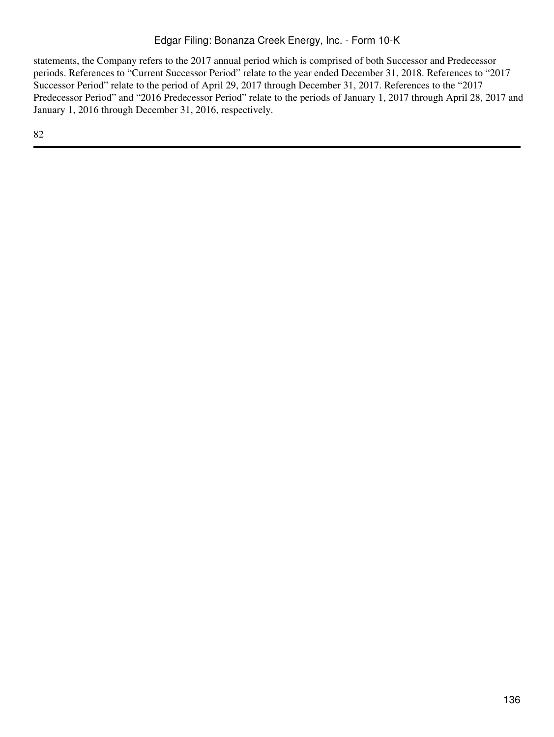statements, the Company refers to the 2017 annual period which is comprised of both Successor and Predecessor periods. References to "Current Successor Period" relate to the year ended December 31, 2018. References to "2017 Successor Period" relate to the period of April 29, 2017 through December 31, 2017. References to the "2017 Predecessor Period" and "2016 Predecessor Period" relate to the periods of January 1, 2017 through April 28, 2017 and January 1, 2016 through December 31, 2016, respectively.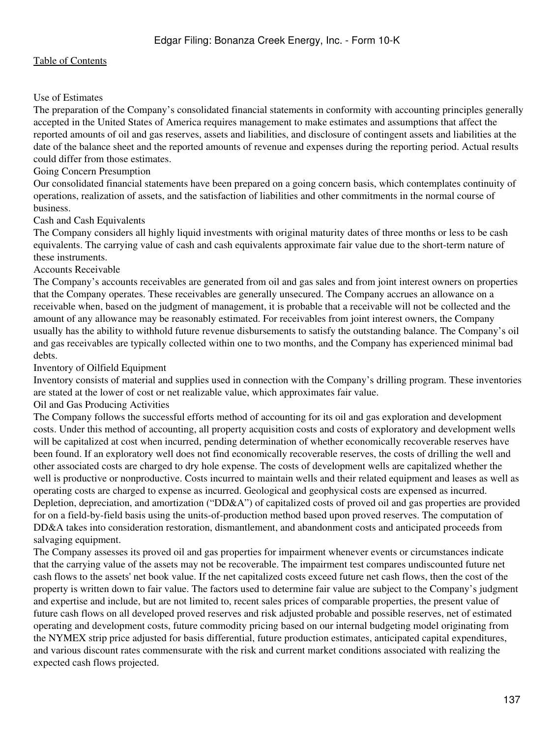#### Use of Estimates

The preparation of the Company's consolidated financial statements in conformity with accounting principles generally accepted in the United States of America requires management to make estimates and assumptions that affect the reported amounts of oil and gas reserves, assets and liabilities, and disclosure of contingent assets and liabilities at the date of the balance sheet and the reported amounts of revenue and expenses during the reporting period. Actual results could differ from those estimates.

## Going Concern Presumption

Our consolidated financial statements have been prepared on a going concern basis, which contemplates continuity of operations, realization of assets, and the satisfaction of liabilities and other commitments in the normal course of business.

#### Cash and Cash Equivalents

The Company considers all highly liquid investments with original maturity dates of three months or less to be cash equivalents. The carrying value of cash and cash equivalents approximate fair value due to the short-term nature of these instruments.

## Accounts Receivable

The Company's accounts receivables are generated from oil and gas sales and from joint interest owners on properties that the Company operates. These receivables are generally unsecured. The Company accrues an allowance on a receivable when, based on the judgment of management, it is probable that a receivable will not be collected and the amount of any allowance may be reasonably estimated. For receivables from joint interest owners, the Company usually has the ability to withhold future revenue disbursements to satisfy the outstanding balance. The Company's oil and gas receivables are typically collected within one to two months, and the Company has experienced minimal bad debts.

## Inventory of Oilfield Equipment

Inventory consists of material and supplies used in connection with the Company's drilling program. These inventories are stated at the lower of cost or net realizable value, which approximates fair value.

#### Oil and Gas Producing Activities

The Company follows the successful efforts method of accounting for its oil and gas exploration and development costs. Under this method of accounting, all property acquisition costs and costs of exploratory and development wells will be capitalized at cost when incurred, pending determination of whether economically recoverable reserves have been found. If an exploratory well does not find economically recoverable reserves, the costs of drilling the well and other associated costs are charged to dry hole expense. The costs of development wells are capitalized whether the well is productive or nonproductive. Costs incurred to maintain wells and their related equipment and leases as well as operating costs are charged to expense as incurred. Geological and geophysical costs are expensed as incurred. Depletion, depreciation, and amortization ("DD&A") of capitalized costs of proved oil and gas properties are provided for on a field-by-field basis using the units-of-production method based upon proved reserves. The computation of DD&A takes into consideration restoration, dismantlement, and abandonment costs and anticipated proceeds from salvaging equipment.

The Company assesses its proved oil and gas properties for impairment whenever events or circumstances indicate that the carrying value of the assets may not be recoverable. The impairment test compares undiscounted future net cash flows to the assets' net book value. If the net capitalized costs exceed future net cash flows, then the cost of the property is written down to fair value. The factors used to determine fair value are subject to the Company's judgment and expertise and include, but are not limited to, recent sales prices of comparable properties, the present value of future cash flows on all developed proved reserves and risk adjusted probable and possible reserves, net of estimated operating and development costs, future commodity pricing based on our internal budgeting model originating from the NYMEX strip price adjusted for basis differential, future production estimates, anticipated capital expenditures, and various discount rates commensurate with the risk and current market conditions associated with realizing the expected cash flows projected.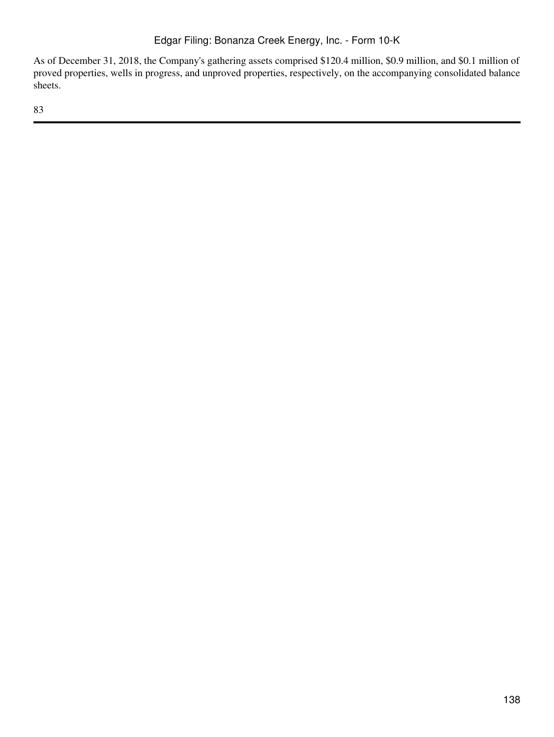As of December 31, 2018, the Company's gathering assets comprised \$120.4 million, \$0.9 million, and \$0.1 million of proved properties, wells in progress, and unproved properties, respectively, on the accompanying consolidated balance sheets.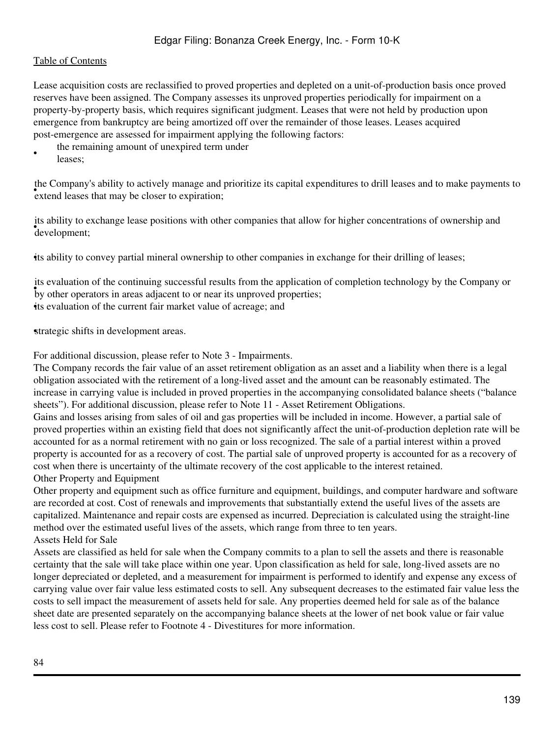## [Table of Contents](#page-2-0)

Lease acquisition costs are reclassified to proved properties and depleted on a unit-of-production basis once proved reserves have been assigned. The Company assesses its unproved properties periodically for impairment on a property-by-property basis, which requires significant judgment. Leases that were not held by production upon emergence from bankruptcy are being amortized off over the remainder of those leases. Leases acquired post-emergence are assessed for impairment applying the following factors:

- the remaining amount of unexpired term under
- leases;

extend leases that may be closer to expiration; the Company's ability to actively manage and prioritize its capital expenditures to drill leases and to make payments to

• development; its ability to exchange lease positions with other companies that allow for higher concentrations of ownership and

•its ability to convey partial mineral ownership to other companies in exchange for their drilling of leases;

by other operators in areas adjacent to or near its unproved properties; its evaluation of the continuing successful results from the application of completion technology by the Company or •its evaluation of the current fair market value of acreage; and

strategic shifts in development areas.

For additional discussion, please refer to Note 3 - Impairments.

The Company records the fair value of an asset retirement obligation as an asset and a liability when there is a legal obligation associated with the retirement of a long-lived asset and the amount can be reasonably estimated. The increase in carrying value is included in proved properties in the accompanying consolidated balance sheets ("balance sheets"). For additional discussion, please refer to Note 11 - Asset Retirement Obligations.

Gains and losses arising from sales of oil and gas properties will be included in income. However, a partial sale of proved properties within an existing field that does not significantly affect the unit-of-production depletion rate will be accounted for as a normal retirement with no gain or loss recognized. The sale of a partial interest within a proved property is accounted for as a recovery of cost. The partial sale of unproved property is accounted for as a recovery of cost when there is uncertainty of the ultimate recovery of the cost applicable to the interest retained. Other Property and Equipment

Other property and equipment such as office furniture and equipment, buildings, and computer hardware and software are recorded at cost. Cost of renewals and improvements that substantially extend the useful lives of the assets are capitalized. Maintenance and repair costs are expensed as incurred. Depreciation is calculated using the straight-line method over the estimated useful lives of the assets, which range from three to ten years. Assets Held for Sale

Assets are classified as held for sale when the Company commits to a plan to sell the assets and there is reasonable certainty that the sale will take place within one year. Upon classification as held for sale, long-lived assets are no longer depreciated or depleted, and a measurement for impairment is performed to identify and expense any excess of carrying value over fair value less estimated costs to sell. Any subsequent decreases to the estimated fair value less the costs to sell impact the measurement of assets held for sale. Any properties deemed held for sale as of the balance sheet date are presented separately on the accompanying balance sheets at the lower of net book value or fair value less cost to sell. Please refer to Footnote 4 - Divestitures for more information.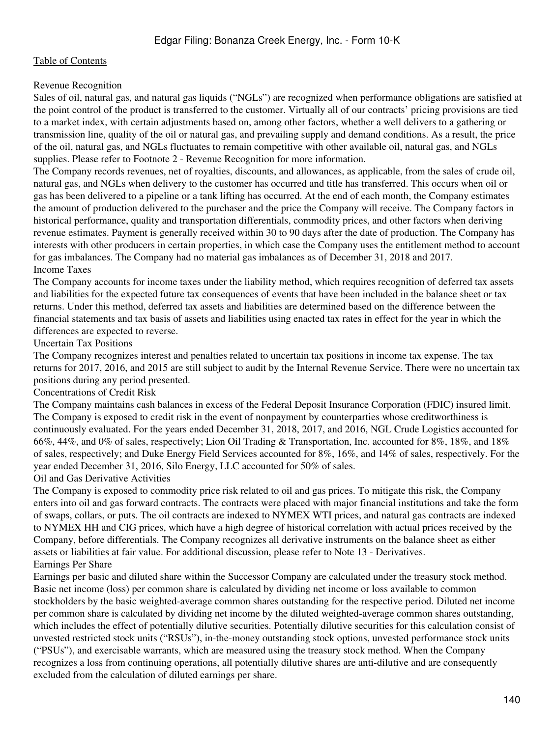## Revenue Recognition

Sales of oil, natural gas, and natural gas liquids ("NGLs") are recognized when performance obligations are satisfied at the point control of the product is transferred to the customer. Virtually all of our contracts' pricing provisions are tied to a market index, with certain adjustments based on, among other factors, whether a well delivers to a gathering or transmission line, quality of the oil or natural gas, and prevailing supply and demand conditions. As a result, the price of the oil, natural gas, and NGLs fluctuates to remain competitive with other available oil, natural gas, and NGLs supplies. Please refer to Footnote 2 - Revenue Recognition for more information.

The Company records revenues, net of royalties, discounts, and allowances, as applicable, from the sales of crude oil, natural gas, and NGLs when delivery to the customer has occurred and title has transferred. This occurs when oil or gas has been delivered to a pipeline or a tank lifting has occurred. At the end of each month, the Company estimates the amount of production delivered to the purchaser and the price the Company will receive. The Company factors in historical performance, quality and transportation differentials, commodity prices, and other factors when deriving revenue estimates. Payment is generally received within 30 to 90 days after the date of production. The Company has interests with other producers in certain properties, in which case the Company uses the entitlement method to account for gas imbalances. The Company had no material gas imbalances as of December 31, 2018 and 2017. Income Taxes

The Company accounts for income taxes under the liability method, which requires recognition of deferred tax assets and liabilities for the expected future tax consequences of events that have been included in the balance sheet or tax returns. Under this method, deferred tax assets and liabilities are determined based on the difference between the financial statements and tax basis of assets and liabilities using enacted tax rates in effect for the year in which the differences are expected to reverse.

Uncertain Tax Positions

The Company recognizes interest and penalties related to uncertain tax positions in income tax expense. The tax returns for 2017, 2016, and 2015 are still subject to audit by the Internal Revenue Service. There were no uncertain tax positions during any period presented.

Concentrations of Credit Risk

The Company maintains cash balances in excess of the Federal Deposit Insurance Corporation (FDIC) insured limit. The Company is exposed to credit risk in the event of nonpayment by counterparties whose creditworthiness is continuously evaluated. For the years ended December 31, 2018, 2017, and 2016, NGL Crude Logistics accounted for 66%, 44%, and 0% of sales, respectively; Lion Oil Trading & Transportation, Inc. accounted for 8%, 18%, and 18% of sales, respectively; and Duke Energy Field Services accounted for 8%, 16%, and 14% of sales, respectively. For the year ended December 31, 2016, Silo Energy, LLC accounted for 50% of sales.

Oil and Gas Derivative Activities

The Company is exposed to commodity price risk related to oil and gas prices. To mitigate this risk, the Company enters into oil and gas forward contracts. The contracts were placed with major financial institutions and take the form of swaps, collars, or puts. The oil contracts are indexed to NYMEX WTI prices, and natural gas contracts are indexed to NYMEX HH and CIG prices, which have a high degree of historical correlation with actual prices received by the Company, before differentials. The Company recognizes all derivative instruments on the balance sheet as either assets or liabilities at fair value. For additional discussion, please refer to Note 13 - Derivatives. Earnings Per Share

Earnings per basic and diluted share within the Successor Company are calculated under the treasury stock method. Basic net income (loss) per common share is calculated by dividing net income or loss available to common stockholders by the basic weighted-average common shares outstanding for the respective period. Diluted net income per common share is calculated by dividing net income by the diluted weighted-average common shares outstanding, which includes the effect of potentially dilutive securities. Potentially dilutive securities for this calculation consist of unvested restricted stock units ("RSUs"), in-the-money outstanding stock options, unvested performance stock units ("PSUs"), and exercisable warrants, which are measured using the treasury stock method. When the Company recognizes a loss from continuing operations, all potentially dilutive shares are anti-dilutive and are consequently excluded from the calculation of diluted earnings per share.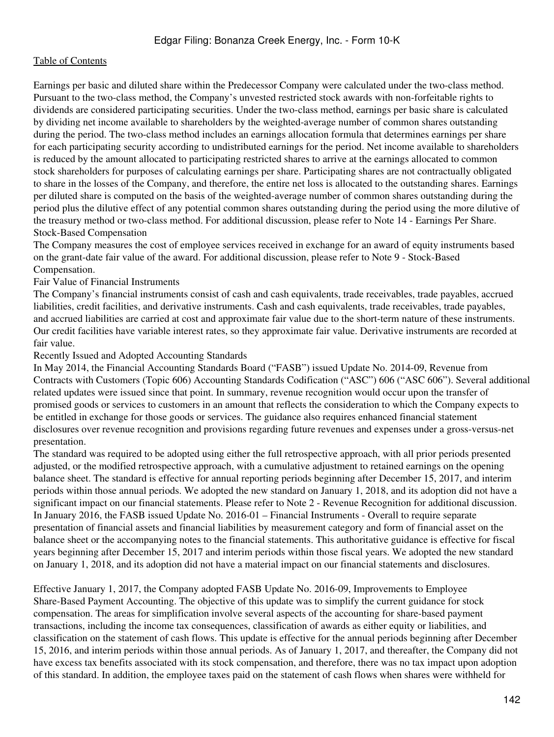Earnings per basic and diluted share within the Predecessor Company were calculated under the two-class method. Pursuant to the two-class method, the Company's unvested restricted stock awards with non-forfeitable rights to dividends are considered participating securities. Under the two-class method, earnings per basic share is calculated by dividing net income available to shareholders by the weighted-average number of common shares outstanding during the period. The two-class method includes an earnings allocation formula that determines earnings per share for each participating security according to undistributed earnings for the period. Net income available to shareholders is reduced by the amount allocated to participating restricted shares to arrive at the earnings allocated to common stock shareholders for purposes of calculating earnings per share. Participating shares are not contractually obligated to share in the losses of the Company, and therefore, the entire net loss is allocated to the outstanding shares. Earnings per diluted share is computed on the basis of the weighted-average number of common shares outstanding during the period plus the dilutive effect of any potential common shares outstanding during the period using the more dilutive of the treasury method or two-class method. For additional discussion, please refer to Note 14 - Earnings Per Share. Stock-Based Compensation

The Company measures the cost of employee services received in exchange for an award of equity instruments based on the grant-date fair value of the award. For additional discussion, please refer to Note 9 - Stock-Based Compensation.

Fair Value of Financial Instruments

The Company's financial instruments consist of cash and cash equivalents, trade receivables, trade payables, accrued liabilities, credit facilities, and derivative instruments. Cash and cash equivalents, trade receivables, trade payables, and accrued liabilities are carried at cost and approximate fair value due to the short-term nature of these instruments. Our credit facilities have variable interest rates, so they approximate fair value. Derivative instruments are recorded at fair value.

Recently Issued and Adopted Accounting Standards

In May 2014, the Financial Accounting Standards Board ("FASB") issued Update No. 2014-09, Revenue from Contracts with Customers (Topic 606) Accounting Standards Codification ("ASC") 606 ("ASC 606"). Several additional related updates were issued since that point. In summary, revenue recognition would occur upon the transfer of promised goods or services to customers in an amount that reflects the consideration to which the Company expects to be entitled in exchange for those goods or services. The guidance also requires enhanced financial statement disclosures over revenue recognition and provisions regarding future revenues and expenses under a gross-versus-net presentation.

The standard was required to be adopted using either the full retrospective approach, with all prior periods presented adjusted, or the modified retrospective approach, with a cumulative adjustment to retained earnings on the opening balance sheet. The standard is effective for annual reporting periods beginning after December 15, 2017, and interim periods within those annual periods. We adopted the new standard on January 1, 2018, and its adoption did not have a significant impact on our financial statements. Please refer to Note 2 - Revenue Recognition for additional discussion. In January 2016, the FASB issued Update No. 2016-01 – Financial Instruments - Overall to require separate presentation of financial assets and financial liabilities by measurement category and form of financial asset on the balance sheet or the accompanying notes to the financial statements. This authoritative guidance is effective for fiscal years beginning after December 15, 2017 and interim periods within those fiscal years. We adopted the new standard on January 1, 2018, and its adoption did not have a material impact on our financial statements and disclosures.

Effective January 1, 2017, the Company adopted FASB Update No. 2016-09, Improvements to Employee Share-Based Payment Accounting. The objective of this update was to simplify the current guidance for stock compensation. The areas for simplification involve several aspects of the accounting for share-based payment transactions, including the income tax consequences, classification of awards as either equity or liabilities, and classification on the statement of cash flows. This update is effective for the annual periods beginning after December 15, 2016, and interim periods within those annual periods. As of January 1, 2017, and thereafter, the Company did not have excess tax benefits associated with its stock compensation, and therefore, there was no tax impact upon adoption of this standard. In addition, the employee taxes paid on the statement of cash flows when shares were withheld for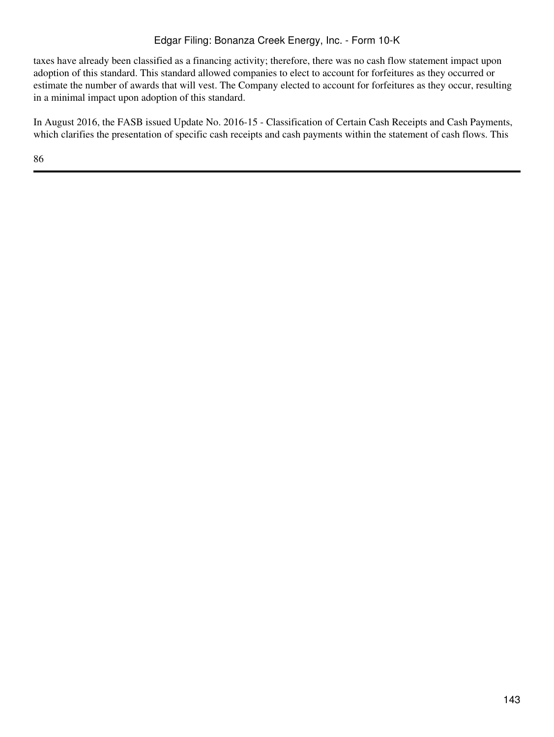taxes have already been classified as a financing activity; therefore, there was no cash flow statement impact upon adoption of this standard. This standard allowed companies to elect to account for forfeitures as they occurred or estimate the number of awards that will vest. The Company elected to account for forfeitures as they occur, resulting in a minimal impact upon adoption of this standard.

In August 2016, the FASB issued Update No. 2016-15 - Classification of Certain Cash Receipts and Cash Payments, which clarifies the presentation of specific cash receipts and cash payments within the statement of cash flows. This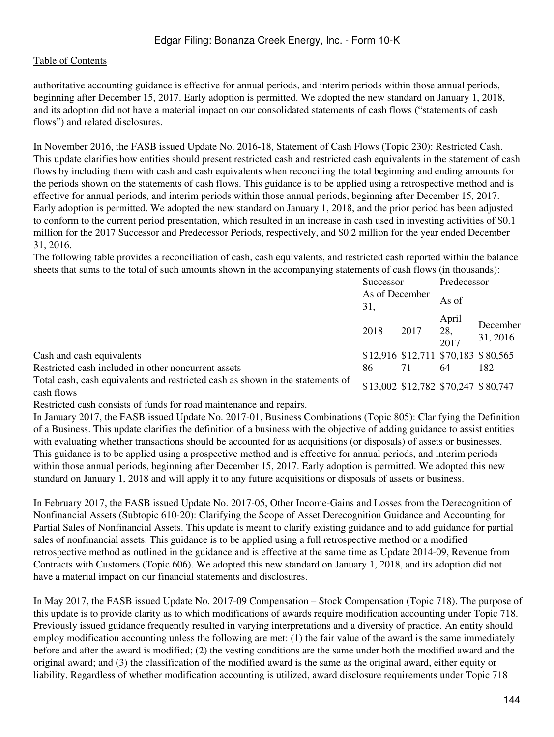authoritative accounting guidance is effective for annual periods, and interim periods within those annual periods, beginning after December 15, 2017. Early adoption is permitted. We adopted the new standard on January 1, 2018, and its adoption did not have a material impact on our consolidated statements of cash flows ("statements of cash flows") and related disclosures.

In November 2016, the FASB issued Update No. 2016-18, Statement of Cash Flows (Topic 230): Restricted Cash. This update clarifies how entities should present restricted cash and restricted cash equivalents in the statement of cash flows by including them with cash and cash equivalents when reconciling the total beginning and ending amounts for the periods shown on the statements of cash flows. This guidance is to be applied using a retrospective method and is effective for annual periods, and interim periods within those annual periods, beginning after December 15, 2017. Early adoption is permitted. We adopted the new standard on January 1, 2018, and the prior period has been adjusted to conform to the current period presentation, which resulted in an increase in cash used in investing activities of \$0.1 million for the 2017 Successor and Predecessor Periods, respectively, and \$0.2 million for the year ended December 31, 2016.

The following table provides a reconciliation of cash, cash equivalents, and restricted cash reported within the balance sheets that sums to the total of such amounts shown in the accompanying statements of cash flows (in thousands):

|                                                                                              | <u>ب</u> ب | Successor             |      | Predecessor<br>As of |                                     |  |
|----------------------------------------------------------------------------------------------|------------|-----------------------|------|----------------------|-------------------------------------|--|
|                                                                                              |            | As of December<br>31, |      |                      |                                     |  |
|                                                                                              |            | 2018                  | 2017 | April<br>28,<br>2017 | December<br>31, 2016                |  |
| Cash and cash equivalents                                                                    |            |                       |      |                      | \$12,916 \$12,711 \$70,183 \$80,565 |  |
| Restricted cash included in other noncurrent assets                                          |            | 86                    | 71   | 64                   | 182                                 |  |
| Total cash, cash equivalents and restricted cash as shown in the statements of<br>cash flows |            |                       |      |                      | \$13,002 \$12,782 \$70,247 \$80,747 |  |

Restricted cash consists of funds for road maintenance and repairs.

In January 2017, the FASB issued Update No. 2017-01, Business Combinations (Topic 805): Clarifying the Definition of a Business. This update clarifies the definition of a business with the objective of adding guidance to assist entities with evaluating whether transactions should be accounted for as acquisitions (or disposals) of assets or businesses. This guidance is to be applied using a prospective method and is effective for annual periods, and interim periods within those annual periods, beginning after December 15, 2017. Early adoption is permitted. We adopted this new standard on January 1, 2018 and will apply it to any future acquisitions or disposals of assets or business.

In February 2017, the FASB issued Update No. 2017-05, Other Income-Gains and Losses from the Derecognition of Nonfinancial Assets (Subtopic 610-20): Clarifying the Scope of Asset Derecognition Guidance and Accounting for Partial Sales of Nonfinancial Assets. This update is meant to clarify existing guidance and to add guidance for partial sales of nonfinancial assets. This guidance is to be applied using a full retrospective method or a modified retrospective method as outlined in the guidance and is effective at the same time as Update 2014-09, Revenue from Contracts with Customers (Topic 606). We adopted this new standard on January 1, 2018, and its adoption did not have a material impact on our financial statements and disclosures.

In May 2017, the FASB issued Update No. 2017-09 Compensation – Stock Compensation (Topic 718). The purpose of this update is to provide clarity as to which modifications of awards require modification accounting under Topic 718. Previously issued guidance frequently resulted in varying interpretations and a diversity of practice. An entity should employ modification accounting unless the following are met: (1) the fair value of the award is the same immediately before and after the award is modified; (2) the vesting conditions are the same under both the modified award and the original award; and (3) the classification of the modified award is the same as the original award, either equity or liability. Regardless of whether modification accounting is utilized, award disclosure requirements under Topic 718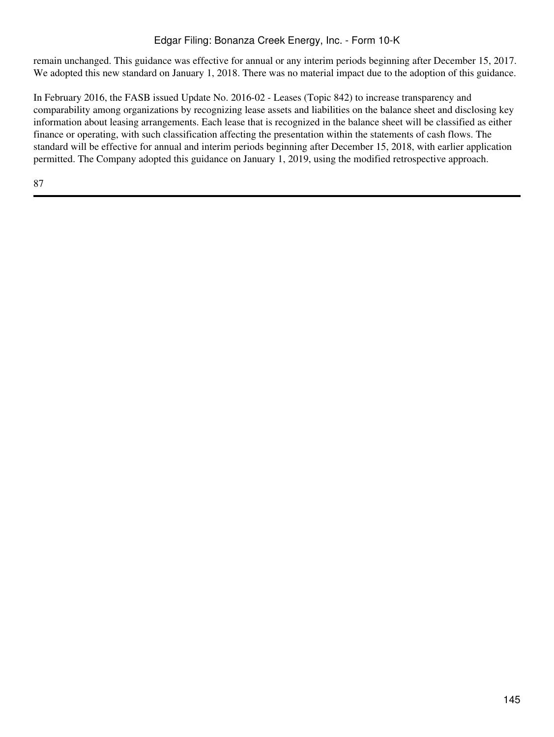# Edgar Filing: Bonanza Creek Energy, Inc. - Form 10-K

remain unchanged. This guidance was effective for annual or any interim periods beginning after December 15, 2017. We adopted this new standard on January 1, 2018. There was no material impact due to the adoption of this guidance.

In February 2016, the FASB issued Update No. 2016-02 - Leases (Topic 842) to increase transparency and comparability among organizations by recognizing lease assets and liabilities on the balance sheet and disclosing key information about leasing arrangements. Each lease that is recognized in the balance sheet will be classified as either finance or operating, with such classification affecting the presentation within the statements of cash flows. The standard will be effective for annual and interim periods beginning after December 15, 2018, with earlier application permitted. The Company adopted this guidance on January 1, 2019, using the modified retrospective approach.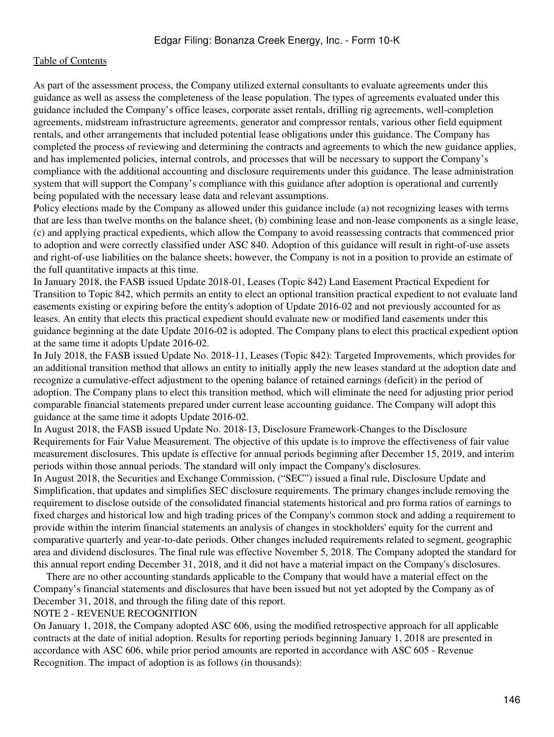As part of the assessment process, the Company utilized external consultants to evaluate agreements under this guidance as well as assess the completeness of the lease population. The types of agreements evaluated under this guidance included the Company's office leases, corporate asset rentals, drilling rig agreements, well-completion agreements, midstream infrastructure agreements, generator and compressor rentals, various other field equipment rentals, and other arrangements that included potential lease obligations under this guidance. The Company has completed the process of reviewing and determining the contracts and agreements to which the new guidance applies, and has implemented policies, internal controls, and processes that will be necessary to support the Company's compliance with the additional accounting and disclosure requirements under this guidance. The lease administration system that will support the Company's compliance with this guidance after adoption is operational and currently being populated with the necessary lease data and relevant assumptions.

Policy elections made by the Company as allowed under this guidance include (a) not recognizing leases with terms that are less than twelve months on the balance sheet, (b) combining lease and non-lease components as a single lease, (c) and applying practical expedients, which allow the Company to avoid reassessing contracts that commenced prior to adoption and were correctly classified under ASC 840. Adoption of this guidance will result in right-of-use assets and right-of-use liabilities on the balance sheets; however, the Company is not in a position to provide an estimate of the full quantitative impacts at this time.

In January 2018, the FASB issued Update 2018-01, Leases (Topic 842) Land Easement Practical Expedient for Transition to Topic 842, which permits an entity to elect an optional transition practical expedient to not evaluate land easements existing or expiring before the entity's adoption of Update 2016-02 and not previously accounted for as leases. An entity that elects this practical expedient should evaluate new or modified land easements under this guidance beginning at the date Update 2016-02 is adopted. The Company plans to elect this practical expedient option at the same time it adopts Update 2016-02.

In July 2018, the FASB issued Update No. 2018-11, Leases (Topic 842): Targeted Improvements, which provides for an additional transition method that allows an entity to initially apply the new leases standard at the adoption date and recognize a cumulative-effect adjustment to the opening balance of retained earnings (deficit) in the period of adoption. The Company plans to elect this transition method, which will eliminate the need for adjusting prior period comparable financial statements prepared under current lease accounting guidance. The Company will adopt this guidance at the same time it adopts Update 2016-02.

In August 2018, the FASB issued Update No. 2018-13, Disclosure Framework-Changes to the Disclosure Requirements for Fair Value Measurement. The objective of this update is to improve the effectiveness of fair value measurement disclosures. This update is effective for annual periods beginning after December 15, 2019, and interim periods within those annual periods. The standard will only impact the Company's disclosures.

In August 2018, the Securities and Exchange Commission, ("SEC") issued a final rule, Disclosure Update and Simplification, that updates and simplifies SEC disclosure requirements. The primary changes include removing the requirement to disclose outside of the consolidated financial statements historical and pro forma ratios of earnings to fixed charges and historical low and high trading prices of the Company's common stock and adding a requirement to provide within the interim financial statements an analysis of changes in stockholders' equity for the current and comparative quarterly and year-to-date periods. Other changes included requirements related to segment, geographic area and dividend disclosures. The final rule was effective November 5, 2018. The Company adopted the standard for this annual report ending December 31, 2018, and it did not have a material impact on the Company's disclosures.

 There are no other accounting standards applicable to the Company that would have a material effect on the Company's financial statements and disclosures that have been issued but not yet adopted by the Company as of December 31, 2018, and through the filing date of this report.

#### NOTE 2 - REVENUE RECOGNITION

On January 1, 2018, the Company adopted ASC 606, using the modified retrospective approach for all applicable contracts at the date of initial adoption. Results for reporting periods beginning January 1, 2018 are presented in accordance with ASC 606, while prior period amounts are reported in accordance with ASC 605 - Revenue Recognition. The impact of adoption is as follows (in thousands):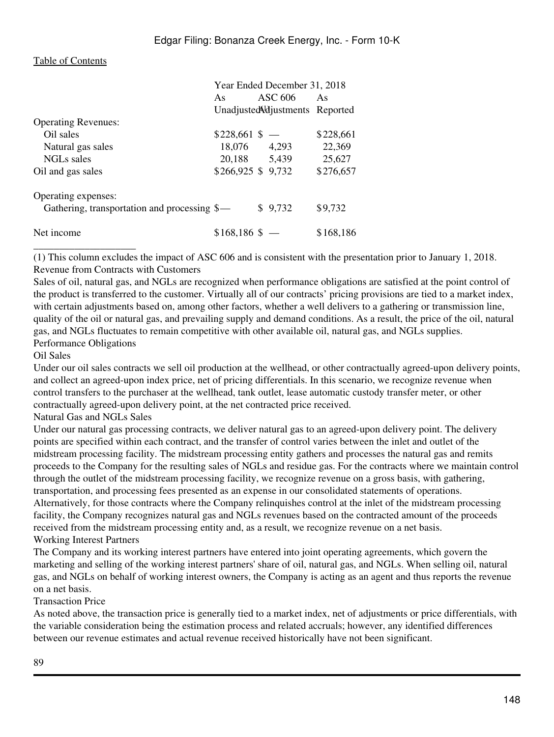|                                              | Year Ended December 31, 2018                    |         |           |  |  |  |
|----------------------------------------------|-------------------------------------------------|---------|-----------|--|--|--|
|                                              | ASC 606<br>As<br>UnadjustedAdjustments Reported |         | As        |  |  |  |
|                                              |                                                 |         |           |  |  |  |
| <b>Operating Revenues:</b>                   |                                                 |         |           |  |  |  |
| Oil sales                                    | $$228,661$ \$ -                                 |         | \$228,661 |  |  |  |
| Natural gas sales                            | 18,076                                          | 4,293   | 22,369    |  |  |  |
| NGLs sales                                   | 20,188                                          | 5,439   | 25,627    |  |  |  |
| Oil and gas sales                            | \$266,925 \$9,732                               |         | \$276,657 |  |  |  |
| Operating expenses:                          |                                                 |         |           |  |  |  |
| Gathering, transportation and processing \$— |                                                 | \$9,732 | \$9,732   |  |  |  |
| Net income                                   | $$168,186$ \$ -                                 |         | \$168,186 |  |  |  |
|                                              |                                                 |         |           |  |  |  |

(1) This column excludes the impact of ASC 606 and is consistent with the presentation prior to January 1, 2018. Revenue from Contracts with Customers

Sales of oil, natural gas, and NGLs are recognized when performance obligations are satisfied at the point control of the product is transferred to the customer. Virtually all of our contracts' pricing provisions are tied to a market index, with certain adjustments based on, among other factors, whether a well delivers to a gathering or transmission line, quality of the oil or natural gas, and prevailing supply and demand conditions. As a result, the price of the oil, natural gas, and NGLs fluctuates to remain competitive with other available oil, natural gas, and NGLs supplies. Performance Obligations

Oil Sales

Under our oil sales contracts we sell oil production at the wellhead, or other contractually agreed-upon delivery points, and collect an agreed-upon index price, net of pricing differentials. In this scenario, we recognize revenue when control transfers to the purchaser at the wellhead, tank outlet, lease automatic custody transfer meter, or other contractually agreed-upon delivery point, at the net contracted price received.

Natural Gas and NGLs Sales

Under our natural gas processing contracts, we deliver natural gas to an agreed-upon delivery point. The delivery points are specified within each contract, and the transfer of control varies between the inlet and outlet of the midstream processing facility. The midstream processing entity gathers and processes the natural gas and remits proceeds to the Company for the resulting sales of NGLs and residue gas. For the contracts where we maintain control through the outlet of the midstream processing facility, we recognize revenue on a gross basis, with gathering, transportation, and processing fees presented as an expense in our consolidated statements of operations. Alternatively, for those contracts where the Company relinquishes control at the inlet of the midstream processing facility, the Company recognizes natural gas and NGLs revenues based on the contracted amount of the proceeds received from the midstream processing entity and, as a result, we recognize revenue on a net basis. Working Interest Partners

The Company and its working interest partners have entered into joint operating agreements, which govern the marketing and selling of the working interest partners' share of oil, natural gas, and NGLs. When selling oil, natural gas, and NGLs on behalf of working interest owners, the Company is acting as an agent and thus reports the revenue on a net basis.

Transaction Price

As noted above, the transaction price is generally tied to a market index, net of adjustments or price differentials, with the variable consideration being the estimation process and related accruals; however, any identified differences between our revenue estimates and actual revenue received historically have not been significant.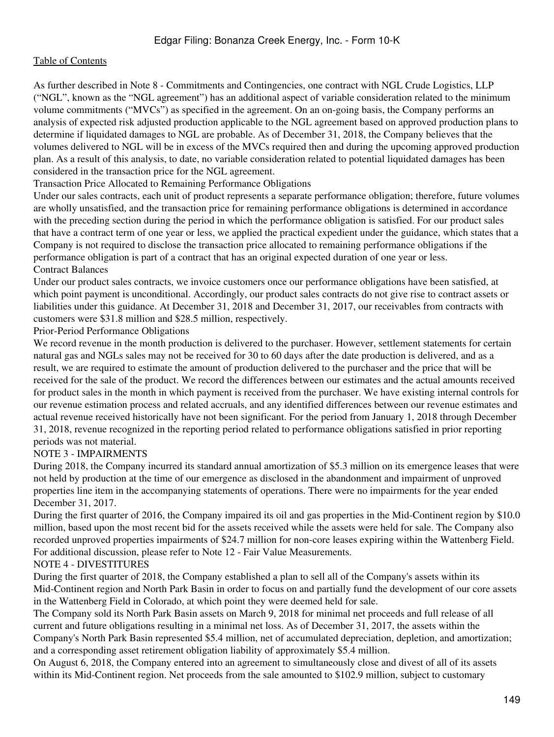As further described in Note 8 - Commitments and Contingencies, one contract with NGL Crude Logistics, LLP ("NGL", known as the "NGL agreement") has an additional aspect of variable consideration related to the minimum volume commitments ("MVCs") as specified in the agreement. On an on-going basis, the Company performs an analysis of expected risk adjusted production applicable to the NGL agreement based on approved production plans to determine if liquidated damages to NGL are probable. As of December 31, 2018, the Company believes that the volumes delivered to NGL will be in excess of the MVCs required then and during the upcoming approved production plan. As a result of this analysis, to date, no variable consideration related to potential liquidated damages has been considered in the transaction price for the NGL agreement.

Transaction Price Allocated to Remaining Performance Obligations

Under our sales contracts, each unit of product represents a separate performance obligation; therefore, future volumes are wholly unsatisfied, and the transaction price for remaining performance obligations is determined in accordance with the preceding section during the period in which the performance obligation is satisfied. For our product sales that have a contract term of one year or less, we applied the practical expedient under the guidance, which states that a Company is not required to disclose the transaction price allocated to remaining performance obligations if the performance obligation is part of a contract that has an original expected duration of one year or less. Contract Balances

Under our product sales contracts, we invoice customers once our performance obligations have been satisfied, at which point payment is unconditional. Accordingly, our product sales contracts do not give rise to contract assets or liabilities under this guidance. At December 31, 2018 and December 31, 2017, our receivables from contracts with customers were \$31.8 million and \$28.5 million, respectively.

Prior-Period Performance Obligations

We record revenue in the month production is delivered to the purchaser. However, settlement statements for certain natural gas and NGLs sales may not be received for 30 to 60 days after the date production is delivered, and as a result, we are required to estimate the amount of production delivered to the purchaser and the price that will be received for the sale of the product. We record the differences between our estimates and the actual amounts received for product sales in the month in which payment is received from the purchaser. We have existing internal controls for our revenue estimation process and related accruals, and any identified differences between our revenue estimates and actual revenue received historically have not been significant. For the period from January 1, 2018 through December 31, 2018, revenue recognized in the reporting period related to performance obligations satisfied in prior reporting periods was not material.

## NOTE 3 - IMPAIRMENTS

During 2018, the Company incurred its standard annual amortization of \$5.3 million on its emergence leases that were not held by production at the time of our emergence as disclosed in the abandonment and impairment of unproved properties line item in the accompanying statements of operations. There were no impairments for the year ended December 31, 2017.

During the first quarter of 2016, the Company impaired its oil and gas properties in the Mid-Continent region by \$10.0 million, based upon the most recent bid for the assets received while the assets were held for sale. The Company also recorded unproved properties impairments of \$24.7 million for non-core leases expiring within the Wattenberg Field. For additional discussion, please refer to Note 12 - Fair Value Measurements.

## NOTE 4 - DIVESTITURES

During the first quarter of 2018, the Company established a plan to sell all of the Company's assets within its Mid-Continent region and North Park Basin in order to focus on and partially fund the development of our core assets in the Wattenberg Field in Colorado, at which point they were deemed held for sale.

The Company sold its North Park Basin assets on March 9, 2018 for minimal net proceeds and full release of all current and future obligations resulting in a minimal net loss. As of December 31, 2017, the assets within the Company's North Park Basin represented \$5.4 million, net of accumulated depreciation, depletion, and amortization; and a corresponding asset retirement obligation liability of approximately \$5.4 million.

On August 6, 2018, the Company entered into an agreement to simultaneously close and divest of all of its assets within its Mid-Continent region. Net proceeds from the sale amounted to \$102.9 million, subject to customary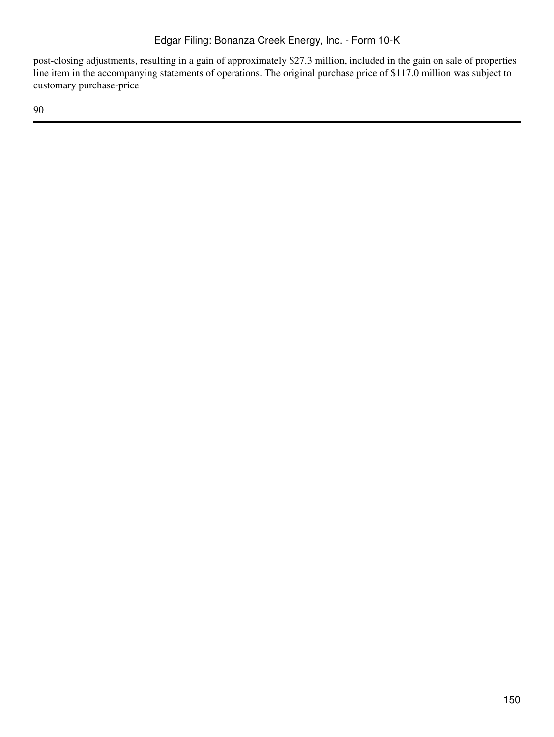post-closing adjustments, resulting in a gain of approximately \$27.3 million, included in the gain on sale of properties line item in the accompanying statements of operations. The original purchase price of \$117.0 million was subject to customary purchase-price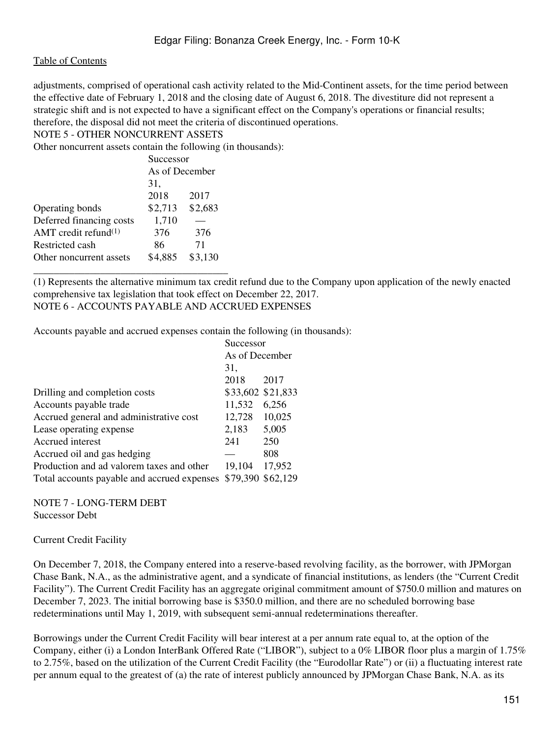adjustments, comprised of operational cash activity related to the Mid-Continent assets, for the time period between the effective date of February 1, 2018 and the closing date of August 6, 2018. The divestiture did not represent a strategic shift and is not expected to have a significant effect on the Company's operations or financial results; therefore, the disposal did not meet the criteria of discontinued operations.

#### NOTE 5 - OTHER NONCURRENT ASSETS

Other noncurrent assets contain the following (in thousands):

|                            | Successor      |         |  |
|----------------------------|----------------|---------|--|
|                            | As of December |         |  |
|                            | 31,            |         |  |
|                            | 2018           | 2017    |  |
| Operating bonds            | \$2,713        | \$2,683 |  |
| Deferred financing costs   | 1,710          |         |  |
| AMT credit refund $^{(1)}$ | 376            | 376     |  |
| Restricted cash            | 86             | 71      |  |
| Other noncurrent assets    | \$4,885        | \$3,130 |  |
|                            |                |         |  |

(1) Represents the alternative minimum tax credit refund due to the Company upon application of the newly enacted comprehensive tax legislation that took effect on December 22, 2017. NOTE 6 - ACCOUNTS PAYABLE AND ACCRUED EXPENSES

Accounts payable and accrued expenses contain the following (in thousands):

|                                             | Successor         |          |  |
|---------------------------------------------|-------------------|----------|--|
|                                             | As of December    |          |  |
|                                             | 31.               |          |  |
|                                             | 2018              | 2017     |  |
| Drilling and completion costs               | \$33,602 \$21,833 |          |  |
| Accounts payable trade                      | 11,532            | 6,256    |  |
| Accrued general and administrative cost     | 12,728            | 10,025   |  |
| Lease operating expense                     | 2,183             | 5,005    |  |
| Accrued interest                            | 241               | 250      |  |
| Accrued oil and gas hedging                 |                   | 808      |  |
| Production and ad valorem taxes and other   | 19,104            | 17,952   |  |
| Total accounts payable and accrued expenses | \$79,390          | \$62,129 |  |

NOTE 7 - LONG-TERM DEBT Successor Debt

#### Current Credit Facility

On December 7, 2018, the Company entered into a reserve-based revolving facility, as the borrower, with JPMorgan Chase Bank, N.A., as the administrative agent, and a syndicate of financial institutions, as lenders (the "Current Credit Facility"). The Current Credit Facility has an aggregate original commitment amount of \$750.0 million and matures on December 7, 2023. The initial borrowing base is \$350.0 million, and there are no scheduled borrowing base redeterminations until May 1, 2019, with subsequent semi-annual redeterminations thereafter.

Borrowings under the Current Credit Facility will bear interest at a per annum rate equal to, at the option of the Company, either (i) a London InterBank Offered Rate ("LIBOR"), subject to a 0% LIBOR floor plus a margin of 1.75% to 2.75%, based on the utilization of the Current Credit Facility (the "Eurodollar Rate") or (ii) a fluctuating interest rate per annum equal to the greatest of (a) the rate of interest publicly announced by JPMorgan Chase Bank, N.A. as its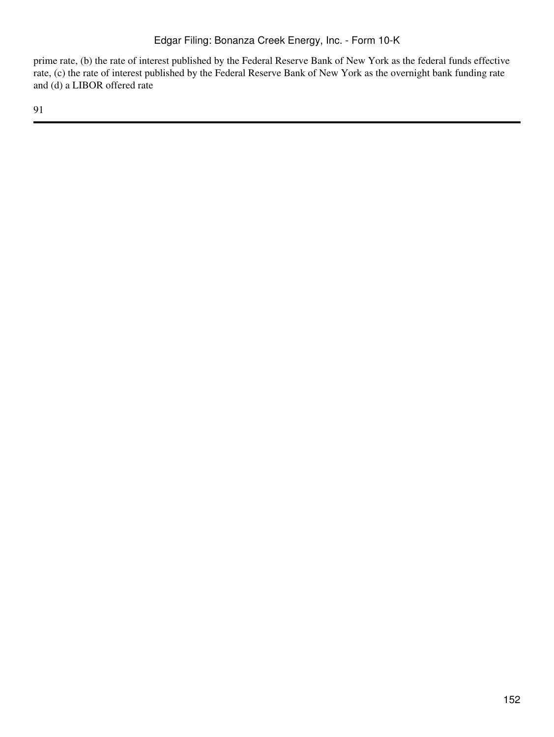prime rate, (b) the rate of interest published by the Federal Reserve Bank of New York as the federal funds effective rate, (c) the rate of interest published by the Federal Reserve Bank of New York as the overnight bank funding rate and (d) a LIBOR offered rate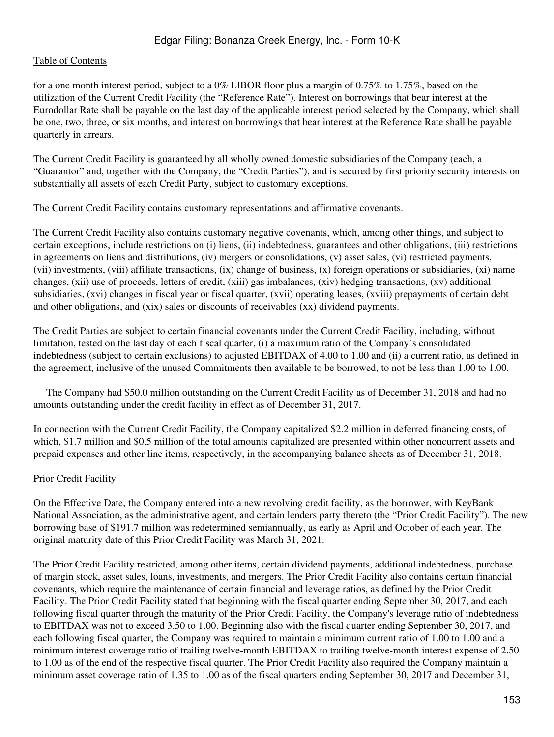for a one month interest period, subject to a 0% LIBOR floor plus a margin of 0.75% to 1.75%, based on the utilization of the Current Credit Facility (the "Reference Rate"). Interest on borrowings that bear interest at the Eurodollar Rate shall be payable on the last day of the applicable interest period selected by the Company, which shall be one, two, three, or six months, and interest on borrowings that bear interest at the Reference Rate shall be payable quarterly in arrears.

The Current Credit Facility is guaranteed by all wholly owned domestic subsidiaries of the Company (each, a "Guarantor" and, together with the Company, the "Credit Parties"), and is secured by first priority security interests on substantially all assets of each Credit Party, subject to customary exceptions.

The Current Credit Facility contains customary representations and affirmative covenants.

The Current Credit Facility also contains customary negative covenants, which, among other things, and subject to certain exceptions, include restrictions on (i) liens, (ii) indebtedness, guarantees and other obligations, (iii) restrictions in agreements on liens and distributions, (iv) mergers or consolidations, (v) asset sales, (vi) restricted payments, (vii) investments, (viii) affiliate transactions, (ix) change of business, (x) foreign operations or subsidiaries, (xi) name changes, (xii) use of proceeds, letters of credit, (xiii) gas imbalances, (xiv) hedging transactions, (xv) additional subsidiaries, (xvi) changes in fiscal year or fiscal quarter, (xvii) operating leases, (xviii) prepayments of certain debt and other obligations, and (xix) sales or discounts of receivables (xx) dividend payments.

The Credit Parties are subject to certain financial covenants under the Current Credit Facility, including, without limitation, tested on the last day of each fiscal quarter, (i) a maximum ratio of the Company's consolidated indebtedness (subject to certain exclusions) to adjusted EBITDAX of 4.00 to 1.00 and (ii) a current ratio, as defined in the agreement, inclusive of the unused Commitments then available to be borrowed, to not be less than 1.00 to 1.00.

 The Company had \$50.0 million outstanding on the Current Credit Facility as of December 31, 2018 and had no amounts outstanding under the credit facility in effect as of December 31, 2017.

In connection with the Current Credit Facility, the Company capitalized \$2.2 million in deferred financing costs, of which, \$1.7 million and \$0.5 million of the total amounts capitalized are presented within other noncurrent assets and prepaid expenses and other line items, respectively, in the accompanying balance sheets as of December 31, 2018.

## Prior Credit Facility

On the Effective Date, the Company entered into a new revolving credit facility, as the borrower, with KeyBank National Association, as the administrative agent, and certain lenders party thereto (the "Prior Credit Facility"). The new borrowing base of \$191.7 million was redetermined semiannually, as early as April and October of each year. The original maturity date of this Prior Credit Facility was March 31, 2021.

The Prior Credit Facility restricted, among other items, certain dividend payments, additional indebtedness, purchase of margin stock, asset sales, loans, investments, and mergers. The Prior Credit Facility also contains certain financial covenants, which require the maintenance of certain financial and leverage ratios, as defined by the Prior Credit Facility. The Prior Credit Facility stated that beginning with the fiscal quarter ending September 30, 2017, and each following fiscal quarter through the maturity of the Prior Credit Facility, the Company's leverage ratio of indebtedness to EBITDAX was not to exceed 3.50 to 1.00. Beginning also with the fiscal quarter ending September 30, 2017, and each following fiscal quarter, the Company was required to maintain a minimum current ratio of 1.00 to 1.00 and a minimum interest coverage ratio of trailing twelve-month EBITDAX to trailing twelve-month interest expense of 2.50 to 1.00 as of the end of the respective fiscal quarter. The Prior Credit Facility also required the Company maintain a minimum asset coverage ratio of 1.35 to 1.00 as of the fiscal quarters ending September 30, 2017 and December 31,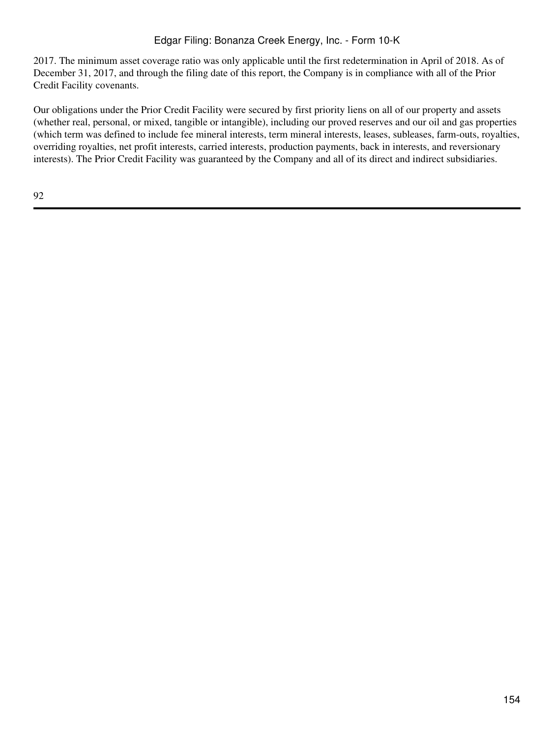# Edgar Filing: Bonanza Creek Energy, Inc. - Form 10-K

2017. The minimum asset coverage ratio was only applicable until the first redetermination in April of 2018. As of December 31, 2017, and through the filing date of this report, the Company is in compliance with all of the Prior Credit Facility covenants.

Our obligations under the Prior Credit Facility were secured by first priority liens on all of our property and assets (whether real, personal, or mixed, tangible or intangible), including our proved reserves and our oil and gas properties (which term was defined to include fee mineral interests, term mineral interests, leases, subleases, farm-outs, royalties, overriding royalties, net profit interests, carried interests, production payments, back in interests, and reversionary interests). The Prior Credit Facility was guaranteed by the Company and all of its direct and indirect subsidiaries.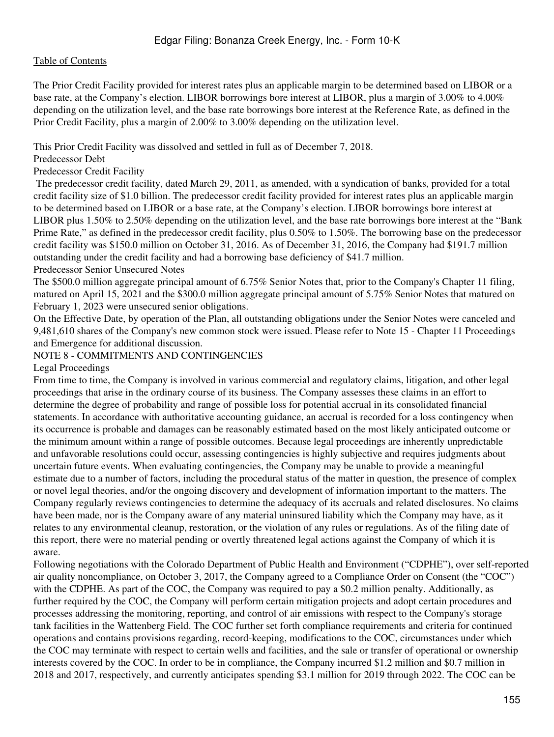The Prior Credit Facility provided for interest rates plus an applicable margin to be determined based on LIBOR or a base rate, at the Company's election. LIBOR borrowings bore interest at LIBOR, plus a margin of 3.00% to 4.00% depending on the utilization level, and the base rate borrowings bore interest at the Reference Rate, as defined in the Prior Credit Facility, plus a margin of 2.00% to 3.00% depending on the utilization level.

This Prior Credit Facility was dissolved and settled in full as of December 7, 2018.

#### Predecessor Debt

#### Predecessor Credit Facility

 The predecessor credit facility, dated March 29, 2011, as amended, with a syndication of banks, provided for a total credit facility size of \$1.0 billion. The predecessor credit facility provided for interest rates plus an applicable margin to be determined based on LIBOR or a base rate, at the Company's election. LIBOR borrowings bore interest at LIBOR plus 1.50% to 2.50% depending on the utilization level, and the base rate borrowings bore interest at the "Bank Prime Rate," as defined in the predecessor credit facility, plus 0.50% to 1.50%. The borrowing base on the predecessor credit facility was \$150.0 million on October 31, 2016. As of December 31, 2016, the Company had \$191.7 million outstanding under the credit facility and had a borrowing base deficiency of \$41.7 million.

Predecessor Senior Unsecured Notes

The \$500.0 million aggregate principal amount of 6.75% Senior Notes that, prior to the Company's Chapter 11 filing, matured on April 15, 2021 and the \$300.0 million aggregate principal amount of 5.75% Senior Notes that matured on February 1, 2023 were unsecured senior obligations.

On the Effective Date, by operation of the Plan, all outstanding obligations under the Senior Notes were canceled and 9,481,610 shares of the Company's new common stock were issued. Please refer to Note 15 - Chapter 11 Proceedings and Emergence for additional discussion.

#### NOTE 8 - COMMITMENTS AND CONTINGENCIES

#### Legal Proceedings

From time to time, the Company is involved in various commercial and regulatory claims, litigation, and other legal proceedings that arise in the ordinary course of its business. The Company assesses these claims in an effort to determine the degree of probability and range of possible loss for potential accrual in its consolidated financial statements. In accordance with authoritative accounting guidance, an accrual is recorded for a loss contingency when its occurrence is probable and damages can be reasonably estimated based on the most likely anticipated outcome or the minimum amount within a range of possible outcomes. Because legal proceedings are inherently unpredictable and unfavorable resolutions could occur, assessing contingencies is highly subjective and requires judgments about uncertain future events. When evaluating contingencies, the Company may be unable to provide a meaningful estimate due to a number of factors, including the procedural status of the matter in question, the presence of complex or novel legal theories, and/or the ongoing discovery and development of information important to the matters. The Company regularly reviews contingencies to determine the adequacy of its accruals and related disclosures. No claims have been made, nor is the Company aware of any material uninsured liability which the Company may have, as it relates to any environmental cleanup, restoration, or the violation of any rules or regulations. As of the filing date of this report, there were no material pending or overtly threatened legal actions against the Company of which it is aware.

Following negotiations with the Colorado Department of Public Health and Environment ("CDPHE"), over self-reported air quality noncompliance, on October 3, 2017, the Company agreed to a Compliance Order on Consent (the "COC") with the CDPHE. As part of the COC, the Company was required to pay a \$0.2 million penalty. Additionally, as further required by the COC, the Company will perform certain mitigation projects and adopt certain procedures and processes addressing the monitoring, reporting, and control of air emissions with respect to the Company's storage tank facilities in the Wattenberg Field. The COC further set forth compliance requirements and criteria for continued operations and contains provisions regarding, record-keeping, modifications to the COC, circumstances under which the COC may terminate with respect to certain wells and facilities, and the sale or transfer of operational or ownership interests covered by the COC. In order to be in compliance, the Company incurred \$1.2 million and \$0.7 million in 2018 and 2017, respectively, and currently anticipates spending \$3.1 million for 2019 through 2022. The COC can be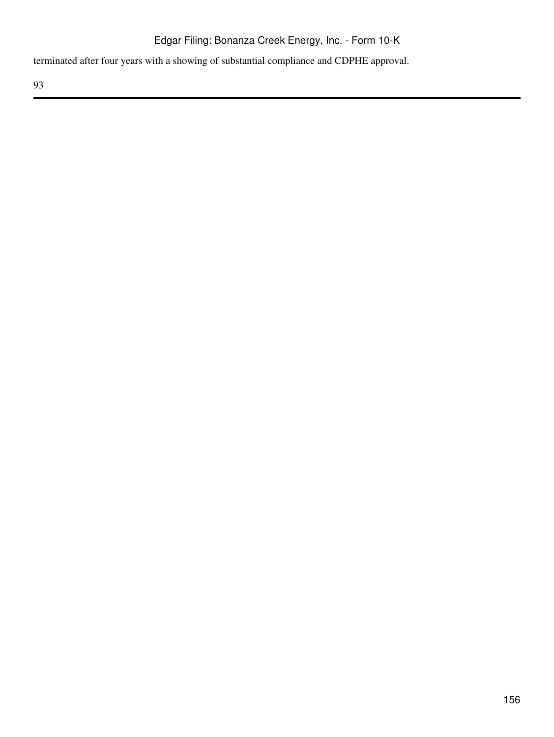# Edgar Filing: Bonanza Creek Energy, Inc. - Form 10-K

terminated after four years with a showing of substantial compliance and CDPHE approval.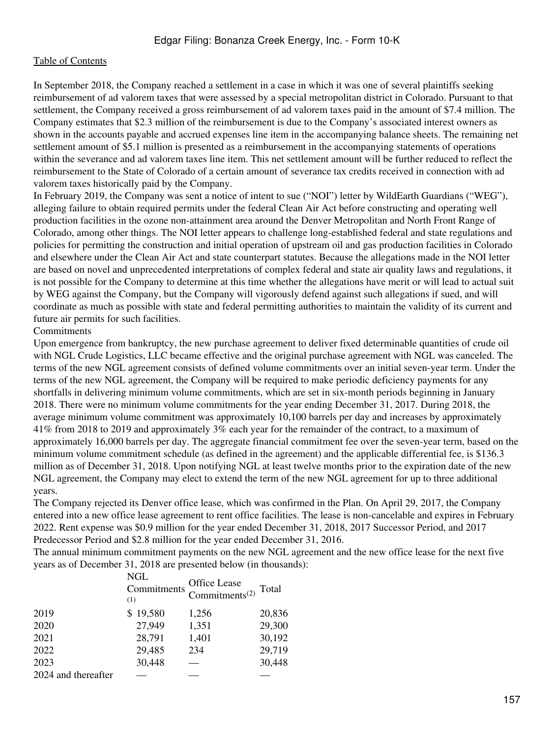In September 2018, the Company reached a settlement in a case in which it was one of several plaintiffs seeking reimbursement of ad valorem taxes that were assessed by a special metropolitan district in Colorado. Pursuant to that settlement, the Company received a gross reimbursement of ad valorem taxes paid in the amount of \$7.4 million. The Company estimates that \$2.3 million of the reimbursement is due to the Company's associated interest owners as shown in the accounts payable and accrued expenses line item in the accompanying balance sheets. The remaining net settlement amount of \$5.1 million is presented as a reimbursement in the accompanying statements of operations within the severance and ad valorem taxes line item. This net settlement amount will be further reduced to reflect the reimbursement to the State of Colorado of a certain amount of severance tax credits received in connection with ad valorem taxes historically paid by the Company.

In February 2019, the Company was sent a notice of intent to sue ("NOI") letter by WildEarth Guardians ("WEG"), alleging failure to obtain required permits under the federal Clean Air Act before constructing and operating well production facilities in the ozone non-attainment area around the Denver Metropolitan and North Front Range of Colorado, among other things. The NOI letter appears to challenge long-established federal and state regulations and policies for permitting the construction and initial operation of upstream oil and gas production facilities in Colorado and elsewhere under the Clean Air Act and state counterpart statutes. Because the allegations made in the NOI letter are based on novel and unprecedented interpretations of complex federal and state air quality laws and regulations, it is not possible for the Company to determine at this time whether the allegations have merit or will lead to actual suit by WEG against the Company, but the Company will vigorously defend against such allegations if sued, and will coordinate as much as possible with state and federal permitting authorities to maintain the validity of its current and future air permits for such facilities.

## **Commitments**

Upon emergence from bankruptcy, the new purchase agreement to deliver fixed determinable quantities of crude oil with NGL Crude Logistics, LLC became effective and the original purchase agreement with NGL was canceled. The terms of the new NGL agreement consists of defined volume commitments over an initial seven-year term. Under the terms of the new NGL agreement, the Company will be required to make periodic deficiency payments for any shortfalls in delivering minimum volume commitments, which are set in six-month periods beginning in January 2018. There were no minimum volume commitments for the year ending December 31, 2017. During 2018, the average minimum volume commitment was approximately 10,100 barrels per day and increases by approximately 41% from 2018 to 2019 and approximately 3% each year for the remainder of the contract, to a maximum of approximately 16,000 barrels per day. The aggregate financial commitment fee over the seven-year term, based on the minimum volume commitment schedule (as defined in the agreement) and the applicable differential fee, is \$136.3 million as of December 31, 2018. Upon notifying NGL at least twelve months prior to the expiration date of the new NGL agreement, the Company may elect to extend the term of the new NGL agreement for up to three additional years.

The Company rejected its Denver office lease, which was confirmed in the Plan. On April 29, 2017, the Company entered into a new office lease agreement to rent office facilities. The lease is non-cancelable and expires in February 2022. Rent expense was \$0.9 million for the year ended December 31, 2018, 2017 Successor Period, and 2017 Predecessor Period and \$2.8 million for the year ended December 31, 2016.

The annual minimum commitment payments on the new NGL agreement and the new office lease for the next five years as of December 31, 2018 are presented below (in thousands):

|                     | NGL<br>Commitments<br>(1) | Office Lease<br>Commitments <sup><math>(2)</math></sup> | Total  |
|---------------------|---------------------------|---------------------------------------------------------|--------|
| 2019                | \$19,580                  | 1,256                                                   | 20,836 |
| 2020                | 27,949                    | 1,351                                                   | 29,300 |
| 2021                | 28,791                    | 1,401                                                   | 30,192 |
| 2022                | 29,485                    | 234                                                     | 29,719 |
| 2023                | 30,448                    |                                                         | 30,448 |
| 2024 and thereafter |                           |                                                         |        |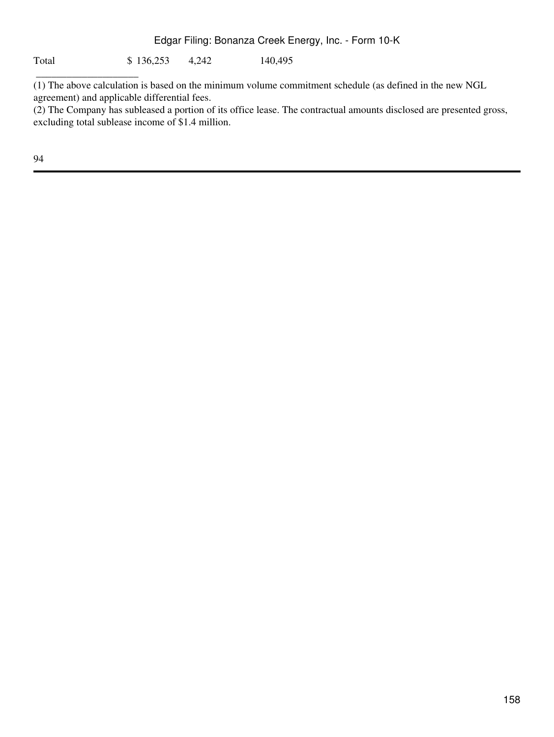Edgar Filing: Bonanza Creek Energy, Inc. - Form 10-K

Total \$ 136,253 4,242 140,495

 $\overline{\phantom{a}}$  , where  $\overline{\phantom{a}}$  , where  $\overline{\phantom{a}}$  , where  $\overline{\phantom{a}}$ (1) The above calculation is based on the minimum volume commitment schedule (as defined in the new NGL agreement) and applicable differential fees.

(2) The Company has subleased a portion of its office lease. The contractual amounts disclosed are presented gross, excluding total sublease income of \$1.4 million.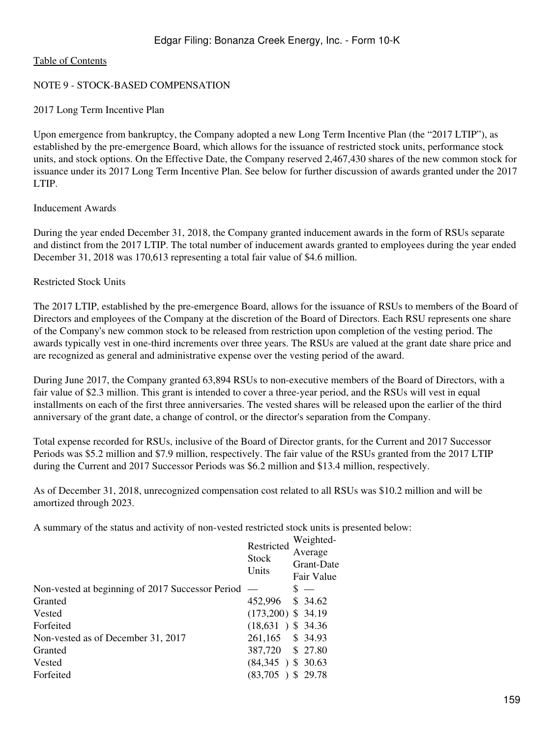#### NOTE 9 - STOCK-BASED COMPENSATION

#### 2017 Long Term Incentive Plan

Upon emergence from bankruptcy, the Company adopted a new Long Term Incentive Plan (the "2017 LTIP"), as established by the pre-emergence Board, which allows for the issuance of restricted stock units, performance stock units, and stock options. On the Effective Date, the Company reserved 2,467,430 shares of the new common stock for issuance under its 2017 Long Term Incentive Plan. See below for further discussion of awards granted under the 2017 LTIP.

#### Inducement Awards

During the year ended December 31, 2018, the Company granted inducement awards in the form of RSUs separate and distinct from the 2017 LTIP. The total number of inducement awards granted to employees during the year ended December 31, 2018 was 170,613 representing a total fair value of \$4.6 million.

#### Restricted Stock Units

The 2017 LTIP, established by the pre-emergence Board, allows for the issuance of RSUs to members of the Board of Directors and employees of the Company at the discretion of the Board of Directors. Each RSU represents one share of the Company's new common stock to be released from restriction upon completion of the vesting period. The awards typically vest in one-third increments over three years. The RSUs are valued at the grant date share price and are recognized as general and administrative expense over the vesting period of the award.

During June 2017, the Company granted 63,894 RSUs to non-executive members of the Board of Directors, with a fair value of \$2.3 million. This grant is intended to cover a three-year period, and the RSUs will vest in equal installments on each of the first three anniversaries. The vested shares will be released upon the earlier of the third anniversary of the grant date, a change of control, or the director's separation from the Company.

Total expense recorded for RSUs, inclusive of the Board of Director grants, for the Current and 2017 Successor Periods was \$5.2 million and \$7.9 million, respectively. The fair value of the RSUs granted from the 2017 LTIP during the Current and 2017 Successor Periods was \$6.2 million and \$13.4 million, respectively.

As of December 31, 2018, unrecognized compensation cost related to all RSUs was \$10.2 million and will be amortized through 2023.

A summary of the status and activity of non-vested restricted stock units is presented below:

|                                                  | Restricted<br><b>Stock</b><br>Units | Weighted-<br>Average<br>Grant-Date<br>Fair Value |
|--------------------------------------------------|-------------------------------------|--------------------------------------------------|
| Non-vested at beginning of 2017 Successor Period |                                     |                                                  |
| Granted                                          | 452,996                             | \$34.62                                          |
| Vested                                           | $(173,200)$ \$ 34.19                |                                                  |
| Forfeited                                        | $(18,631)$ \$ 34.36                 |                                                  |
| Non-vested as of December 31, 2017               | 261,165 \$ 34.93                    |                                                  |
| Granted                                          | 387,720 \$ 27.80                    |                                                  |
| Vested                                           | (84,345)                            | \$30.63                                          |
| Forfeited                                        | $(83,705)$ \$ 29.78                 |                                                  |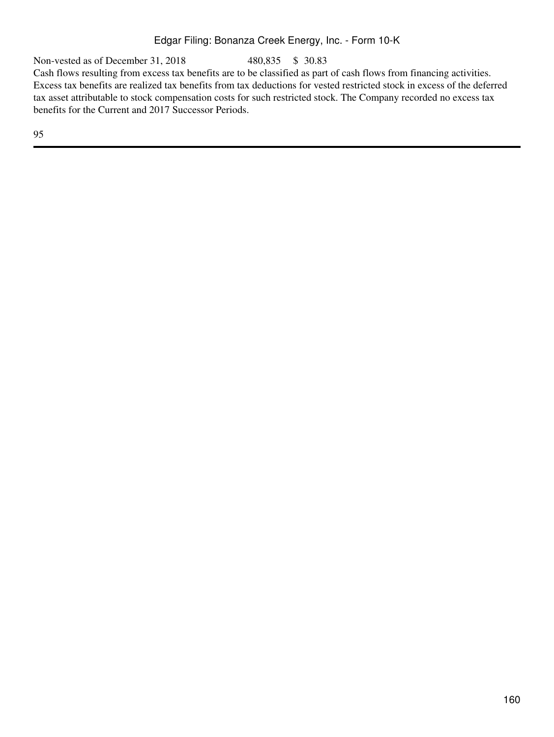Non-vested as of December 31, 2018 480,835 \$ 30.83 Cash flows resulting from excess tax benefits are to be classified as part of cash flows from financing activities. Excess tax benefits are realized tax benefits from tax deductions for vested restricted stock in excess of the deferred tax asset attributable to stock compensation costs for such restricted stock. The Company recorded no excess tax benefits for the Current and 2017 Successor Periods.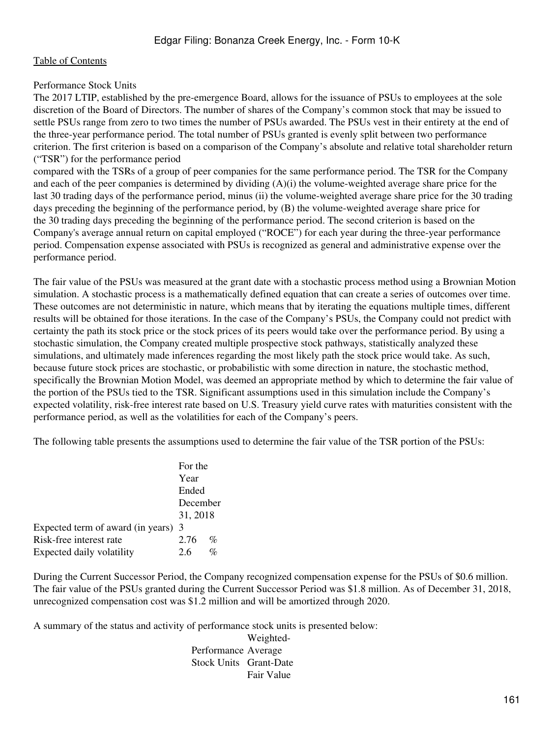## Performance Stock Units

The 2017 LTIP, established by the pre-emergence Board, allows for the issuance of PSUs to employees at the sole discretion of the Board of Directors. The number of shares of the Company's common stock that may be issued to settle PSUs range from zero to two times the number of PSUs awarded. The PSUs vest in their entirety at the end of the three-year performance period. The total number of PSUs granted is evenly split between two performance criterion. The first criterion is based on a comparison of the Company's absolute and relative total shareholder return ("TSR") for the performance period

compared with the TSRs of a group of peer companies for the same performance period. The TSR for the Company and each of the peer companies is determined by dividing (A)(i) the volume-weighted average share price for the last 30 trading days of the performance period, minus (ii) the volume-weighted average share price for the 30 trading days preceding the beginning of the performance period, by (B) the volume-weighted average share price for the 30 trading days preceding the beginning of the performance period. The second criterion is based on the Company's average annual return on capital employed ("ROCE") for each year during the three-year performance period. Compensation expense associated with PSUs is recognized as general and administrative expense over the performance period.

The fair value of the PSUs was measured at the grant date with a stochastic process method using a Brownian Motion simulation. A stochastic process is a mathematically defined equation that can create a series of outcomes over time. These outcomes are not deterministic in nature, which means that by iterating the equations multiple times, different results will be obtained for those iterations. In the case of the Company's PSUs, the Company could not predict with certainty the path its stock price or the stock prices of its peers would take over the performance period. By using a stochastic simulation, the Company created multiple prospective stock pathways, statistically analyzed these simulations, and ultimately made inferences regarding the most likely path the stock price would take. As such, because future stock prices are stochastic, or probabilistic with some direction in nature, the stochastic method, specifically the Brownian Motion Model, was deemed an appropriate method by which to determine the fair value of the portion of the PSUs tied to the TSR. Significant assumptions used in this simulation include the Company's expected volatility, risk-free interest rate based on U.S. Treasury yield curve rates with maturities consistent with the performance period, as well as the volatilities for each of the Company's peers.

The following table presents the assumptions used to determine the fair value of the TSR portion of the PSUs:

|                                     | For the  |      |
|-------------------------------------|----------|------|
|                                     | Year     |      |
|                                     | Ended    |      |
|                                     | December |      |
|                                     | 31, 2018 |      |
| Expected term of award (in years) 3 |          |      |
| Risk-free interest rate             | 2.76     | %    |
| Expected daily volatility           | 2.6      | $\%$ |

During the Current Successor Period, the Company recognized compensation expense for the PSUs of \$0.6 million. The fair value of the PSUs granted during the Current Successor Period was \$1.8 million. As of December 31, 2018, unrecognized compensation cost was \$1.2 million and will be amortized through 2020.

A summary of the status and activity of performance stock units is presented below:

Performance Average Stock Units Grant-Date Weighted-Fair Value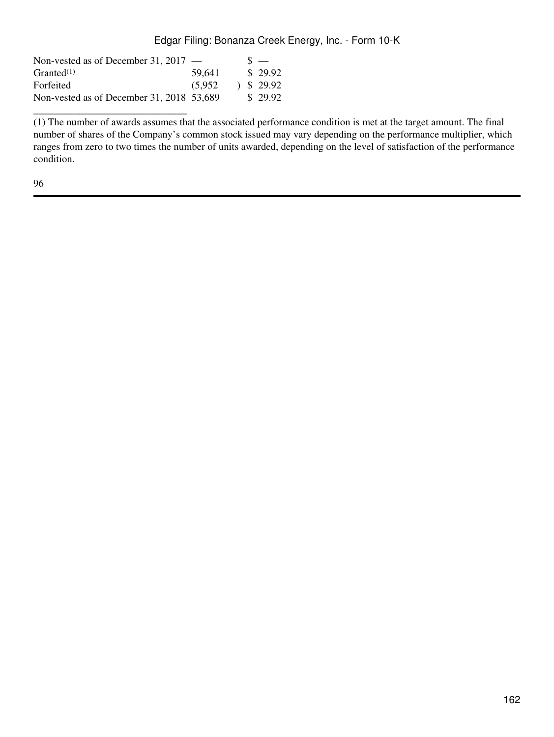# Edgar Filing: Bonanza Creek Energy, Inc. - Form 10-K

| Non-vested as of December 31, $2017$ —    |         |  |         |
|-------------------------------------------|---------|--|---------|
| Granted $(1)$                             | 59.641  |  | \$29.92 |
| Forfeited                                 | (5.952) |  | \$29.92 |
| Non-vested as of December 31, 2018 53,689 |         |  | \$29.92 |
|                                           |         |  |         |

(1) The number of awards assumes that the associated performance condition is met at the target amount. The final number of shares of the Company's common stock issued may vary depending on the performance multiplier, which ranges from zero to two times the number of units awarded, depending on the level of satisfaction of the performance condition.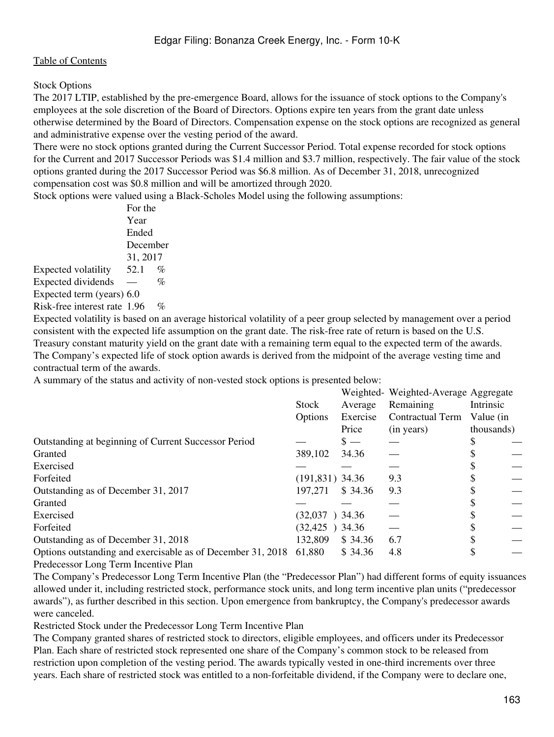## Stock Options

The 2017 LTIP, established by the pre-emergence Board, allows for the issuance of stock options to the Company's employees at the sole discretion of the Board of Directors. Options expire ten years from the grant date unless otherwise determined by the Board of Directors. Compensation expense on the stock options are recognized as general and administrative expense over the vesting period of the award.

There were no stock options granted during the Current Successor Period. Total expense recorded for stock options for the Current and 2017 Successor Periods was \$1.4 million and \$3.7 million, respectively. The fair value of the stock options granted during the 2017 Successor Period was \$6.8 million. As of December 31, 2018, unrecognized compensation cost was \$0.8 million and will be amortized through 2020.

Stock options were valued using a Black-Scholes Model using the following assumptions:

|                              | For the      |  |
|------------------------------|--------------|--|
|                              | Year         |  |
|                              | Ended        |  |
|                              | December     |  |
|                              | 31, 2017     |  |
| <b>Expected volatility</b>   | 52.1<br>$\%$ |  |
| <b>Expected dividends</b>    | $\%$         |  |
| Expected term (years) 6.0    |              |  |
| Risk-free interest rate 1.96 |              |  |
|                              |              |  |

Expected volatility is based on an average historical volatility of a peer group selected by management over a period consistent with the expected life assumption on the grant date. The risk-free rate of return is based on the U.S. Treasury constant maturity yield on the grant date with a remaining term equal to the expected term of the awards. The Company's expected life of stock option awards is derived from the midpoint of the average vesting time and contractual term of the awards.

A summary of the status and activity of non-vested stock options is presented below:

|                                                             |                   |                | Weighted-Weighted-Average Aggregate |            |  |
|-------------------------------------------------------------|-------------------|----------------|-------------------------------------|------------|--|
|                                                             | <b>Stock</b>      | Average        | Remaining                           | Intrinsic  |  |
|                                                             | Options           | Exercise       | <b>Contractual Term</b>             | Value (in  |  |
|                                                             |                   | Price          | (in years)                          | thousands) |  |
| Outstanding at beginning of Current Successor Period        |                   | $\mathbb{S}$ — |                                     |            |  |
| Granted                                                     | 389,102           | 34.36          |                                     |            |  |
| Exercised                                                   |                   |                |                                     |            |  |
| Forfeited                                                   | $(191,831)$ 34.36 |                | 9.3                                 |            |  |
| Outstanding as of December 31, 2017                         | 197,271           | \$ 34.36       | 9.3                                 |            |  |
| Granted                                                     |                   |                |                                     |            |  |
| Exercised                                                   | (32,037)          | 34.36          |                                     |            |  |
| Forfeited                                                   | $(32, 425)$ 34.36 |                |                                     |            |  |
| Outstanding as of December 31, 2018                         | 132,809           | \$ 34.36       | 6.7                                 |            |  |
| Options outstanding and exercisable as of December 31, 2018 | 61,880            | \$ 34.36       | 4.8                                 |            |  |
| Predecessor Long Term Incentive Plan                        |                   |                |                                     |            |  |

The Company's Predecessor Long Term Incentive Plan (the "Predecessor Plan") had different forms of equity issuances allowed under it, including restricted stock, performance stock units, and long term incentive plan units ("predecessor awards"), as further described in this section. Upon emergence from bankruptcy, the Company's predecessor awards were canceled.

Restricted Stock under the Predecessor Long Term Incentive Plan

The Company granted shares of restricted stock to directors, eligible employees, and officers under its Predecessor Plan. Each share of restricted stock represented one share of the Company's common stock to be released from restriction upon completion of the vesting period. The awards typically vested in one-third increments over three years. Each share of restricted stock was entitled to a non-forfeitable dividend, if the Company were to declare one,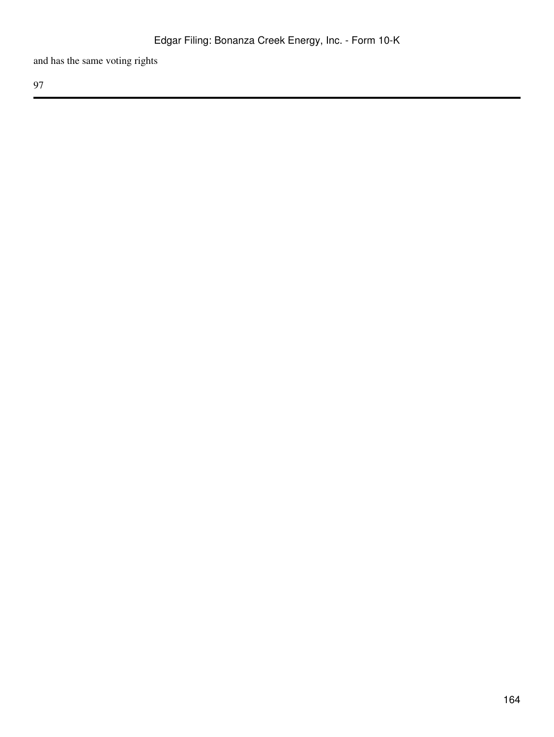and has the same voting rights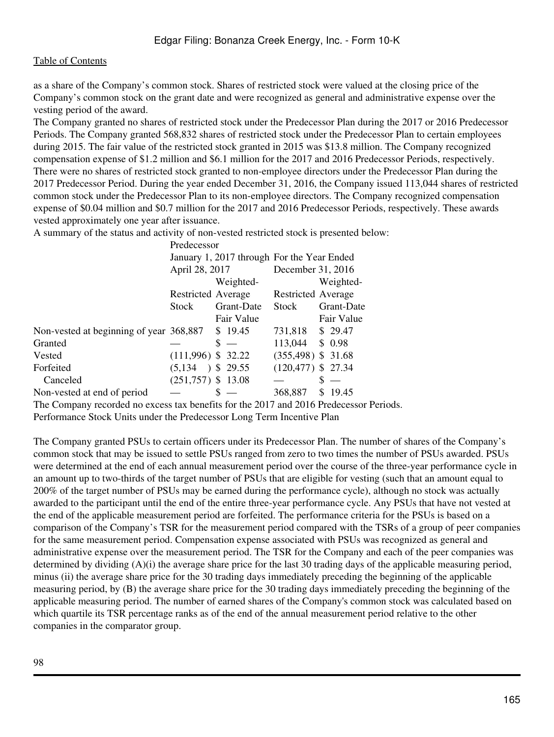as a share of the Company's common stock. Shares of restricted stock were valued at the closing price of the Company's common stock on the grant date and were recognized as general and administrative expense over the vesting period of the award.

The Company granted no shares of restricted stock under the Predecessor Plan during the 2017 or 2016 Predecessor Periods. The Company granted 568,832 shares of restricted stock under the Predecessor Plan to certain employees during 2015. The fair value of the restricted stock granted in 2015 was \$13.8 million. The Company recognized compensation expense of \$1.2 million and \$6.1 million for the 2017 and 2016 Predecessor Periods, respectively. There were no shares of restricted stock granted to non-employee directors under the Predecessor Plan during the 2017 Predecessor Period. During the year ended December 31, 2016, the Company issued 113,044 shares of restricted common stock under the Predecessor Plan to its non-employee directors. The Company recognized compensation expense of \$0.04 million and \$0.7 million for the 2017 and 2016 Predecessor Periods, respectively. These awards vested approximately one year after issuance.

A summary of the status and activity of non-vested restricted stock is presented below:

|                                         | Predecessor                                |            |                           |            |  |  |
|-----------------------------------------|--------------------------------------------|------------|---------------------------|------------|--|--|
|                                         | January 1, 2017 through For the Year Ended |            |                           |            |  |  |
|                                         | April 28, 2017                             |            | December 31, 2016         |            |  |  |
|                                         |                                            | Weighted-  |                           | Weighted-  |  |  |
|                                         | Restricted Average                         |            | <b>Restricted Average</b> |            |  |  |
|                                         | Stock                                      | Grant-Date | Stock                     | Grant-Date |  |  |
|                                         |                                            | Fair Value |                           | Fair Value |  |  |
| Non-vested at beginning of year 368,887 |                                            | \$19.45    | 731,818                   | \$29.47    |  |  |
| Granted                                 |                                            | $s =$      | 113,044                   | \$0.98     |  |  |
| Vested                                  | $(111,996)$ \$ 32.22                       |            | $(355,498)$ \$ 31.68      |            |  |  |
| Forfeited                               | (5, 134)                                   | 329.55     | $(120, 477)$ \$ 27.34     |            |  |  |
| Canceled                                | $(251,757)$ \$ 13.08                       |            |                           |            |  |  |
| Non-vested at end of period             |                                            |            | 368,887                   | 19.45<br>S |  |  |

The Company recorded no excess tax benefits for the 2017 and 2016 Predecessor Periods. Performance Stock Units under the Predecessor Long Term Incentive Plan

The Company granted PSUs to certain officers under its Predecessor Plan. The number of shares of the Company's common stock that may be issued to settle PSUs ranged from zero to two times the number of PSUs awarded. PSUs were determined at the end of each annual measurement period over the course of the three-year performance cycle in an amount up to two-thirds of the target number of PSUs that are eligible for vesting (such that an amount equal to 200% of the target number of PSUs may be earned during the performance cycle), although no stock was actually awarded to the participant until the end of the entire three-year performance cycle. Any PSUs that have not vested at the end of the applicable measurement period are forfeited. The performance criteria for the PSUs is based on a comparison of the Company's TSR for the measurement period compared with the TSRs of a group of peer companies for the same measurement period. Compensation expense associated with PSUs was recognized as general and administrative expense over the measurement period. The TSR for the Company and each of the peer companies was determined by dividing  $(A)(i)$  the average share price for the last 30 trading days of the applicable measuring period, minus (ii) the average share price for the 30 trading days immediately preceding the beginning of the applicable measuring period, by (B) the average share price for the 30 trading days immediately preceding the beginning of the applicable measuring period. The number of earned shares of the Company's common stock was calculated based on which quartile its TSR percentage ranks as of the end of the annual measurement period relative to the other companies in the comparator group.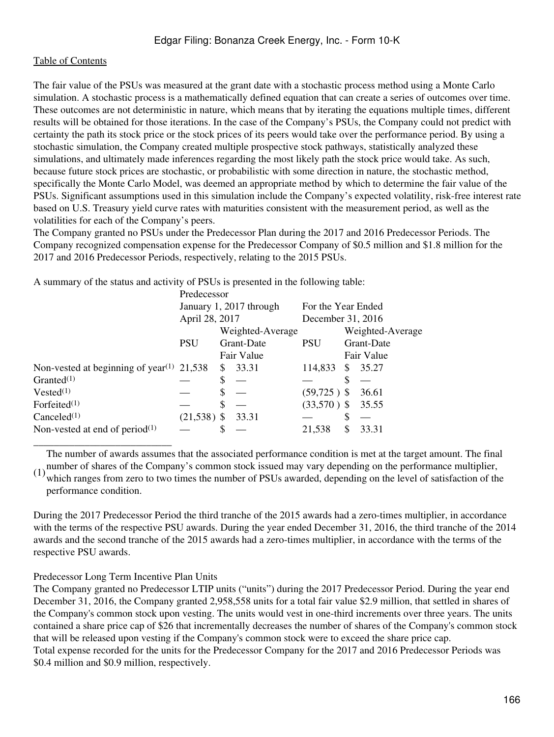The fair value of the PSUs was measured at the grant date with a stochastic process method using a Monte Carlo simulation. A stochastic process is a mathematically defined equation that can create a series of outcomes over time. These outcomes are not deterministic in nature, which means that by iterating the equations multiple times, different results will be obtained for those iterations. In the case of the Company's PSUs, the Company could not predict with certainty the path its stock price or the stock prices of its peers would take over the performance period. By using a stochastic simulation, the Company created multiple prospective stock pathways, statistically analyzed these simulations, and ultimately made inferences regarding the most likely path the stock price would take. As such, because future stock prices are stochastic, or probabilistic with some direction in nature, the stochastic method, specifically the Monte Carlo Model, was deemed an appropriate method by which to determine the fair value of the PSUs. Significant assumptions used in this simulation include the Company's expected volatility, risk-free interest rate based on U.S. Treasury yield curve rates with maturities consistent with the measurement period, as well as the volatilities for each of the Company's peers.

The Company granted no PSUs under the Predecessor Plan during the 2017 and 2016 Predecessor Periods. The Company recognized compensation expense for the Predecessor Company of \$0.5 million and \$1.8 million for the 2017 and 2016 Predecessor Periods, respectively, relating to the 2015 PSUs.

A summary of the status and activity of PSUs is presented in the following table:

|            |                                                       |                              | For the Year Ended                                                    |                  |                                |
|------------|-------------------------------------------------------|------------------------------|-----------------------------------------------------------------------|------------------|--------------------------------|
|            |                                                       |                              | December 31, 2016                                                     |                  |                                |
|            |                                                       |                              |                                                                       |                  | Weighted-Average               |
| <b>PSU</b> |                                                       |                              | <b>PSU</b>                                                            |                  | Grant-Date                     |
|            |                                                       |                              |                                                                       |                  | Fair Value                     |
|            | \$.                                                   | 33.31                        | 114,833                                                               | \$               | 35.27                          |
|            | \$                                                    |                              |                                                                       |                  |                                |
|            | \$                                                    |                              |                                                                       |                  | 36.61                          |
|            | \$                                                    |                              |                                                                       |                  | 35.55                          |
|            |                                                       | 33.31                        |                                                                       | \$               |                                |
|            | \$                                                    |                              | 21,538                                                                | \$               | 33.31                          |
|            | Non-vested at beginning of year <sup>(1)</sup> 21,538 | Predecessor<br>$(21,538)$ \$ | January 1, 2017 through<br>April 28, 2017<br>Grant-Date<br>Fair Value | Weighted-Average | $(59,725)$ \$<br>$(33,570)$ \$ |

(1) number of shares of the Company's common stock issued may vary depending on the performance multiplier,<br>(1) which gapes from zero to two times the number of  $DSU_2$  swapped, depending on the level of estisfaction of th The number of awards assumes that the associated performance condition is met at the target amount. The final

which ranges from zero to two times the number of PSUs awarded, depending on the level of satisfaction of the performance condition.

During the 2017 Predecessor Period the third tranche of the 2015 awards had a zero-times multiplier, in accordance with the terms of the respective PSU awards. During the year ended December 31, 2016, the third tranche of the 2014 awards and the second tranche of the 2015 awards had a zero-times multiplier, in accordance with the terms of the respective PSU awards.

Predecessor Long Term Incentive Plan Units

\_\_\_\_\_\_\_\_\_\_\_\_\_\_\_\_\_\_\_\_\_\_\_\_\_\_\_

The Company granted no Predecessor LTIP units ("units") during the 2017 Predecessor Period. During the year end December 31, 2016, the Company granted 2,958,558 units for a total fair value \$2.9 million, that settled in shares of the Company's common stock upon vesting. The units would vest in one-third increments over three years. The units contained a share price cap of \$26 that incrementally decreases the number of shares of the Company's common stock that will be released upon vesting if the Company's common stock were to exceed the share price cap. Total expense recorded for the units for the Predecessor Company for the 2017 and 2016 Predecessor Periods was \$0.4 million and \$0.9 million, respectively.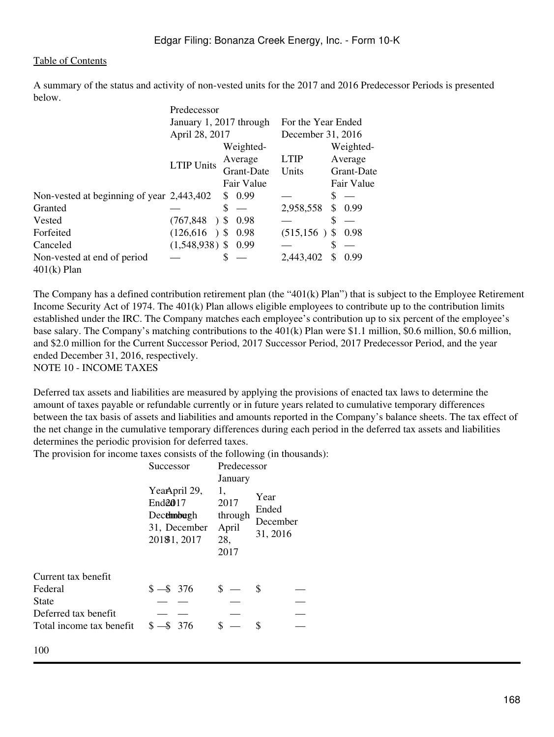A summary of the status and activity of non-vested units for the 2017 and 2016 Predecessor Periods is presented below.

|                                           | Predecessor                               |    |            |                    |           |            |
|-------------------------------------------|-------------------------------------------|----|------------|--------------------|-----------|------------|
|                                           | January 1, 2017 through<br>April 28, 2017 |    |            | For the Year Ended |           |            |
|                                           |                                           |    |            | December 31, 2016  |           |            |
|                                           | Weighted-                                 |    |            |                    | Weighted- |            |
|                                           | <b>LTIP Units</b>                         |    | Average    | <b>LTIP</b>        |           | Average    |
|                                           |                                           |    | Grant-Date | Units              |           | Grant-Date |
|                                           |                                           |    | Fair Value |                    |           | Fair Value |
| Non-vested at beginning of year 2,443,402 |                                           | S  | 0.99       |                    |           |            |
| Granted                                   |                                           | \$ |            | 2,958,558          | S         | 0.99       |
| Vested                                    | (767, 848)                                | S  | 0.98       |                    |           |            |
| Forfeited                                 | $(126,616)$ \$                            |    | 0.98       | (515, 156)         | S         | 0.98       |
| Canceled                                  | $(1,548,938)$ \$                          |    | 0.99       |                    |           |            |
| Non-vested at end of period               |                                           |    |            | 2,443,402          |           | 0.99       |
| $401(k)$ Plan                             |                                           |    |            |                    |           |            |

The Company has a defined contribution retirement plan (the "401(k) Plan") that is subject to the Employee Retirement Income Security Act of 1974. The 401(k) Plan allows eligible employees to contribute up to the contribution limits established under the IRC. The Company matches each employee's contribution up to six percent of the employee's base salary. The Company's matching contributions to the 401(k) Plan were \$1.1 million, \$0.6 million, \$0.6 million, and \$2.0 million for the Current Successor Period, 2017 Successor Period, 2017 Predecessor Period, and the year ended December 31, 2016, respectively.

NOTE 10 - INCOME TAXES

Deferred tax assets and liabilities are measured by applying the provisions of enacted tax laws to determine the amount of taxes payable or refundable currently or in future years related to cumulative temporary differences between the tax basis of assets and liabilities and amounts reported in the Company's balance sheets. The tax effect of the net change in the cumulative temporary differences during each period in the deferred tax assets and liabilities determines the periodic provision for deferred taxes.

The provision for income taxes consists of the following (in thousands):

|                          | Successor                                                              | Predecessor<br>January                        |                                       |  |
|--------------------------|------------------------------------------------------------------------|-----------------------------------------------|---------------------------------------|--|
|                          | YearApril 29,<br>End@017<br>Decelmologh<br>31, December<br>20181, 2017 | 1,<br>2017<br>through<br>April<br>28,<br>2017 | Year<br>Ended<br>December<br>31, 2016 |  |
| Current tax benefit      |                                                                        |                                               |                                       |  |
| Federal                  | $$ -\$ 376$                                                            | \$.                                           | S                                     |  |
| State                    |                                                                        |                                               |                                       |  |
| Deferred tax benefit     |                                                                        |                                               |                                       |  |
| Total income tax benefit | 376                                                                    |                                               | \$                                    |  |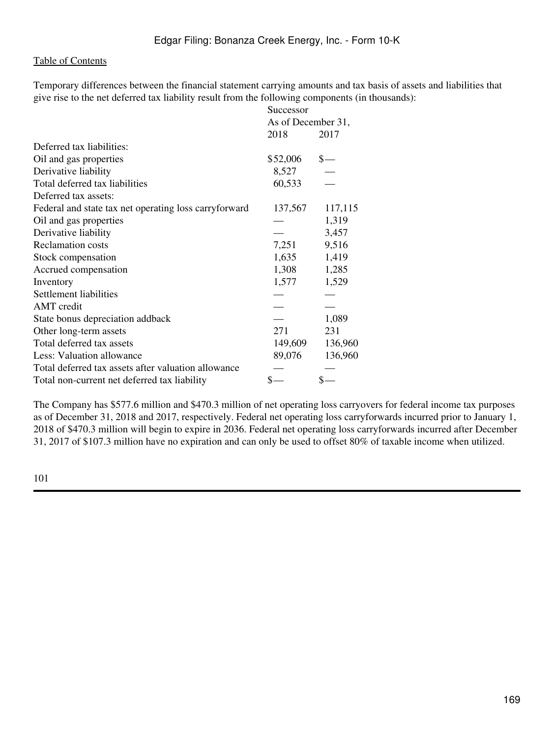Temporary differences between the financial statement carrying amounts and tax basis of assets and liabilities that give rise to the net deferred tax liability result from the following components (in thousands):

|                                                       | Successor          |         |
|-------------------------------------------------------|--------------------|---------|
|                                                       | As of December 31, |         |
|                                                       | 2018               | 2017    |
| Deferred tax liabilities:                             |                    |         |
| Oil and gas properties                                | \$52,006           | $S-$    |
| Derivative liability                                  | 8,527              |         |
| Total deferred tax liabilities                        | 60,533             |         |
| Deferred tax assets:                                  |                    |         |
| Federal and state tax net operating loss carryforward | 137,567            | 117,115 |
| Oil and gas properties                                |                    | 1,319   |
| Derivative liability                                  |                    | 3,457   |
| <b>Reclamation costs</b>                              | 7,251              | 9,516   |
| Stock compensation                                    | 1,635              | 1,419   |
| Accrued compensation                                  | 1,308              | 1,285   |
| Inventory                                             | 1,577              | 1,529   |
| Settlement liabilities                                |                    |         |
| <b>AMT</b> credit                                     |                    |         |
| State bonus depreciation addback                      |                    | 1,089   |
| Other long-term assets                                | 271                | 231     |
| Total deferred tax assets                             | 149,609            | 136,960 |
| Less: Valuation allowance                             | 89,076             | 136,960 |
| Total deferred tax assets after valuation allowance   |                    |         |
| Total non-current net deferred tax liability          |                    |         |
|                                                       |                    |         |

The Company has \$577.6 million and \$470.3 million of net operating loss carryovers for federal income tax purposes as of December 31, 2018 and 2017, respectively. Federal net operating loss carryforwards incurred prior to January 1, 2018 of \$470.3 million will begin to expire in 2036. Federal net operating loss carryforwards incurred after December 31, 2017 of \$107.3 million have no expiration and can only be used to offset 80% of taxable income when utilized.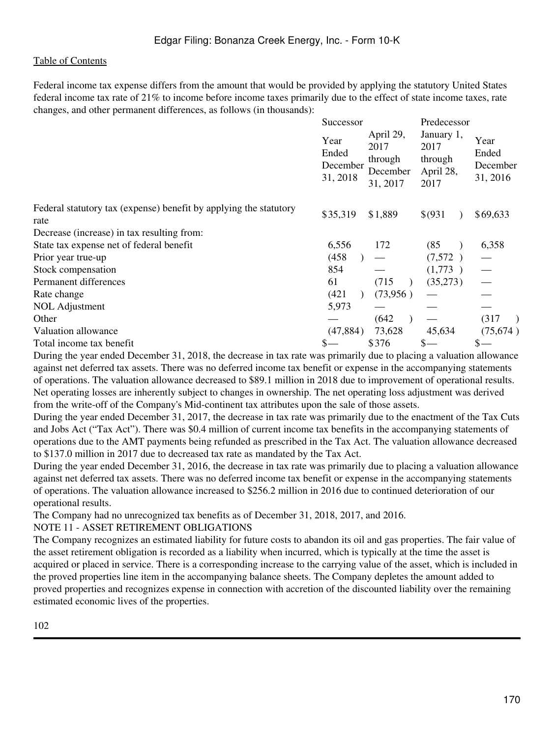Federal income tax expense differs from the amount that would be provided by applying the statutory United States federal income tax rate of 21% to income before income taxes primarily due to the effect of state income taxes, rate changes, and other permanent differences, as follows (in thousands):

|                                                                           | Successor                             |                                                      | Predecessor                                        |                                       |
|---------------------------------------------------------------------------|---------------------------------------|------------------------------------------------------|----------------------------------------------------|---------------------------------------|
|                                                                           | Year<br>Ended<br>December<br>31, 2018 | April 29,<br>2017<br>through<br>December<br>31, 2017 | January 1,<br>2017<br>through<br>April 28,<br>2017 | Year<br>Ended<br>December<br>31, 2016 |
| Federal statutory tax (expense) benefit by applying the statutory<br>rate | \$35,319                              | \$1,889                                              | \$(931)                                            | \$69,633                              |
| Decrease (increase) in tax resulting from:                                |                                       |                                                      |                                                    |                                       |
| State tax expense net of federal benefit                                  | 6,556                                 | 172                                                  | (85)                                               | 6,358                                 |
| Prior year true-up                                                        | (458)                                 |                                                      | (7,572)                                            |                                       |
| Stock compensation                                                        | 854                                   |                                                      | (1,773)                                            |                                       |
| Permanent differences                                                     | 61                                    | (715                                                 | (35,273)                                           |                                       |
| Rate change                                                               | (421)                                 | (73,956)                                             |                                                    |                                       |
| <b>NOL</b> Adjustment                                                     | 5,973                                 |                                                      |                                                    |                                       |
| Other                                                                     |                                       | (642)                                                |                                                    | (317)                                 |
| Valuation allowance                                                       | (47, 884)                             | 73,628                                               | 45,634                                             | (75,674)                              |
| Total income tax benefit                                                  |                                       | \$376                                                | $_{\rm s-}$                                        |                                       |

During the year ended December 31, 2018, the decrease in tax rate was primarily due to placing a valuation allowance against net deferred tax assets. There was no deferred income tax benefit or expense in the accompanying statements of operations. The valuation allowance decreased to \$89.1 million in 2018 due to improvement of operational results. Net operating losses are inherently subject to changes in ownership. The net operating loss adjustment was derived from the write-off of the Company's Mid-continent tax attributes upon the sale of those assets.

During the year ended December 31, 2017, the decrease in tax rate was primarily due to the enactment of the Tax Cuts and Jobs Act ("Tax Act"). There was \$0.4 million of current income tax benefits in the accompanying statements of operations due to the AMT payments being refunded as prescribed in the Tax Act. The valuation allowance decreased to \$137.0 million in 2017 due to decreased tax rate as mandated by the Tax Act.

During the year ended December 31, 2016, the decrease in tax rate was primarily due to placing a valuation allowance against net deferred tax assets. There was no deferred income tax benefit or expense in the accompanying statements of operations. The valuation allowance increased to \$256.2 million in 2016 due to continued deterioration of our operational results.

The Company had no unrecognized tax benefits as of December 31, 2018, 2017, and 2016.

## NOTE 11 - ASSET RETIREMENT OBLIGATIONS

The Company recognizes an estimated liability for future costs to abandon its oil and gas properties. The fair value of the asset retirement obligation is recorded as a liability when incurred, which is typically at the time the asset is acquired or placed in service. There is a corresponding increase to the carrying value of the asset, which is included in the proved properties line item in the accompanying balance sheets. The Company depletes the amount added to proved properties and recognizes expense in connection with accretion of the discounted liability over the remaining estimated economic lives of the properties.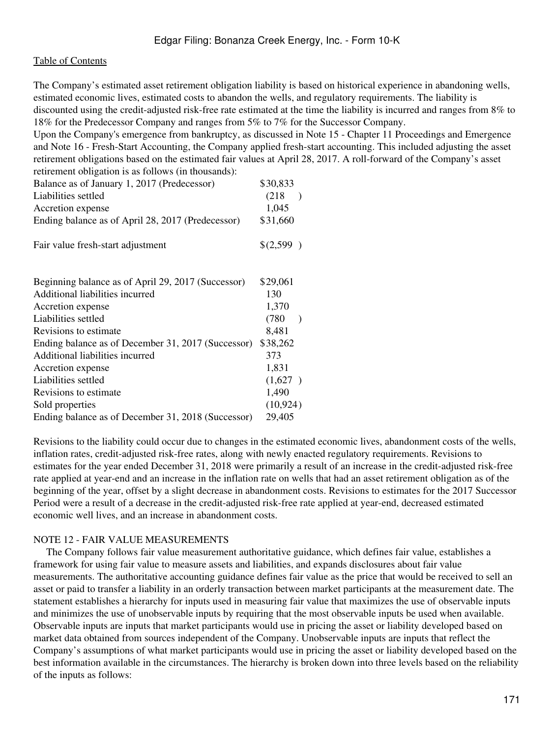The Company's estimated asset retirement obligation liability is based on historical experience in abandoning wells, estimated economic lives, estimated costs to abandon the wells, and regulatory requirements. The liability is discounted using the credit-adjusted risk-free rate estimated at the time the liability is incurred and ranges from 8% to 18% for the Predecessor Company and ranges from 5% to 7% for the Successor Company.

Upon the Company's emergence from bankruptcy, as discussed in Note 15 - Chapter 11 Proceedings and Emergence and Note 16 - Fresh-Start Accounting, the Company applied fresh-start accounting. This included adjusting the asset retirement obligations based on the estimated fair values at April 28, 2017. A roll-forward of the Company's asset retirement obligation is as follows (in thousands):

| Balance as of January 1, 2017 (Predecessor)        | \$30,833  |           |
|----------------------------------------------------|-----------|-----------|
| Liabilities settled                                | (218)     | $\big)$   |
| Accretion expense                                  | 1,045     |           |
| Ending balance as of April 28, 2017 (Predecessor)  | \$31,660  |           |
| Fair value fresh-start adjustment                  | \$(2,599) |           |
| Beginning balance as of April 29, 2017 (Successor) | \$29,061  |           |
| Additional liabilities incurred                    | 130       |           |
| Accretion expense                                  | 1,370     |           |
| Liabilities settled                                | (780)     | $\lambda$ |
| Revisions to estimate                              | 8,481     |           |
| Ending balance as of December 31, 2017 (Successor) | \$38,262  |           |

Additional liabilities incurred 373 Accretion expense 1,831 Liabilities settled (1,627) Revisions to estimate 1,490

| Sold properties                                                                                                   | (10, 924)                                                                                                                 |
|-------------------------------------------------------------------------------------------------------------------|---------------------------------------------------------------------------------------------------------------------------|
| Ending balance as of December 31, 2018 (Successor)                                                                | 29,405                                                                                                                    |
|                                                                                                                   | Revisions to the liability could occur due to changes in the estimated economic lives, abandonment costs of the wells,    |
| inflation rates, credit-adjusted risk-free rates, along with newly enacted regulatory requirements. Revisions to  |                                                                                                                           |
|                                                                                                                   | estimates for the year ended December 31, 2018 were primarily a result of an increase in the credit-adjusted risk-free    |
|                                                                                                                   | rate applied at year-end and an increase in the inflation rate on wells that had an asset retirement obligation as of the |
|                                                                                                                   | beginning of the year, offset by a slight decrease in abandonment costs. Revisions to estimates for the 2017 Successor    |
| Period were a result of a decrease in the credit-adjusted risk-free rate applied at year-end, decreased estimated |                                                                                                                           |
| economic well lives, and an increase in abandonment costs.                                                        |                                                                                                                           |

#### NOTE 12 - FAIR VALUE MEASUREMENTS

 The Company follows fair value measurement authoritative guidance, which defines fair value, establishes a framework for using fair value to measure assets and liabilities, and expands disclosures about fair value measurements. The authoritative accounting guidance defines fair value as the price that would be received to sell an asset or paid to transfer a liability in an orderly transaction between market participants at the measurement date. The statement establishes a hierarchy for inputs used in measuring fair value that maximizes the use of observable inputs and minimizes the use of unobservable inputs by requiring that the most observable inputs be used when available. Observable inputs are inputs that market participants would use in pricing the asset or liability developed based on market data obtained from sources independent of the Company. Unobservable inputs are inputs that reflect the Company's assumptions of what market participants would use in pricing the asset or liability developed based on the best information available in the circumstances. The hierarchy is broken down into three levels based on the reliability of the inputs as follows: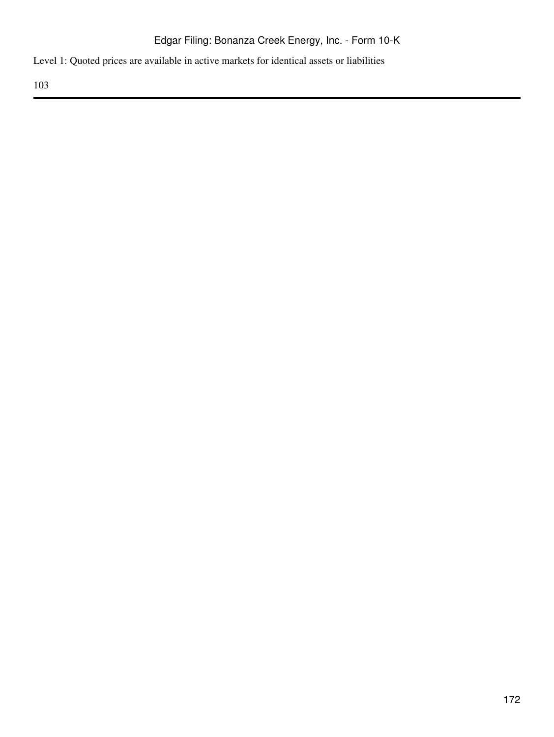Level 1: Quoted prices are available in active markets for identical assets or liabilities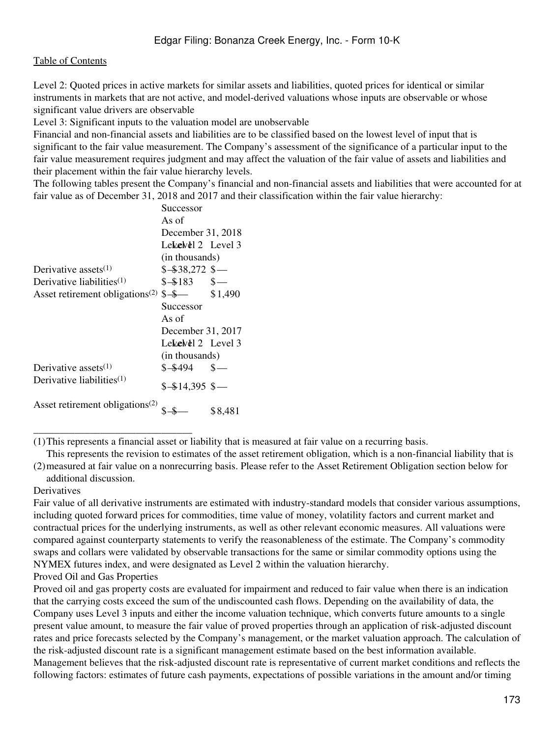Level 2: Quoted prices in active markets for similar assets and liabilities, quoted prices for identical or similar instruments in markets that are not active, and model-derived valuations whose inputs are observable or whose significant value drivers are observable

Level 3: Significant inputs to the valuation model are unobservable

Financial and non-financial assets and liabilities are to be classified based on the lowest level of input that is significant to the fair value measurement. The Company's assessment of the significance of a particular input to the fair value measurement requires judgment and may affect the valuation of the fair value of assets and liabilities and their placement within the fair value hierarchy levels.

The following tables present the Company's financial and non-financial assets and liabilities that were accounted for at fair value as of December 31, 2018 and 2017 and their classification within the fair value hierarchy:

|                                                          | Successor                 |         |
|----------------------------------------------------------|---------------------------|---------|
|                                                          | As of                     |         |
|                                                          | December 31, 2018         |         |
|                                                          | Lekewel 2 Level 3         |         |
|                                                          | (in thousands)            |         |
| Derivative assets $(1)$                                  | $$ - $38,272$ \$          |         |
| Derivative liabilities $(1)$                             | $$ - $183$ $$ -$          |         |
| Asset retirement obligations <sup><math>(2)</math></sup> | $\frac{$ - $}{3}$ \$1,490 |         |
|                                                          | Successor                 |         |
|                                                          | As of                     |         |
|                                                          | December 31, 2017         |         |
|                                                          | Lekewel 2 Level 3         |         |
|                                                          | (in thousands)            |         |
| Derivative assets $(1)$                                  | \$ <del>\$</del> 494 \$—  |         |
| Derivative liabilities $(1)$                             | $$ - $14,395$ \$          |         |
| Asset retirement obligations <sup><math>(2)</math></sup> |                           | \$8.481 |

(1)This represents a financial asset or liability that is measured at fair value on a recurring basis.

(2) measured at fair value on a nonrecurring basis. Please refer to the Asset Retirement Obligation section below for This represents the revision to estimates of the asset retirement obligation, which is a non-financial liability that is additional discussion.

#### **Derivatives**

Fair value of all derivative instruments are estimated with industry-standard models that consider various assumptions, including quoted forward prices for commodities, time value of money, volatility factors and current market and contractual prices for the underlying instruments, as well as other relevant economic measures. All valuations were compared against counterparty statements to verify the reasonableness of the estimate. The Company's commodity swaps and collars were validated by observable transactions for the same or similar commodity options using the NYMEX futures index, and were designated as Level 2 within the valuation hierarchy.

Proved Oil and Gas Properties

\_\_\_\_\_\_\_\_\_\_\_\_\_\_\_\_\_\_\_\_\_\_\_\_\_\_\_\_\_\_\_

Proved oil and gas property costs are evaluated for impairment and reduced to fair value when there is an indication that the carrying costs exceed the sum of the undiscounted cash flows. Depending on the availability of data, the Company uses Level 3 inputs and either the income valuation technique, which converts future amounts to a single present value amount, to measure the fair value of proved properties through an application of risk-adjusted discount rates and price forecasts selected by the Company's management, or the market valuation approach. The calculation of the risk-adjusted discount rate is a significant management estimate based on the best information available. Management believes that the risk-adjusted discount rate is representative of current market conditions and reflects the following factors: estimates of future cash payments, expectations of possible variations in the amount and/or timing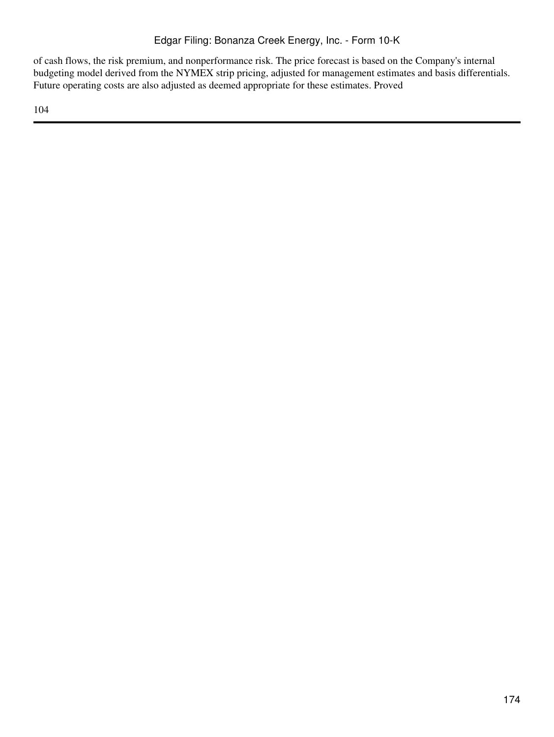of cash flows, the risk premium, and nonperformance risk. The price forecast is based on the Company's internal budgeting model derived from the NYMEX strip pricing, adjusted for management estimates and basis differentials. Future operating costs are also adjusted as deemed appropriate for these estimates. Proved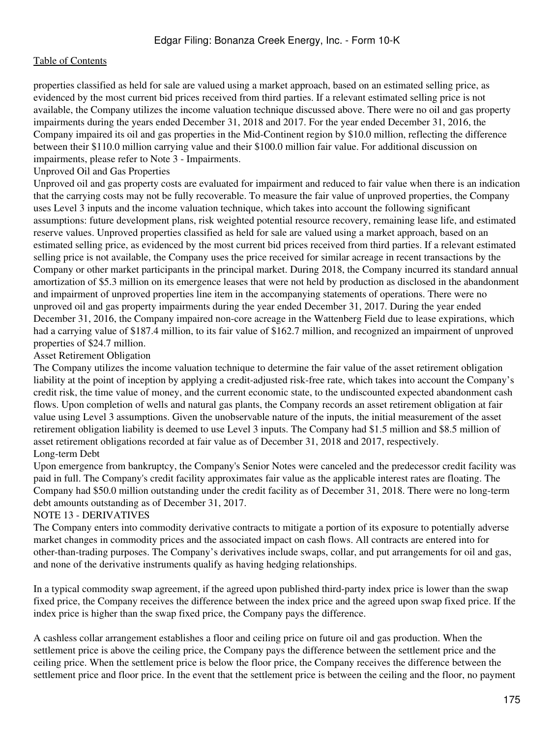properties classified as held for sale are valued using a market approach, based on an estimated selling price, as evidenced by the most current bid prices received from third parties. If a relevant estimated selling price is not available, the Company utilizes the income valuation technique discussed above. There were no oil and gas property impairments during the years ended December 31, 2018 and 2017. For the year ended December 31, 2016, the Company impaired its oil and gas properties in the Mid-Continent region by \$10.0 million, reflecting the difference between their \$110.0 million carrying value and their \$100.0 million fair value. For additional discussion on impairments, please refer to Note 3 - Impairments.

## Unproved Oil and Gas Properties

Unproved oil and gas property costs are evaluated for impairment and reduced to fair value when there is an indication that the carrying costs may not be fully recoverable. To measure the fair value of unproved properties, the Company uses Level 3 inputs and the income valuation technique, which takes into account the following significant assumptions: future development plans, risk weighted potential resource recovery, remaining lease life, and estimated reserve values. Unproved properties classified as held for sale are valued using a market approach, based on an estimated selling price, as evidenced by the most current bid prices received from third parties. If a relevant estimated selling price is not available, the Company uses the price received for similar acreage in recent transactions by the Company or other market participants in the principal market. During 2018, the Company incurred its standard annual amortization of \$5.3 million on its emergence leases that were not held by production as disclosed in the abandonment and impairment of unproved properties line item in the accompanying statements of operations. There were no unproved oil and gas property impairments during the year ended December 31, 2017. During the year ended December 31, 2016, the Company impaired non-core acreage in the Wattenberg Field due to lease expirations, which had a carrying value of \$187.4 million, to its fair value of \$162.7 million, and recognized an impairment of unproved properties of \$24.7 million.

## Asset Retirement Obligation

The Company utilizes the income valuation technique to determine the fair value of the asset retirement obligation liability at the point of inception by applying a credit-adjusted risk-free rate, which takes into account the Company's credit risk, the time value of money, and the current economic state, to the undiscounted expected abandonment cash flows. Upon completion of wells and natural gas plants, the Company records an asset retirement obligation at fair value using Level 3 assumptions. Given the unobservable nature of the inputs, the initial measurement of the asset retirement obligation liability is deemed to use Level 3 inputs. The Company had \$1.5 million and \$8.5 million of asset retirement obligations recorded at fair value as of December 31, 2018 and 2017, respectively. Long-term Debt

Upon emergence from bankruptcy, the Company's Senior Notes were canceled and the predecessor credit facility was paid in full. The Company's credit facility approximates fair value as the applicable interest rates are floating. The Company had \$50.0 million outstanding under the credit facility as of December 31, 2018. There were no long-term debt amounts outstanding as of December 31, 2017.

## NOTE 13 - DERIVATIVES

The Company enters into commodity derivative contracts to mitigate a portion of its exposure to potentially adverse market changes in commodity prices and the associated impact on cash flows. All contracts are entered into for other-than-trading purposes. The Company's derivatives include swaps, collar, and put arrangements for oil and gas, and none of the derivative instruments qualify as having hedging relationships.

In a typical commodity swap agreement, if the agreed upon published third-party index price is lower than the swap fixed price, the Company receives the difference between the index price and the agreed upon swap fixed price. If the index price is higher than the swap fixed price, the Company pays the difference.

A cashless collar arrangement establishes a floor and ceiling price on future oil and gas production. When the settlement price is above the ceiling price, the Company pays the difference between the settlement price and the ceiling price. When the settlement price is below the floor price, the Company receives the difference between the settlement price and floor price. In the event that the settlement price is between the ceiling and the floor, no payment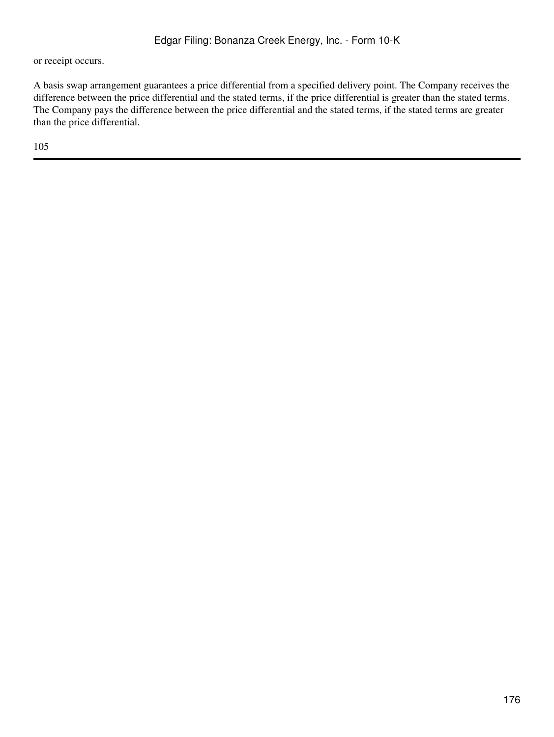or receipt occurs.

A basis swap arrangement guarantees a price differential from a specified delivery point. The Company receives the difference between the price differential and the stated terms, if the price differential is greater than the stated terms. The Company pays the difference between the price differential and the stated terms, if the stated terms are greater than the price differential.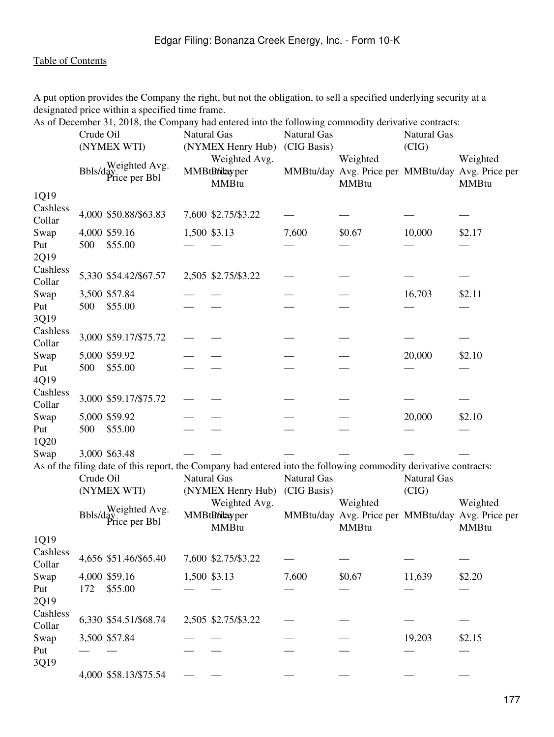A put option provides the Company the right, but not the obligation, to sell a specified underlying security at a designated price within a specified time frame.

As of December 31, 2018, the Company had entered into the following commodity derivative contracts:

|                    | Crude Oil | (NYMEX WTI)                                                                                                                       | <b>Natural Gas</b><br>(NYMEX Henry Hub)         | <b>Natural Gas</b><br>(CIG Basis) |                                                                               | <b>Natural Gas</b><br>(CIG) |                          |
|--------------------|-----------|-----------------------------------------------------------------------------------------------------------------------------------|-------------------------------------------------|-----------------------------------|-------------------------------------------------------------------------------|-----------------------------|--------------------------|
|                    |           | Weighted Avg.<br>Bbls/day Price per Bbl                                                                                           | Weighted Avg.<br>MMBtBridzeyper<br><b>MMBtu</b> |                                   | Weighted<br>MMBtu/day Avg. Price per MMBtu/day Avg. Price per<br><b>MMBtu</b> |                             | Weighted<br><b>MMBtu</b> |
| 1Q19               |           |                                                                                                                                   |                                                 |                                   |                                                                               |                             |                          |
| Cashless           |           | 4,000 \$50.88/\$63.83                                                                                                             | 7,600 \$2.75/\$3.22                             |                                   |                                                                               |                             |                          |
| Collar<br>Swap     |           | 4,000 \$59.16                                                                                                                     | 1,500 \$3.13                                    | 7,600                             | \$0.67                                                                        | 10,000                      | \$2.17                   |
| Put                | 500       | \$55.00                                                                                                                           |                                                 |                                   |                                                                               |                             |                          |
| 2Q19               |           |                                                                                                                                   |                                                 |                                   |                                                                               |                             |                          |
| Cashless<br>Collar |           | 5,330 \$54.42/\$67.57                                                                                                             | 2,505 \$2.75/\$3.22                             |                                   |                                                                               |                             |                          |
| Swap               |           | 3,500 \$57.84                                                                                                                     |                                                 |                                   |                                                                               | 16,703                      | \$2.11                   |
| Put                | 500       | \$55.00                                                                                                                           |                                                 |                                   |                                                                               |                             |                          |
| 3Q19               |           |                                                                                                                                   |                                                 |                                   |                                                                               |                             |                          |
| Cashless<br>Collar |           | 3,000 \$59.17/\$75.72                                                                                                             |                                                 |                                   |                                                                               |                             |                          |
| Swap               |           | 5,000 \$59.92                                                                                                                     |                                                 |                                   |                                                                               | 20,000                      | \$2.10                   |
| Put                | 500       | \$55.00                                                                                                                           |                                                 |                                   |                                                                               |                             |                          |
| 4Q19               |           |                                                                                                                                   |                                                 |                                   |                                                                               |                             |                          |
| Cashless<br>Collar |           | 3,000 \$59.17/\$75.72                                                                                                             |                                                 |                                   |                                                                               |                             |                          |
| Swap               |           | 5,000 \$59.92                                                                                                                     |                                                 |                                   |                                                                               | 20,000                      | \$2.10                   |
| Put                | 500       | \$55.00                                                                                                                           |                                                 |                                   |                                                                               |                             |                          |
| 1Q20               |           |                                                                                                                                   |                                                 |                                   |                                                                               |                             |                          |
| Swap               |           | 3,000 \$63.48<br>As of the filing date of this report, the Company had entered into the following commodity derivative contracts: |                                                 |                                   |                                                                               |                             |                          |
|                    | Crude Oil |                                                                                                                                   | <b>Natural Gas</b>                              | <b>Natural Gas</b>                |                                                                               | <b>Natural Gas</b>          |                          |
|                    |           | (NYMEX WTI)                                                                                                                       | (NYMEX Henry Hub)                               | (CIG Basis)                       |                                                                               | (CIG)                       |                          |
|                    |           |                                                                                                                                   | Weighted Avg.                                   |                                   | Weighted                                                                      |                             | Weighted                 |
|                    |           | Weighted Avg.<br>Bbls/day<br>Price per Bbl                                                                                        | MMBtRtidzeyper<br><b>MMBtu</b>                  |                                   | MMBtu/day Avg. Price per MMBtu/day Avg. Price per<br><b>MMBtu</b>             |                             | <b>MMBtu</b>             |
| 1Q19               |           |                                                                                                                                   |                                                 |                                   |                                                                               |                             |                          |
| Cashless           |           | 4,656 \$51.46/\$65.40                                                                                                             | 7,600 \$2.75/\$3.22                             |                                   |                                                                               |                             |                          |
| Collar             |           |                                                                                                                                   |                                                 |                                   |                                                                               |                             |                          |
| Swap<br>Put        | 172       | 4,000 \$59.16<br>\$55.00                                                                                                          | 1,500 \$3.13                                    | 7,600                             | \$0.67                                                                        | 11,639                      | \$2.20                   |
| 2Q19               |           |                                                                                                                                   |                                                 |                                   |                                                                               |                             |                          |
| Cashless           |           | 6,330 \$54.51/\$68.74                                                                                                             | 2,505 \$2.75/\$3.22                             |                                   |                                                                               |                             |                          |
| Collar             |           |                                                                                                                                   |                                                 |                                   |                                                                               |                             |                          |
| Swap               |           | 3,500 \$57.84                                                                                                                     |                                                 |                                   |                                                                               | 19,203                      | \$2.15                   |
| Put<br>3Q19        |           |                                                                                                                                   |                                                 |                                   |                                                                               |                             |                          |
|                    |           | 4,000 \$58.13/\$75.54                                                                                                             |                                                 |                                   |                                                                               |                             |                          |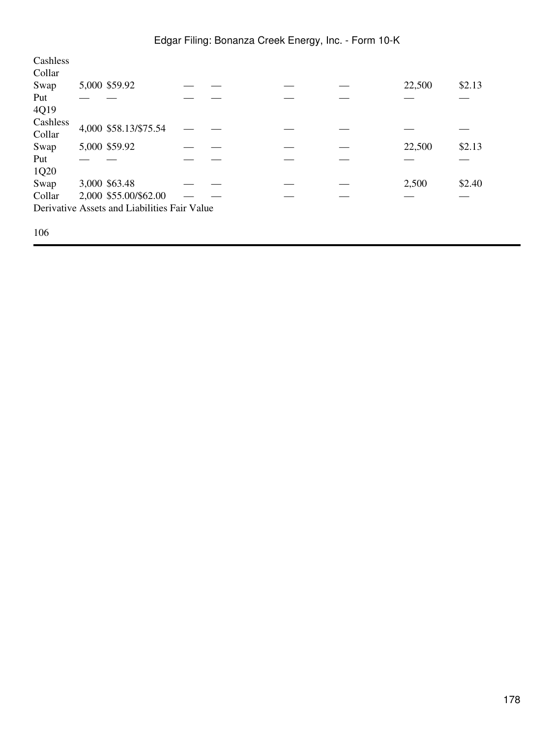| Cashless |                                              |  |  |        |        |
|----------|----------------------------------------------|--|--|--------|--------|
| Collar   |                                              |  |  |        |        |
| Swap     | 5,000 \$59.92                                |  |  | 22,500 | \$2.13 |
| Put      |                                              |  |  |        |        |
| 4Q19     |                                              |  |  |        |        |
| Cashless | 4,000 \$58.13/\$75.54                        |  |  |        |        |
| Collar   |                                              |  |  |        |        |
| Swap     | 5,000 \$59.92                                |  |  | 22,500 | \$2.13 |
| Put      |                                              |  |  |        |        |
| 1Q20     |                                              |  |  |        |        |
| Swap     | 3,000 \$63.48                                |  |  | 2,500  | \$2.40 |
| Collar   | 2,000 \$55.00/\$62.00                        |  |  |        |        |
|          | Derivative Assets and Liabilities Fair Value |  |  |        |        |
| 106      |                                              |  |  |        |        |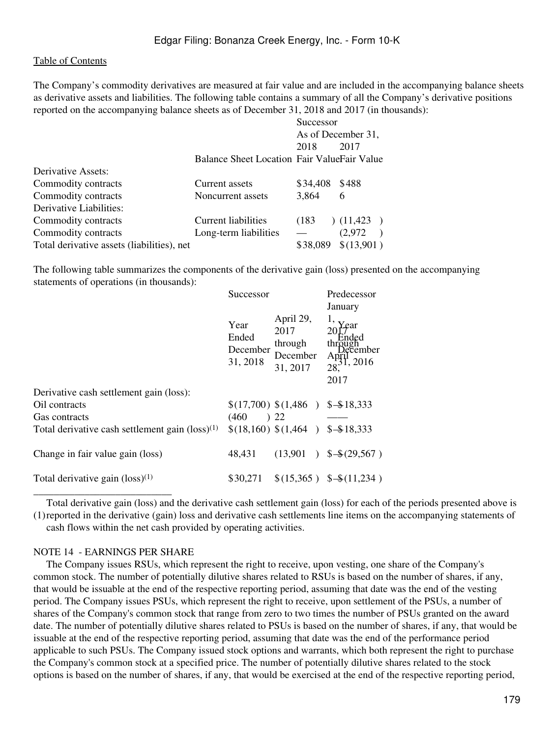The Company's commodity derivatives are measured at fair value and are included in the accompanying balance sheets as derivative assets and liabilities. The following table contains a summary of all the Company's derivative positions reported on the accompanying balance sheets as of December 31, 2018 and 2017 (in thousands):

|                                            |                                             | Successor          |            |
|--------------------------------------------|---------------------------------------------|--------------------|------------|
|                                            |                                             | As of December 31, |            |
|                                            |                                             | 2018               | 2017       |
|                                            | Balance Sheet Location Fair ValueFair Value |                    |            |
| Derivative Assets:                         |                                             |                    |            |
| Commodity contracts                        | Current assets                              | \$34,408           | \$488      |
| Commodity contracts                        | Noncurrent assets                           | 3.864              | 6          |
| Derivative Liabilities:                    |                                             |                    |            |
| Commodity contracts                        | Current liabilities                         | (183)              | (11, 423)  |
| Commodity contracts                        | Long-term liabilities                       |                    | (2,972)    |
| Total derivative assets (liabilities), net |                                             | \$38,089           | \$(13,901) |

The following table summarizes the components of the derivative gain (loss) presented on the accompanying statements of operations (in thousands):

|                                                             | Successor                             |                                                      | Predecessor                                                                             |
|-------------------------------------------------------------|---------------------------------------|------------------------------------------------------|-----------------------------------------------------------------------------------------|
|                                                             |                                       |                                                      | January                                                                                 |
|                                                             | Year<br>Ended<br>December<br>31, 2018 | April 29,<br>2017<br>through<br>December<br>31, 2017 | Year<br>Ended<br>through<br>December<br>$\frac{\text{A}_{23}}{2}$ , 2016<br>28.<br>2017 |
| Derivative cash settlement gain (loss):                     |                                       |                                                      |                                                                                         |
| Oil contracts                                               |                                       | $$(17,700) $(1,486)$ $$-\$18,333$                    |                                                                                         |
| Gas contracts                                               | (460)                                 | 22                                                   |                                                                                         |
| Total derivative cash settlement gain $(\text{loss})^{(1)}$ |                                       | $$(18,160) $(1,464) $ $-$18,333$                     |                                                                                         |
| Change in fair value gain (loss)                            | 48,431                                | (13.901)                                             | $\sqrt{$}4(29,567)$                                                                     |
| Total derivative gain $(\text{loss})^{(1)}$                 | \$30,271                              |                                                      | $$(15,365)$ $$-\$(11,234)$                                                              |

(1) reported in the derivative (gain) loss and derivative cash settlements line items on the accompanying statements of Total derivative gain (loss) and the derivative cash settlement gain (loss) for each of the periods presented above is cash flows within the net cash provided by operating activities.

#### NOTE 14 - EARNINGS PER SHARE

\_\_\_\_\_\_\_\_\_\_\_\_\_\_\_\_\_\_\_\_\_\_\_\_\_\_\_

 The Company issues RSUs, which represent the right to receive, upon vesting, one share of the Company's common stock. The number of potentially dilutive shares related to RSUs is based on the number of shares, if any, that would be issuable at the end of the respective reporting period, assuming that date was the end of the vesting period. The Company issues PSUs, which represent the right to receive, upon settlement of the PSUs, a number of shares of the Company's common stock that range from zero to two times the number of PSUs granted on the award date. The number of potentially dilutive shares related to PSUs is based on the number of shares, if any, that would be issuable at the end of the respective reporting period, assuming that date was the end of the performance period applicable to such PSUs. The Company issued stock options and warrants, which both represent the right to purchase the Company's common stock at a specified price. The number of potentially dilutive shares related to the stock options is based on the number of shares, if any, that would be exercised at the end of the respective reporting period,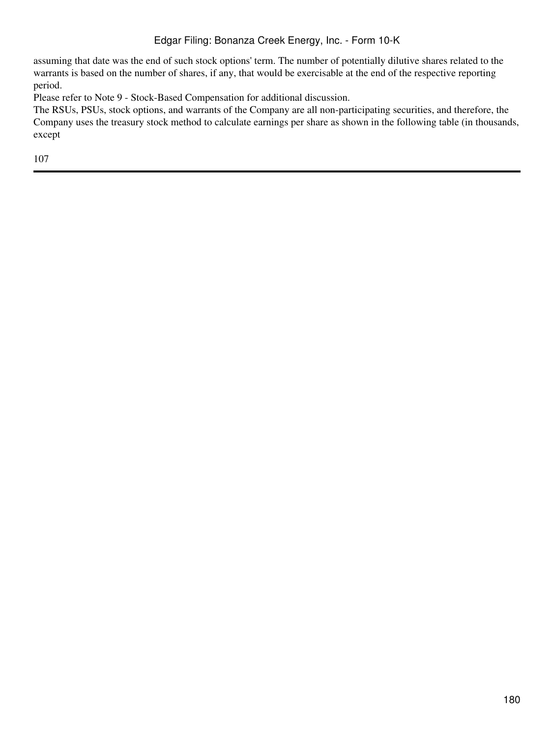# Edgar Filing: Bonanza Creek Energy, Inc. - Form 10-K

assuming that date was the end of such stock options' term. The number of potentially dilutive shares related to the warrants is based on the number of shares, if any, that would be exercisable at the end of the respective reporting period.

Please refer to Note 9 - Stock-Based Compensation for additional discussion.

The RSUs, PSUs, stock options, and warrants of the Company are all non-participating securities, and therefore, the Company uses the treasury stock method to calculate earnings per share as shown in the following table (in thousands, except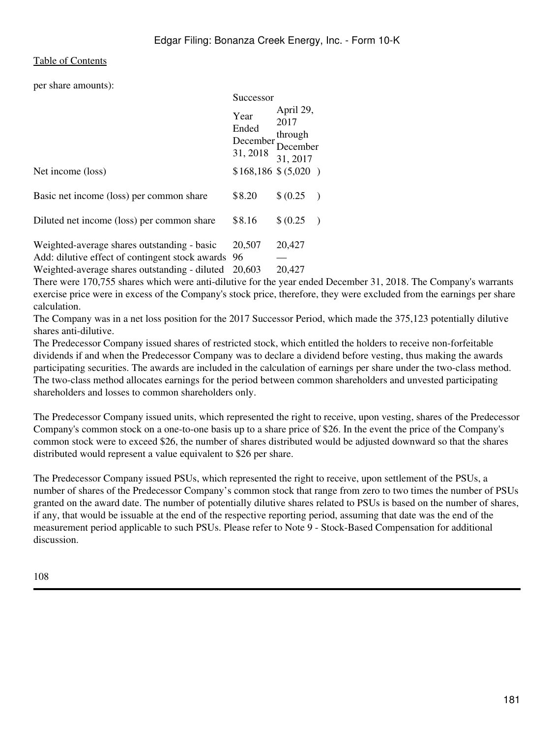$S<sub>U000000</sub>$ 

### [Table of Contents](#page-2-0)

per share amounts):

|                                                                                                                                                    | <b>SUCCESSUI</b>                      |                                                      |  |
|----------------------------------------------------------------------------------------------------------------------------------------------------|---------------------------------------|------------------------------------------------------|--|
|                                                                                                                                                    | Year<br>Ended<br>December<br>31, 2018 | April 29,<br>2017<br>through<br>December<br>31, 2017 |  |
| Net income (loss)                                                                                                                                  | $$168,186 \$ (5,020)$                 |                                                      |  |
| Basic net income (loss) per common share<br>Diluted net income (loss) per common share                                                             | \$8.20<br>\$8.16                      | \$ (0.25)<br>\$ (0.25)                               |  |
| Weighted-average shares outstanding - basic<br>Add: dilutive effect of contingent stock awards 96<br>Weighted-average shares outstanding - diluted | 20,507<br>20.603                      | 20,427<br>20,427                                     |  |

There were 170,755 shares which were anti-dilutive for the year ended December 31, 2018. The Company's warrants exercise price were in excess of the Company's stock price, therefore, they were excluded from the earnings per share calculation.

The Company was in a net loss position for the 2017 Successor Period, which made the 375,123 potentially dilutive shares anti-dilutive.

The Predecessor Company issued shares of restricted stock, which entitled the holders to receive non-forfeitable dividends if and when the Predecessor Company was to declare a dividend before vesting, thus making the awards participating securities. The awards are included in the calculation of earnings per share under the two-class method. The two-class method allocates earnings for the period between common shareholders and unvested participating shareholders and losses to common shareholders only.

The Predecessor Company issued units, which represented the right to receive, upon vesting, shares of the Predecessor Company's common stock on a one-to-one basis up to a share price of \$26. In the event the price of the Company's common stock were to exceed \$26, the number of shares distributed would be adjusted downward so that the shares distributed would represent a value equivalent to \$26 per share.

The Predecessor Company issued PSUs, which represented the right to receive, upon settlement of the PSUs, a number of shares of the Predecessor Company's common stock that range from zero to two times the number of PSUs granted on the award date. The number of potentially dilutive shares related to PSUs is based on the number of shares, if any, that would be issuable at the end of the respective reporting period, assuming that date was the end of the measurement period applicable to such PSUs. Please refer to Note 9 - Stock-Based Compensation for additional discussion.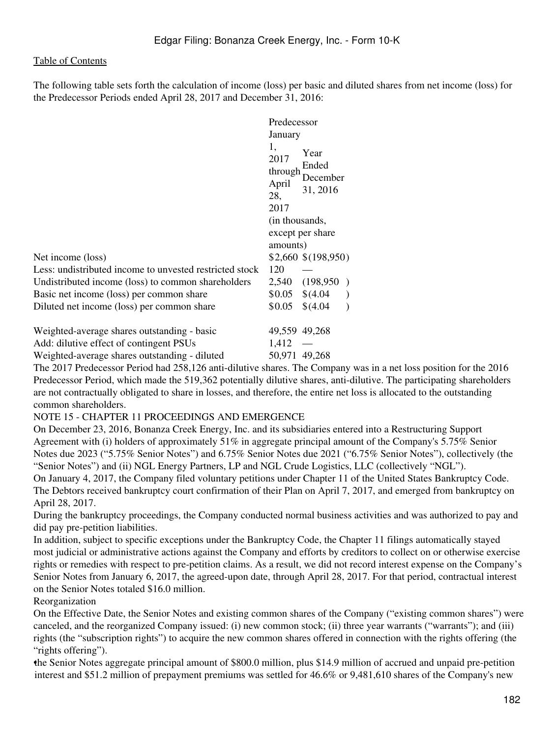The following table sets forth the calculation of income (loss) per basic and diluted shares from net income (loss) for the Predecessor Periods ended April 28, 2017 and December 31, 2016:

|                                                         | Predecessor<br>January                        |                                       |  |
|---------------------------------------------------------|-----------------------------------------------|---------------------------------------|--|
|                                                         | 1,<br>2017<br>through<br>April<br>28,<br>2017 | Year<br>Ended<br>December<br>31, 2016 |  |
|                                                         | (in thousands,                                |                                       |  |
|                                                         | amounts)                                      | except per share                      |  |
| Net income (loss)                                       |                                               | $$2,660 \$ (198,950)$                 |  |
| Less: undistributed income to unvested restricted stock | 120                                           |                                       |  |
| Undistributed income (loss) to common shareholders      |                                               | 2,540 (198,950)                       |  |
| Basic net income (loss) per common share                |                                               | $$0.05$ $$(4.04)$                     |  |
| Diluted net income (loss) per common share              | \$0.05                                        | \$(4.04)                              |  |
| Weighted-average shares outstanding - basic             |                                               | 49,559 49,268                         |  |
| Add: dilutive effect of contingent PSUs                 | 1,412                                         |                                       |  |
| Weighted-average shares outstanding - diluted           |                                               | 50,971 49,268                         |  |

The 2017 Predecessor Period had 258,126 anti-dilutive shares. The Company was in a net loss position for the 2016 Predecessor Period, which made the 519,362 potentially dilutive shares, anti-dilutive. The participating shareholders are not contractually obligated to share in losses, and therefore, the entire net loss is allocated to the outstanding common shareholders.

NOTE 15 - CHAPTER 11 PROCEEDINGS AND EMERGENCE

On December 23, 2016, Bonanza Creek Energy, Inc. and its subsidiaries entered into a Restructuring Support Agreement with (i) holders of approximately 51% in aggregate principal amount of the Company's 5.75% Senior Notes due 2023 ("5.75% Senior Notes") and 6.75% Senior Notes due 2021 ("6.75% Senior Notes"), collectively (the "Senior Notes") and (ii) NGL Energy Partners, LP and NGL Crude Logistics, LLC (collectively "NGL"). On January 4, 2017, the Company filed voluntary petitions under Chapter 11 of the United States Bankruptcy Code. The Debtors received bankruptcy court confirmation of their Plan on April 7, 2017, and emerged from bankruptcy on April 28, 2017.

During the bankruptcy proceedings, the Company conducted normal business activities and was authorized to pay and did pay pre-petition liabilities.

In addition, subject to specific exceptions under the Bankruptcy Code, the Chapter 11 filings automatically stayed most judicial or administrative actions against the Company and efforts by creditors to collect on or otherwise exercise rights or remedies with respect to pre-petition claims. As a result, we did not record interest expense on the Company's Senior Notes from January 6, 2017, the agreed-upon date, through April 28, 2017. For that period, contractual interest on the Senior Notes totaled \$16.0 million.

# Reorganization

On the Effective Date, the Senior Notes and existing common shares of the Company ("existing common shares") were canceled, and the reorganized Company issued: (i) new common stock; (ii) three year warrants ("warrants"); and (iii) rights (the "subscription rights") to acquire the new common shares offered in connection with the rights offering (the "rights offering").

•the Senior Notes aggregate principal amount of \$800.0 million, plus \$14.9 million of accrued and unpaid pre-petition interest and \$51.2 million of prepayment premiums was settled for 46.6% or 9,481,610 shares of the Company's new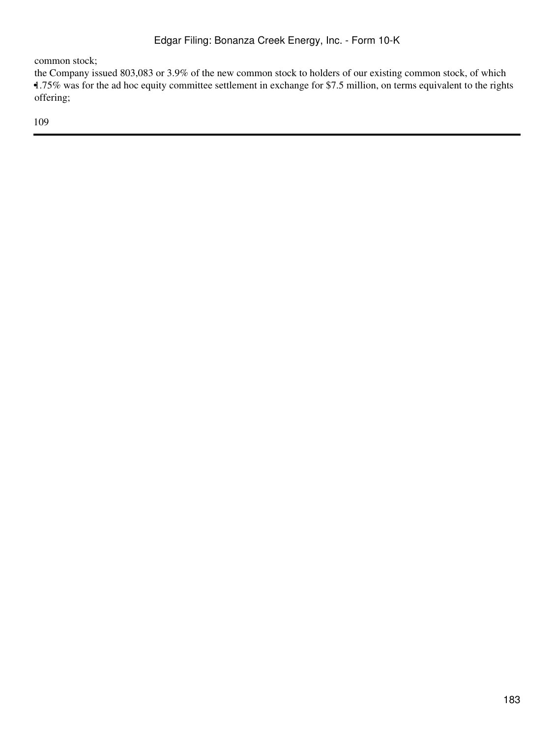common stock;

• 1.75% was for the ad hoc equity committee settlement in exchange for \$7.5 million, on terms equivalent to the rights the Company issued 803,083 or 3.9% of the new common stock to holders of our existing common stock, of which offering;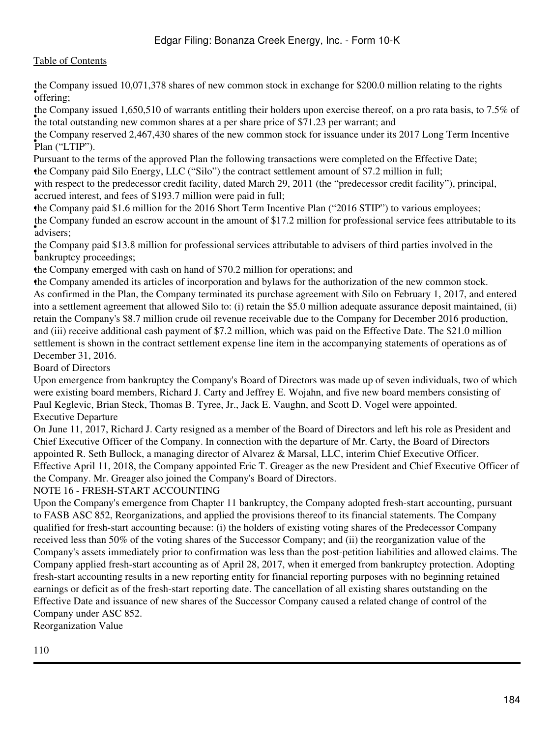• offering; the Company issued 10,071,378 shares of new common stock in exchange for \$200.0 million relating to the rights

the company issued 1,000,010 of warrants change at honders apon exercise incredit, the total outstanding new common shares at a per share price of \$71.23 per warrant; and the Company issued 1,650,510 of warrants entitling their holders upon exercise thereof, on a pro rata basis, to 7.5% of

• Plan ("LTIP"). the Company reserved 2,467,430 shares of the new common stock for issuance under its 2017 Long Term Incentive

Pursuant to the terms of the approved Plan the following transactions were completed on the Effective Date; •the Company paid Silo Energy, LLC ("Silo") the contract settlement amount of \$7.2 million in full;

when respect to the predecessor eredit namely, dated March 2.<br>accrued interest, and fees of \$193.7 million were paid in full; with respect to the predecessor credit facility, dated March 29, 2011 (the "predecessor credit facility"), principal,

•the Company paid \$1.6 million for the 2016 Short Term Incentive Plan ("2016 STIP") to various employees;

• advisers; the Company funded an escrow account in the amount of \$17.2 million for professional service fees attributable to its

bankruptcy proceedings; the Company paid \$13.8 million for professional services attributable to advisers of third parties involved in the

•the Company emerged with cash on hand of \$70.2 million for operations; and

•the Company amended its articles of incorporation and bylaws for the authorization of the new common stock. As confirmed in the Plan, the Company terminated its purchase agreement with Silo on February 1, 2017, and entered into a settlement agreement that allowed Silo to: (i) retain the \$5.0 million adequate assurance deposit maintained, (ii) retain the Company's \$8.7 million crude oil revenue receivable due to the Company for December 2016 production, and (iii) receive additional cash payment of \$7.2 million, which was paid on the Effective Date. The \$21.0 million settlement is shown in the contract settlement expense line item in the accompanying statements of operations as of December 31, 2016.

Board of Directors

Upon emergence from bankruptcy the Company's Board of Directors was made up of seven individuals, two of which were existing board members, Richard J. Carty and Jeffrey E. Wojahn, and five new board members consisting of Paul Keglevic, Brian Steck, Thomas B. Tyree, Jr., Jack E. Vaughn, and Scott D. Vogel were appointed. Executive Departure

On June 11, 2017, Richard J. Carty resigned as a member of the Board of Directors and left his role as President and Chief Executive Officer of the Company. In connection with the departure of Mr. Carty, the Board of Directors appointed R. Seth Bullock, a managing director of Alvarez & Marsal, LLC, interim Chief Executive Officer. Effective April 11, 2018, the Company appointed Eric T. Greager as the new President and Chief Executive Officer of the Company. Mr. Greager also joined the Company's Board of Directors.

# NOTE 16 - FRESH-START ACCOUNTING

Upon the Company's emergence from Chapter 11 bankruptcy, the Company adopted fresh-start accounting, pursuant to FASB ASC 852, Reorganizations, and applied the provisions thereof to its financial statements. The Company qualified for fresh-start accounting because: (i) the holders of existing voting shares of the Predecessor Company received less than 50% of the voting shares of the Successor Company; and (ii) the reorganization value of the Company's assets immediately prior to confirmation was less than the post-petition liabilities and allowed claims. The Company applied fresh-start accounting as of April 28, 2017, when it emerged from bankruptcy protection. Adopting fresh-start accounting results in a new reporting entity for financial reporting purposes with no beginning retained earnings or deficit as of the fresh-start reporting date. The cancellation of all existing shares outstanding on the Effective Date and issuance of new shares of the Successor Company caused a related change of control of the Company under ASC 852.

Reorganization Value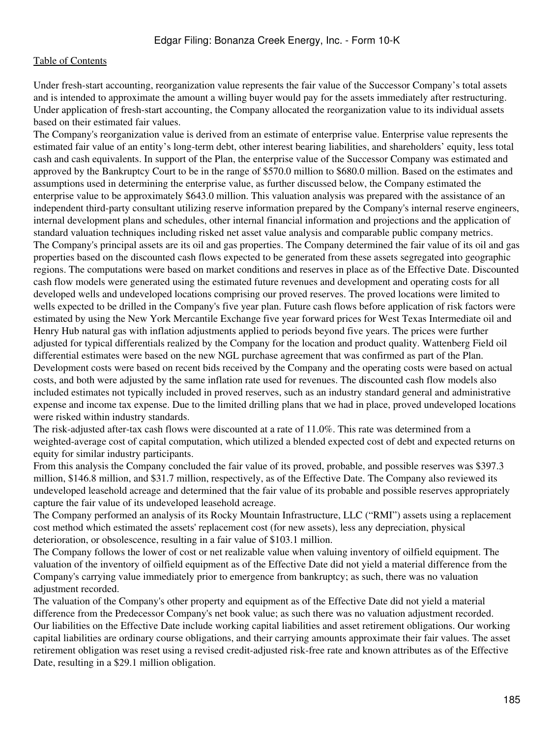Under fresh-start accounting, reorganization value represents the fair value of the Successor Company's total assets and is intended to approximate the amount a willing buyer would pay for the assets immediately after restructuring. Under application of fresh-start accounting, the Company allocated the reorganization value to its individual assets based on their estimated fair values.

The Company's reorganization value is derived from an estimate of enterprise value. Enterprise value represents the estimated fair value of an entity's long-term debt, other interest bearing liabilities, and shareholders' equity, less total cash and cash equivalents. In support of the Plan, the enterprise value of the Successor Company was estimated and approved by the Bankruptcy Court to be in the range of \$570.0 million to \$680.0 million. Based on the estimates and assumptions used in determining the enterprise value, as further discussed below, the Company estimated the enterprise value to be approximately \$643.0 million. This valuation analysis was prepared with the assistance of an independent third-party consultant utilizing reserve information prepared by the Company's internal reserve engineers, internal development plans and schedules, other internal financial information and projections and the application of standard valuation techniques including risked net asset value analysis and comparable public company metrics. The Company's principal assets are its oil and gas properties. The Company determined the fair value of its oil and gas properties based on the discounted cash flows expected to be generated from these assets segregated into geographic regions. The computations were based on market conditions and reserves in place as of the Effective Date. Discounted cash flow models were generated using the estimated future revenues and development and operating costs for all developed wells and undeveloped locations comprising our proved reserves. The proved locations were limited to wells expected to be drilled in the Company's five year plan. Future cash flows before application of risk factors were estimated by using the New York Mercantile Exchange five year forward prices for West Texas Intermediate oil and Henry Hub natural gas with inflation adjustments applied to periods beyond five years. The prices were further adjusted for typical differentials realized by the Company for the location and product quality. Wattenberg Field oil differential estimates were based on the new NGL purchase agreement that was confirmed as part of the Plan. Development costs were based on recent bids received by the Company and the operating costs were based on actual costs, and both were adjusted by the same inflation rate used for revenues. The discounted cash flow models also included estimates not typically included in proved reserves, such as an industry standard general and administrative expense and income tax expense. Due to the limited drilling plans that we had in place, proved undeveloped locations were risked within industry standards.

The risk-adjusted after-tax cash flows were discounted at a rate of 11.0%. This rate was determined from a weighted-average cost of capital computation, which utilized a blended expected cost of debt and expected returns on equity for similar industry participants.

From this analysis the Company concluded the fair value of its proved, probable, and possible reserves was \$397.3 million, \$146.8 million, and \$31.7 million, respectively, as of the Effective Date. The Company also reviewed its undeveloped leasehold acreage and determined that the fair value of its probable and possible reserves appropriately capture the fair value of its undeveloped leasehold acreage.

The Company performed an analysis of its Rocky Mountain Infrastructure, LLC ("RMI") assets using a replacement cost method which estimated the assets' replacement cost (for new assets), less any depreciation, physical deterioration, or obsolescence, resulting in a fair value of \$103.1 million.

The Company follows the lower of cost or net realizable value when valuing inventory of oilfield equipment. The valuation of the inventory of oilfield equipment as of the Effective Date did not yield a material difference from the Company's carrying value immediately prior to emergence from bankruptcy; as such, there was no valuation adjustment recorded.

The valuation of the Company's other property and equipment as of the Effective Date did not yield a material difference from the Predecessor Company's net book value; as such there was no valuation adjustment recorded. Our liabilities on the Effective Date include working capital liabilities and asset retirement obligations. Our working capital liabilities are ordinary course obligations, and their carrying amounts approximate their fair values. The asset retirement obligation was reset using a revised credit-adjusted risk-free rate and known attributes as of the Effective Date, resulting in a \$29.1 million obligation.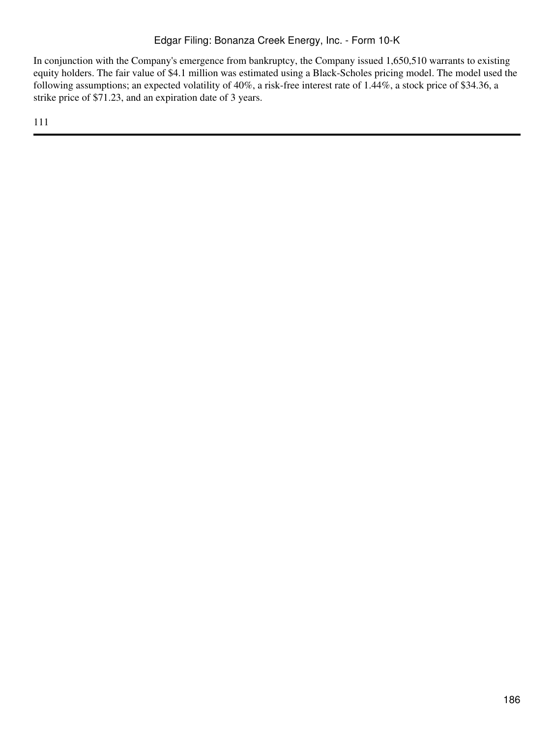In conjunction with the Company's emergence from bankruptcy, the Company issued 1,650,510 warrants to existing equity holders. The fair value of \$4.1 million was estimated using a Black-Scholes pricing model. The model used the following assumptions; an expected volatility of 40%, a risk-free interest rate of 1.44%, a stock price of \$34.36, a strike price of \$71.23, and an expiration date of 3 years.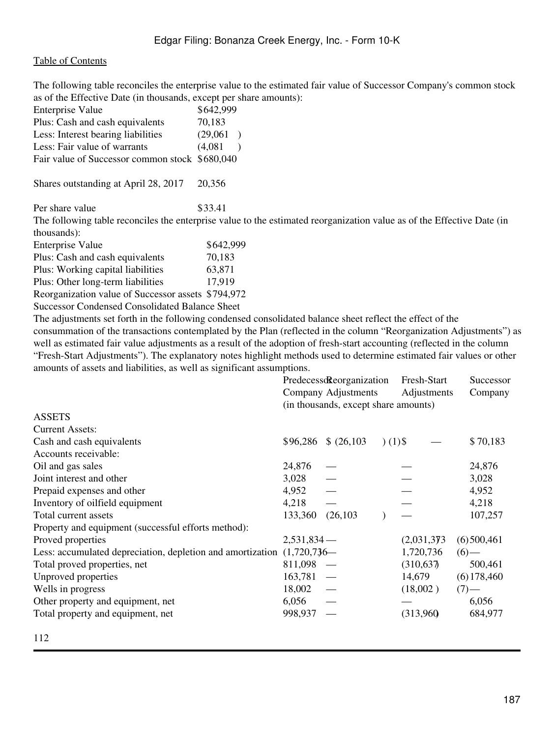The following table reconciles the enterprise value to the estimated fair value of Successor Company's common stock as of the Effective Date (in thousands, except per share amounts):

| <b>Enterprise Value</b>                        | \$642,999                                                                                                              |
|------------------------------------------------|------------------------------------------------------------------------------------------------------------------------|
| Plus: Cash and cash equivalents                | 70.183                                                                                                                 |
| Less: Interest bearing liabilities             | (29,061)                                                                                                               |
| Less: Fair value of warrants                   | (4.081                                                                                                                 |
| Fair value of Successor common stock \$680,040 |                                                                                                                        |
| Shares outstanding at April 28, 2017           | 20.356                                                                                                                 |
| Per share value                                | \$33.41                                                                                                                |
|                                                | The following table reconciles the enterprise value to the estimated reorganization value as of the Effective Date (in |
| thousands):                                    |                                                                                                                        |
| <b>Enterprise Value</b>                        | \$642,999                                                                                                              |
| Plus: Cash and cash equivalents                | 70,183                                                                                                                 |
| Plus: Working capital liabilities              | 63,871                                                                                                                 |
|                                                |                                                                                                                        |

Plus: Other long-term liabilities 17,919 Reorganization value of Successor assets \$794,972

Successor Condensed Consolidated Balance Sheet

The adjustments set forth in the following condensed consolidated balance sheet reflect the effect of the consummation of the transactions contemplated by the Plan (reflected in the column "Reorganization Adjustments") as well as estimated fair value adjustments as a result of the adoption of fresh-start accounting (reflected in the column "Fresh-Start Adjustments"). The explanatory notes highlight methods used to determine estimated fair values or other amounts of assets and liabilities, as well as significant assumptions.

|                                                                          |              | PredecessoReorganization             |          | Fresh-Start | Successor     |
|--------------------------------------------------------------------------|--------------|--------------------------------------|----------|-------------|---------------|
|                                                                          |              | Company Adjustments                  |          | Adjustments | Company       |
|                                                                          |              | (in thousands, except share amounts) |          |             |               |
| <b>ASSETS</b>                                                            |              |                                      |          |             |               |
| <b>Current Assets:</b>                                                   |              |                                      |          |             |               |
| Cash and cash equivalents                                                | \$96,286     | \$ (26,103)                          | $(1)$ \$ |             | \$70,183      |
| Accounts receivable:                                                     |              |                                      |          |             |               |
| Oil and gas sales                                                        | 24,876       |                                      |          |             | 24,876        |
| Joint interest and other                                                 | 3,028        |                                      |          |             | 3,028         |
| Prepaid expenses and other                                               | 4,952        |                                      |          |             | 4,952         |
| Inventory of oilfield equipment                                          | 4,218        |                                      |          |             | 4,218         |
| Total current assets                                                     | 133,360      | (26, 103)                            |          |             | 107,257       |
| Property and equipment (successful efforts method):                      |              |                                      |          |             |               |
| Proved properties                                                        | $2,531,834-$ |                                      |          | (2,031,373) | (6)500,461    |
| Less: accumulated depreciation, depletion and amortization $(1,720,736)$ |              |                                      |          | 1,720,736   | $(6)$ —       |
| Total proved properties, net                                             | 811,098      | $\overline{\phantom{0}}$             |          | (310,637)   | 500,461       |
| Unproved properties                                                      | 163,781      | $\overline{\phantom{0}}$             |          | 14,679      | $(6)$ 178,460 |
| Wells in progress                                                        | 18,002       | $\overline{\phantom{m}}$             |          | (18,002)    | $(7)$ —       |
| Other property and equipment, net                                        | 6,056        |                                      |          |             | 6,056         |
| Total property and equipment, net                                        | 998,937      |                                      |          | (313,960)   | 684,977       |
|                                                                          |              |                                      |          |             |               |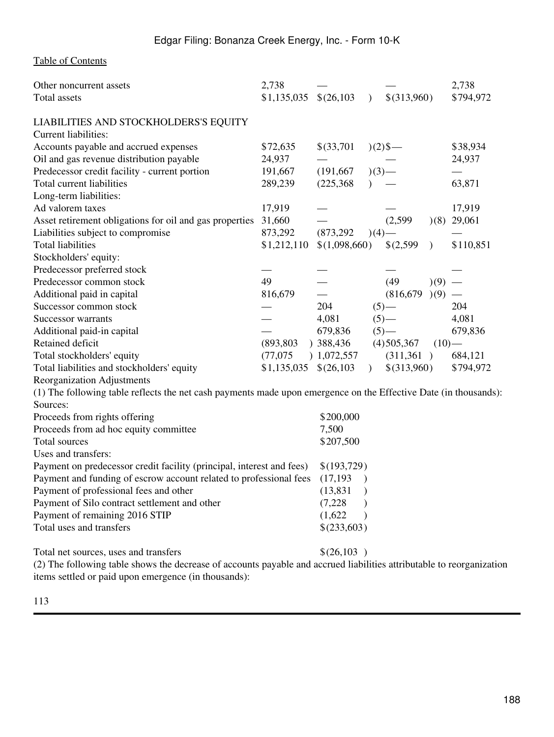| Other noncurrent assets<br>Total assets                                                                          | 2,738<br>$$1,135,035$ $$(26,103)$ |                        | $\lambda$     | \$(313,960)          |               | 2,738<br>\$794,972 |
|------------------------------------------------------------------------------------------------------------------|-----------------------------------|------------------------|---------------|----------------------|---------------|--------------------|
|                                                                                                                  |                                   |                        |               |                      |               |                    |
| LIABILITIES AND STOCKHOLDERS'S EQUITY                                                                            |                                   |                        |               |                      |               |                    |
| Current liabilities:                                                                                             |                                   |                        |               |                      |               |                    |
| Accounts payable and accrued expenses                                                                            | \$72,635                          | $$$ (33,701)           |               | $)(2)$ \$—           |               | \$38,934           |
| Oil and gas revenue distribution payable                                                                         | 24,937                            |                        |               |                      |               | 24,937             |
| Predecessor credit facility - current portion                                                                    | 191,667                           | (191, 667)             | $)(3)$ —      |                      |               |                    |
| Total current liabilities                                                                                        | 289,239                           | (225, 368)             |               |                      |               | 63,871             |
| Long-term liabilities:                                                                                           |                                   |                        |               |                      |               |                    |
| Ad valorem taxes                                                                                                 | 17,919                            |                        |               |                      |               | 17,919             |
| Asset retirement obligations for oil and gas properties                                                          | 31,660                            |                        |               | (2,599)              |               | $(8)$ 29,061       |
| Liabilities subject to compromise                                                                                | 873,292                           | (873, 292)             | $)(4)$ —      |                      |               |                    |
| <b>Total liabilities</b>                                                                                         | \$1,212,110                       | \$(1,098,660)          |               | \$(2,599)            | $\mathcal{L}$ | \$110,851          |
| Stockholders' equity:                                                                                            |                                   |                        |               |                      |               |                    |
| Predecessor preferred stock                                                                                      |                                   |                        |               |                      |               |                    |
| Predecessor common stock                                                                                         | 49                                |                        |               | (49)                 | $(9)$ —       |                    |
| Additional paid in capital                                                                                       | 816,679                           |                        |               | $(816,679)$ $)(9)$ - |               |                    |
| Successor common stock                                                                                           |                                   | 204                    |               | $(5)$ —              |               | 204                |
| Successor warrants                                                                                               |                                   | 4,081                  |               | $(5)$ —              |               | 4,081              |
| Additional paid-in capital                                                                                       |                                   | 679,836                |               | $(5)$ —              |               | 679,836            |
| Retained deficit                                                                                                 | (893, 803)                        | ) 388,436              |               | (4)505,367           | $(10)$ —      |                    |
| Total stockholders' equity                                                                                       | (77,075)                          | ) 1,072,557            |               | (311,361)            |               | 684,121            |
| Total liabilities and stockholders' equity                                                                       | $$1,135,035$ $$(26,103)$          |                        | $\mathcal{L}$ | \$(313,960)          |               | \$794,972          |
| Reorganization Adjustments                                                                                       |                                   |                        |               |                      |               |                    |
| (1) The following table reflects the net cash payments made upon emergence on the Effective Date (in thousands): |                                   |                        |               |                      |               |                    |
| Sources:                                                                                                         |                                   |                        |               |                      |               |                    |
| Proceeds from rights offering                                                                                    |                                   | \$200,000              |               |                      |               |                    |
| Proceeds from ad hoc equity committee                                                                            |                                   | 7,500                  |               |                      |               |                    |
| Total sources                                                                                                    |                                   | \$207,500              |               |                      |               |                    |
| Uses and transfers:                                                                                              |                                   |                        |               |                      |               |                    |
| Payment on predecessor credit facility (principal, interest and fees)                                            |                                   | \$(193,729)            |               |                      |               |                    |
| Payment and funding of escrow account related to professional fees                                               |                                   | (17, 193)              | $\lambda$     |                      |               |                    |
| Payment of professional fees and other                                                                           |                                   | (13, 831)<br>$\lambda$ |               |                      |               |                    |
| Payment of Silo contract settlement and other                                                                    |                                   | (7,228)                | $\mathcal{E}$ |                      |               |                    |
| Payment of remaining 2016 STIP                                                                                   |                                   | (1,622)                | $\lambda$     |                      |               |                    |
| Total uses and transfers                                                                                         |                                   | \$(233,603)            |               |                      |               |                    |
| Total net sources, uses and transfers                                                                            |                                   | \$(26,103)             |               |                      |               |                    |

(2) The following table shows the decrease of accounts payable and accrued liabilities attributable to reorganization items settled or paid upon emergence (in thousands):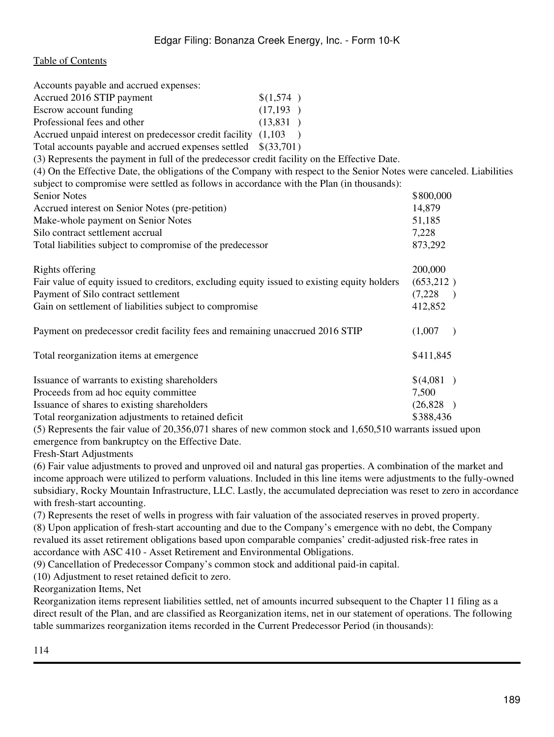| Accounts payable and accrued expenses:                                                                                                                          |           |                          |
|-----------------------------------------------------------------------------------------------------------------------------------------------------------------|-----------|--------------------------|
| Accrued 2016 STIP payment                                                                                                                                       | \$(1,574) |                          |
| Escrow account funding                                                                                                                                          | (17, 193) |                          |
| Professional fees and other                                                                                                                                     | (13, 831) |                          |
| Accrued unpaid interest on predecessor credit facility (1,103)                                                                                                  |           |                          |
| Total accounts payable and accrued expenses settled \$(33,701)                                                                                                  |           |                          |
| (3) Represents the payment in full of the predecessor credit facility on the Effective Date.                                                                    |           |                          |
| (4) On the Effective Date, the obligations of the Company with respect to the Senior Notes were canceled. Liabilities                                           |           |                          |
| subject to compromise were settled as follows in accordance with the Plan (in thousands):                                                                       |           |                          |
| <b>Senior Notes</b>                                                                                                                                             |           | \$800,000                |
| Accrued interest on Senior Notes (pre-petition)                                                                                                                 |           | 14,879                   |
| Make-whole payment on Senior Notes                                                                                                                              |           | 51,185                   |
| Silo contract settlement accrual                                                                                                                                |           | 7,228                    |
| Total liabilities subject to compromise of the predecessor                                                                                                      |           | 873,292                  |
| Rights offering                                                                                                                                                 |           | 200,000                  |
| Fair value of equity issued to creditors, excluding equity issued to existing equity holders                                                                    |           | (653,212)                |
| Payment of Silo contract settlement                                                                                                                             |           | (7,228)                  |
| Gain on settlement of liabilities subject to compromise                                                                                                         |           | 412,852                  |
|                                                                                                                                                                 |           |                          |
| Payment on predecessor credit facility fees and remaining unaccrued 2016 STIP                                                                                   |           | (1,007)<br>$\rightarrow$ |
| Total reorganization items at emergence                                                                                                                         |           | \$411,845                |
| Issuance of warrants to existing shareholders                                                                                                                   |           | \$(4,081)                |
| Proceeds from ad hoc equity committee                                                                                                                           |           | 7,500                    |
| Issuance of shares to existing shareholders                                                                                                                     |           | (26,828)                 |
| Total reorganization adjustments to retained deficit                                                                                                            |           | \$388,436                |
| $(5)$ Represents the fair value of 20,356,071 shares of new common stock and 1,650,510 warrants issued upon<br>emergence from bankruptcy on the Effective Date. |           |                          |

Fresh-Start Adjustments

(6) Fair value adjustments to proved and unproved oil and natural gas properties. A combination of the market and income approach were utilized to perform valuations. Included in this line items were adjustments to the fully-owned subsidiary, Rocky Mountain Infrastructure, LLC. Lastly, the accumulated depreciation was reset to zero in accordance with fresh-start accounting.

(7) Represents the reset of wells in progress with fair valuation of the associated reserves in proved property.

(8) Upon application of fresh-start accounting and due to the Company's emergence with no debt, the Company revalued its asset retirement obligations based upon comparable companies' credit-adjusted risk-free rates in accordance with ASC 410 - Asset Retirement and Environmental Obligations.

(9) Cancellation of Predecessor Company's common stock and additional paid-in capital.

(10) Adjustment to reset retained deficit to zero.

Reorganization Items, Net

Reorganization items represent liabilities settled, net of amounts incurred subsequent to the Chapter 11 filing as a direct result of the Plan, and are classified as Reorganization items, net in our statement of operations. The following table summarizes reorganization items recorded in the Current Predecessor Period (in thousands):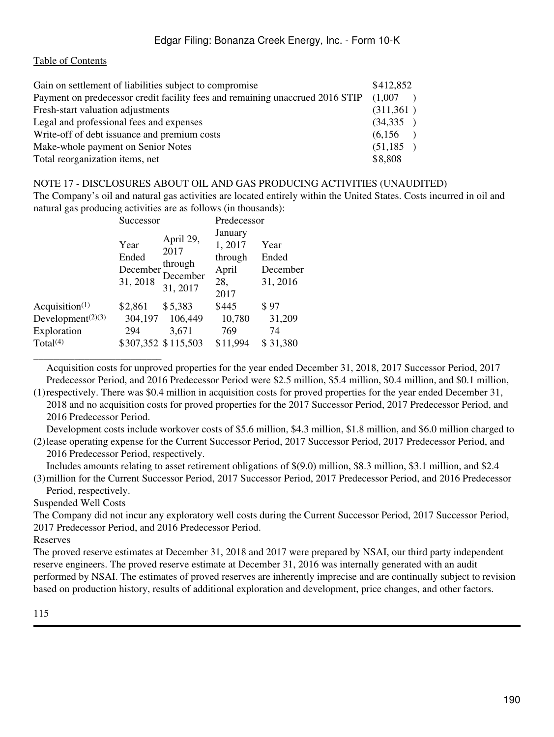| Gain on settlement of liabilities subject to compromise                       | \$412,852 |
|-------------------------------------------------------------------------------|-----------|
| Payment on predecessor credit facility fees and remaining unaccrued 2016 STIP | (1.007)   |
| Fresh-start valuation adjustments                                             | (311,361) |
| Legal and professional fees and expenses                                      | (34,335)  |
| Write-off of debt issuance and premium costs                                  | (6,156)   |
| Make-whole payment on Senior Notes                                            | (51,185)  |
| Total reorganization items, net                                               | \$8,808   |

### NOTE 17 - DISCLOSURES ABOUT OIL AND GAS PRODUCING ACTIVITIES (UNAUDITED)

The Company's oil and natural gas activities are located entirely within the United States. Costs incurred in oil and natural gas producing activities are as follows (in thousands):

|                                                                                               | Successor                             |                                                      | Predecessor                                          |                                       |
|-----------------------------------------------------------------------------------------------|---------------------------------------|------------------------------------------------------|------------------------------------------------------|---------------------------------------|
|                                                                                               | Year<br>Ended<br>December<br>31, 2018 | April 29,<br>2017<br>through<br>December<br>31, 2017 | January<br>1,2017<br>through<br>April<br>28,<br>2017 | Year<br>Ended<br>December<br>31, 2016 |
| Acquisition $(1)$<br>Development <sup><math>(2)(3)</math></sup><br>Exploration<br>Total $(4)$ | \$2,861<br>304,197<br>294             | \$5,383<br>106,449<br>3,671<br>\$307,352 \$115,503   | \$445<br>10,780<br>769<br>\$11,994                   | \$97<br>31,209<br>74<br>\$31,380      |
|                                                                                               |                                       |                                                      |                                                      |                                       |

Acquisition costs for unproved properties for the year ended December 31, 2018, 2017 Successor Period, 2017 Predecessor Period, and 2016 Predecessor Period were \$2.5 million, \$5.4 million, \$0.4 million, and \$0.1 million,

(1) respectively. There was \$0.4 million in acquisition costs for proved properties for the year ended December 31, 2018 and no acquisition costs for proved properties for the 2017 Successor Period, 2017 Predecessor Period, and 2016 Predecessor Period.

(2) lease operating expense for the Current Successor Period, 2017 Successor Period, 2017 Predecessor Period, and Development costs include workover costs of \$5.6 million, \$4.3 million, \$1.8 million, and \$6.0 million charged to

2016 Predecessor Period, respectively.

(3) million for the Current Successor Period, 2017 Successor Period, 2017 Predecessor Period, and 2016 Predecessor Includes amounts relating to asset retirement obligations of \$(9.0) million, \$8.3 million, \$3.1 million, and \$2.4

Period, respectively.

Suspended Well Costs

The Company did not incur any exploratory well costs during the Current Successor Period, 2017 Successor Period, 2017 Predecessor Period, and 2016 Predecessor Period.

Reserves

The proved reserve estimates at December 31, 2018 and 2017 were prepared by NSAI, our third party independent reserve engineers. The proved reserve estimate at December 31, 2016 was internally generated with an audit performed by NSAI. The estimates of proved reserves are inherently imprecise and are continually subject to revision based on production history, results of additional exploration and development, price changes, and other factors.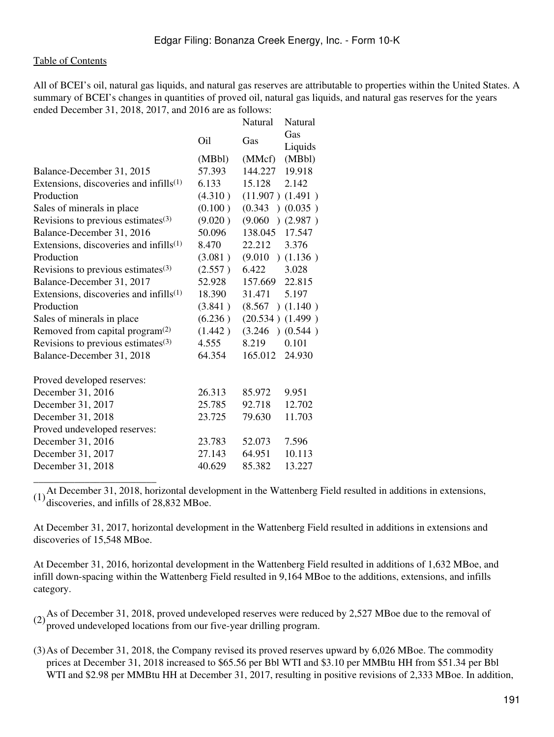\_\_\_\_\_\_\_\_\_\_\_\_\_\_\_\_\_\_\_\_\_\_\_\_

All of BCEI's oil, natural gas liquids, and natural gas reserves are attributable to properties within the United States. A summary of BCEI's changes in quantities of proved oil, natural gas liquids, and natural gas reserves for the years ended December 31, 2018, 2017, and 2016 are as follows:

|                                           |         | Natural              | Natural |
|-------------------------------------------|---------|----------------------|---------|
|                                           | Oil     | Gas                  | Gas     |
|                                           |         |                      | Liquids |
|                                           | (MBbl)  | (MMcf)               | (MBbl)  |
| Balance-December 31, 2015                 | 57.393  | 144.227              | 19.918  |
| Extensions, discoveries and infills $(1)$ | 6.133   | 15.128               | 2.142   |
| Production                                | (4.310) | (11.907)             | (1.491) |
| Sales of minerals in place                | (0.100) | (0.343)              | (0.035) |
| Revisions to previous estimates $(3)$     | (9.020) | (9.060)              | (2.987) |
| Balance-December 31, 2016                 | 50.096  | 138.045              | 17.547  |
| Extensions, discoveries and infills $(1)$ | 8.470   | 22.212               | 3.376   |
| Production                                | (3.081) | $(9.010)$ $(1.136)$  |         |
| Revisions to previous estimates $(3)$     | (2.557) | 6.422                | 3.028   |
| Balance-December 31, 2017                 | 52.928  | 157.669              | 22.815  |
| Extensions, discoveries and infills $(1)$ | 18.390  | 31.471               | 5.197   |
| Production                                | (3.841) | (8.567)              | (1.140) |
| Sales of minerals in place                | (6.236) | $(20.534)$ $(1.499)$ |         |
| Removed from capital program $^{(2)}$     | (1.442) | (3.246)              | (0.544) |
| Revisions to previous estimates $(3)$     | 4.555   | 8.219                | 0.101   |
| Balance-December 31, 2018                 | 64.354  | 165.012              | 24.930  |
| Proved developed reserves:                |         |                      |         |
| December 31, 2016                         | 26.313  | 85.972               | 9.951   |
| December 31, 2017                         | 25.785  | 92.718               | 12.702  |
| December 31, 2018                         | 23.725  | 79.630               | 11.703  |
| Proved undeveloped reserves:              |         |                      |         |
| December 31, 2016                         | 23.783  | 52.073               | 7.596   |
| December 31, 2017                         | 27.143  | 64.951               | 10.113  |
| December 31, 2018                         | 40.629  | 85.382               | 13.227  |

(1) At December 31, 2018, horizontal development in the Wattenberg Field resulted in additions in extensions,<br>(1) discoveries, and infills of 28,822 MB se discoveries, and infills of 28,832 MBoe.

At December 31, 2017, horizontal development in the Wattenberg Field resulted in additions in extensions and discoveries of 15,548 MBoe.

At December 31, 2016, horizontal development in the Wattenberg Field resulted in additions of 1,632 MBoe, and infill down-spacing within the Wattenberg Field resulted in 9,164 MBoe to the additions, extensions, and infills category.

(2)As of December 31, 2018, proved undeveloped reserves were reduced by 2,527 MBoe due to the removal of proved undeveloped locations from our five-year drilling program.

(3)As of December 31, 2018, the Company revised its proved reserves upward by 6,026 MBoe. The commodity prices at December 31, 2018 increased to \$65.56 per Bbl WTI and \$3.10 per MMBtu HH from \$51.34 per Bbl WTI and \$2.98 per MMBtu HH at December 31, 2017, resulting in positive revisions of 2,333 MBoe. In addition,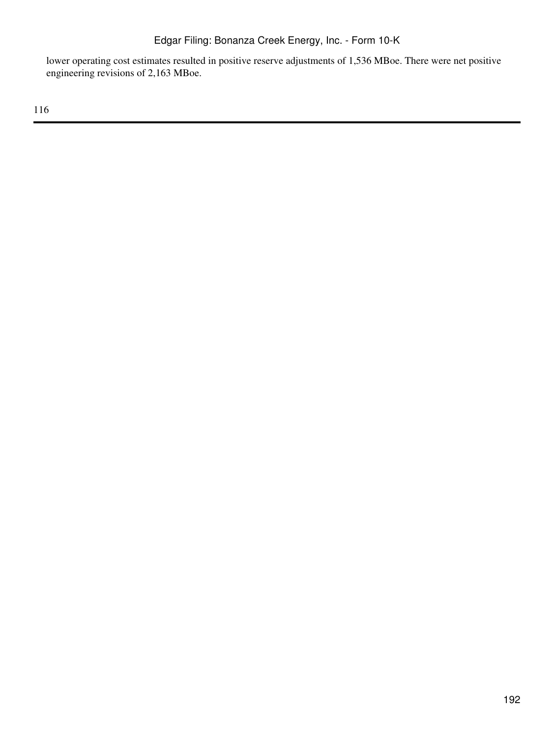lower operating cost estimates resulted in positive reserve adjustments of 1,536 MBoe. There were net positive engineering revisions of 2,163 MBoe.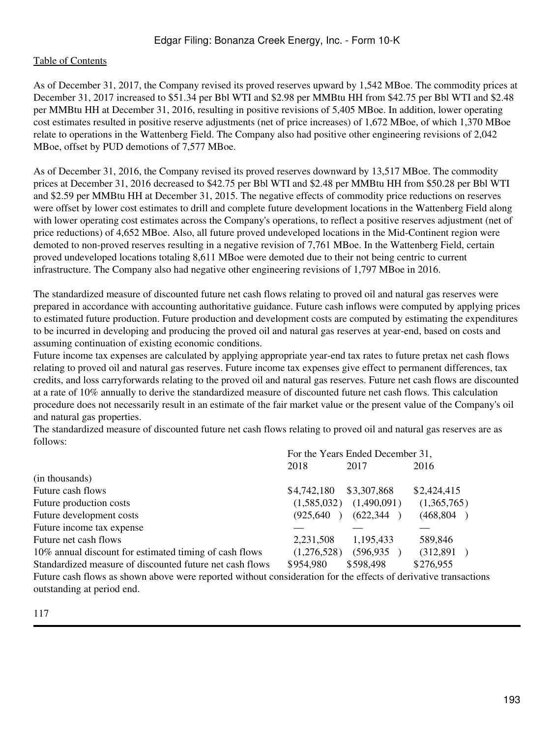As of December 31, 2017, the Company revised its proved reserves upward by 1,542 MBoe. The commodity prices at December 31, 2017 increased to \$51.34 per Bbl WTI and \$2.98 per MMBtu HH from \$42.75 per Bbl WTI and \$2.48 per MMBtu HH at December 31, 2016, resulting in positive revisions of 5,405 MBoe. In addition, lower operating cost estimates resulted in positive reserve adjustments (net of price increases) of 1,672 MBoe, of which 1,370 MBoe relate to operations in the Wattenberg Field. The Company also had positive other engineering revisions of 2,042 MBoe, offset by PUD demotions of 7,577 MBoe.

As of December 31, 2016, the Company revised its proved reserves downward by 13,517 MBoe. The commodity prices at December 31, 2016 decreased to \$42.75 per Bbl WTI and \$2.48 per MMBtu HH from \$50.28 per Bbl WTI and \$2.59 per MMBtu HH at December 31, 2015. The negative effects of commodity price reductions on reserves were offset by lower cost estimates to drill and complete future development locations in the Wattenberg Field along with lower operating cost estimates across the Company's operations, to reflect a positive reserves adjustment (net of price reductions) of 4,652 MBoe. Also, all future proved undeveloped locations in the Mid-Continent region were demoted to non-proved reserves resulting in a negative revision of 7,761 MBoe. In the Wattenberg Field, certain proved undeveloped locations totaling 8,611 MBoe were demoted due to their not being centric to current infrastructure. The Company also had negative other engineering revisions of 1,797 MBoe in 2016.

The standardized measure of discounted future net cash flows relating to proved oil and natural gas reserves were prepared in accordance with accounting authoritative guidance. Future cash inflows were computed by applying prices to estimated future production. Future production and development costs are computed by estimating the expenditures to be incurred in developing and producing the proved oil and natural gas reserves at year-end, based on costs and assuming continuation of existing economic conditions.

Future income tax expenses are calculated by applying appropriate year-end tax rates to future pretax net cash flows relating to proved oil and natural gas reserves. Future income tax expenses give effect to permanent differences, tax credits, and loss carryforwards relating to the proved oil and natural gas reserves. Future net cash flows are discounted at a rate of 10% annually to derive the standardized measure of discounted future net cash flows. This calculation procedure does not necessarily result in an estimate of the fair market value or the present value of the Company's oil and natural gas properties.

The standardized measure of discounted future net cash flows relating to proved oil and natural gas reserves are as follows:

|                                                                                                                | For the Years Ended December 31, |             |             |  |
|----------------------------------------------------------------------------------------------------------------|----------------------------------|-------------|-------------|--|
|                                                                                                                | 2018                             | 2017        | 2016        |  |
| (in thousands)                                                                                                 |                                  |             |             |  |
| Future cash flows                                                                                              | \$4,742,180                      | \$3,307,868 | \$2,424,415 |  |
| Future production costs                                                                                        | (1,585,032)                      | (1,490,091) | (1,365,765) |  |
| Future development costs                                                                                       | (925, 640)                       | (622, 344)  | (468, 804)  |  |
| Future income tax expense                                                                                      |                                  |             |             |  |
| Future net cash flows                                                                                          | 2,231,508                        | 1,195,433   | 589,846     |  |
| 10% annual discount for estimated timing of cash flows                                                         | (1,276,528)                      | (596, 935)  | (312,891)   |  |
| Standardized measure of discounted future net cash flows                                                       | \$954,980                        | \$598,498   | \$276,955   |  |
| Euture each flowe as shown above were reported without consideration for the effects of derivative transaction |                                  |             |             |  |

Future cash flows as shown above were reported without consideration for the effects of derivative transactions outstanding at period end.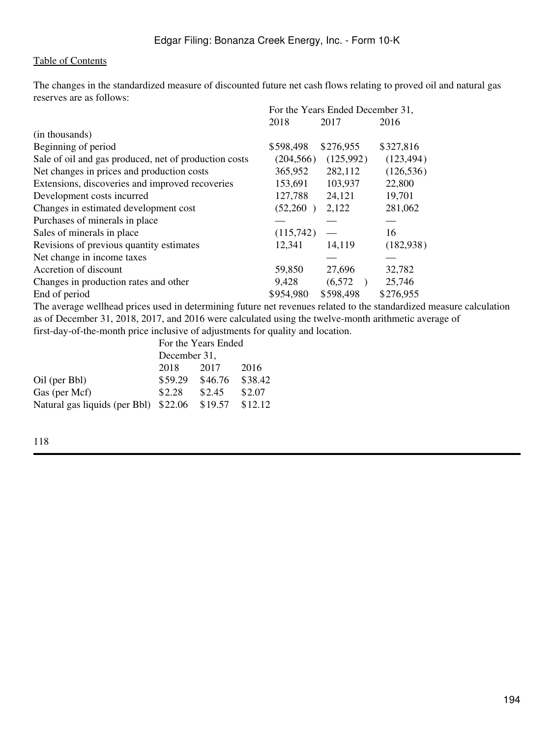The changes in the standardized measure of discounted future net cash flows relating to proved oil and natural gas reserves are as follows: For the Years Ended December 31,

|                                                       | For the Years Ended December 31, |           |            |  |
|-------------------------------------------------------|----------------------------------|-----------|------------|--|
|                                                       | 2018                             | 2017      | 2016       |  |
| (in thousands)                                        |                                  |           |            |  |
| Beginning of period                                   | \$598,498                        | \$276,955 | \$327,816  |  |
| Sale of oil and gas produced, net of production costs | (204, 566)                       | (125,992) | (123, 494) |  |
| Net changes in prices and production costs            | 365,952                          | 282,112   | (126, 536) |  |
| Extensions, discoveries and improved recoveries       | 153,691                          | 103,937   | 22,800     |  |
| Development costs incurred                            | 127,788                          | 24,121    | 19,701     |  |
| Changes in estimated development cost                 | (52,260)                         | 2,122     | 281,062    |  |
| Purchases of minerals in place                        |                                  |           |            |  |
| Sales of minerals in place                            | (115,742)                        |           | 16         |  |
| Revisions of previous quantity estimates              | 12,341                           | 14,119    | (182, 938) |  |
| Net change in income taxes                            |                                  |           |            |  |
| Accretion of discount                                 | 59,850                           | 27,696    | 32,782     |  |
| Changes in production rates and other                 | 9,428                            | (6,572)   | 25,746     |  |
| End of period                                         | \$954,980                        | \$598,498 | \$276,955  |  |

The average wellhead prices used in determining future net revenues related to the standardized measure calculation as of December 31, 2018, 2017, and 2016 were calculated using the twelve-month arithmetic average of first-day-of-the-month price inclusive of adjustments for quality and location.

|                                       | For the Years Ended |         |         |  |
|---------------------------------------|---------------------|---------|---------|--|
|                                       | December 31,        |         |         |  |
|                                       | 2018                | 2017    | 2016    |  |
| Oil (per Bbl)                         | \$59.29             | \$46.76 | \$38.42 |  |
| Gas (per Mcf)                         | \$2.28              | \$2.45  | \$2.07  |  |
| Natural gas liquids (per Bbl) \$22.06 |                     | \$19.57 | \$12.12 |  |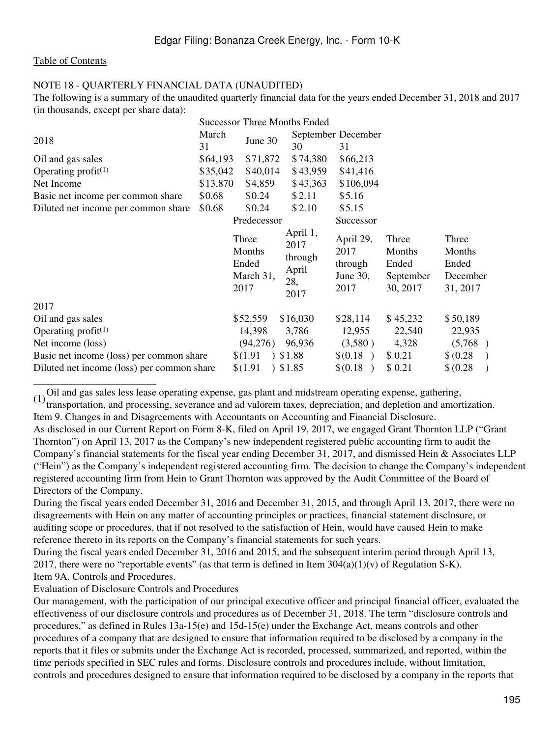#### NOTE 18 - QUARTERLY FINANCIAL DATA (UNAUDITED)

The following is a summary of the unaudited quarterly financial data for the years ended December 31, 2018 and 2017 (in thousands, except per share data):

|                                            |          | <b>Successor Three Months Ended</b>           |                                                     |                                                  |                                                   |                                                  |
|--------------------------------------------|----------|-----------------------------------------------|-----------------------------------------------------|--------------------------------------------------|---------------------------------------------------|--------------------------------------------------|
| 2018                                       | March    | June 30                                       |                                                     | September December                               |                                                   |                                                  |
|                                            | 31       |                                               | 30                                                  | 31                                               |                                                   |                                                  |
| Oil and gas sales                          | \$64,193 | \$71,872                                      | \$74,380                                            | \$66,213                                         |                                                   |                                                  |
| Operating profit $(1)$                     | \$35,042 | \$40,014                                      | \$43,959                                            | \$41,416                                         |                                                   |                                                  |
| Net Income                                 | \$13,870 | \$4,859                                       | \$43,363                                            | \$106,094                                        |                                                   |                                                  |
| Basic net income per common share          | \$0.68   | \$0.24                                        | \$2.11                                              | \$5.16                                           |                                                   |                                                  |
| Diluted net income per common share        | \$0.68   | \$0.24                                        | \$2.10                                              | \$5.15                                           |                                                   |                                                  |
|                                            |          | Predecessor                                   |                                                     | Successor                                        |                                                   |                                                  |
|                                            |          | Three<br>Months<br>Ended<br>March 31,<br>2017 | April 1,<br>2017<br>through<br>April<br>28,<br>2017 | April 29,<br>2017<br>through<br>June 30,<br>2017 | Three<br>Months<br>Ended<br>September<br>30, 2017 | Three<br>Months<br>Ended<br>December<br>31, 2017 |
| 2017                                       |          |                                               |                                                     |                                                  |                                                   |                                                  |
| Oil and gas sales                          |          | \$52,559                                      | \$16,030                                            | \$28,114                                         | \$45,232                                          | \$50,189                                         |
| Operating profit $(1)$                     |          | 14,398                                        | 3,786                                               | 12,955                                           | 22,540                                            | 22,935                                           |
| Net income (loss)                          |          | (94,276)                                      | 96,936                                              | (3,580)                                          | 4,328                                             | (5,768)                                          |
| Basic net income (loss) per common share   |          | \$(1.91)                                      | \$1.88                                              | \$(0.18)                                         | \$0.21                                            | \$ (0.28)<br>$\rightarrow$                       |
| Diluted net income (loss) per common share | \$(1.91) | 31.85                                         | \$(0.18)                                            | \$ 0.21                                          | \$ (0.28)<br>$\big)$                              |                                                  |

(1)Oil and gas sales less lease operating expense, gas plant and midstream operating expense, gathering, transportation, and processing, severance and ad valorem taxes, depreciation, and depletion and amortization. Item 9. Changes in and Disagreements with Accountants on Accounting and Financial Disclosure.

As disclosed in our Current Report on Form 8-K, filed on April 19, 2017, we engaged Grant Thornton LLP ("Grant Thornton") on April 13, 2017 as the Company's new independent registered public accounting firm to audit the Company's financial statements for the fiscal year ending December 31, 2017, and dismissed Hein & Associates LLP ("Hein") as the Company's independent registered accounting firm. The decision to change the Company's independent registered accounting firm from Hein to Grant Thornton was approved by the Audit Committee of the Board of Directors of the Company.

During the fiscal years ended December 31, 2016 and December 31, 2015, and through April 13, 2017, there were no disagreements with Hein on any matter of accounting principles or practices, financial statement disclosure, or auditing scope or procedures, that if not resolved to the satisfaction of Hein, would have caused Hein to make reference thereto in its reports on the Company's financial statements for such years.

During the fiscal years ended December 31, 2016 and 2015, and the subsequent interim period through April 13, 2017, there were no "reportable events" (as that term is defined in Item  $304(a)(1)(v)$  of Regulation S-K). Item 9A. Controls and Procedures.

Evaluation of Disclosure Controls and Procedures

\_\_\_\_\_\_\_\_\_\_\_\_\_\_\_\_\_\_\_\_\_\_\_\_

Our management, with the participation of our principal executive officer and principal financial officer, evaluated the effectiveness of our disclosure controls and procedures as of December 31, 2018. The term "disclosure controls and procedures," as defined in Rules 13a-15(e) and 15d-15(e) under the Exchange Act, means controls and other procedures of a company that are designed to ensure that information required to be disclosed by a company in the reports that it files or submits under the Exchange Act is recorded, processed, summarized, and reported, within the time periods specified in SEC rules and forms. Disclosure controls and procedures include, without limitation, controls and procedures designed to ensure that information required to be disclosed by a company in the reports that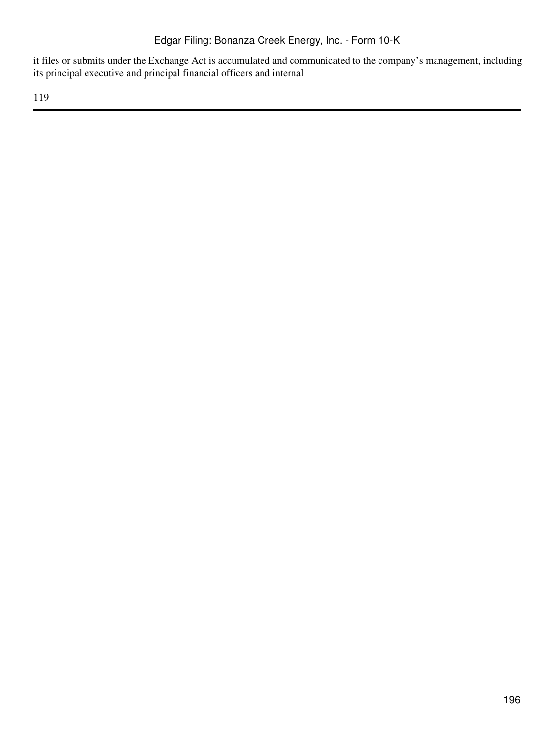it files or submits under the Exchange Act is accumulated and communicated to the company's management, including its principal executive and principal financial officers and internal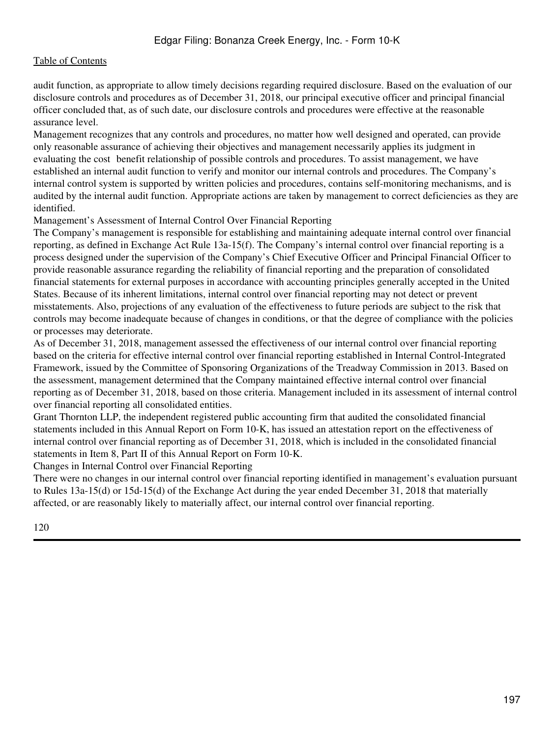audit function, as appropriate to allow timely decisions regarding required disclosure. Based on the evaluation of our disclosure controls and procedures as of December 31, 2018, our principal executive officer and principal financial officer concluded that, as of such date, our disclosure controls and procedures were effective at the reasonable assurance level.

Management recognizes that any controls and procedures, no matter how well designed and operated, can provide only reasonable assurance of achieving their objectives and management necessarily applies its judgment in evaluating the cost benefit relationship of possible controls and procedures. To assist management, we have established an internal audit function to verify and monitor our internal controls and procedures. The Company's internal control system is supported by written policies and procedures, contains self-monitoring mechanisms, and is audited by the internal audit function. Appropriate actions are taken by management to correct deficiencies as they are identified.

Management's Assessment of Internal Control Over Financial Reporting

The Company's management is responsible for establishing and maintaining adequate internal control over financial reporting, as defined in Exchange Act Rule 13a-15(f). The Company's internal control over financial reporting is a process designed under the supervision of the Company's Chief Executive Officer and Principal Financial Officer to provide reasonable assurance regarding the reliability of financial reporting and the preparation of consolidated financial statements for external purposes in accordance with accounting principles generally accepted in the United States. Because of its inherent limitations, internal control over financial reporting may not detect or prevent misstatements. Also, projections of any evaluation of the effectiveness to future periods are subject to the risk that controls may become inadequate because of changes in conditions, or that the degree of compliance with the policies or processes may deteriorate.

As of December 31, 2018, management assessed the effectiveness of our internal control over financial reporting based on the criteria for effective internal control over financial reporting established in Internal Control-Integrated Framework, issued by the Committee of Sponsoring Organizations of the Treadway Commission in 2013. Based on the assessment, management determined that the Company maintained effective internal control over financial reporting as of December 31, 2018, based on those criteria. Management included in its assessment of internal control over financial reporting all consolidated entities.

Grant Thornton LLP, the independent registered public accounting firm that audited the consolidated financial statements included in this Annual Report on Form 10-K, has issued an attestation report on the effectiveness of internal control over financial reporting as of December 31, 2018, which is included in the consolidated financial statements in Item 8, Part II of this Annual Report on Form 10-K.

Changes in Internal Control over Financial Reporting

There were no changes in our internal control over financial reporting identified in management's evaluation pursuant to Rules 13a-15(d) or 15d-15(d) of the Exchange Act during the year ended December 31, 2018 that materially affected, or are reasonably likely to materially affect, our internal control over financial reporting.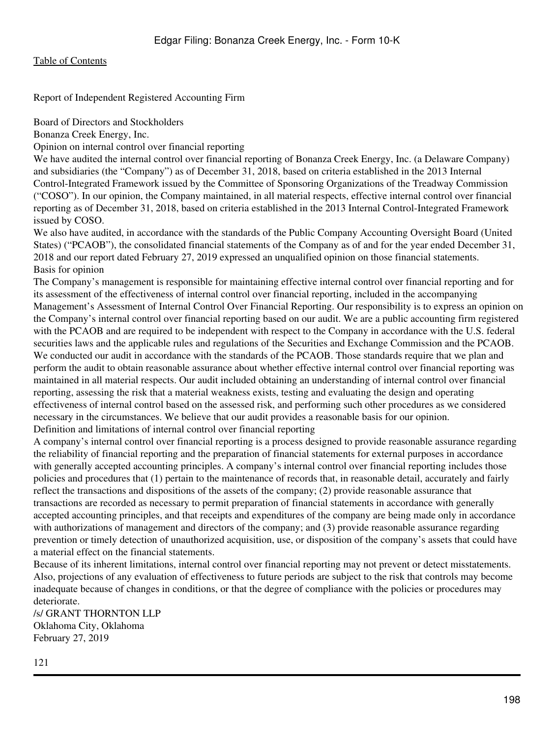Report of Independent Registered Accounting Firm

Board of Directors and Stockholders

Bonanza Creek Energy, Inc.

Opinion on internal control over financial reporting

We have audited the internal control over financial reporting of Bonanza Creek Energy, Inc. (a Delaware Company) and subsidiaries (the "Company") as of December 31, 2018, based on criteria established in the 2013 Internal Control-Integrated Framework issued by the Committee of Sponsoring Organizations of the Treadway Commission ("COSO"). In our opinion, the Company maintained, in all material respects, effective internal control over financial reporting as of December 31, 2018, based on criteria established in the 2013 Internal Control-Integrated Framework issued by COSO.

We also have audited, in accordance with the standards of the Public Company Accounting Oversight Board (United States) ("PCAOB"), the consolidated financial statements of the Company as of and for the year ended December 31, 2018 and our report dated February 27, 2019 expressed an unqualified opinion on those financial statements. Basis for opinion

The Company's management is responsible for maintaining effective internal control over financial reporting and for its assessment of the effectiveness of internal control over financial reporting, included in the accompanying Management's Assessment of Internal Control Over Financial Reporting. Our responsibility is to express an opinion on the Company's internal control over financial reporting based on our audit. We are a public accounting firm registered with the PCAOB and are required to be independent with respect to the Company in accordance with the U.S. federal securities laws and the applicable rules and regulations of the Securities and Exchange Commission and the PCAOB. We conducted our audit in accordance with the standards of the PCAOB. Those standards require that we plan and perform the audit to obtain reasonable assurance about whether effective internal control over financial reporting was maintained in all material respects. Our audit included obtaining an understanding of internal control over financial reporting, assessing the risk that a material weakness exists, testing and evaluating the design and operating effectiveness of internal control based on the assessed risk, and performing such other procedures as we considered necessary in the circumstances. We believe that our audit provides a reasonable basis for our opinion. Definition and limitations of internal control over financial reporting

A company's internal control over financial reporting is a process designed to provide reasonable assurance regarding the reliability of financial reporting and the preparation of financial statements for external purposes in accordance with generally accepted accounting principles. A company's internal control over financial reporting includes those policies and procedures that (1) pertain to the maintenance of records that, in reasonable detail, accurately and fairly reflect the transactions and dispositions of the assets of the company; (2) provide reasonable assurance that transactions are recorded as necessary to permit preparation of financial statements in accordance with generally accepted accounting principles, and that receipts and expenditures of the company are being made only in accordance with authorizations of management and directors of the company; and (3) provide reasonable assurance regarding prevention or timely detection of unauthorized acquisition, use, or disposition of the company's assets that could have a material effect on the financial statements.

Because of its inherent limitations, internal control over financial reporting may not prevent or detect misstatements. Also, projections of any evaluation of effectiveness to future periods are subject to the risk that controls may become inadequate because of changes in conditions, or that the degree of compliance with the policies or procedures may deteriorate.

/s/ GRANT THORNTON LLP Oklahoma City, Oklahoma February 27, 2019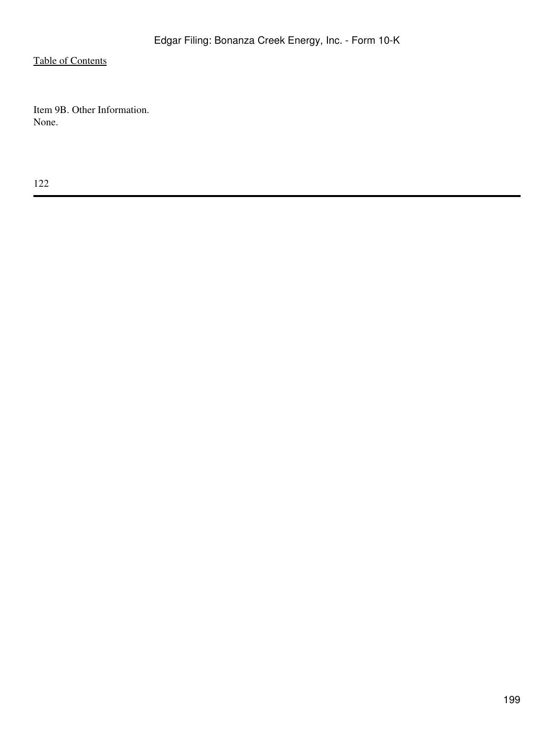Item 9B. Other Information. None.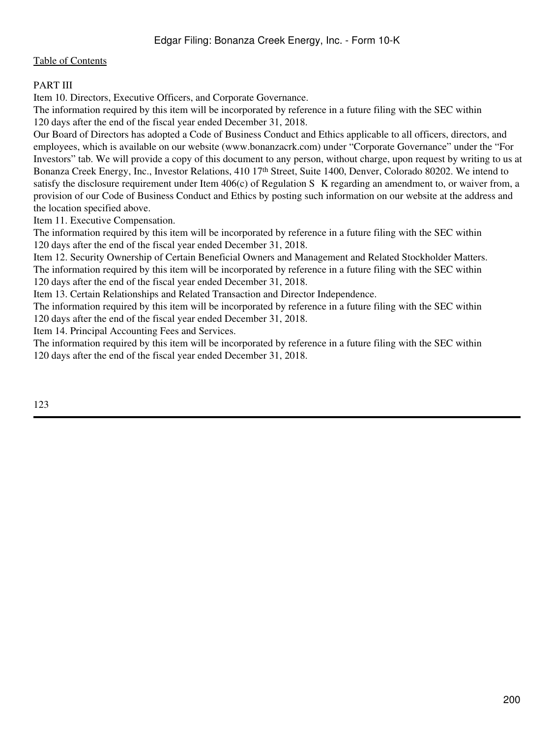# PART III

Item 10. Directors, Executive Officers, and Corporate Governance.

The information required by this item will be incorporated by reference in a future filing with the SEC within 120 days after the end of the fiscal year ended December 31, 2018.

Our Board of Directors has adopted a Code of Business Conduct and Ethics applicable to all officers, directors, and employees, which is available on our website (www.bonanzacrk.com) under "Corporate Governance" under the "For Investors" tab. We will provide a copy of this document to any person, without charge, upon request by writing to us at Bonanza Creek Energy, Inc., Investor Relations, 410 17th Street, Suite 1400, Denver, Colorado 80202. We intend to satisfy the disclosure requirement under Item 406(c) of Regulation S K regarding an amendment to, or waiver from, a provision of our Code of Business Conduct and Ethics by posting such information on our website at the address and the location specified above.

Item 11. Executive Compensation.

The information required by this item will be incorporated by reference in a future filing with the SEC within 120 days after the end of the fiscal year ended December 31, 2018.

Item 12. Security Ownership of Certain Beneficial Owners and Management and Related Stockholder Matters. The information required by this item will be incorporated by reference in a future filing with the SEC within 120 days after the end of the fiscal year ended December 31, 2018.

Item 13. Certain Relationships and Related Transaction and Director Independence.

The information required by this item will be incorporated by reference in a future filing with the SEC within 120 days after the end of the fiscal year ended December 31, 2018.

Item 14. Principal Accounting Fees and Services.

The information required by this item will be incorporated by reference in a future filing with the SEC within 120 days after the end of the fiscal year ended December 31, 2018.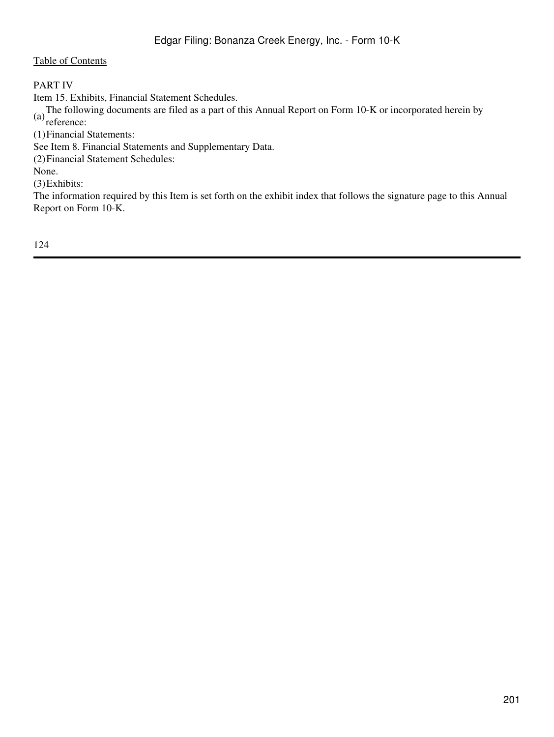# PART IV

Item 15. Exhibits, Financial Statement Schedules.

(a)The following documents are filed as a part of this Annual Report on Form 10-K or incorporated herein by reference:

(1)Financial Statements:

See Item 8. Financial Statements and Supplementary Data.

(2)Financial Statement Schedules:

None.

(3)Exhibits:

The information required by this Item is set forth on the exhibit index that follows the signature page to this Annual Report on Form 10-K.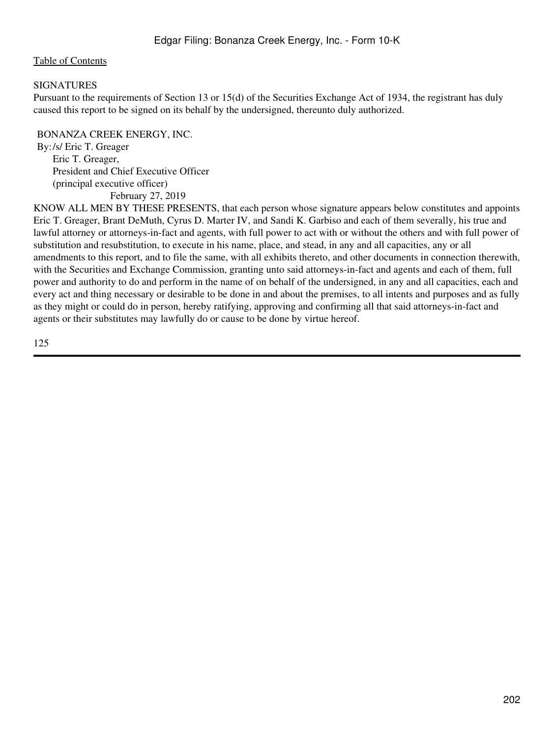#### SIGNATURES

Pursuant to the requirements of Section 13 or 15(d) of the Securities Exchange Act of 1934, the registrant has duly caused this report to be signed on its behalf by the undersigned, thereunto duly authorized.

BONANZA CREEK ENERGY, INC. By:/s/ Eric T. Greager Eric T. Greager, President and Chief Executive Officer (principal executive officer)

February 27, 2019

KNOW ALL MEN BY THESE PRESENTS, that each person whose signature appears below constitutes and appoints Eric T. Greager, Brant DeMuth, Cyrus D. Marter IV, and Sandi K. Garbiso and each of them severally, his true and lawful attorney or attorneys-in-fact and agents, with full power to act with or without the others and with full power of substitution and resubstitution, to execute in his name, place, and stead, in any and all capacities, any or all amendments to this report, and to file the same, with all exhibits thereto, and other documents in connection therewith, with the Securities and Exchange Commission, granting unto said attorneys-in-fact and agents and each of them, full power and authority to do and perform in the name of on behalf of the undersigned, in any and all capacities, each and every act and thing necessary or desirable to be done in and about the premises, to all intents and purposes and as fully as they might or could do in person, hereby ratifying, approving and confirming all that said attorneys-in-fact and agents or their substitutes may lawfully do or cause to be done by virtue hereof.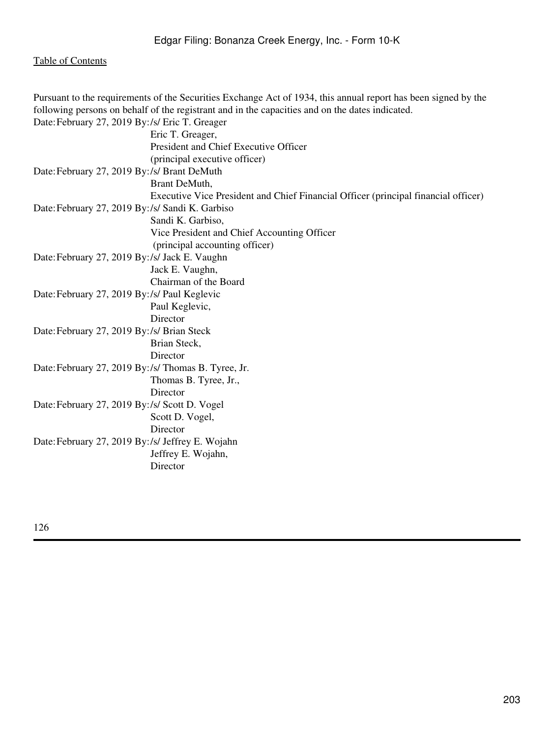| Pursuant to the requirements of the Securities Exchange Act of 1934, this annual report has been signed by the |
|----------------------------------------------------------------------------------------------------------------|
| following persons on behalf of the registrant and in the capacities and on the dates indicated.                |
| Date: February 27, 2019 By:/s/ Eric T. Greager                                                                 |
| Eric T. Greager,                                                                                               |
| President and Chief Executive Officer                                                                          |
| (principal executive officer)                                                                                  |
| Date: February 27, 2019 By:/s/ Brant DeMuth                                                                    |
| Brant DeMuth,                                                                                                  |
| Executive Vice President and Chief Financial Officer (principal financial officer)                             |
| Date: February 27, 2019 By:/s/ Sandi K. Garbiso                                                                |
| Sandi K. Garbiso,                                                                                              |
| Vice President and Chief Accounting Officer                                                                    |
| (principal accounting officer)                                                                                 |
| Date: February 27, 2019 By:/s/ Jack E. Vaughn                                                                  |
| Jack E. Vaughn,                                                                                                |
| Chairman of the Board                                                                                          |
| Date: February 27, 2019 By:/s/ Paul Keglevic                                                                   |
| Paul Keglevic,                                                                                                 |
| Director                                                                                                       |
| Date: February 27, 2019 By:/s/ Brian Steck                                                                     |
| Brian Steck,                                                                                                   |
| Director                                                                                                       |
| Date: February 27, 2019 By:/s/ Thomas B. Tyree, Jr.                                                            |
| Thomas B. Tyree, Jr.,                                                                                          |
| Director                                                                                                       |
| Date: February 27, 2019 By:/s/ Scott D. Vogel                                                                  |
| Scott D. Vogel,                                                                                                |
| Director                                                                                                       |
| Date: February 27, 2019 By:/s/ Jeffrey E. Wojahn                                                               |
| Jeffrey E. Wojahn,                                                                                             |
| Director                                                                                                       |
|                                                                                                                |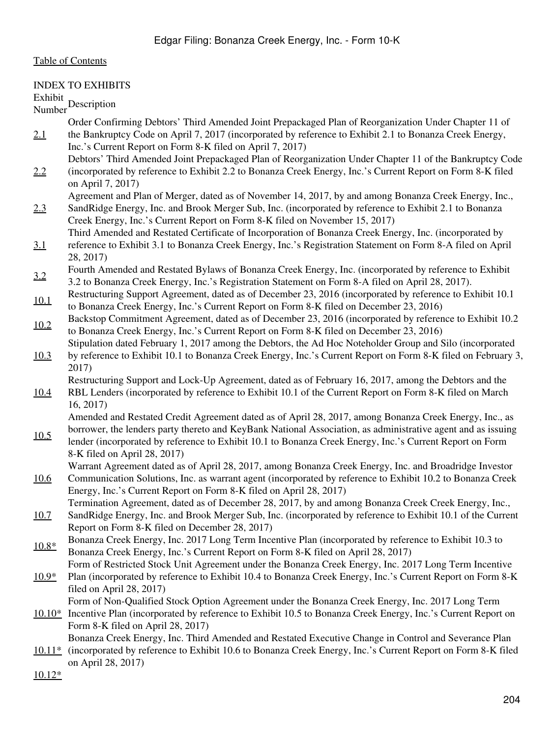#### INDEX TO EXHIBITS

Exhibit<br>Number

- Order Confirming Debtors' Third Amended Joint Prepackaged Plan of Reorganization Under Chapter 11 of
- [2.1](http://www.sec.gov/Archives/edgar/data/1509589/000095010317003402/dp75000_ex0201.htm) the Bankruptcy Code on April 7, 2017 (incorporated by reference to Exhibit 2.1 to Bonanza Creek Energy, Inc.'s Current Report on Form 8-K filed on April 7, 2017) Debtors' Third Amended Joint Prepackaged Plan of Reorganization Under Chapter 11 of the Bankruptcy Code
- [2.2](http://www.sec.gov/Archives/edgar/data/1509589/000095010317003402/dp75000_ex0202.htm) (incorporated by reference to Exhibit 2.2 to Bonanza Creek Energy, Inc.'s Current Report on Form 8-K filed on April 7, 2017)
	- Agreement and Plan of Merger, dated as of November 14, 2017, by and among Bonanza Creek Energy, Inc.,
- [2.3](http://www.sec.gov/Archives/edgar/data/1509589/000110465917068901/a17-27070_1ex2d1.htm) SandRidge Energy, Inc. and Brook Merger Sub, Inc. (incorporated by reference to Exhibit 2.1 to Bonanza Creek Energy, Inc.'s Current Report on Form 8-K filed on November 15, 2017) Third Amended and Restated Certificate of Incorporation of Bonanza Creek Energy, Inc. (incorporated by
- [3.1](http://www.sec.gov/Archives/edgar/data/1509589/000095010317004011/dp75599_ex0301.htm) reference to Exhibit 3.1 to Bonanza Creek Energy, Inc.'s Registration Statement on Form 8-A filed on April 28, 2017)
- 5.2 Fourth Amended and Restated Bylaws of Bonanza Creek Energy, Inc. (incorporated by reference to Exhibit<br>2.2 to Bananza Creek Energy, Inc. is Designation Statement on Faun 8. A filed an April 28, 2017). 3.2 to Bonanza Creek Energy, Inc.'s Registration Statement on Form 8-A filed on April 28, 2017).
- [10.1](http://www.sec.gov/Archives/edgar/data/1509589/000095010316018899/dp71326_ex1001.htm) Restructuring Support Agreement, dated as of December 23, 2016 (incorporated by reference to Exhibit 10.1 to Bonanza Creek Energy, Inc.'s Current Report on Form 8-K filed on December 23, 2016)
- [10.2](http://www.sec.gov/Archives/edgar/data/1509589/000095010316018899/dp71326_ex1002.htm) Backstop Commitment Agreement, dated as of December 23, 2016 (incorporated by reference to Exhibit 10.2 to Bonanza Creek Energy, Inc.'s Current Report on Form 8-K filed on December 23, 2016)
- [10.3](http://www.sec.gov/Archives/edgar/data/1509589/000095010317001084/dp72669_ex1001.htm) Stipulation dated February 1, 2017 among the Debtors, the Ad Hoc Noteholder Group and Silo (incorporated by reference to Exhibit 10.1 to Bonanza Creek Energy, Inc.'s Current Report on Form 8-K filed on February 3, 2017)

Restructuring Support and Lock-Up Agreement, dated as of February 16, 2017, among the Debtors and the

[10.4](http://www.sec.gov/Archives/edgar/data/1509589/000095010317002521/dp74124_ex1001.htm) RBL Lenders (incorporated by reference to Exhibit 10.1 of the Current Report on Form 8-K filed on March 16, 2017)

Amended and Restated Credit Agreement dated as of April 28, 2017, among Bonanza Creek Energy, Inc., as borrower, the lenders party thereto and KeyBank National Association, as administrative agent and as issuing

- [10.5](http://www.sec.gov/Archives/edgar/data/1509589/000095010317004047/dp75602_ex1001.htm) lender (incorporated by reference to Exhibit 10.1 to Bonanza Creek Energy, Inc.'s Current Report on Form 8-K filed on April 28, 2017)
	- Warrant Agreement dated as of April 28, 2017, among Bonanza Creek Energy, Inc. and Broadridge Investor
- [10.6](http://www.sec.gov/Archives/edgar/data/1509589/000095010317004047/dp75602_ex1002.htm) Communication Solutions, Inc. as warrant agent (incorporated by reference to Exhibit 10.2 to Bonanza Creek Energy, Inc.'s Current Report on Form 8-K filed on April 28, 2017) Termination Agreement, dated as of December 28, 2017, by and among Bonanza Creek Creek Energy, Inc.,
- [10.7](http://www.sec.gov/Archives/edgar/data/1509589/000110465917075454/a17-27070_10ex10d1.htm) SandRidge Energy, Inc. and Brook Merger Sub, Inc. (incorporated by reference to Exhibit 10.1 of the Current Report on Form 8-K filed on December 28, 2017)
- [10.8\\*](http://www.sec.gov/Archives/edgar/data/1509589/000095010317004047/dp75602_ex1003.htm) Bonanza Creek Energy, Inc. 2017 Long Term Incentive Plan (incorporated by reference to Exhibit 10.3 to Bonanza Creek Energy, Inc.'s Current Report on Form 8-K filed on April 28, 2017)
- [10.9\\*](http://www.sec.gov/Archives/edgar/data/1509589/000095010317004047/dp75602_ex1004.htm) Form of Restricted Stock Unit Agreement under the Bonanza Creek Energy, Inc. 2017 Long Term Incentive Plan (incorporated by reference to Exhibit 10.4 to Bonanza Creek Energy, Inc.'s Current Report on Form 8-K filed on April 28, 2017)
- Form of Non-Qualified Stock Option Agreement under the Bonanza Creek Energy, Inc. 2017 Long Term
- 10.10<sup>\*</sup> Incentive Plan (incorporated by reference to Exhibit 10.5 to Bonanza Creek Energy, Inc.'s Current Report on Form 8-K filed on April 28, 2017)

Bonanza Creek Energy, Inc. Third Amended and Restated Executive Change in Control and Severance Plan

- 10.11<sup>\*</sup> (incorporated by reference to Exhibit 10.6 to Bonanza Creek Energy, Inc.'s Current Report on Form 8-K filed on April 28, 2017)
- [10.12\\*](http://www.sec.gov/Archives/edgar/data/1509589/000110465917038587/a17-15080_1ex10d2.htm)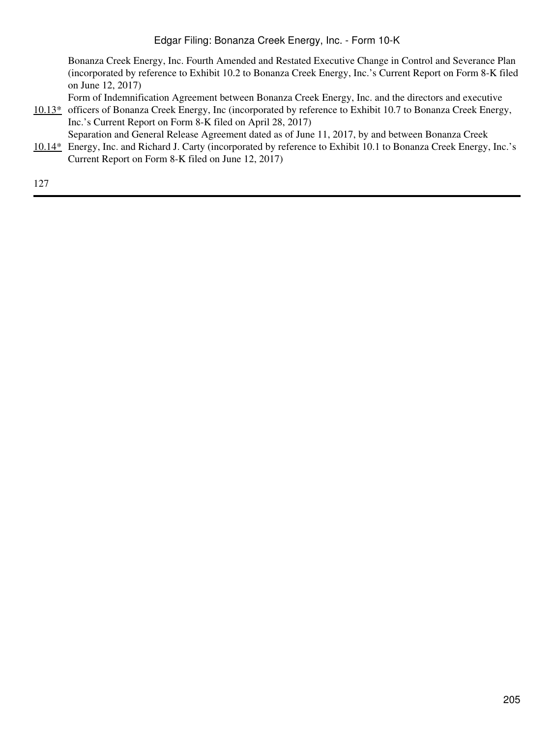# Edgar Filing: Bonanza Creek Energy, Inc. - Form 10-K

Bonanza Creek Energy, Inc. Fourth Amended and Restated Executive Change in Control and Severance Plan (incorporated by reference to Exhibit 10.2 to Bonanza Creek Energy, Inc.'s Current Report on Form 8-K filed on June 12, 2017)

Form of Indemnification Agreement between Bonanza Creek Energy, Inc. and the directors and executive

10.13<sup>\*</sup> officers of Bonanza Creek Energy, Inc (incorporated by reference to Exhibit 10.7 to Bonanza Creek Energy, Inc.'s Current Report on Form 8-K filed on April 28, 2017)

Separation and General Release Agreement dated as of June 11, 2017, by and between Bonanza Creek

10.14<sup>\*</sup> Energy, Inc. and Richard J. Carty (incorporated by reference to Exhibit 10.1 to Bonanza Creek Energy, Inc.'s Current Report on Form 8-K filed on June 12, 2017)